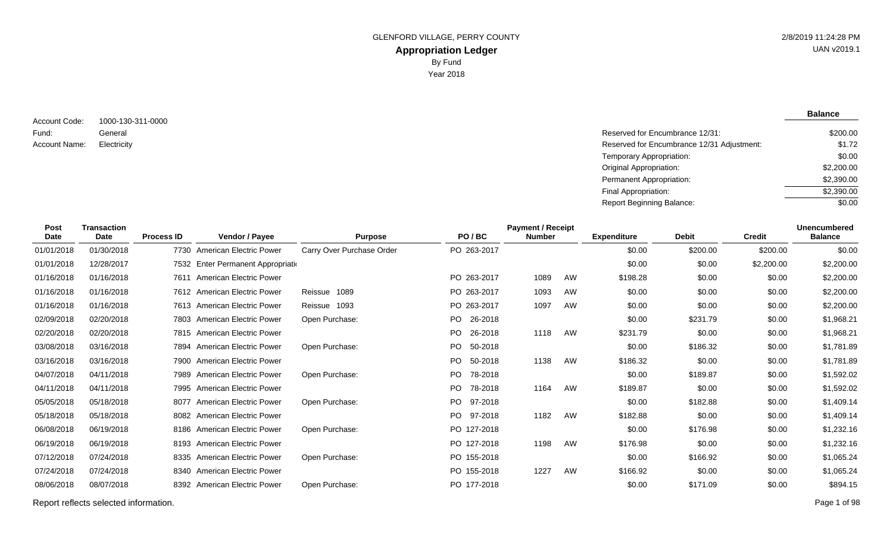**Balance**

1000-130-311-0000 General Account Code: Fund: Account Name:

Reserved for Encumbrance 12/31: Electricity Reserved for Encumbrance 12/31 Adjustment: Temporary Appropriation: Original Appropriation: Permanent Appropriation: Final Appropriation: Report Beginning Balance: \$200.00 \$1.72 \$0.00 \$2,200.00 \$2,390.00 \$2,390.00  $\sqrt{$0.00}$ 

| Post<br><b>Date</b> | <b>Transaction</b><br><b>Date</b> | <b>Process ID</b> | Vendor / Payee                     | <b>Purpose</b>            | PO/BC          | <b>Payment / Receipt</b><br><b>Number</b> |    | <b>Expenditure</b> | <b>Debit</b> | <b>Credit</b> | <b>Unencumbered</b><br><b>Balance</b> |
|---------------------|-----------------------------------|-------------------|------------------------------------|---------------------------|----------------|-------------------------------------------|----|--------------------|--------------|---------------|---------------------------------------|
| 01/01/2018          | 01/30/2018                        |                   | 7730 American Electric Power       | Carry Over Purchase Order | PO 263-2017    |                                           |    | \$0.00             | \$200.00     | \$200.00      | \$0.00                                |
| 01/01/2018          | 12/28/2017                        |                   | 7532 Enter Permanent Appropriation |                           |                |                                           |    | \$0.00             | \$0.00       | \$2,200.00    | \$2,200.00                            |
| 01/16/2018          | 01/16/2018                        |                   | 7611 American Electric Power       |                           | PO 263-2017    | 1089                                      | AW | \$198.28           | \$0.00       | \$0.00        | \$2,200.00                            |
| 01/16/2018          | 01/16/2018                        |                   | 7612 American Electric Power       | Reissue 1089              | PO 263-2017    | 1093                                      | AW | \$0.00             | \$0.00       | \$0.00        | \$2,200.00                            |
| 01/16/2018          | 01/16/2018                        |                   | 7613 American Electric Power       | Reissue 1093              | PO 263-2017    | 1097                                      | AW | \$0.00             | \$0.00       | \$0.00        | \$2,200.00                            |
| 02/09/2018          | 02/20/2018                        |                   | 7803 American Electric Power       | Open Purchase:            | PO 26-2018     |                                           |    | \$0.00             | \$231.79     | \$0.00        | \$1,968.21                            |
| 02/20/2018          | 02/20/2018                        |                   | 7815 American Electric Power       |                           | PO 26-2018     | 1118                                      | AW | \$231.79           | \$0.00       | \$0.00        | \$1,968.21                            |
| 03/08/2018          | 03/16/2018                        |                   | 7894 American Electric Power       | Open Purchase:            | PO.<br>50-2018 |                                           |    | \$0.00             | \$186.32     | \$0.00        | \$1,781.89                            |
| 03/16/2018          | 03/16/2018                        |                   | 7900 American Electric Power       |                           | PO.<br>50-2018 | 1138                                      | AW | \$186.32           | \$0.00       | \$0.00        | \$1,781.89                            |
| 04/07/2018          | 04/11/2018                        |                   | 7989 American Electric Power       | Open Purchase:            | PO.<br>78-2018 |                                           |    | \$0.00             | \$189.87     | \$0.00        | \$1,592.02                            |
| 04/11/2018          | 04/11/2018                        |                   | 7995 American Electric Power       |                           | PO.<br>78-2018 | 1164                                      | AW | \$189.87           | \$0.00       | \$0.00        | \$1,592.02                            |
| 05/05/2018          | 05/18/2018                        |                   | 8077 American Electric Power       | Open Purchase:            | PO 97-2018     |                                           |    | \$0.00             | \$182.88     | \$0.00        | \$1,409.14                            |
| 05/18/2018          | 05/18/2018                        |                   | 8082 American Electric Power       |                           | PO 97-2018     | 1182                                      | AW | \$182.88           | \$0.00       | \$0.00        | \$1,409.14                            |
| 06/08/2018          | 06/19/2018                        |                   | 8186 American Electric Power       | Open Purchase:            | PO 127-2018    |                                           |    | \$0.00             | \$176.98     | \$0.00        | \$1,232.16                            |
| 06/19/2018          | 06/19/2018                        |                   | 8193 American Electric Power       |                           | PO 127-2018    | 1198                                      | AW | \$176.98           | \$0.00       | \$0.00        | \$1,232.16                            |
| 07/12/2018          | 07/24/2018                        |                   | 8335 American Electric Power       | Open Purchase:            | PO 155-2018    |                                           |    | \$0.00             | \$166.92     | \$0.00        | \$1,065.24                            |
| 07/24/2018          | 07/24/2018                        |                   | 8340 American Electric Power       |                           | PO 155-2018    | 1227                                      | AW | \$166.92           | \$0.00       | \$0.00        | \$1,065.24                            |
| 08/06/2018          | 08/07/2018                        |                   | 8392 American Electric Power       | Open Purchase:            | PO 177-2018    |                                           |    | \$0.00             | \$171.09     | \$0.00        | \$894.15                              |
|                     |                                   |                   |                                    |                           |                |                                           |    |                    |              |               |                                       |

Report reflects selected information. Page 1 of 98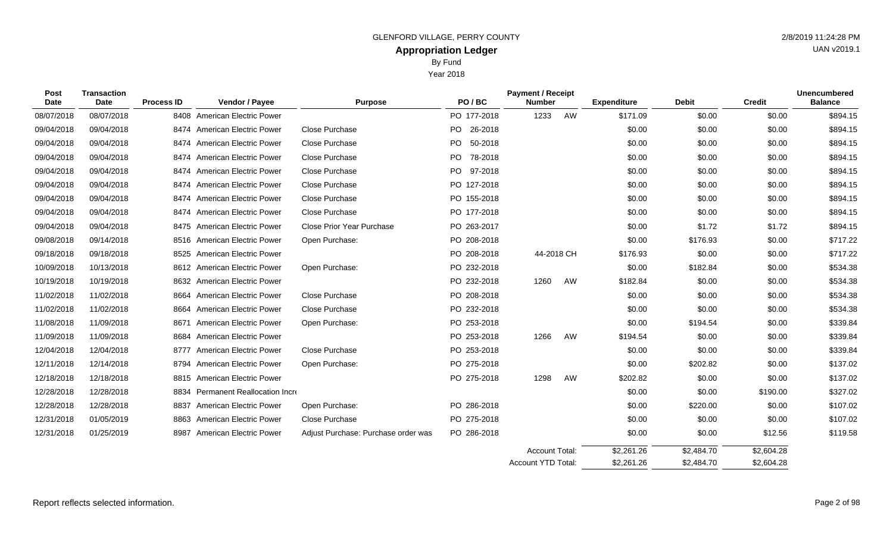| Post<br>Date | <b>Transaction</b><br>Date | <b>Process ID</b> | Vendor / Payee                    | <b>Purpose</b>                      | PO/BC       | <b>Payment / Receipt</b><br><b>Number</b> |    | <b>Expenditure</b> | <b>Debit</b> | <b>Credit</b> | <b>Unencumbered</b><br><b>Balance</b> |
|--------------|----------------------------|-------------------|-----------------------------------|-------------------------------------|-------------|-------------------------------------------|----|--------------------|--------------|---------------|---------------------------------------|
| 08/07/2018   | 08/07/2018                 |                   | 8408 American Electric Power      |                                     | PO 177-2018 | 1233                                      | AW | \$171.09           | \$0.00       | \$0.00        | \$894.15                              |
| 09/04/2018   | 09/04/2018                 |                   | 8474 American Electric Power      | Close Purchase                      | PO 26-2018  |                                           |    | \$0.00             | \$0.00       | \$0.00        | \$894.15                              |
| 09/04/2018   | 09/04/2018                 |                   | 8474 American Electric Power      | Close Purchase                      | PO 50-2018  |                                           |    | \$0.00             | \$0.00       | \$0.00        | \$894.15                              |
| 09/04/2018   | 09/04/2018                 |                   | 8474 American Electric Power      | Close Purchase                      | PO 78-2018  |                                           |    | \$0.00             | \$0.00       | \$0.00        | \$894.15                              |
| 09/04/2018   | 09/04/2018                 |                   | 8474 American Electric Power      | Close Purchase                      | PO 97-2018  |                                           |    | \$0.00             | \$0.00       | \$0.00        | \$894.15                              |
| 09/04/2018   | 09/04/2018                 | 8474              | <b>American Electric Power</b>    | Close Purchase                      | PO 127-2018 |                                           |    | \$0.00             | \$0.00       | \$0.00        | \$894.15                              |
| 09/04/2018   | 09/04/2018                 |                   | 8474 American Electric Power      | Close Purchase                      | PO 155-2018 |                                           |    | \$0.00             | \$0.00       | \$0.00        | \$894.15                              |
| 09/04/2018   | 09/04/2018                 | 8474              | <b>American Electric Power</b>    | Close Purchase                      | PO 177-2018 |                                           |    | \$0.00             | \$0.00       | \$0.00        | \$894.15                              |
| 09/04/2018   | 09/04/2018                 |                   | 8475 American Electric Power      | <b>Close Prior Year Purchase</b>    | PO 263-2017 |                                           |    | \$0.00             | \$1.72       | \$1.72        | \$894.15                              |
| 09/08/2018   | 09/14/2018                 |                   | 8516 American Electric Power      | Open Purchase:                      | PO 208-2018 |                                           |    | \$0.00             | \$176.93     | \$0.00        | \$717.22                              |
| 09/18/2018   | 09/18/2018                 |                   | 8525 American Electric Power      |                                     | PO 208-2018 | 44-2018 CH                                |    | \$176.93           | \$0.00       | \$0.00        | \$717.22                              |
| 10/09/2018   | 10/13/2018                 |                   | 8612 American Electric Power      | Open Purchase:                      | PO 232-2018 |                                           |    | \$0.00             | \$182.84     | \$0.00        | \$534.38                              |
| 10/19/2018   | 10/19/2018                 |                   | 8632 American Electric Power      |                                     | PO 232-2018 | 1260                                      | AW | \$182.84           | \$0.00       | \$0.00        | \$534.38                              |
| 11/02/2018   | 11/02/2018                 |                   | 8664 American Electric Power      | Close Purchase                      | PO 208-2018 |                                           |    | \$0.00             | \$0.00       | \$0.00        | \$534.38                              |
| 11/02/2018   | 11/02/2018                 | 8664              | <b>American Electric Power</b>    | Close Purchase                      | PO 232-2018 |                                           |    | \$0.00             | \$0.00       | \$0.00        | \$534.38                              |
| 11/08/2018   | 11/09/2018                 |                   | 8671 American Electric Power      | Open Purchase:                      | PO 253-2018 |                                           |    | \$0.00             | \$194.54     | \$0.00        | \$339.84                              |
| 11/09/2018   | 11/09/2018                 | 8684              | <b>American Electric Power</b>    |                                     | PO 253-2018 | 1266                                      | AW | \$194.54           | \$0.00       | \$0.00        | \$339.84                              |
| 12/04/2018   | 12/04/2018                 |                   | 8777 American Electric Power      | Close Purchase                      | PO 253-2018 |                                           |    | \$0.00             | \$0.00       | \$0.00        | \$339.84                              |
| 12/11/2018   | 12/14/2018                 |                   | 8794 American Electric Power      | Open Purchase:                      | PO 275-2018 |                                           |    | \$0.00             | \$202.82     | \$0.00        | \$137.02                              |
| 12/18/2018   | 12/18/2018                 |                   | 8815 American Electric Power      |                                     | PO 275-2018 | 1298                                      | AW | \$202.82           | \$0.00       | \$0.00        | \$137.02                              |
| 12/28/2018   | 12/28/2018                 |                   | 8834 Permanent Reallocation Incre |                                     |             |                                           |    | \$0.00             | \$0.00       | \$190.00      | \$327.02                              |
| 12/28/2018   | 12/28/2018                 | 8837              | <b>American Electric Power</b>    | Open Purchase:                      | PO 286-2018 |                                           |    | \$0.00             | \$220.00     | \$0.00        | \$107.02                              |
| 12/31/2018   | 01/05/2019                 |                   | 8863 American Electric Power      | Close Purchase                      | PO 275-2018 |                                           |    | \$0.00             | \$0.00       | \$0.00        | \$107.02                              |
| 12/31/2018   | 01/25/2019                 | 8987              | <b>American Electric Power</b>    | Adjust Purchase: Purchase order was | PO 286-2018 |                                           |    | \$0.00             | \$0.00       | \$12.56       | \$119.58                              |
|              |                            |                   |                                   |                                     |             |                                           |    |                    |              |               |                                       |

\$2,604.28 \$2,604.28 \$2,484.70 \$2,484.70 \$2,261.26 \$2,261.26 Account Total: Account YTD Total:

UAN v2019.1

# By Fund Year 2018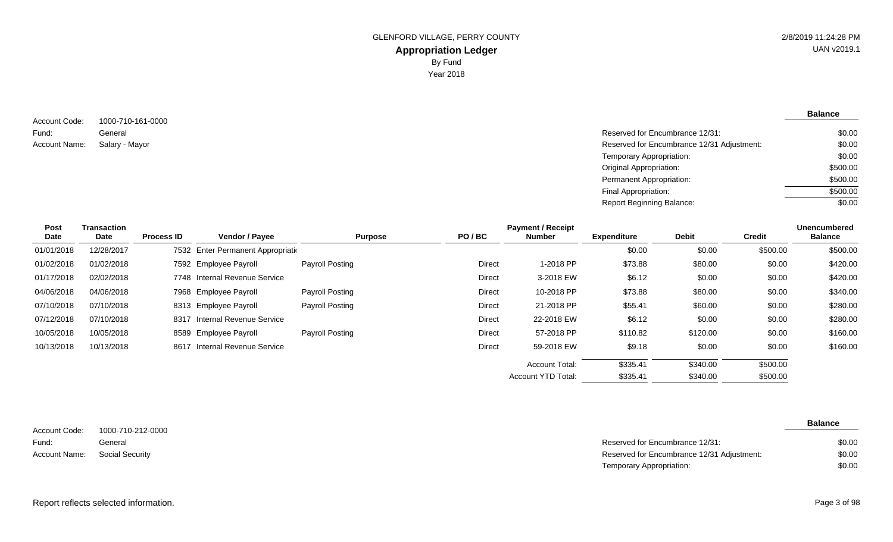**Balance**

1000-710-161-0000 General Account Code: Fund: Account Name: Salary - Mayor

Reserved for Encumbrance 12/31: \$0.00

| Salary - Mayor | Reserved for Encumbrance 12/31 Adjustment: | \$0.00   |
|----------------|--------------------------------------------|----------|
|                | Temporary Appropriation:                   | \$0.00   |
|                | Original Appropriation:                    | \$500.00 |
|                | Permanent Appropriation:                   | \$500.00 |
|                | Final Appropriation:                       | \$500.00 |
|                | Report Beginning Balance:                  | \$0.00   |
|                |                                            |          |

| Post<br>Date | Transaction<br>Date | <b>Process ID</b> | Vendor / Payee                     | <b>Purpose</b>         | PO/BC         | <b>Payment / Receipt</b><br><b>Number</b> | <b>Expenditure</b> | <b>Debit</b> | <b>Credit</b> | <b>Unencumbered</b><br><b>Balance</b> |
|--------------|---------------------|-------------------|------------------------------------|------------------------|---------------|-------------------------------------------|--------------------|--------------|---------------|---------------------------------------|
| 01/01/2018   | 12/28/2017          |                   | 7532 Enter Permanent Appropriation |                        |               |                                           | \$0.00             | \$0.00       | \$500.00      | \$500.00                              |
| 01/02/2018   | 01/02/2018          |                   | 7592 Employee Payroll              | Payroll Posting        | <b>Direct</b> | 1-2018 PP                                 | \$73.88            | \$80.00      | \$0.00        | \$420.00                              |
| 01/17/2018   | 02/02/2018          |                   | 7748 Internal Revenue Service      |                        | Direct        | 3-2018 EW                                 | \$6.12             | \$0.00       | \$0.00        | \$420.00                              |
| 04/06/2018   | 04/06/2018          |                   | 7968 Employee Payroll              | Payroll Posting        | Direct        | 10-2018 PP                                | \$73.88            | \$80.00      | \$0.00        | \$340.00                              |
| 07/10/2018   | 07/10/2018          |                   | 8313 Employee Payroll              | Payroll Posting        | Direct        | 21-2018 PP                                | \$55.41            | \$60.00      | \$0.00        | \$280.00                              |
| 07/12/2018   | 07/10/2018          | 8317              | Internal Revenue Service           |                        | Direct        | 22-2018 EW                                | \$6.12             | \$0.00       | \$0.00        | \$280.00                              |
| 10/05/2018   | 10/05/2018          |                   | 8589 Employee Payroll              | <b>Payroll Posting</b> | Direct        | 57-2018 PP                                | \$110.82           | \$120.00     | \$0.00        | \$160.00                              |
| 10/13/2018   | 10/13/2018          |                   | 8617 Internal Revenue Service      |                        | Direct        | 59-2018 EW                                | \$9.18             | \$0.00       | \$0.00        | \$160.00                              |
|              |                     |                   |                                    |                        |               | <b>Account Total:</b>                     | \$335.41           | \$340.00     | \$500.00      |                                       |
|              |                     |                   |                                    |                        |               | <b>Account YTD Total:</b>                 | \$335.41           | \$340.00     | \$500.00      |                                       |

1000-710-212-0000 General Account Code: Fund: Account Name: Social Security

| General         | Reserved for Encumbrance 12/31:            | \$0.00 |
|-----------------|--------------------------------------------|--------|
| Social Security | Reserved for Encumbrance 12/31 Adjustment: | \$0.00 |
|                 | Temporary Appropriation:                   | \$0.00 |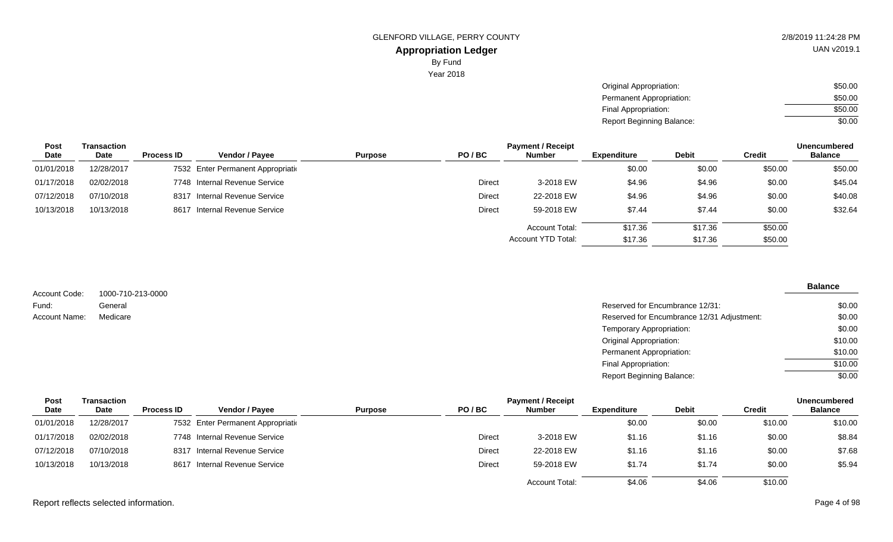UAN v2019.1

Year 2018

| Original Appropriation:   | \$50.00 |
|---------------------------|---------|
| Permanent Appropriation:  | \$50.00 |
| Final Appropriation:      | \$50.00 |
| Report Beginning Balance: | \$0.00  |

| <b>Unencumbered</b>                              |
|--------------------------------------------------|
| <b>Balance</b>                                   |
| \$50.00<br>\$50.00                               |
| \$45.04                                          |
| \$40.08                                          |
| \$32.64                                          |
|                                                  |
|                                                  |
| \$0.00<br>\$0.00<br>\$0.00<br>\$50.00<br>\$50.00 |

| Account Code: | 1000-710-213-0000 |                                            | <b>Balance</b> |
|---------------|-------------------|--------------------------------------------|----------------|
| Fund:         | General           | Reserved for Encumbrance 12/31:            | \$0.00         |
| Account Name: | Medicare          | Reserved for Encumbrance 12/31 Adjustment: | \$0.00         |
|               |                   | Temporary Appropriation:                   | \$0.00         |
|               |                   | <b>Original Appropriation:</b>             | \$10.00        |
|               |                   | <b>Permanent Appropriation:</b>            | \$10.00        |
|               |                   | Final Appropriation:                       | \$10.00        |
|               |                   | <b>Report Beginning Balance:</b>           | \$0.00         |

| <b>Post</b> | Transaction |                   |                                    |                |               | <b>Payment / Receipt</b> |                    |              |         | <b>Unencumbered</b> |
|-------------|-------------|-------------------|------------------------------------|----------------|---------------|--------------------------|--------------------|--------------|---------|---------------------|
| Date        | <b>Date</b> | <b>Process ID</b> | <b>Vendor / Payee</b>              | <b>Purpose</b> | PO/BC         | <b>Number</b>            | <b>Expenditure</b> | <b>Debit</b> | Credit  | <b>Balance</b>      |
| 01/01/2018  | 12/28/2017  |                   | 7532 Enter Permanent Appropriation |                |               |                          | \$0.00             | \$0.00       | \$10.00 | \$10.00             |
| 01/17/2018  | 02/02/2018  |                   | 7748 Internal Revenue Service      |                | <b>Direct</b> | 3-2018 EW                | \$1.16             | \$1.16       | \$0.00  | \$8.84              |
| 07/12/2018  | 07/10/2018  | 8317              | Internal Revenue Service           |                | Direct        | 22-2018 EW               | \$1.16             | \$1.16       | \$0.00  | \$7.68              |
| 10/13/2018  | 10/13/2018  |                   | 8617 Internal Revenue Service      |                | Direct        | 59-2018 EW               | \$1.74             | \$1.74       | \$0.00  | \$5.94              |
|             |             |                   |                                    |                |               | <b>Account Total:</b>    | \$4.06             | \$4.06       | \$10.00 |                     |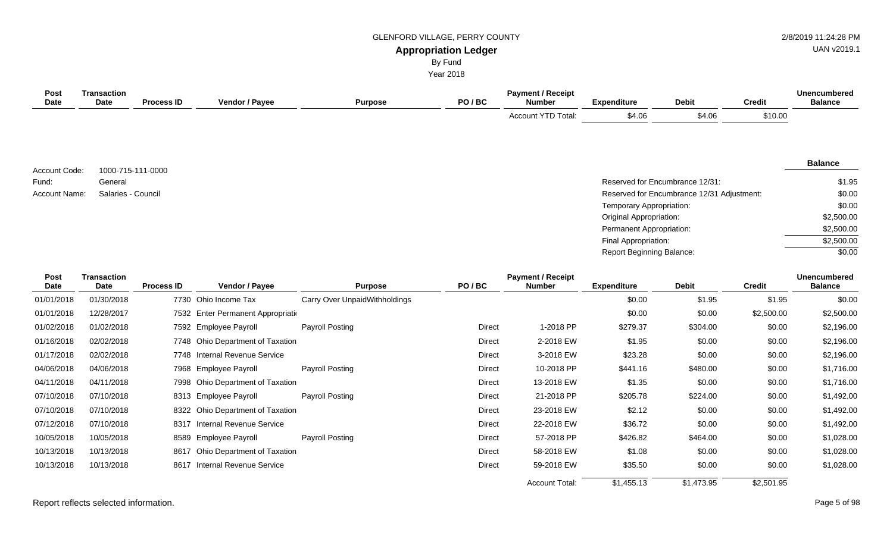#### GLENFORD VILLAGE, PERRY COUNTY **1998** 2/8/2019 11:24:28 PM

# UAN v2019.1

**Appropriation Ledger**

By Fund

Year 2018

| Post<br><b>Date</b> | <b>Transaction</b><br>Date | <b>Process ID</b> | Vendor / Payee                        | <b>Purpose</b>                | PO/BC                 | <b>Payment / Receipt</b><br><b>Number</b> | <b>Expenditure</b>             | <b>Debit</b>                               | <b>Credit</b>  | <b>Unencumbered</b><br><b>Balance</b>             |
|---------------------|----------------------------|-------------------|---------------------------------------|-------------------------------|-----------------------|-------------------------------------------|--------------------------------|--------------------------------------------|----------------|---------------------------------------------------|
|                     |                            |                   |                                       |                               |                       | Account YTD Total:                        | \$4.06                         | \$4.06                                     | \$10.00        |                                                   |
|                     |                            |                   |                                       |                               |                       |                                           |                                |                                            |                | <b>Balance</b>                                    |
| Account Code:       | 1000-715-111-0000          |                   |                                       |                               |                       |                                           |                                |                                            |                |                                                   |
| Fund:               | General                    |                   |                                       |                               |                       |                                           |                                | Reserved for Encumbrance 12/31:            |                | \$1.95                                            |
| Account Name:       | Salaries - Council         |                   |                                       |                               |                       |                                           |                                | Reserved for Encumbrance 12/31 Adjustment: |                | \$0.00                                            |
|                     |                            |                   |                                       |                               |                       |                                           | Temporary Appropriation:       |                                            |                | \$0.00                                            |
|                     |                            |                   |                                       |                               |                       |                                           | <b>Original Appropriation:</b> |                                            |                | \$2,500.00                                        |
|                     |                            |                   |                                       |                               |                       |                                           | Permanent Appropriation:       |                                            |                | \$2,500.00                                        |
|                     |                            |                   |                                       |                               |                       |                                           | Final Appropriation:           |                                            |                | \$2,500.00                                        |
|                     |                            |                   |                                       |                               |                       |                                           | Report Beginning Balance:      |                                            |                | \$0.00                                            |
| Post                | <b>Transaction</b>         |                   |                                       |                               |                       | <b>Payment / Receipt</b>                  |                                |                                            |                | <b>Unencumbered</b>                               |
| <b>Date</b>         | Date                       | <b>Process ID</b> | Vendor / Payee                        | <b>Purpose</b>                | PO/BC                 | <b>Number</b>                             | <b>Expenditure</b>             | <b>Debit</b>                               | <b>Credit</b>  | <b>Balance</b>                                    |
| 01/01/2018          | 01/30/2018                 |                   | 7730 Ohio Income Tax                  | Carry Over UnpaidWithholdings |                       |                                           | \$0.00                         | \$1.95                                     | \$1.95         | \$0.00                                            |
| 01/01/2018          | 12/28/2017                 |                   | 7532 Enter Permanent Appropriation    |                               |                       |                                           | \$0.00                         | \$0.00                                     | \$2,500.00     | \$2,500.00                                        |
| 01/02/2018          | 01/02/2018                 |                   | 7592 Employee Payroll                 | Payroll Posting               | Direct                | 1-2018 PP                                 | \$279.37                       | \$304.00                                   | \$0.00         | \$2,196.00                                        |
| 01/16/2018          | 02/02/2018                 |                   | 7748 Ohio Department of Taxation      |                               | <b>Direct</b>         | 2-2018 EW                                 | \$1.95                         | \$0.00                                     | \$0.00         | \$2,196.00                                        |
| 01/17/2018          | 02/02/2018                 |                   | 7748 Internal Revenue Service         |                               | <b>Direct</b>         | 3-2018 EW                                 | \$23.28                        | \$0.00                                     | \$0.00         | \$2,196.00                                        |
| 0.4/00/0040         | 0.410010040                |                   | $7000$ For the set $D_{\text{total}}$ | December 11, December 20      | <b>D.</b> S. S. S. A. | $\sim$ 0010 DD                            | $\bigwedge$                    | 0.10000                                    | 0 <sub>0</sub> | $A = 2A \cap \overline{\wedge} \overline{\wedge}$ |

| 01/02/2018 | 01/02/2018 | 7592 Employee Payroll            | <b>Payroll Posting</b> | <b>Direct</b> | 1-2018 PP             | \$279.37   | \$304.00   | \$0.00     | \$2,196.00 |
|------------|------------|----------------------------------|------------------------|---------------|-----------------------|------------|------------|------------|------------|
| 01/16/2018 | 02/02/2018 | 7748 Ohio Department of Taxation |                        | Direct        | 2-2018 EW             | \$1.95     | \$0.00     | \$0.00     | \$2,196.00 |
| 01/17/2018 | 02/02/2018 | 7748 Internal Revenue Service    |                        | Direct        | 3-2018 EW             | \$23.28    | \$0.00     | \$0.00     | \$2,196.00 |
| 04/06/2018 | 04/06/2018 | 7968 Employee Payroll            | <b>Payroll Posting</b> | Direct        | 10-2018 PP            | \$441.16   | \$480.00   | \$0.00     | \$1,716.00 |
| 04/11/2018 | 04/11/2018 | 7998 Ohio Department of Taxation |                        | Direct        | 13-2018 EW            | \$1.35     | \$0.00     | \$0.00     | \$1,716.00 |
| 07/10/2018 | 07/10/2018 | 8313 Employee Payroll            | Payroll Posting        | Direct        | 21-2018 PP            | \$205.78   | \$224.00   | \$0.00     | \$1,492.00 |
| 07/10/2018 | 07/10/2018 | 8322 Ohio Department of Taxation |                        | Direct        | 23-2018 EW            | \$2.12     | \$0.00     | \$0.00     | \$1,492.00 |
| 07/12/2018 | 07/10/2018 | Internal Revenue Service<br>8317 |                        | Direct        | 22-2018 EW            | \$36.72    | \$0.00     | \$0.00     | \$1,492.00 |
| 10/05/2018 | 10/05/2018 | 8589 Employee Payroll            | Payroll Posting        | Direct        | 57-2018 PP            | \$426.82   | \$464.00   | \$0.00     | \$1,028.00 |
| 10/13/2018 | 10/13/2018 | 8617 Ohio Department of Taxation |                        | Direct        | 58-2018 EW            | \$1.08     | \$0.00     | \$0.00     | \$1,028.00 |
| 10/13/2018 | 10/13/2018 | 8617 Internal Revenue Service    |                        | Direct        | 59-2018 EW            | \$35.50    | \$0.00     | \$0.00     | \$1,028.00 |
|            |            |                                  |                        |               | <b>Account Total:</b> | \$1,455.13 | \$1,473.95 | \$2,501.95 |            |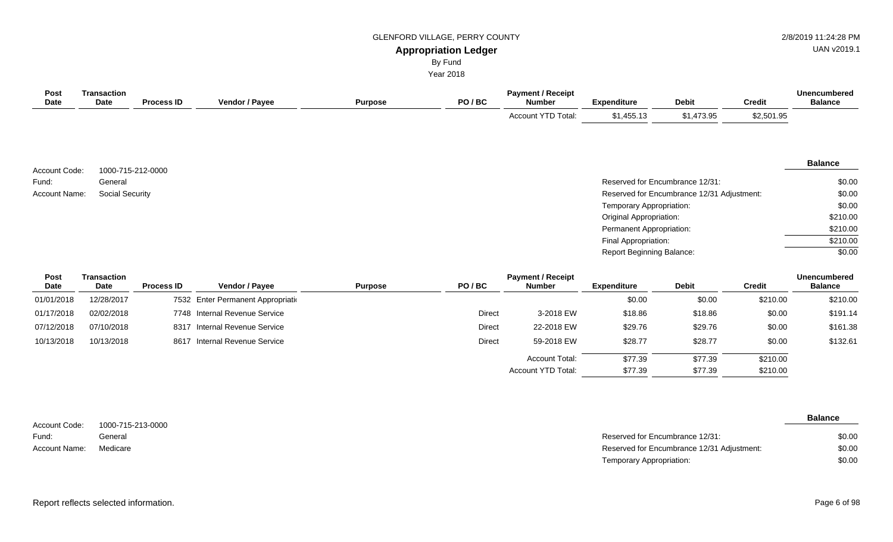# GLENFORD VILLAGE, PERRY COUNTY **2/8/2019 11:24:28 PM**

# UAN v2019.1

#### **Appropriation Ledger** By Fund

Year 2018

| Post<br>Date                            | <b>Transaction</b><br>Date | <b>Process ID</b> | Vendor / Payee                  | <b>Purpose</b> | PO/BC         | <b>Payment / Receipt</b><br><b>Number</b>  | <b>Expenditure</b>               | <b>Debit</b>                    | <b>Credit</b> | <b>Unencumbered</b><br><b>Balance</b> |
|-----------------------------------------|----------------------------|-------------------|---------------------------------|----------------|---------------|--------------------------------------------|----------------------------------|---------------------------------|---------------|---------------------------------------|
|                                         |                            |                   |                                 |                |               | Account YTD Total:                         | \$1,455.13                       | \$1,473.95                      | \$2,501.95    |                                       |
| Account Code:                           | 1000-715-212-0000          |                   |                                 |                |               |                                            |                                  |                                 |               | <b>Balance</b>                        |
| Fund:                                   | General                    |                   |                                 |                |               |                                            |                                  | Reserved for Encumbrance 12/31: |               | \$0.00                                |
| <b>Social Security</b><br>Account Name: |                            |                   |                                 |                |               | Reserved for Encumbrance 12/31 Adjustment: |                                  |                                 |               | \$0.00                                |
|                                         |                            |                   |                                 |                |               |                                            | Temporary Appropriation:         |                                 |               | \$0.00                                |
|                                         |                            |                   |                                 |                |               |                                            | <b>Original Appropriation:</b>   |                                 |               | \$210.00                              |
|                                         |                            |                   |                                 |                |               |                                            | Permanent Appropriation:         |                                 |               | \$210.00                              |
|                                         |                            |                   |                                 |                |               |                                            | Final Appropriation:             |                                 |               | \$210.00                              |
|                                         |                            |                   |                                 |                |               |                                            | <b>Report Beginning Balance:</b> |                                 |               | \$0.00                                |
| Post<br>Date                            | <b>Transaction</b><br>Date | <b>Process ID</b> | Vendor / Payee                  | <b>Purpose</b> | PO/BC         | <b>Payment / Receipt</b><br><b>Number</b>  | <b>Expenditure</b>               | <b>Debit</b>                    | <b>Credit</b> | <b>Unencumbered</b><br><b>Balance</b> |
| 01/01/2018                              | 12/28/2017                 | 7532              | Enter Permanent Appropriation   |                |               |                                            | \$0.00                           | \$0.00                          | \$210.00      | \$210.00                              |
| 01/17/2018                              | 02/02/2018                 | 7748              | <b>Internal Revenue Service</b> |                | <b>Direct</b> | 3-2018 EW                                  | \$18.86                          | \$18.86                         | \$0.00        | \$191.14                              |
| 07/12/2018                              | 07/10/2018                 | 8317              | Internal Revenue Service        |                | <b>Direct</b> | 22-2018 EW                                 | \$29.76                          | \$29.76                         | \$0.00        | \$161.38                              |
| 10/13/2018                              | 10/13/2018                 |                   | 8617 Internal Revenue Service   |                | <b>Direct</b> | 59-2018 EW                                 | \$28.77                          | \$28.77                         | \$0.00        | \$132.61                              |

| Account Code: | 1000-715-213-0000 |
|---------------|-------------------|
| Fund:         | General           |
| Account Name: | Medicare          |

**Balance**

\$210.00 \$210.00

| General  | Reserved for Encumbrance 12/31:            | \$0.00 |
|----------|--------------------------------------------|--------|
| Medicare | Reserved for Encumbrance 12/31 Adjustment: | \$0.00 |
|          | Temporary Appropriation:                   | \$0.00 |

\$77.39 \$77.39

\$77.39 \$77.39

Account Total: Account YTD Total: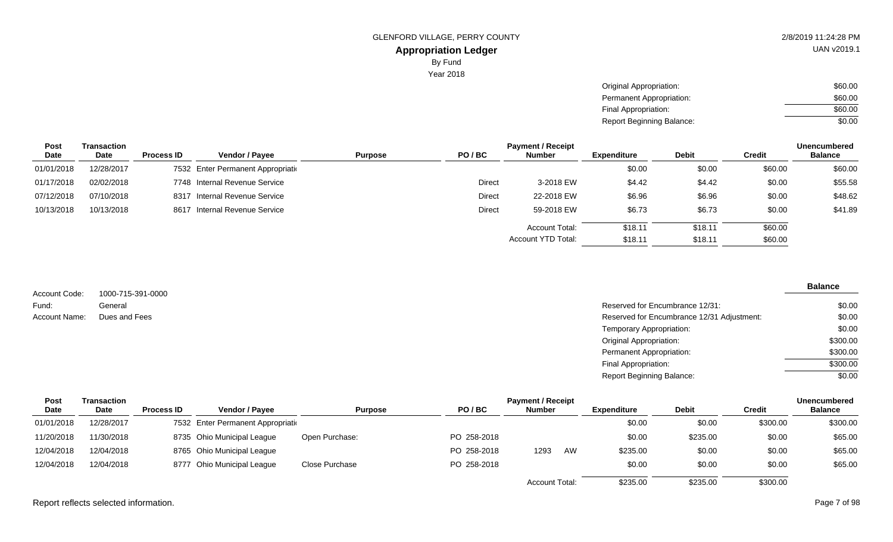UAN v2019.1

Year 2018

| Original Appropriation:          | \$60.00 |
|----------------------------------|---------|
| Permanent Appropriation:         | \$60.00 |
| Final Appropriation:             | \$60.00 |
| <b>Report Beginning Balance:</b> | \$0.00  |

| <b>Post</b> | Transaction |                   |                                    |                |               | <b>Payment / Receipt</b> |             |              |               | <b>Unencumbered</b> |
|-------------|-------------|-------------------|------------------------------------|----------------|---------------|--------------------------|-------------|--------------|---------------|---------------------|
| <b>Date</b> | Date        | <b>Process ID</b> | Vendor / Pavee                     | <b>Purpose</b> | PO/BC         | <b>Number</b>            | Expenditure | <b>Debit</b> | <b>Credit</b> | <b>Balance</b>      |
| 01/01/2018  | 12/28/2017  |                   | 7532 Enter Permanent Appropriation |                |               |                          | \$0.00      | \$0.00       | \$60.00       | \$60.00             |
| 01/17/2018  | 02/02/2018  |                   | 7748 Internal Revenue Service      |                | Direct        | 3-2018 EW                | \$4.42      | \$4.42       | \$0.00        | \$55.58             |
| 07/12/2018  | 07/10/2018  | 8317              | Internal Revenue Service           |                | <b>Direct</b> | 22-2018 EW               | \$6.96      | \$6.96       | \$0.00        | \$48.62             |
| 10/13/2018  | 10/13/2018  | 8617              | Internal Revenue Service           |                | Direct        | 59-2018 EW               | \$6.73      | \$6.73       | \$0.00        | \$41.89             |
|             |             |                   |                                    |                |               | <b>Account Total:</b>    | \$18.11     | \$18.11      | \$60.00       |                     |
|             |             |                   |                                    |                |               | Account YTD Total:       | \$18.11     | \$18.11      | \$60.00       |                     |

|               |                   |                                            | <b>Balance</b> |
|---------------|-------------------|--------------------------------------------|----------------|
| Account Code: | 1000-715-391-0000 |                                            |                |
| Fund:         | General           | Reserved for Encumbrance 12/31:            | \$0.00         |
| Account Name: | Dues and Fees     | Reserved for Encumbrance 12/31 Adjustment: | \$0.00         |
|               |                   | Temporary Appropriation:                   | \$0.00         |
|               |                   | <b>Original Appropriation:</b>             | \$300.00       |
|               |                   | Permanent Appropriation:                   | \$300.00       |
|               |                   | Final Appropriation:                       | \$300.00       |
|               |                   | <b>Report Beginning Balance:</b>           | \$0.00         |

| <b>Post</b> | Transaction |                   |                                    |                |             | <b>Payment / Receipt</b> |    |                    |              |               | <b>Unencumbered</b> |
|-------------|-------------|-------------------|------------------------------------|----------------|-------------|--------------------------|----|--------------------|--------------|---------------|---------------------|
| Date        | Date        | <b>Process ID</b> | Vendor / Pavee                     | <b>Purpose</b> | PO/BC       | <b>Number</b>            |    | <b>Expenditure</b> | <b>Debit</b> | <b>Credit</b> | <b>Balance</b>      |
| 01/01/2018  | 12/28/2017  |                   | 7532 Enter Permanent Appropriation |                |             |                          |    | \$0.00             | \$0.00       | \$300.00      | \$300.00            |
| 11/20/2018  | 11/30/2018  |                   | 8735 Ohio Municipal League         | Open Purchase: | PO 258-2018 |                          |    | \$0.00             | \$235.00     | \$0.00        | \$65.00             |
| 12/04/2018  | 12/04/2018  |                   | 8765 Ohio Municipal League         |                | PO 258-2018 | 1293                     | AW | \$235.00           | \$0.00       | \$0.00        | \$65.00             |
| 12/04/2018  | 12/04/2018  |                   | 8777 Ohio Municipal League         | Close Purchase | PO 258-2018 |                          |    | \$0.00             | \$0.00       | \$0.00        | \$65.00             |
|             |             |                   |                                    |                |             | <b>Account Total:</b>    |    | \$235.00           | \$235.00     | \$300.00      |                     |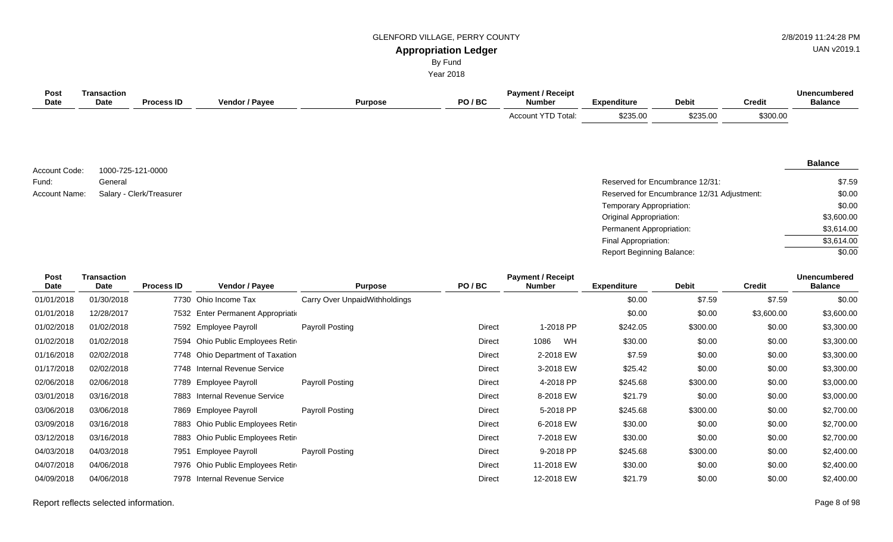### GLENFORD VILLAGE, PERRY COUNTY **2/8/2019 11:24:28 PM**

# UAN v2019.1

# **Appropriation Ledger**

By Fund

Year 2018

| Post<br><b>Date</b> | <b>Transaction</b><br><b>Date</b> | <b>Process ID</b>        | Vendor / Payee                     | <b>Purpose</b>                | PO/BC         | <b>Payment / Receipt</b><br><b>Number</b> | <b>Expenditure</b>               | <b>Debit</b>                               | <b>Credit</b> | <b>Unencumbered</b><br><b>Balance</b> |
|---------------------|-----------------------------------|--------------------------|------------------------------------|-------------------------------|---------------|-------------------------------------------|----------------------------------|--------------------------------------------|---------------|---------------------------------------|
|                     |                                   |                          |                                    |                               |               | Account YTD Total:                        | \$235.00                         | \$235.00                                   | \$300.00      |                                       |
| Account Code:       |                                   | 1000-725-121-0000        |                                    |                               |               |                                           |                                  |                                            |               | <b>Balance</b>                        |
| Fund:               | General                           |                          |                                    |                               |               |                                           |                                  | Reserved for Encumbrance 12/31:            |               | \$7.59                                |
| Account Name:       |                                   | Salary - Clerk/Treasurer |                                    |                               |               |                                           |                                  | Reserved for Encumbrance 12/31 Adjustment: |               | \$0.00                                |
|                     |                                   |                          |                                    |                               |               |                                           | Temporary Appropriation:         |                                            |               | \$0.00                                |
|                     |                                   |                          |                                    |                               |               |                                           | Original Appropriation:          |                                            |               | \$3,600.00                            |
|                     |                                   |                          |                                    |                               |               |                                           | Permanent Appropriation:         |                                            |               | \$3,614.00                            |
|                     |                                   |                          |                                    |                               |               |                                           | Final Appropriation:             |                                            |               | \$3,614.00                            |
|                     |                                   |                          |                                    |                               |               |                                           | <b>Report Beginning Balance:</b> |                                            |               | \$0.00                                |
| Post<br>Date        | <b>Transaction</b><br><b>Date</b> | <b>Process ID</b>        | Vendor / Payee                     | <b>Purpose</b>                | PO/BC         | <b>Payment / Receipt</b><br><b>Number</b> | <b>Expenditure</b>               | <b>Debit</b>                               | <b>Credit</b> | <b>Unencumbered</b><br><b>Balance</b> |
| 01/01/2018          | 01/30/2018                        |                          | 7730 Ohio Income Tax               | Carry Over UnpaidWithholdings |               |                                           | \$0.00                           | \$7.59                                     | \$7.59        | \$0.00                                |
| 01/01/2018          | 12/28/2017                        |                          | 7532 Enter Permanent Appropriation |                               |               |                                           | \$0.00                           | \$0.00                                     | \$3,600.00    | \$3,600.00                            |
| 01/02/2018          | 01/02/2018                        |                          | 7592 Employee Payroll              | Payroll Posting               | <b>Direct</b> | 1-2018 PP                                 | \$242.05                         | \$300.00                                   | \$0.00        | \$3,300.00                            |
| 01/02/2018          | 01/02/2018                        | 7594                     | Ohio Public Employees Retir        |                               | <b>Direct</b> | WH<br>1086                                | \$30.00                          | \$0.00                                     | \$0.00        | \$3,300.00                            |
| 01/16/2018          | 02/02/2018                        |                          | 7748 Ohio Department of Taxation   |                               | <b>Direct</b> | 2-2018 EW                                 | \$7.59                           | \$0.00                                     | \$0.00        | \$3,300.00                            |
| 01/17/2018          | 02/02/2018                        |                          | 7748 Internal Revenue Service      |                               | Direct        | 3-2018 EW                                 | \$25.42                          | \$0.00                                     | \$0.00        | \$3,300.00                            |
| 02/06/2018          | 02/06/2018                        | 7789                     | <b>Employee Payroll</b>            | Payroll Posting               | <b>Direct</b> | 4-2018 PP                                 | \$245.68                         | \$300.00                                   | \$0.00        | \$3,000.00                            |
| 03/01/2018          | 03/16/2018                        | 7883                     | Internal Revenue Service           |                               | <b>Direct</b> | 8-2018 EW                                 | \$21.79                          | \$0.00                                     | \$0.00        | \$3,000.00                            |
| 03/06/2018          | 03/06/2018                        |                          | 7869 Employee Payroll              | <b>Payroll Posting</b>        | <b>Direct</b> | 5-2018 PP                                 | \$245.68                         | \$300.00                                   | \$0.00        | \$2,700.00                            |
| 03/09/2018          | 03/16/2018                        | 7883                     | Ohio Public Employees Retir        |                               | <b>Direct</b> | 6-2018 EW                                 | \$30.00                          | \$0.00                                     | \$0.00        | \$2,700.00                            |
| 03/12/2018          | 03/16/2018                        | 7883                     | Ohio Public Employees Retir        |                               | <b>Direct</b> | 7-2018 EW                                 | \$30.00                          | \$0.00                                     | \$0.00        | \$2,700.00                            |
| 04/03/2018          | 04/03/2018                        | 7951                     | <b>Employee Payroll</b>            | Payroll Posting               | <b>Direct</b> | 9-2018 PP                                 | \$245.68                         | \$300.00                                   | \$0.00        | \$2,400.00                            |
| 04/07/2018          | 04/06/2018                        |                          | 7976 Ohio Public Employees Retir   |                               | <b>Direct</b> | 11-2018 EW                                | \$30.00                          | \$0.00                                     | \$0.00        | \$2,400.00                            |

04/09/2018 04/06/2018 7978 Internal Revenue Service Companies Companies Direct 12-2018 EW \$21.79 \$0.00 \$0.00 \$2,400.00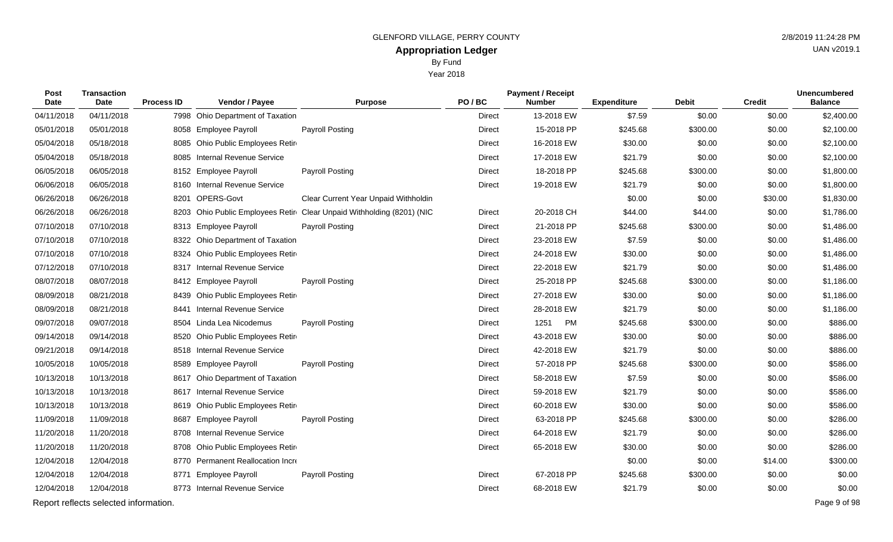Year 2018

|  |  | <b>UAN</b> |
|--|--|------------|
|  |  |            |

| Post<br><b>Date</b> | <b>Transaction</b><br><b>Date</b>     | <b>Process ID</b> | Vendor / Payee                    | <b>Purpose</b>                       | PO/BC         | <b>Payment / Receipt</b><br><b>Number</b> | <b>Expenditure</b> | <b>Debit</b> | <b>Credit</b> | <b>Unencumbered</b><br><b>Balance</b> |
|---------------------|---------------------------------------|-------------------|-----------------------------------|--------------------------------------|---------------|-------------------------------------------|--------------------|--------------|---------------|---------------------------------------|
| 04/11/2018          | 04/11/2018                            |                   | 7998 Ohio Department of Taxation  |                                      | <b>Direct</b> | 13-2018 EW                                | \$7.59             | \$0.00       | \$0.00        | \$2,400.00                            |
| 05/01/2018          | 05/01/2018                            | 8058              | <b>Employee Payroll</b>           | <b>Payroll Posting</b>               | Direct        | 15-2018 PP                                | \$245.68           | \$300.00     | \$0.00        | \$2,100.00                            |
| 05/04/2018          | 05/18/2018                            |                   | 8085 Ohio Public Employees Retir  |                                      | Direct        | 16-2018 EW                                | \$30.00            | \$0.00       | \$0.00        | \$2,100.00                            |
| 05/04/2018          | 05/18/2018                            | 8085              | <b>Internal Revenue Service</b>   |                                      | <b>Direct</b> | 17-2018 EW                                | \$21.79            | \$0.00       | \$0.00        | \$2,100.00                            |
| 06/05/2018          | 06/05/2018                            |                   | 8152 Employee Payroll             | <b>Payroll Posting</b>               | Direct        | 18-2018 PP                                | \$245.68           | \$300.00     | \$0.00        | \$1,800.00                            |
| 06/06/2018          | 06/05/2018                            | 8160              | <b>Internal Revenue Service</b>   |                                      | Direct        | 19-2018 EW                                | \$21.79            | \$0.00       | \$0.00        | \$1,800.00                            |
| 06/26/2018          | 06/26/2018                            | 8201              | OPERS-Govt                        | Clear Current Year Unpaid Withholdin |               |                                           | \$0.00             | \$0.00       | \$30.00       | \$1,830.00                            |
| 06/26/2018          | 06/26/2018                            |                   | 8203 Ohio Public Employees Retir  | Clear Unpaid Withholding (8201) (NIC | Direct        | 20-2018 CH                                | \$44.00            | \$44.00      | \$0.00        | \$1,786.00                            |
| 07/10/2018          | 07/10/2018                            |                   | 8313 Employee Payroll             | <b>Payroll Posting</b>               | Direct        | 21-2018 PP                                | \$245.68           | \$300.00     | \$0.00        | \$1,486.00                            |
| 07/10/2018          | 07/10/2018                            |                   | 8322 Ohio Department of Taxation  |                                      | <b>Direct</b> | 23-2018 EW                                | \$7.59             | \$0.00       | \$0.00        | \$1,486.00                            |
| 07/10/2018          | 07/10/2018                            | 8324              | Ohio Public Employees Retir       |                                      | Direct        | 24-2018 EW                                | \$30.00            | \$0.00       | \$0.00        | \$1,486.00                            |
| 07/12/2018          | 07/10/2018                            | 8317              | <b>Internal Revenue Service</b>   |                                      | <b>Direct</b> | 22-2018 EW                                | \$21.79            | \$0.00       | \$0.00        | \$1,486.00                            |
| 08/07/2018          | 08/07/2018                            |                   | 8412 Employee Payroll             | <b>Payroll Posting</b>               | <b>Direct</b> | 25-2018 PP                                | \$245.68           | \$300.00     | \$0.00        | \$1,186.00                            |
| 08/09/2018          | 08/21/2018                            |                   | 8439 Ohio Public Employees Retire |                                      | Direct        | 27-2018 EW                                | \$30.00            | \$0.00       | \$0.00        | \$1,186.00                            |
| 08/09/2018          | 08/21/2018                            | 8441              | Internal Revenue Service          |                                      | <b>Direct</b> | 28-2018 EW                                | \$21.79            | \$0.00       | \$0.00        | \$1,186.00                            |
| 09/07/2018          | 09/07/2018                            |                   | 8504 Linda Lea Nicodemus          | <b>Payroll Posting</b>               | <b>Direct</b> | 1251<br>PM                                | \$245.68           | \$300.00     | \$0.00        | \$886.00                              |
| 09/14/2018          | 09/14/2018                            | 8520              | Ohio Public Employees Retin       |                                      | Direct        | 43-2018 EW                                | \$30.00            | \$0.00       | \$0.00        | \$886.00                              |
| 09/21/2018          | 09/14/2018                            |                   | 8518 Internal Revenue Service     |                                      | Direct        | 42-2018 EW                                | \$21.79            | \$0.00       | \$0.00        | \$886.00                              |
| 10/05/2018          | 10/05/2018                            | 8589              | <b>Employee Payroll</b>           | <b>Payroll Posting</b>               | <b>Direct</b> | 57-2018 PP                                | \$245.68           | \$300.00     | \$0.00        | \$586.00                              |
| 10/13/2018          | 10/13/2018                            | 8617              | Ohio Department of Taxation       |                                      | <b>Direct</b> | 58-2018 EW                                | \$7.59             | \$0.00       | \$0.00        | \$586.00                              |
| 10/13/2018          | 10/13/2018                            | 8617              | Internal Revenue Service          |                                      | <b>Direct</b> | 59-2018 EW                                | \$21.79            | \$0.00       | \$0.00        | \$586.00                              |
| 10/13/2018          | 10/13/2018                            | 8619              | Ohio Public Employees Retir       |                                      | Direct        | 60-2018 EW                                | \$30.00            | \$0.00       | \$0.00        | \$586.00                              |
| 11/09/2018          | 11/09/2018                            | 8687              | <b>Employee Payroll</b>           | <b>Payroll Posting</b>               | Direct        | 63-2018 PP                                | \$245.68           | \$300.00     | \$0.00        | \$286.00                              |
| 11/20/2018          | 11/20/2018                            | 8708              | <b>Internal Revenue Service</b>   |                                      | <b>Direct</b> | 64-2018 EW                                | \$21.79            | \$0.00       | \$0.00        | \$286.00                              |
| 11/20/2018          | 11/20/2018                            | 8708              | Ohio Public Employees Retir       |                                      | Direct        | 65-2018 EW                                | \$30.00            | \$0.00       | \$0.00        | \$286.00                              |
| 12/04/2018          | 12/04/2018                            | 8770              | Permanent Reallocation Incre      |                                      |               |                                           | \$0.00             | \$0.00       | \$14.00       | \$300.00                              |
| 12/04/2018          | 12/04/2018                            |                   | 8771 Employee Payroll             | <b>Payroll Posting</b>               | <b>Direct</b> | 67-2018 PP                                | \$245.68           | \$300.00     | \$0.00        | \$0.00                                |
| 12/04/2018          | 12/04/2018                            |                   | 8773 Internal Revenue Service     |                                      | Direct        | 68-2018 EW                                | \$21.79            | \$0.00       | \$0.00        | \$0.00                                |
|                     | Report reflects selected information. |                   |                                   |                                      |               |                                           |                    |              |               | Page 9 of 98                          |

N v2019.1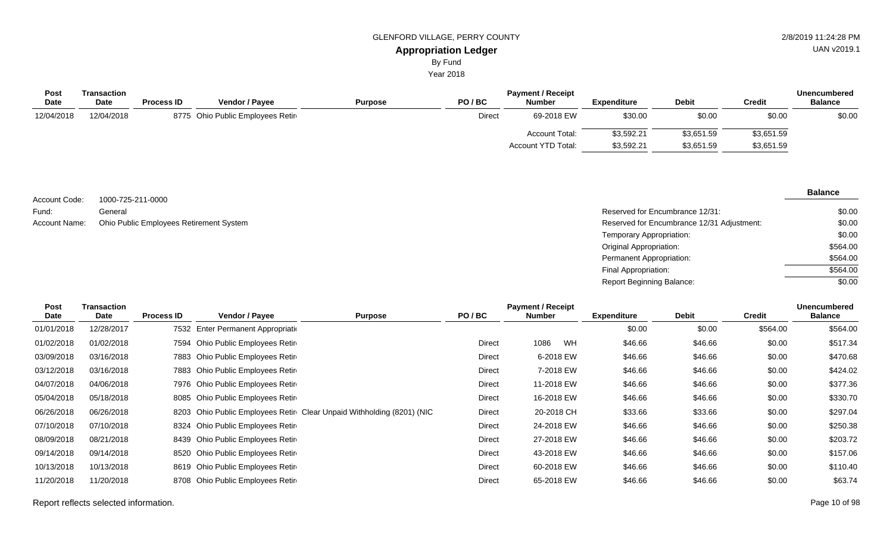Year 2018

| Post        | Transaction |                   |                                  |                |               | <b>Payment / Receipt</b>  |             |              |            | <b>Unencumbered</b> |
|-------------|-------------|-------------------|----------------------------------|----------------|---------------|---------------------------|-------------|--------------|------------|---------------------|
| <b>Date</b> | <b>Date</b> | <b>Process ID</b> | <b>Vendor / Payee</b>            | <b>Purpose</b> | PO/BC         | <b>Number</b>             | Expenditure | <b>Debit</b> | Credit     | <b>Balance</b>      |
| 12/04/2018  | 12/04/2018  |                   | 8775 Ohio Public Employees Retir |                | <b>Direct</b> | 69-2018 EW                | \$30.00     | \$0.00       | \$0.00     | \$0.00              |
|             |             |                   |                                  |                |               | <b>Account Total:</b>     | \$3,592.21  | \$3,651.59   | \$3,651.59 |                     |
|             |             |                   |                                  |                |               | <b>Account YTD Total:</b> | \$3,592.21  | \$3,651.59   | \$3,651.59 |                     |
|             |             |                   |                                  |                |               |                           |             |              |            |                     |

| Account Code: | 1000-725-211-0000                       |
|---------------|-----------------------------------------|
| Fund:         | General                                 |
| Account Name: | Ohio Public Employees Retirement System |

| General                                 | Reserved for Encumbrance 12/31:            | \$0.00   |
|-----------------------------------------|--------------------------------------------|----------|
| Ohio Public Employees Retirement System | Reserved for Encumbrance 12/31 Adjustment: | \$0.00   |
|                                         | Temporary Appropriation:                   | \$0.00   |
|                                         | Original Appropriation:                    | \$564.00 |
|                                         | Permanent Appropriation:                   | \$564.00 |
|                                         | Final Appropriation:                       | \$564.00 |
|                                         | Report Beginning Balance:                  | \$0.00   |

| Post<br>Date | Transaction<br><b>Date</b> | <b>Process ID</b> | <b>Vendor / Payee</b>              | <b>Purpose</b>                                                        | PO/BC         | <b>Payment / Receipt</b><br><b>Number</b> |    | <b>Expenditure</b> | <b>Debit</b> | <b>Credit</b> | <b>Unencumbered</b><br><b>Balance</b> |
|--------------|----------------------------|-------------------|------------------------------------|-----------------------------------------------------------------------|---------------|-------------------------------------------|----|--------------------|--------------|---------------|---------------------------------------|
| 01/01/2018   | 12/28/2017                 |                   | 7532 Enter Permanent Appropriation |                                                                       |               |                                           |    | \$0.00             | \$0.00       | \$564.00      | \$564.00                              |
| 01/02/2018   | 01/02/2018                 | 7594              | Ohio Public Employees Retir        |                                                                       | <b>Direct</b> | 1086                                      | WH | \$46.66            | \$46.66      | \$0.00        | \$517.34                              |
| 03/09/2018   | 03/16/2018                 |                   | 7883 Ohio Public Employees Retir   |                                                                       | Direct        | 6-2018 EW                                 |    | \$46.66            | \$46.66      | \$0.00        | \$470.68                              |
| 03/12/2018   | 03/16/2018                 | 7883              | Ohio Public Employees Retir        |                                                                       | Direct        | 7-2018 EW                                 |    | \$46.66            | \$46.66      | \$0.00        | \$424.02                              |
| 04/07/2018   | 04/06/2018                 |                   | 7976 Ohio Public Employees Retir   |                                                                       | Direct        | 11-2018 EW                                |    | \$46.66            | \$46.66      | \$0.00        | \$377.36                              |
| 05/04/2018   | 05/18/2018                 |                   | 8085 Ohio Public Employees Retir   |                                                                       | <b>Direct</b> | 16-2018 EW                                |    | \$46.66            | \$46.66      | \$0.00        | \$330.70                              |
| 06/26/2018   | 06/26/2018                 |                   |                                    | 8203 Ohio Public Employees Retir Clear Unpaid Withholding (8201) (NIC | <b>Direct</b> | 20-2018 CH                                |    | \$33.66            | \$33.66      | \$0.00        | \$297.04                              |
| 07/10/2018   | 07/10/2018                 | 8324              | Ohio Public Employees Retir        |                                                                       | <b>Direct</b> | 24-2018 EW                                |    | \$46.66            | \$46.66      | \$0.00        | \$250.38                              |
| 08/09/2018   | 08/21/2018                 | 8439              | Ohio Public Employees Retir        |                                                                       | Direct        | 27-2018 EW                                |    | \$46.66            | \$46.66      | \$0.00        | \$203.72                              |
| 09/14/2018   | 09/14/2018                 | 8520              | Ohio Public Employees Retir        |                                                                       | <b>Direct</b> | 43-2018 EW                                |    | \$46.66            | \$46.66      | \$0.00        | \$157.06                              |
| 10/13/2018   | 10/13/2018                 |                   | 8619 Ohio Public Employees Retir   |                                                                       | Direct        | 60-2018 EW                                |    | \$46.66            | \$46.66      | \$0.00        | \$110.40                              |
| 11/20/2018   | 11/20/2018                 | 8708              | Ohio Public Employees Retir        |                                                                       | Direct        | 65-2018 EW                                |    | \$46.66            | \$46.66      | \$0.00        | \$63.74                               |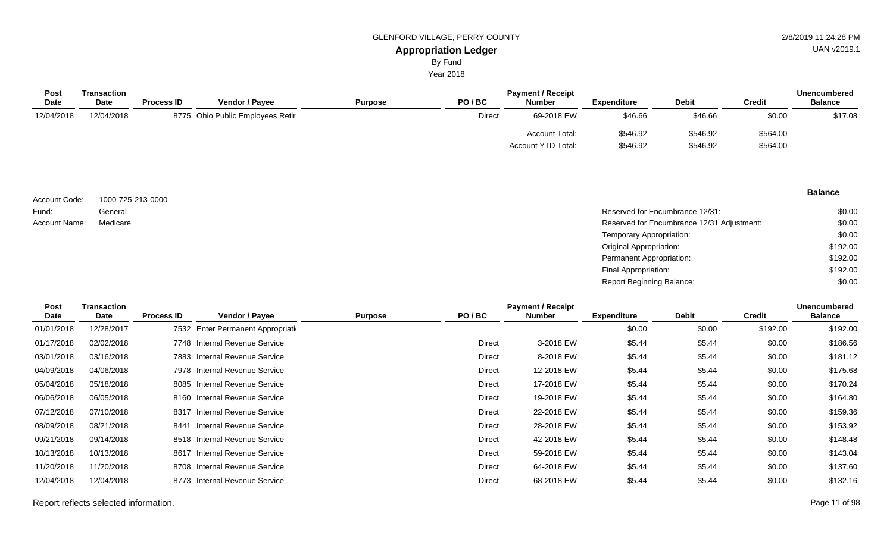Year 2018

| <b>Post</b> | Transaction |                   |                                  |                |               | <b>Unencumbered</b>   |             |              |          |                |
|-------------|-------------|-------------------|----------------------------------|----------------|---------------|-----------------------|-------------|--------------|----------|----------------|
| <b>Date</b> | <b>Date</b> | <b>Process ID</b> | <b>Vendor / Payee</b>            | <b>Purpose</b> | PO/BC         | <b>Number</b>         | Expenditure | <b>Debit</b> | Credit   | <b>Balance</b> |
| 12/04/2018  | 12/04/2018  |                   | 8775 Ohio Public Employees Retir |                | <b>Direct</b> | 69-2018 EW            | \$46.66     | \$46.66      | \$0.00   | \$17.08        |
|             |             |                   |                                  |                |               | <b>Account Total:</b> | \$546.92    | \$546.92     | \$564.00 |                |
|             |             |                   |                                  |                |               | Account YTD Total:    | \$546.92    | \$546.92     | \$564.00 |                |

| Account Code: | 1000-725-213-0000 |
|---------------|-------------------|
| Fund:         | General           |
| Account Name: | Medicare          |

| General  | Reserved for Encumbrance 12/31:            | \$0.00   |
|----------|--------------------------------------------|----------|
| Medicare | Reserved for Encumbrance 12/31 Adjustment: | \$0.00   |
|          | Temporary Appropriation:                   | \$0.00   |
|          | Original Appropriation:                    | \$192.00 |
|          | Permanent Appropriation:                   | \$192.00 |
|          | Final Appropriation:                       | \$192.00 |
|          | Report Beginning Balance:                  | \$0.00   |

| <b>Post</b> | Transaction |                   |                                    |                | <b>Payment / Receipt</b> |               |                    |              | <b>Unencumbered</b> |                |
|-------------|-------------|-------------------|------------------------------------|----------------|--------------------------|---------------|--------------------|--------------|---------------------|----------------|
| Date        | <b>Date</b> | <b>Process ID</b> | <b>Vendor / Payee</b>              | <b>Purpose</b> | PO/BC                    | <b>Number</b> | <b>Expenditure</b> | <b>Debit</b> | <b>Credit</b>       | <b>Balance</b> |
| 01/01/2018  | 12/28/2017  |                   | 7532 Enter Permanent Appropriation |                |                          |               | \$0.00             | \$0.00       | \$192.00            | \$192.00       |
| 01/17/2018  | 02/02/2018  |                   | 7748 Internal Revenue Service      |                | <b>Direct</b>            | 3-2018 EW     | \$5.44             | \$5.44       | \$0.00              | \$186.56       |
| 03/01/2018  | 03/16/2018  |                   | 7883 Internal Revenue Service      |                | Direct                   | 8-2018 EW     | \$5.44             | \$5.44       | \$0.00              | \$181.12       |
| 04/09/2018  | 04/06/2018  |                   | 7978 Internal Revenue Service      |                | Direct                   | 12-2018 EW    | \$5.44             | \$5.44       | \$0.00              | \$175.68       |
| 05/04/2018  | 05/18/2018  |                   | 8085 Internal Revenue Service      |                | Direct                   | 17-2018 EW    | \$5.44             | \$5.44       | \$0.00              | \$170.24       |
| 06/06/2018  | 06/05/2018  | 8160              | Internal Revenue Service           |                | Direct                   | 19-2018 EW    | \$5.44             | \$5.44       | \$0.00              | \$164.80       |
| 07/12/2018  | 07/10/2018  |                   | 8317 Internal Revenue Service      |                | <b>Direct</b>            | 22-2018 EW    | \$5.44             | \$5.44       | \$0.00              | \$159.36       |
| 08/09/2018  | 08/21/2018  | 8441              | Internal Revenue Service           |                | Direct                   | 28-2018 EW    | \$5.44             | \$5.44       | \$0.00              | \$153.92       |
| 09/21/2018  | 09/14/2018  |                   | 8518 Internal Revenue Service      |                | Direct                   | 42-2018 EW    | \$5.44             | \$5.44       | \$0.00              | \$148.48       |
| 10/13/2018  | 10/13/2018  |                   | 8617 Internal Revenue Service      |                | <b>Direct</b>            | 59-2018 EW    | \$5.44             | \$5.44       | \$0.00              | \$143.04       |
| 11/20/2018  | 11/20/2018  |                   | 8708 Internal Revenue Service      |                | Direct                   | 64-2018 EW    | \$5.44             | \$5.44       | \$0.00              | \$137.60       |
| 12/04/2018  | 12/04/2018  |                   | 8773 Internal Revenue Service      |                | Direct                   | 68-2018 EW    | \$5.44             | \$5.44       | \$0.00              | \$132.16       |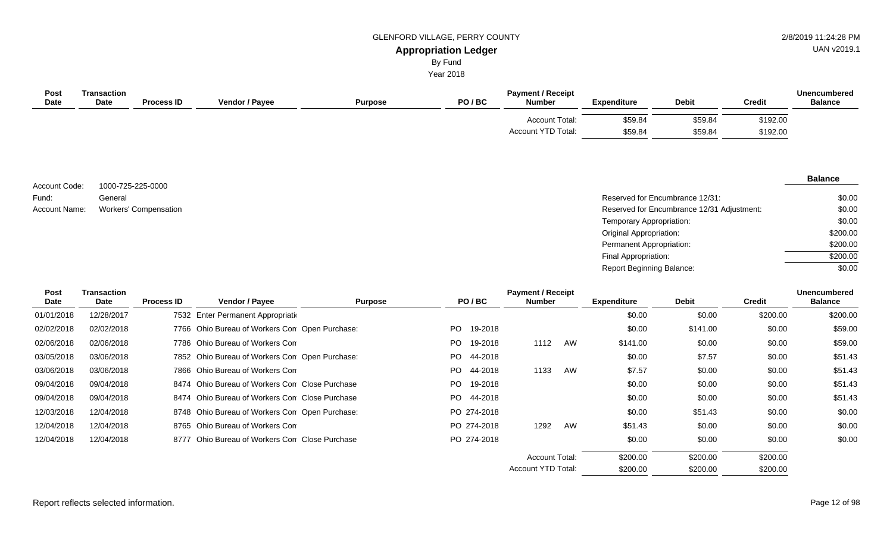# GLENFORD VILLAGE, PERRY COUNTY **2/8/2019 11:24:28 PM**

UAN v2019.1

#### **Appropriation Ledger** By Fund

Year 2018

| <b>Post</b><br><b>Date</b> | Transaction<br><b>Date</b> | <b>Process ID</b> | <b>Vendor / Payee</b> | <b>Purpose</b> | PO/BC | <b>Payment / Receipt</b><br><b>Number</b> | <b>Expenditure</b> | <b>Debit</b> | <b>Credit</b> | Unencumbered<br><b>Balance</b> |
|----------------------------|----------------------------|-------------------|-----------------------|----------------|-------|-------------------------------------------|--------------------|--------------|---------------|--------------------------------|
|                            |                            |                   |                       |                |       | Account Total:                            | \$59.84            | \$59.84      | \$192.00      |                                |
|                            |                            |                   |                       |                |       | Account YTD Total:                        | \$59.84            | \$59.84      | \$192.00      |                                |

1000-725-225-0000 General Account Code: Fund:

| Fund:         | General               | Reserved for Encumbrance 12/31:            | \$0.00   |
|---------------|-----------------------|--------------------------------------------|----------|
| Account Name: | Workers' Compensation | Reserved for Encumbrance 12/31 Adjustment: | \$0.00   |
|               |                       | Temporary Appropriation:                   | \$0.00   |
|               |                       | Original Appropriation:                    | \$200.00 |
|               |                       | Permanent Appropriation:                   | \$200.00 |
|               |                       | Final Appropriation:                       | \$200.00 |
|               |                       | <b>Report Beginning Balance:</b>           | \$0.00   |

| Post       | <b>Transaction</b> |                   |                                                |                |     |             | <b>Payment / Receipt</b>  |    |                    |              |               | <b>Unencumbered</b> |
|------------|--------------------|-------------------|------------------------------------------------|----------------|-----|-------------|---------------------------|----|--------------------|--------------|---------------|---------------------|
| Date       | Date               | <b>Process ID</b> | Vendor / Payee                                 | <b>Purpose</b> |     | PO/BC       | <b>Number</b>             |    | <b>Expenditure</b> | <b>Debit</b> | <b>Credit</b> | <b>Balance</b>      |
| 01/01/2018 | 12/28/2017         |                   | 7532 Enter Permanent Appropriation             |                |     |             |                           |    | \$0.00             | \$0.00       | \$200.00      | \$200.00            |
| 02/02/2018 | 02/02/2018         |                   | 7766 Ohio Bureau of Workers Con Open Purchase: |                | PO. | 19-2018     |                           |    | \$0.00             | \$141.00     | \$0.00        | \$59.00             |
| 02/06/2018 | 02/06/2018         |                   | 7786 Ohio Bureau of Workers Com                |                | PO. | 19-2018     | 1112                      | AW | \$141.00           | \$0.00       | \$0.00        | \$59.00             |
| 03/05/2018 | 03/06/2018         |                   | 7852 Ohio Bureau of Workers Con Open Purchase: |                | PO. | 44-2018     |                           |    | \$0.00             | \$7.57       | \$0.00        | \$51.43             |
| 03/06/2018 | 03/06/2018         |                   | 7866 Ohio Bureau of Workers Com                |                | PO. | 44-2018     | 1133                      | AW | \$7.57             | \$0.00       | \$0.00        | \$51.43             |
| 09/04/2018 | 09/04/2018         |                   | 8474 Ohio Bureau of Workers Con Close Purchase |                | PO. | 19-2018     |                           |    | \$0.00             | \$0.00       | \$0.00        | \$51.43             |
| 09/04/2018 | 09/04/2018         |                   | 8474 Ohio Bureau of Workers Con Close Purchase |                | PO. | 44-2018     |                           |    | \$0.00             | \$0.00       | \$0.00        | \$51.43             |
| 12/03/2018 | 12/04/2018         |                   | 8748 Ohio Bureau of Workers Con Open Purchase: |                |     | PO 274-2018 |                           |    | \$0.00             | \$51.43      | \$0.00        | \$0.00              |
| 12/04/2018 | 12/04/2018         |                   | 8765 Ohio Bureau of Workers Com                |                |     | PO 274-2018 | 1292                      | AW | \$51.43            | \$0.00       | \$0.00        | \$0.00              |
| 12/04/2018 | 12/04/2018         |                   | 8777 Ohio Bureau of Workers Con Close Purchase |                |     | PO 274-2018 |                           |    | \$0.00             | \$0.00       | \$0.00        | \$0.00              |
|            |                    |                   |                                                |                |     |             | <b>Account Total:</b>     |    | \$200.00           | \$200.00     | \$200.00      |                     |
|            |                    |                   |                                                |                |     |             | <b>Account YTD Total:</b> |    | \$200.00           | \$200.00     | \$200.00      |                     |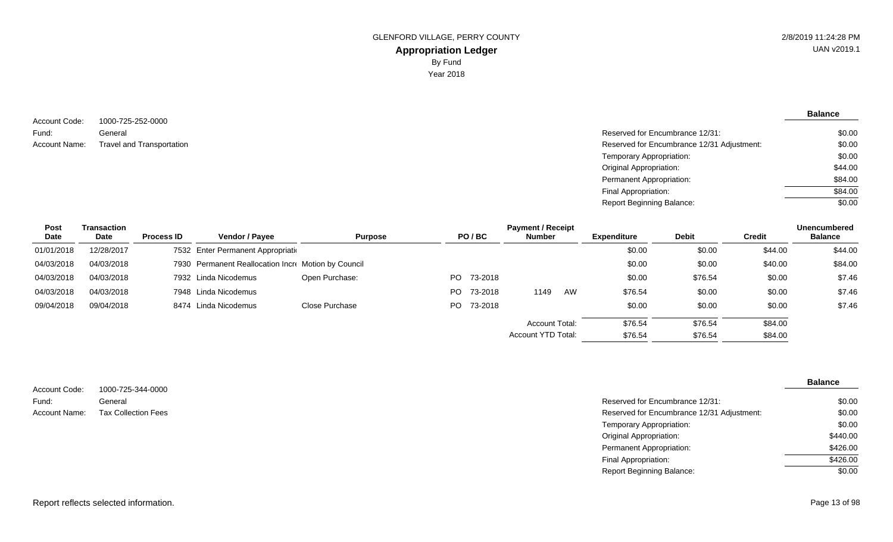**Balance**

1000-725-252-0000 General Account Code: Fund: Account Name:

Reserved for Encumbrance 12/31: Travel and Transportation **Exercise 21/31 Adjustment:** Reserved for Encumbrance 12/31 Adjustment: Temporary Appropriation: Original Appropriation: Permanent Appropriation: Final Appropriation: Report Beginning Balance: \$0.00 \$0.00 \$0.00 \$44.00 \$84.00 \$84.00 \$0.00

| <b>Post</b> | Transaction |                   |                                                     |                |     |            | <b>Payment / Receipt</b>  |    |                    |              |               | <b>Unencumbered</b> |
|-------------|-------------|-------------------|-----------------------------------------------------|----------------|-----|------------|---------------------------|----|--------------------|--------------|---------------|---------------------|
| Date        | Date        | <b>Process ID</b> | <b>Vendor / Payee</b>                               | <b>Purpose</b> |     | PO/BC      | <b>Number</b>             |    | <b>Expenditure</b> | <b>Debit</b> | <b>Credit</b> | <b>Balance</b>      |
| 01/01/2018  | 12/28/2017  |                   | 7532 Enter Permanent Appropriation                  |                |     |            |                           |    | \$0.00             | \$0.00       | \$44.00       | \$44.00             |
| 04/03/2018  | 04/03/2018  |                   | 7930 Permanent Reallocation Incre Motion by Council |                |     |            |                           |    | \$0.00             | \$0.00       | \$40.00       | \$84.00             |
| 04/03/2018  | 04/03/2018  |                   | 7932 Linda Nicodemus                                | Open Purchase: | PO. | 73-2018    |                           |    | \$0.00             | \$76.54      | \$0.00        | \$7.46              |
| 04/03/2018  | 04/03/2018  |                   | 7948 Linda Nicodemus                                |                | PO. | 73-2018    | 1149                      | AW | \$76.54            | \$0.00       | \$0.00        | \$7.46              |
| 09/04/2018  | 09/04/2018  |                   | 8474 Linda Nicodemus                                | Close Purchase |     | PO 73-2018 |                           |    | \$0.00             | \$0.00       | \$0.00        | \$7.46              |
|             |             |                   |                                                     |                |     |            | Account Total:            |    | \$76.54            | \$76.54      | \$84.00       |                     |
|             |             |                   |                                                     |                |     |            | <b>Account YTD Total:</b> |    | \$76.54            | \$76.54      | \$84.00       |                     |

1000-725-344-0000 General Account Code: Fund: Account Name:

| 1000-725-344-0000          |                                            |          |
|----------------------------|--------------------------------------------|----------|
| General                    | Reserved for Encumbrance 12/31:            | \$0.00   |
| <b>Tax Collection Fees</b> | Reserved for Encumbrance 12/31 Adjustment: | \$0.00   |
|                            | Temporary Appropriation:                   | \$0.00   |
|                            | <b>Original Appropriation:</b>             | \$440.00 |
|                            | Permanent Appropriation:                   | \$426.00 |
|                            | Final Appropriation:                       | \$426.00 |
|                            | <b>Report Beginning Balance:</b>           | \$0.00   |
|                            |                                            |          |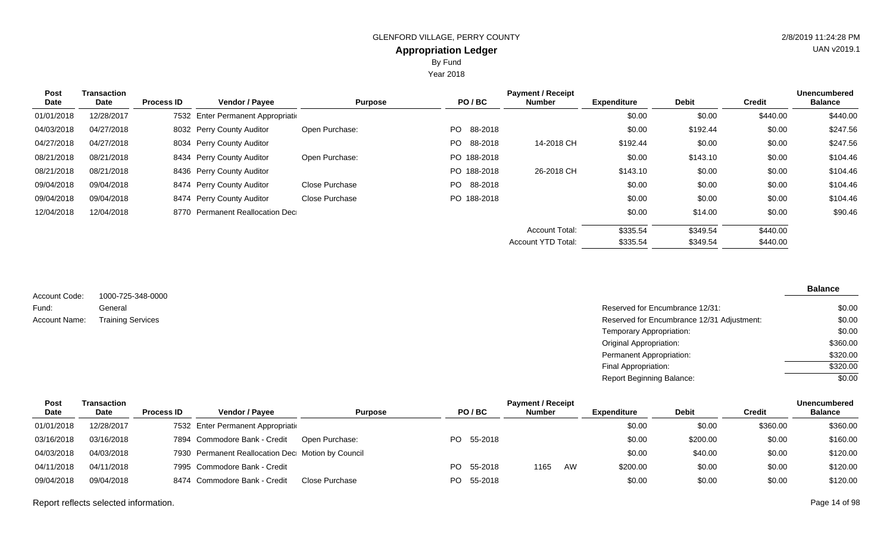By Fund

Year 2018

| <b>Post</b> | Transaction |                   |                                    |                |                | <b>Payment / Receipt</b>  |                    |              |               | <b>Unencumbered</b> |
|-------------|-------------|-------------------|------------------------------------|----------------|----------------|---------------------------|--------------------|--------------|---------------|---------------------|
| Date        | Date        | <b>Process ID</b> | Vendor / Payee                     | <b>Purpose</b> | PO/BC          | Number                    | <b>Expenditure</b> | <b>Debit</b> | <b>Credit</b> | <b>Balance</b>      |
| 01/01/2018  | 12/28/2017  |                   | 7532 Enter Permanent Appropriation |                |                |                           | \$0.00             | \$0.00       | \$440.00      | \$440.00            |
| 04/03/2018  | 04/27/2018  |                   | 8032 Perry County Auditor          | Open Purchase: | PO 88-2018     |                           | \$0.00             | \$192.44     | \$0.00        | \$247.56            |
| 04/27/2018  | 04/27/2018  |                   | 8034 Perry County Auditor          |                | 88-2018<br>PO. | 14-2018 CH                | \$192.44           | \$0.00       | \$0.00        | \$247.56            |
| 08/21/2018  | 08/21/2018  |                   | 8434 Perry County Auditor          | Open Purchase: | PO 188-2018    |                           | \$0.00             | \$143.10     | \$0.00        | \$104.46            |
| 08/21/2018  | 08/21/2018  |                   | 8436 Perry County Auditor          |                | PO 188-2018    | 26-2018 CH                | \$143.10           | \$0.00       | \$0.00        | \$104.46            |
| 09/04/2018  | 09/04/2018  |                   | 8474 Perry County Auditor          | Close Purchase | PO 88-2018     |                           | \$0.00             | \$0.00       | \$0.00        | \$104.46            |
| 09/04/2018  | 09/04/2018  |                   | 8474 Perry County Auditor          | Close Purchase | PO 188-2018    |                           | \$0.00             | \$0.00       | \$0.00        | \$104.46            |
| 12/04/2018  | 12/04/2018  |                   | 8770 Permanent Reallocation Dec    |                |                |                           | \$0.00             | \$14.00      | \$0.00        | \$90.46             |
|             |             |                   |                                    |                |                | <b>Account Total:</b>     | \$335.54           | \$349.54     | \$440.00      |                     |
|             |             |                   |                                    |                |                | <b>Account YTD Total:</b> | \$335.54           | \$349.54     | \$440.00      |                     |

1000-725-348-0000 General Account Code: Fund: Account Name: Training Services

| General                  | Reserved for Encumbrance 12/31:            | \$0.00   |
|--------------------------|--------------------------------------------|----------|
| <b>Training Services</b> | Reserved for Encumbrance 12/31 Adjustment: | \$0.00   |
|                          | <b>Temporary Appropriation:</b>            | \$0.00   |
|                          | Original Appropriation:                    | \$360.00 |
|                          | Permanent Appropriation:                   | \$320.00 |
|                          | Final Appropriation:                       | \$320.00 |
|                          | <b>Report Beginning Balance:</b>           | \$0.00   |
|                          |                                            |          |

| Post       | Transaction |                   |                                                   |                |     |            | <b>Payment / Receipt</b> |    |             |              |               | <b>Unencumbered</b> |
|------------|-------------|-------------------|---------------------------------------------------|----------------|-----|------------|--------------------------|----|-------------|--------------|---------------|---------------------|
| Date       | Date        | <b>Process ID</b> | <b>Vendor / Pavee</b>                             | <b>Purpose</b> |     | PO/BC      | <b>Number</b>            |    | Expenditure | <b>Debit</b> | <b>Credit</b> | <b>Balance</b>      |
| 01/01/2018 | 12/28/2017  |                   | 7532 Enter Permanent Appropriation                |                |     |            |                          |    | \$0.00      | \$0.00       | \$360.00      | \$360.00            |
| 03/16/2018 | 03/16/2018  |                   | 7894 Commodore Bank - Credit                      | Open Purchase: |     | PO 55-2018 |                          |    | \$0.00      | \$200.00     | \$0.00        | \$160.00            |
| 04/03/2018 | 04/03/2018  |                   | 7930 Permanent Reallocation Dec Motion by Council |                |     |            |                          |    | \$0.00      | \$40.00      | \$0.00        | \$120.00            |
| 04/11/2018 | 04/11/2018  |                   | 7995 Commodore Bank - Credit                      |                | PO. | 55-2018    | 1165                     | AW | \$200.00    | \$0.00       | \$0.00        | \$120.00            |
| 09/04/2018 | 09/04/2018  |                   | 8474 Commodore Bank - Credit                      | Close Purchase |     | PO 55-2018 |                          |    | \$0.00      | \$0.00       | \$0.00        | \$120.00            |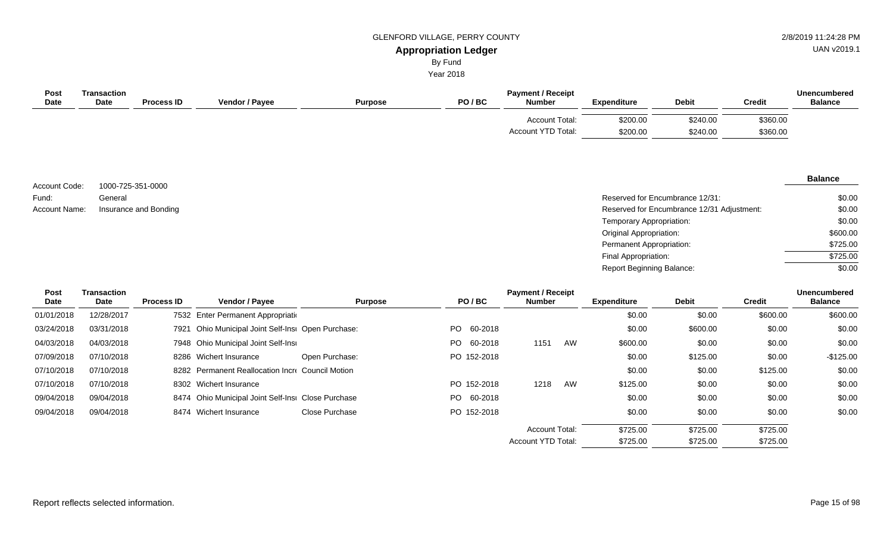UAN v2019.1

# By Fund

Year 2018

| Post<br><b>Date</b> | Transaction<br><b>Date</b> | <b>Process ID</b> | <b>Vendor / Payee</b> | <b>Purpose</b> | PO/BC | <b>Payment / Receipt</b><br><b>Number</b>   | <b>Expenditure</b>   | <b>Debit</b>         | <b>Credit</b>        | <b>Unencumbered</b><br><b>Balance</b> |
|---------------------|----------------------------|-------------------|-----------------------|----------------|-------|---------------------------------------------|----------------------|----------------------|----------------------|---------------------------------------|
|                     |                            |                   |                       |                |       | <b>Account Total:</b><br>Account YTD Total: | \$200.00<br>\$200.00 | \$240.00<br>\$240.00 | \$360.00<br>\$360.00 |                                       |

1000-725-351-0000 General Account Code: Fund:

#### **Balance**

| Fund:         | General               | Reserved for Encumbrance 12/31:            | \$0.00   |
|---------------|-----------------------|--------------------------------------------|----------|
| Account Name: | Insurance and Bonding | Reserved for Encumbrance 12/31 Adjustment: | \$0.00   |
|               |                       | Temporary Appropriation:                   | \$0.00   |
|               |                       | <b>Original Appropriation:</b>             | \$600.00 |
|               |                       | Permanent Appropriation:                   | \$725.00 |
|               |                       | Final Appropriation:                       | \$725.00 |
|               |                       | <b>Report Beginning Balance:</b>           | \$0.00   |

\$725.00

\$725.00

Account YTD Total:

| Post       | <b>Transaction</b> |                   |                                                    |                       |             | <b>Payment / Receipt</b> |    |                    |              |          | <b>Unencumbered</b> |
|------------|--------------------|-------------------|----------------------------------------------------|-----------------------|-------------|--------------------------|----|--------------------|--------------|----------|---------------------|
| Date       | Date               | <b>Process ID</b> | <b>Vendor / Payee</b>                              | <b>Purpose</b>        | PO/BC       | <b>Number</b>            |    | <b>Expenditure</b> | <b>Debit</b> | Credit   | <b>Balance</b>      |
| 01/01/2018 | 12/28/2017         |                   | 7532 Enter Permanent Appropriation                 |                       |             |                          |    | \$0.00             | \$0.00       | \$600.00 | \$600.00            |
| 03/24/2018 | 03/31/2018         | 7921              | Ohio Municipal Joint Self-Insi Open Purchase:      |                       | PO 60-2018  |                          |    | \$0.00             | \$600.00     | \$0.00   | \$0.00              |
| 04/03/2018 | 04/03/2018         |                   | 7948 Ohio Municipal Joint Self-Insi                |                       | PO 60-2018  | 1151                     | AW | \$600.00           | \$0.00       | \$0.00   | \$0.00              |
| 07/09/2018 | 07/10/2018         |                   | 8286 Wichert Insurance                             | Open Purchase:        | PO 152-2018 |                          |    | \$0.00             | \$125.00     | \$0.00   | $-$125.00$          |
| 07/10/2018 | 07/10/2018         |                   | 8282 Permanent Reallocation Incre Council Motion   |                       |             |                          |    | \$0.00             | \$0.00       | \$125.00 | \$0.00              |
| 07/10/2018 | 07/10/2018         |                   | 8302 Wichert Insurance                             |                       | PO 152-2018 | 1218                     | AW | \$125.00           | \$0.00       | \$0.00   | \$0.00              |
| 09/04/2018 | 09/04/2018         |                   | 8474 Ohio Municipal Joint Self-Insi Close Purchase |                       | PO 60-2018  |                          |    | \$0.00             | \$0.00       | \$0.00   | \$0.00              |
| 09/04/2018 | 09/04/2018         |                   | 8474 Wichert Insurance                             | <b>Close Purchase</b> | PO 152-2018 |                          |    | \$0.00             | \$0.00       | \$0.00   | \$0.00              |
|            |                    |                   |                                                    |                       |             | <b>Account Total:</b>    |    | \$725.00           | \$725.00     | \$725.00 |                     |

\$725.00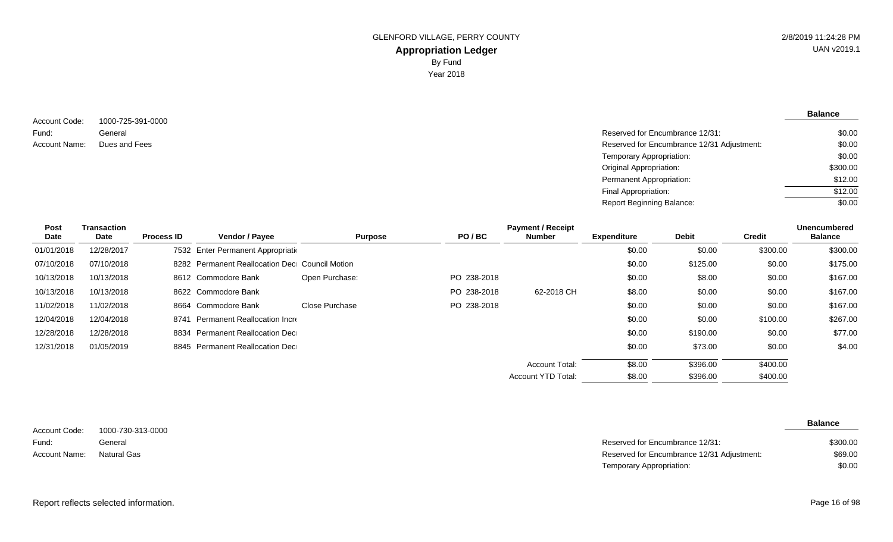**Balance**

1000-725-391-0000 General Account Code: Fund: Account Name:

\$0.00

| Dues and Fees | Reserved for Encumbrance 12/31 Adjustment: | \$0.00   |
|---------------|--------------------------------------------|----------|
|               | Temporary Appropriation:                   | \$0.00   |
|               | <b>Original Appropriation:</b>             | \$300.00 |
|               | Permanent Appropriation:                   | \$12.00  |
|               | Final Appropriation:                       | \$12.00  |
|               | <b>Report Beginning Balance:</b>           | \$0.00   |

Reserved for Encumbrance 12/31:

| <b>Post</b> | <b>Transaction</b> |                   |                                                |                |             | <b>Payment / Receipt</b> |                    |              |               | <b>Unencumbered</b> |
|-------------|--------------------|-------------------|------------------------------------------------|----------------|-------------|--------------------------|--------------------|--------------|---------------|---------------------|
| Date        | Date               | <b>Process ID</b> | <b>Vendor / Payee</b>                          | <b>Purpose</b> | PO/BC       | Number                   | <b>Expenditure</b> | <b>Debit</b> | <b>Credit</b> | <b>Balance</b>      |
| 01/01/2018  | 12/28/2017         |                   | 7532 Enter Permanent Appropriation             |                |             |                          | \$0.00             | \$0.00       | \$300.00      | \$300.00            |
| 07/10/2018  | 07/10/2018         |                   | 8282 Permanent Reallocation Dec Council Motion |                |             |                          | \$0.00             | \$125.00     | \$0.00        | \$175.00            |
| 10/13/2018  | 10/13/2018         |                   | 8612 Commodore Bank                            | Open Purchase: | PO 238-2018 |                          | \$0.00             | \$8.00       | \$0.00        | \$167.00            |
| 10/13/2018  | 10/13/2018         |                   | 8622 Commodore Bank                            |                | PO 238-2018 | 62-2018 CH               | \$8.00             | \$0.00       | \$0.00        | \$167.00            |
| 11/02/2018  | 11/02/2018         |                   | 8664 Commodore Bank                            | Close Purchase | PO 238-2018 |                          | \$0.00             | \$0.00       | \$0.00        | \$167.00            |
| 12/04/2018  | 12/04/2018         |                   | 8741 Permanent Reallocation Incre              |                |             |                          | \$0.00             | \$0.00       | \$100.00      | \$267.00            |
| 12/28/2018  | 12/28/2018         |                   | 8834 Permanent Reallocation Dec                |                |             |                          | \$0.00             | \$190.00     | \$0.00        | \$77.00             |
| 12/31/2018  | 01/05/2019         |                   | 8845 Permanent Reallocation Dec                |                |             |                          | \$0.00             | \$73.00      | \$0.00        | \$4.00              |
|             |                    |                   |                                                |                |             | Account Total:           | \$8.00             | \$396.00     | \$400.00      |                     |
|             |                    |                   |                                                |                |             | Account YTD Total:       | \$8.00             | \$396.00     | \$400.00      |                     |

|               |                   |                                            | <b>Balance</b> |
|---------------|-------------------|--------------------------------------------|----------------|
| Account Code: | 1000-730-313-0000 |                                            |                |
| Fund:         | General           | Reserved for Encumbrance 12/31:            | \$300.00       |
| Account Name: | Natural Gas       | Reserved for Encumbrance 12/31 Adjustment: | \$69.00        |
|               |                   | Temporary Appropriation:                   | \$0.00         |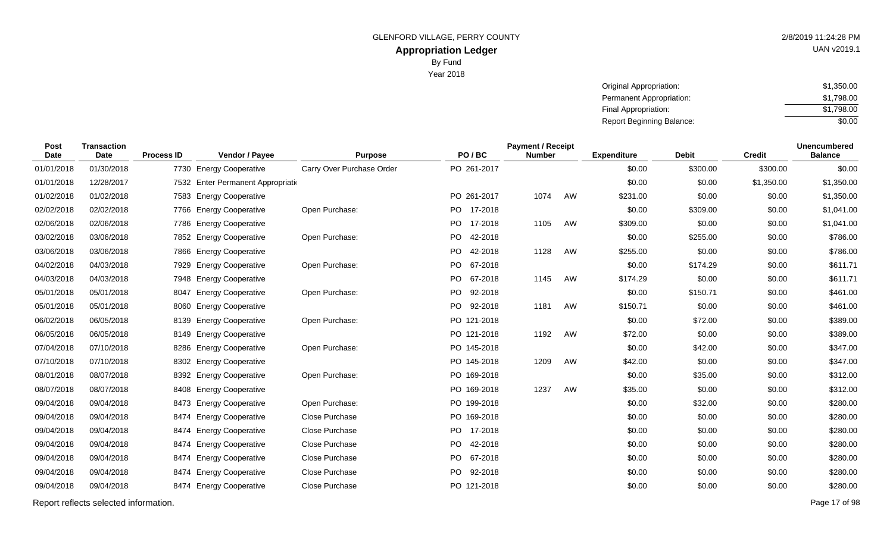Year 2018

| Original Appropriation:          | \$1,350.00 |
|----------------------------------|------------|
| Permanent Appropriation:         | \$1.798.00 |
| Final Appropriation:             | \$1.798.00 |
| <b>Report Beginning Balance:</b> | \$0.00     |

| Post<br><b>Date</b> | <b>Transaction</b><br>Date | <b>Process ID</b> | Vendor / Payee                     | <b>Purpose</b>            | PO/BC                | <b>Payment / Receipt</b><br><b>Number</b> |    | <b>Expenditure</b> | <b>Debit</b> | <b>Credit</b> | <b>Unencumbered</b><br><b>Balance</b> |
|---------------------|----------------------------|-------------------|------------------------------------|---------------------------|----------------------|-------------------------------------------|----|--------------------|--------------|---------------|---------------------------------------|
| 01/01/2018          | 01/30/2018                 |                   | 7730 Energy Cooperative            | Carry Over Purchase Order | PO 261-2017          |                                           |    | \$0.00             | \$300.00     | \$300.00      | \$0.00                                |
| 01/01/2018          | 12/28/2017                 |                   | 7532 Enter Permanent Appropriation |                           |                      |                                           |    | \$0.00             | \$0.00       | \$1,350.00    | \$1,350.00                            |
| 01/02/2018          | 01/02/2018                 | 7583              | <b>Energy Cooperative</b>          |                           | PO 261-2017          | 1074                                      | AW | \$231.00           | \$0.00       | \$0.00        | \$1,350.00                            |
| 02/02/2018          | 02/02/2018                 | 7766              | <b>Energy Cooperative</b>          | Open Purchase:            | 17-2018<br>PO.       |                                           |    | \$0.00             | \$309.00     | \$0.00        | \$1,041.00                            |
| 02/06/2018          | 02/06/2018                 | 7786              | <b>Energy Cooperative</b>          |                           | PO.<br>17-2018       | 1105                                      | AW | \$309.00           | \$0.00       | \$0.00        | \$1,041.00                            |
| 03/02/2018          | 03/06/2018                 |                   | 7852 Energy Cooperative            | Open Purchase:            | PO.<br>42-2018       |                                           |    | \$0.00             | \$255.00     | \$0.00        | \$786.00                              |
| 03/06/2018          | 03/06/2018                 | 7866              | <b>Energy Cooperative</b>          |                           | PO 42-2018           | 1128                                      | AW | \$255.00           | \$0.00       | \$0.00        | \$786.00                              |
| 04/02/2018          | 04/03/2018                 | 7929              | <b>Energy Cooperative</b>          | Open Purchase:            | <b>PO</b><br>67-2018 |                                           |    | \$0.00             | \$174.29     | \$0.00        | \$611.71                              |
| 04/03/2018          | 04/03/2018                 | 7948              | <b>Energy Cooperative</b>          |                           | PO 67-2018           | 1145                                      | AW | \$174.29           | \$0.00       | \$0.00        | \$611.71                              |
| 05/01/2018          | 05/01/2018                 | 8047              | <b>Energy Cooperative</b>          | Open Purchase:            | PO.<br>92-2018       |                                           |    | \$0.00             | \$150.71     | \$0.00        | \$461.00                              |
| 05/01/2018          | 05/01/2018                 | 8060              | <b>Energy Cooperative</b>          |                           | PO.<br>92-2018       | 1181                                      | AW | \$150.71           | \$0.00       | \$0.00        | \$461.00                              |
| 06/02/2018          | 06/05/2018                 | 8139              | <b>Energy Cooperative</b>          | Open Purchase:            | PO 121-2018          |                                           |    | \$0.00             | \$72.00      | \$0.00        | \$389.00                              |
| 06/05/2018          | 06/05/2018                 | 8149              | <b>Energy Cooperative</b>          |                           | PO 121-2018          | 1192                                      | AW | \$72.00            | \$0.00       | \$0.00        | \$389.00                              |
| 07/04/2018          | 07/10/2018                 | 8286              | <b>Energy Cooperative</b>          | Open Purchase:            | PO 145-2018          |                                           |    | \$0.00             | \$42.00      | \$0.00        | \$347.00                              |
| 07/10/2018          | 07/10/2018                 |                   | 8302 Energy Cooperative            |                           | PO 145-2018          | 1209                                      | AW | \$42.00            | \$0.00       | \$0.00        | \$347.00                              |
| 08/01/2018          | 08/07/2018                 | 8392              | <b>Energy Cooperative</b>          | Open Purchase:            | PO 169-2018          |                                           |    | \$0.00             | \$35.00      | \$0.00        | \$312.00                              |
| 08/07/2018          | 08/07/2018                 | 8408              | <b>Energy Cooperative</b>          |                           | PO 169-2018          | 1237                                      | AW | \$35.00            | \$0.00       | \$0.00        | \$312.00                              |
| 09/04/2018          | 09/04/2018                 | 8473              | <b>Energy Cooperative</b>          | Open Purchase:            | PO 199-2018          |                                           |    | \$0.00             | \$32.00      | \$0.00        | \$280.00                              |
| 09/04/2018          | 09/04/2018                 | 8474              | <b>Energy Cooperative</b>          | Close Purchase            | PO 169-2018          |                                           |    | \$0.00             | \$0.00       | \$0.00        | \$280.00                              |
| 09/04/2018          | 09/04/2018                 |                   | 8474 Energy Cooperative            | Close Purchase            | PO 17-2018           |                                           |    | \$0.00             | \$0.00       | \$0.00        | \$280.00                              |
| 09/04/2018          | 09/04/2018                 | 8474              | <b>Energy Cooperative</b>          | Close Purchase            | PO.<br>42-2018       |                                           |    | \$0.00             | \$0.00       | \$0.00        | \$280.00                              |
| 09/04/2018          | 09/04/2018                 | 8474              | <b>Energy Cooperative</b>          | Close Purchase            | PO.<br>67-2018       |                                           |    | \$0.00             | \$0.00       | \$0.00        | \$280.00                              |
| 09/04/2018          | 09/04/2018                 | 8474              | <b>Energy Cooperative</b>          | Close Purchase            | 92-2018<br>PO.       |                                           |    | \$0.00             | \$0.00       | \$0.00        | \$280.00                              |
| 09/04/2018          | 09/04/2018                 | 8474              | <b>Energy Cooperative</b>          | Close Purchase            | PO 121-2018          |                                           |    | \$0.00             | \$0.00       | \$0.00        | \$280.00                              |
|                     |                            |                   |                                    |                           |                      |                                           |    |                    |              |               |                                       |

Report reflects selected information. Page 17 of 98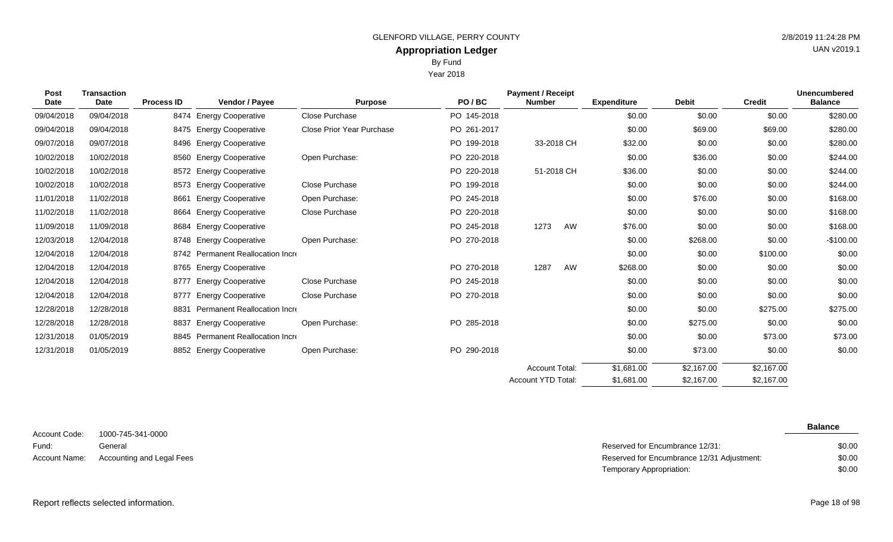Year 2018

| <b>Post</b><br>Date | <b>Transaction</b><br><b>Date</b> | <b>Process ID</b> | Vendor / Payee                    | <b>Purpose</b>            | PO/BC       | <b>Payment / Receipt</b><br><b>Number</b> | <b>Expenditure</b> | <b>Debit</b> | <b>Credit</b> | <b>Unencumbered</b><br><b>Balance</b> |
|---------------------|-----------------------------------|-------------------|-----------------------------------|---------------------------|-------------|-------------------------------------------|--------------------|--------------|---------------|---------------------------------------|
| 09/04/2018          | 09/04/2018                        |                   | 8474 Energy Cooperative           | Close Purchase            | PO 145-2018 |                                           | \$0.00             | \$0.00       | \$0.00        | \$280.00                              |
| 09/04/2018          | 09/04/2018                        |                   | 8475 Energy Cooperative           | Close Prior Year Purchase | PO 261-2017 |                                           | \$0.00             | \$69.00      | \$69.00       | \$280.00                              |
| 09/07/2018          | 09/07/2018                        |                   | 8496 Energy Cooperative           |                           | PO 199-2018 | 33-2018 CH                                | \$32.00            | \$0.00       | \$0.00        | \$280.00                              |
| 10/02/2018          | 10/02/2018                        |                   | 8560 Energy Cooperative           | Open Purchase:            | PO 220-2018 |                                           | \$0.00             | \$36.00      | \$0.00        | \$244.00                              |
| 10/02/2018          | 10/02/2018                        |                   | 8572 Energy Cooperative           |                           | PO 220-2018 | 51-2018 CH                                | \$36.00            | \$0.00       | \$0.00        | \$244.00                              |
| 10/02/2018          | 10/02/2018                        |                   | 8573 Energy Cooperative           | Close Purchase            | PO 199-2018 |                                           | \$0.00             | \$0.00       | \$0.00        | \$244.00                              |
| 11/01/2018          | 11/02/2018                        | 8661              | <b>Energy Cooperative</b>         | Open Purchase:            | PO 245-2018 |                                           | \$0.00             | \$76.00      | \$0.00        | \$168.00                              |
| 11/02/2018          | 11/02/2018                        |                   | 8664 Energy Cooperative           | Close Purchase            | PO 220-2018 |                                           | \$0.00             | \$0.00       | \$0.00        | \$168.00                              |
| 11/09/2018          | 11/09/2018                        |                   | 8684 Energy Cooperative           |                           | PO 245-2018 | 1273<br>AW                                | \$76.00            | \$0.00       | \$0.00        | \$168.00                              |
| 12/03/2018          | 12/04/2018                        |                   | 8748 Energy Cooperative           | Open Purchase:            | PO 270-2018 |                                           | \$0.00             | \$268.00     | \$0.00        | $-$100.00$                            |
| 12/04/2018          | 12/04/2018                        |                   | 8742 Permanent Reallocation Incre |                           |             |                                           | \$0.00             | \$0.00       | \$100.00      | \$0.00                                |
| 12/04/2018          | 12/04/2018                        |                   | 8765 Energy Cooperative           |                           | PO 270-2018 | 1287<br>AW                                | \$268.00           | \$0.00       | \$0.00        | \$0.00                                |
| 12/04/2018          | 12/04/2018                        | 8777              | <b>Energy Cooperative</b>         | <b>Close Purchase</b>     | PO 245-2018 |                                           | \$0.00             | \$0.00       | \$0.00        | \$0.00                                |
| 12/04/2018          | 12/04/2018                        |                   | 8777 Energy Cooperative           | Close Purchase            | PO 270-2018 |                                           | \$0.00             | \$0.00       | \$0.00        | \$0.00                                |
| 12/28/2018          | 12/28/2018                        | 8831              | Permanent Reallocation Incre      |                           |             |                                           | \$0.00             | \$0.00       | \$275.00      | \$275.00                              |
| 12/28/2018          | 12/28/2018                        | 8837              | <b>Energy Cooperative</b>         | Open Purchase:            | PO 285-2018 |                                           | \$0.00             | \$275.00     | \$0.00        | \$0.00                                |
| 12/31/2018          | 01/05/2019                        |                   | 8845 Permanent Reallocation Incre |                           |             |                                           | \$0.00             | \$0.00       | \$73.00       | \$73.00                               |
| 12/31/2018          | 01/05/2019                        |                   | 8852 Energy Cooperative           | Open Purchase:            | PO 290-2018 |                                           | \$0.00             | \$73.00      | \$0.00        | \$0.00                                |
|                     |                                   |                   |                                   |                           |             | <b>Account Total:</b>                     | \$1,681.00         | \$2,167.00   | \$2,167.00    |                                       |
|                     |                                   |                   |                                   |                           |             | <b>Account YTD Total:</b>                 | \$1,681.00         | \$2,167.00   | \$2,167.00    |                                       |

1000-745-341-0000 General Account Code: Fund:

UAN v2019.1

**Balance**

| Fund: | Genera                                  | Reserved for Encumbrance 12/31:            | \$0.00 |
|-------|-----------------------------------------|--------------------------------------------|--------|
|       | Account Name: Accounting and Legal Fees | Reserved for Encumbrance 12/31 Adjustment: | \$0.00 |
|       |                                         | Temporary Appropriation:                   | \$0.00 |

\$2,167.00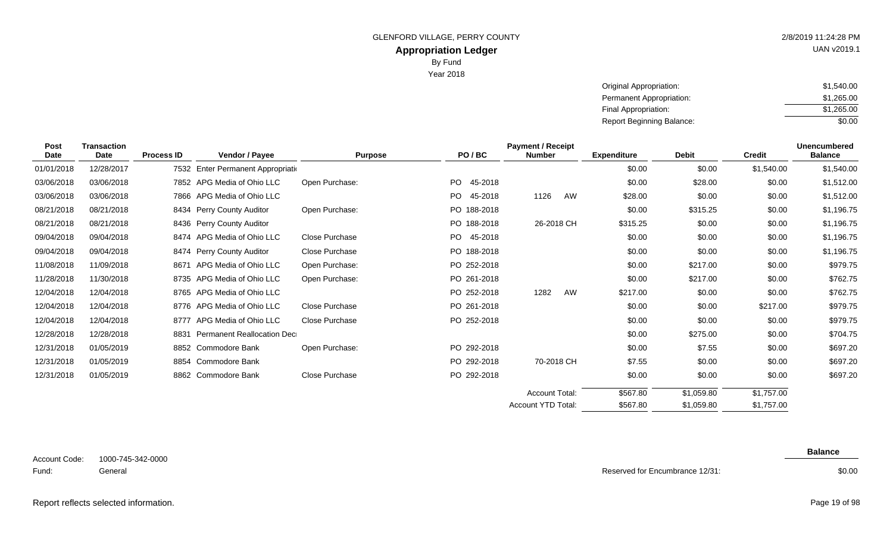Year 2018

UAN v2019.1

| Original Appropriation:   | \$1.540.00 |
|---------------------------|------------|
| Permanent Appropriation:  | \$1.265.00 |
| Final Appropriation:      | \$1,265,00 |
| Report Beginning Balance: | \$0.00     |

| Post<br>Date | <b>Transaction</b><br>Date | <b>Process ID</b> | Vendor / Payee                     | <b>Purpose</b> | PO/BC           | <b>Payment / Receipt</b><br><b>Number</b> | <b>Expenditure</b> | <b>Debit</b> | <b>Credit</b> | <b>Unencumbered</b><br><b>Balance</b> |
|--------------|----------------------------|-------------------|------------------------------------|----------------|-----------------|-------------------------------------------|--------------------|--------------|---------------|---------------------------------------|
| 01/01/2018   | 12/28/2017                 |                   | 7532 Enter Permanent Appropriation |                |                 |                                           | \$0.00             | \$0.00       | \$1,540.00    | \$1,540.00                            |
| 03/06/2018   | 03/06/2018                 |                   | 7852 APG Media of Ohio LLC         | Open Purchase: | PO<br>45-2018   |                                           | \$0.00             | \$28.00      | \$0.00        | \$1,512.00                            |
| 03/06/2018   | 03/06/2018                 |                   | 7866 APG Media of Ohio LLC         |                | PO<br>45-2018   | 1126<br>AW                                | \$28.00            | \$0.00       | \$0.00        | \$1,512.00                            |
| 08/21/2018   | 08/21/2018                 |                   | 8434 Perry County Auditor          | Open Purchase: | PO 188-2018     |                                           | \$0.00             | \$315.25     | \$0.00        | \$1,196.75                            |
| 08/21/2018   | 08/21/2018                 |                   | 8436 Perry County Auditor          |                | PO 188-2018     | 26-2018 CH                                | \$315.25           | \$0.00       | \$0.00        | \$1,196.75                            |
| 09/04/2018   | 09/04/2018                 |                   | 8474 APG Media of Ohio LLC         | Close Purchase | PO -<br>45-2018 |                                           | \$0.00             | \$0.00       | \$0.00        | \$1,196.75                            |
| 09/04/2018   | 09/04/2018                 |                   | 8474 Perry County Auditor          | Close Purchase | PO 188-2018     |                                           | \$0.00             | \$0.00       | \$0.00        | \$1,196.75                            |
| 11/08/2018   | 11/09/2018                 | 8671              | APG Media of Ohio LLC              | Open Purchase: | PO 252-2018     |                                           | \$0.00             | \$217.00     | \$0.00        | \$979.75                              |
| 11/28/2018   | 11/30/2018                 |                   | 8735 APG Media of Ohio LLC         | Open Purchase: | PO 261-2018     |                                           | \$0.00             | \$217.00     | \$0.00        | \$762.75                              |
| 12/04/2018   | 12/04/2018                 |                   | 8765 APG Media of Ohio LLC         |                | PO 252-2018     | 1282<br>AW                                | \$217.00           | \$0.00       | \$0.00        | \$762.75                              |
| 12/04/2018   | 12/04/2018                 |                   | 8776 APG Media of Ohio LLC         | Close Purchase | PO 261-2018     |                                           | \$0.00             | \$0.00       | \$217.00      | \$979.75                              |
| 12/04/2018   | 12/04/2018                 | 8777              | APG Media of Ohio LLC              | Close Purchase | PO 252-2018     |                                           | \$0.00             | \$0.00       | \$0.00        | \$979.75                              |
| 12/28/2018   | 12/28/2018                 | 8831              | <b>Permanent Reallocation Dec</b>  |                |                 |                                           | \$0.00             | \$275.00     | \$0.00        | \$704.75                              |
| 12/31/2018   | 01/05/2019                 |                   | 8852 Commodore Bank                | Open Purchase: | PO 292-2018     |                                           | \$0.00             | \$7.55       | \$0.00        | \$697.20                              |
| 12/31/2018   | 01/05/2019                 | 8854              | Commodore Bank                     |                | PO 292-2018     | 70-2018 CH                                | \$7.55             | \$0.00       | \$0.00        | \$697.20                              |
| 12/31/2018   | 01/05/2019                 |                   | 8862 Commodore Bank                | Close Purchase | PO 292-2018     |                                           | \$0.00             | \$0.00       | \$0.00        | \$697.20                              |
|              |                            |                   |                                    |                |                 | <b>Account Total:</b>                     | \$567.80           | \$1,059.80   | \$1,757.00    |                                       |
|              |                            |                   |                                    |                |                 | Account YTD Total:                        | \$567.80           | \$1,059.80   | \$1,757.00    |                                       |

| Account Code: | 1000-745-342-0000 |
|---------------|-------------------|
| Fund:         | General           |

Reserved for Encumbrance 12/31:

\$0.00

**Balance**

Report reflects selected information. Page 19 of 98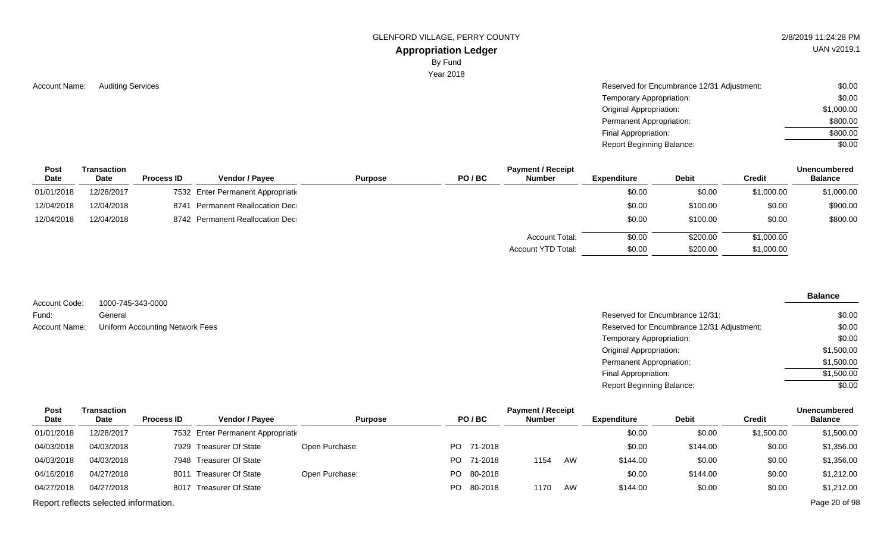GLENFORD VILLAGE, PERRY COUNTY **2/8/2019 11:24:28 PM** 

## **Appropriation Ledger**

By Fund

Year 2018

Account Name: Auditing Services **Auditing Services** Account Name: Auditing Services Auditing Services Account Name: Auditing Services Account Name: \$0.00 Temporary Appropriation: Original Appropriation: Permanent Appropriation: Final Appropriation: Report Beginning Balance: \$0.00 \$1,000.00 \$800.00 \$800.00 \$0.00

| <b>Post</b><br>Date | Transaction<br><b>Date</b> | <b>Process ID</b> | <b>Vendor / Pavee</b>              | <b>Purpose</b> | PO/BC | <b>Payment / Receipt</b><br><b>Number</b> | Expenditure | <b>Debit</b> | Credit     | <b>Unencumbered</b><br><b>Balance</b> |
|---------------------|----------------------------|-------------------|------------------------------------|----------------|-------|-------------------------------------------|-------------|--------------|------------|---------------------------------------|
| 01/01/2018          | 12/28/2017                 |                   | 7532 Enter Permanent Appropriation |                |       |                                           | \$0.00      | \$0.00       | \$1,000.00 | \$1,000.00                            |
| 12/04/2018          | 12/04/2018                 | 8741              | Permanent Reallocation Dec         |                |       |                                           | \$0.00      | \$100.00     | \$0.00     | \$900.00                              |
| 12/04/2018          | 12/04/2018                 |                   | 8742 Permanent Reallocation Dec    |                |       |                                           | \$0.00      | \$100.00     | \$0.00     | \$800.00                              |
|                     |                            |                   |                                    |                |       | Account Total:                            | \$0.00      | \$200.00     | \$1,000.00 |                                       |
|                     |                            |                   |                                    |                |       | Account YTD Total:                        | \$0.00      | \$200.00     | \$1,000.00 |                                       |

| Account Code: | 1000-745-343-0000               |
|---------------|---------------------------------|
| Fund:         | General                         |
| Account Name: | Uniform Accounting Network Fees |

**Balance**  $$0.00$ 

| General                         | Reserved for Encumbrance 12/31:            | \$0.00     |
|---------------------------------|--------------------------------------------|------------|
| Uniform Accounting Network Fees | Reserved for Encumbrance 12/31 Adjustment: | \$0.00     |
|                                 | Temporary Appropriation:                   | \$0.00     |
|                                 | Original Appropriation:                    | \$1,500.00 |
|                                 | Permanent Appropriation:                   | \$1,500.00 |
|                                 | Final Appropriation:                       | \$1,500.00 |
|                                 | <b>Report Beginning Balance:</b>           | \$0.00     |
|                                 |                                            |            |

| <b>Post</b> | Transaction                           |                   |                                    |                |     |            | <b>Payment / Receipt</b> |    |                    |              |            | <b>Unencumbered</b> |
|-------------|---------------------------------------|-------------------|------------------------------------|----------------|-----|------------|--------------------------|----|--------------------|--------------|------------|---------------------|
| Date        | <b>Date</b>                           | <b>Process ID</b> | <b>Vendor / Payee</b>              | <b>Purpose</b> |     | PO/BC      | <b>Number</b>            |    | <b>Expenditure</b> | <b>Debit</b> | Credit     | <b>Balance</b>      |
| 01/01/2018  | 12/28/2017                            |                   | 7532 Enter Permanent Appropriation |                |     |            |                          |    | \$0.00             | \$0.00       | \$1,500.00 | \$1,500.00          |
| 04/03/2018  | 04/03/2018                            |                   | 7929 Treasurer Of State            | Open Purchase: |     | PO 71-2018 |                          |    | \$0.00             | \$144.00     | \$0.00     | \$1,356.00          |
| 04/03/2018  | 04/03/2018                            |                   | 7948 Treasurer Of State            |                | PO. | 71-2018    | 1154                     | AW | \$144.00           | \$0.00       | \$0.00     | \$1,356.00          |
| 04/16/2018  | 04/27/2018                            |                   | 8011 Treasurer Of State            | Open Purchase: |     | PO 80-2018 |                          |    | \$0.00             | \$144.00     | \$0.00     | \$1,212.00          |
| 04/27/2018  | 04/27/2018                            |                   | 8017 Treasurer Of State            |                |     | PO 80-2018 | 1170                     | AW | \$144.00           | \$0.00       | \$0.00     | \$1,212.00          |
|             | Report reflects selected information. |                   |                                    |                |     |            |                          |    |                    |              |            | Page 20 of 98       |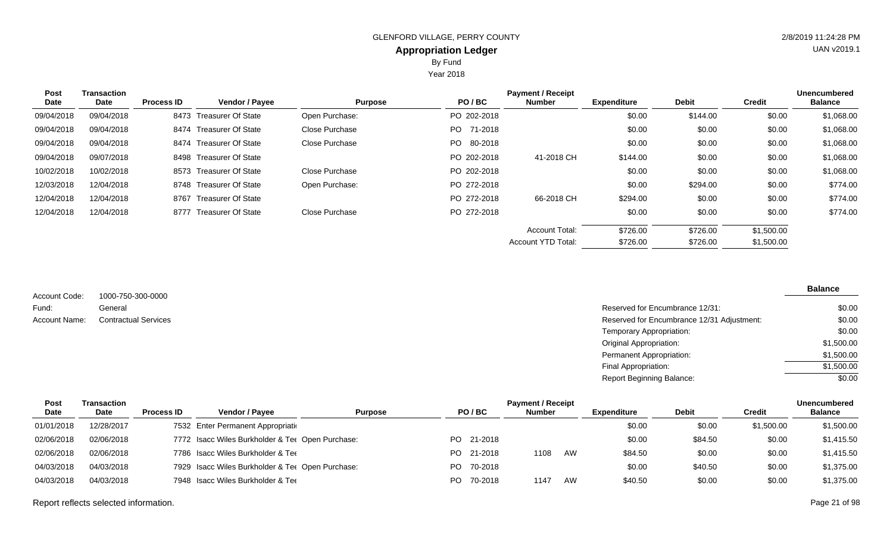Year 2018

| <b>Post</b> | <b>Transaction</b> |                   |                           |                |             | <b>Payment / Receipt</b>  |                    |              |            | <b>Unencumbered</b> |
|-------------|--------------------|-------------------|---------------------------|----------------|-------------|---------------------------|--------------------|--------------|------------|---------------------|
| Date        | Date               | <b>Process ID</b> | Vendor / Payee            | <b>Purpose</b> | PO/BC       | <b>Number</b>             | <b>Expenditure</b> | <b>Debit</b> | Credit     | <b>Balance</b>      |
| 09/04/2018  | 09/04/2018         |                   | 8473 Treasurer Of State   | Open Purchase: | PO 202-2018 |                           | \$0.00             | \$144.00     | \$0.00     | \$1,068.00          |
| 09/04/2018  | 09/04/2018         |                   | 8474 Treasurer Of State   | Close Purchase | PO 71-2018  |                           | \$0.00             | \$0.00       | \$0.00     | \$1,068.00          |
| 09/04/2018  | 09/04/2018         |                   | 8474 Treasurer Of State   | Close Purchase | PO 80-2018  |                           | \$0.00             | \$0.00       | \$0.00     | \$1,068.00          |
| 09/04/2018  | 09/07/2018         |                   | 8498 Treasurer Of State   |                | PO 202-2018 | 41-2018 CH                | \$144.00           | \$0.00       | \$0.00     | \$1,068.00          |
| 10/02/2018  | 10/02/2018         |                   | 8573 Treasurer Of State   | Close Purchase | PO 202-2018 |                           | \$0.00             | \$0.00       | \$0.00     | \$1,068.00          |
| 12/03/2018  | 12/04/2018         |                   | 8748 Treasurer Of State   | Open Purchase: | PO 272-2018 |                           | \$0.00             | \$294.00     | \$0.00     | \$774.00            |
| 12/04/2018  | 12/04/2018         | 8767              | <b>Treasurer Of State</b> |                | PO 272-2018 | 66-2018 CH                | \$294.00           | \$0.00       | \$0.00     | \$774.00            |
| 12/04/2018  | 12/04/2018         | 8777              | Treasurer Of State        | Close Purchase | PO 272-2018 |                           | \$0.00             | \$0.00       | \$0.00     | \$774.00            |
|             |                    |                   |                           |                |             | <b>Account Total:</b>     | \$726.00           | \$726.00     | \$1,500.00 |                     |
|             |                    |                   |                           |                |             | <b>Account YTD Total:</b> | \$726.00           | \$726.00     | \$1,500.00 |                     |

1000-750-300-0000 General **Contractual Services** Account Code: Fund: Account Name:

| Reserved for Encumbrance 12/31:            | \$0.00     |
|--------------------------------------------|------------|
| Reserved for Encumbrance 12/31 Adjustment: | \$0.00     |
| Temporary Appropriation:                   | \$0.00     |
| Original Appropriation:                    | \$1,500.00 |
| Permanent Appropriation:                   | \$1,500.00 |
| Final Appropriation:                       | \$1,500.00 |
| <b>Report Beginning Balance:</b>           | \$0.00     |

| Post        | Transaction |                   | <b>Payment / Receipt</b>                         |                |     |            |               |    |             | <b>Unencumbered</b> |            |                |
|-------------|-------------|-------------------|--------------------------------------------------|----------------|-----|------------|---------------|----|-------------|---------------------|------------|----------------|
| <b>Date</b> | <b>Date</b> | <b>Process ID</b> | <b>Vendor / Pavee</b>                            | <b>Purpose</b> |     | PO/BC      | <b>Number</b> |    | Expenditure | <b>Debit</b>        | Credit     | <b>Balance</b> |
| 01/01/2018  | 12/28/2017  |                   | 7532 Enter Permanent Appropriation               |                |     |            |               |    | \$0.00      | \$0.00              | \$1,500.00 | \$1,500.00     |
| 02/06/2018  | 02/06/2018  |                   | 7772 Isacc Wiles Burkholder & Tet Open Purchase: |                |     | PO 21-2018 |               |    | \$0.00      | \$84.50             | \$0.00     | \$1,415.50     |
| 02/06/2018  | 02/06/2018  |                   | 7786 Isacc Wiles Burkholder & Tee                |                |     | PO 21-2018 | 1108          | AW | \$84.50     | \$0.00              | \$0.00     | \$1,415.50     |
| 04/03/2018  | 04/03/2018  |                   | 7929 Isacc Wiles Burkholder & Ter Open Purchase: |                |     | PO 70-2018 |               |    | \$0.00      | \$40.50             | \$0.00     | \$1,375.00     |
| 04/03/2018  | 04/03/2018  |                   | 7948 Isacc Wiles Burkholder & Tee                |                | PO. | 70-2018    | 1147          | AW | \$40.50     | \$0.00              | \$0.00     | \$1,375.00     |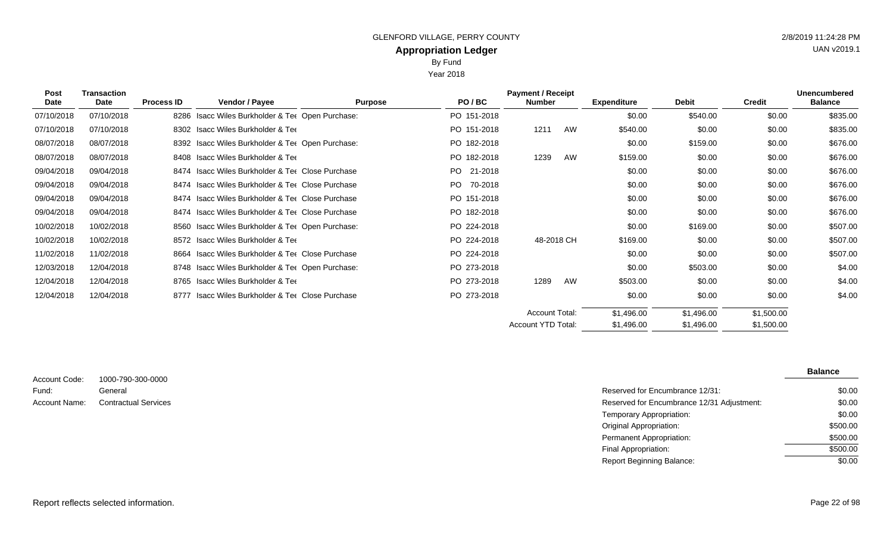Year 2018

| <b>Post</b><br>Date | <b>Transaction</b><br>Date | <b>Process ID</b> | Vendor / Payee                                         | <b>Purpose</b> | PO/BC           | <b>Payment / Receipt</b><br><b>Number</b> |    | <b>Expenditure</b> | <b>Debit</b> | <b>Credit</b> | <b>Unencumbered</b><br><b>Balance</b> |
|---------------------|----------------------------|-------------------|--------------------------------------------------------|----------------|-----------------|-------------------------------------------|----|--------------------|--------------|---------------|---------------------------------------|
| 07/10/2018          | 07/10/2018                 |                   | 8286 Isacc Wiles Burkholder & Ter Open Purchase:       |                | PO 151-2018     |                                           |    | \$0.00             | \$540.00     | \$0.00        | \$835.00                              |
| 07/10/2018          | 07/10/2018                 |                   | 8302 Isacc Wiles Burkholder & Tee                      |                | PO 151-2018     | 1211                                      | AW | \$540.00           | \$0.00       | \$0.00        | \$835.00                              |
| 08/07/2018          | 08/07/2018                 |                   | 8392 Isacc Wiles Burkholder & Ter Open Purchase:       |                | PO 182-2018     |                                           |    | \$0.00             | \$159.00     | \$0.00        | \$676.00                              |
| 08/07/2018          | 08/07/2018                 |                   | 8408 Isacc Wiles Burkholder & Tee                      |                | PO 182-2018     | 1239                                      | AW | \$159.00           | \$0.00       | \$0.00        | \$676.00                              |
| 09/04/2018          | 09/04/2018                 |                   | 8474 Isacc Wiles Burkholder & Ter Close Purchase       |                | PO -<br>21-2018 |                                           |    | \$0.00             | \$0.00       | \$0.00        | \$676.00                              |
| 09/04/2018          | 09/04/2018                 |                   | 8474 Isacc Wiles Burkholder & Tet Close Purchase       |                | PO.<br>70-2018  |                                           |    | \$0.00             | \$0.00       | \$0.00        | \$676.00                              |
| 09/04/2018          | 09/04/2018                 |                   | 8474 Isacc Wiles Burkholder & Ter Close Purchase       |                | PO 151-2018     |                                           |    | \$0.00             | \$0.00       | \$0.00        | \$676.00                              |
| 09/04/2018          | 09/04/2018                 |                   | 8474 Isacc Wiles Burkholder & Tet Close Purchase       |                | PO 182-2018     |                                           |    | \$0.00             | \$0.00       | \$0.00        | \$676.00                              |
| 10/02/2018          | 10/02/2018                 |                   | 8560 Isacc Wiles Burkholder & Ter Open Purchase:       |                | PO 224-2018     |                                           |    | \$0.00             | \$169.00     | \$0.00        | \$507.00                              |
| 10/02/2018          | 10/02/2018                 |                   | 8572 Isacc Wiles Burkholder & Tee                      |                | PO 224-2018     | 48-2018 CH                                |    | \$169.00           | \$0.00       | \$0.00        | \$507.00                              |
| 11/02/2018          | 11/02/2018                 |                   | 8664 Isacc Wiles Burkholder & Tee Close Purchase       |                | PO 224-2018     |                                           |    | \$0.00             | \$0.00       | \$0.00        | \$507.00                              |
| 12/03/2018          | 12/04/2018                 |                   | 8748 Isacc Wiles Burkholder & Ter Open Purchase:       |                | PO 273-2018     |                                           |    | \$0.00             | \$503.00     | \$0.00        | \$4.00                                |
| 12/04/2018          | 12/04/2018                 |                   | 8765 Isacc Wiles Burkholder & Tee                      |                | PO 273-2018     | 1289                                      | AW | \$503.00           | \$0.00       | \$0.00        | \$4.00                                |
| 12/04/2018          | 12/04/2018                 | 8777              | <b>Isacc Wiles Burkholder &amp; Tee Close Purchase</b> |                | PO 273-2018     |                                           |    | \$0.00             | \$0.00       | \$0.00        | \$4.00                                |
|                     |                            |                   |                                                        |                |                 | Account Total:                            |    | \$1,496.00         | \$1,496.00   | \$1,500.00    |                                       |
|                     |                            |                   |                                                        |                |                 | Account YTD Total:                        |    | \$1,496.00         | \$1,496.00   | \$1,500.00    |                                       |

| Account Code: | 1000-790-300-0000           |
|---------------|-----------------------------|
| Fund:         | General                     |
| Account Name: | <b>Contractual Services</b> |

|                             |                                            | <b>Balance</b> |
|-----------------------------|--------------------------------------------|----------------|
| 1000-790-300-0000           |                                            |                |
| General                     | Reserved for Encumbrance 12/31:            | \$0.00         |
| <b>Contractual Services</b> | Reserved for Encumbrance 12/31 Adjustment: | \$0.00         |
|                             | Temporary Appropriation:                   | \$0.00         |
|                             | <b>Original Appropriation:</b>             | \$500.00       |
|                             | Permanent Appropriation:                   | \$500.00       |
|                             | Final Appropriation:                       | \$500.00       |
|                             | <b>Report Beginning Balance:</b>           | \$0.00         |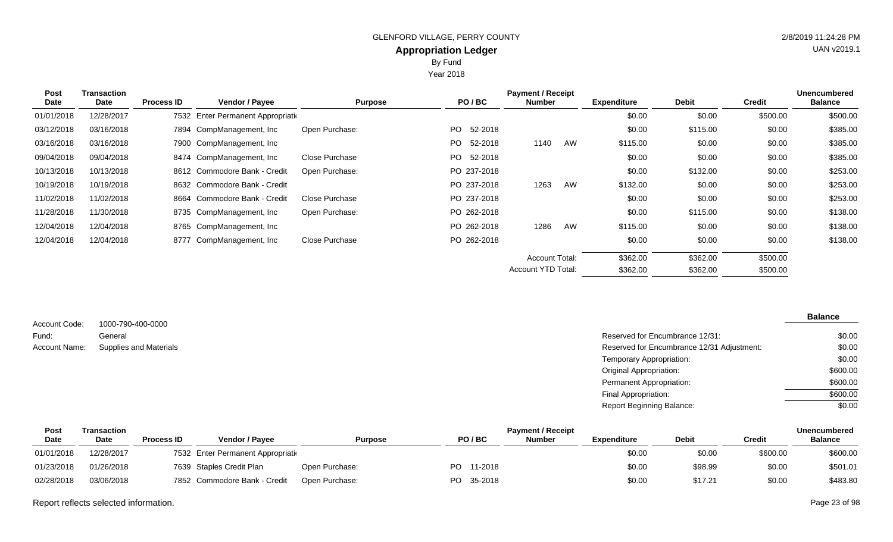By Fund

Year 2018

| <b>Post</b> | <b>Transaction</b> |                   |                                    |                |             | <b>Payment / Receipt</b> |    |                    |              |               | <b>Unencumbered</b> |
|-------------|--------------------|-------------------|------------------------------------|----------------|-------------|--------------------------|----|--------------------|--------------|---------------|---------------------|
| Date        | Date               | <b>Process ID</b> | Vendor / Payee                     | <b>Purpose</b> | PO/BC       | <b>Number</b>            |    | <b>Expenditure</b> | <b>Debit</b> | <b>Credit</b> | <b>Balance</b>      |
| 01/01/2018  | 12/28/2017         |                   | 7532 Enter Permanent Appropriation |                |             |                          |    | \$0.00             | \$0.00       | \$500.00      | \$500.00            |
| 03/12/2018  | 03/16/2018         |                   | 7894 CompManagement, Inc.          | Open Purchase: | PO 52-2018  |                          |    | \$0.00             | \$115.00     | \$0.00        | \$385.00            |
| 03/16/2018  | 03/16/2018         |                   | 7900 CompManagement, Inc.          |                | PO 52-2018  | 1140                     | AW | \$115.00           | \$0.00       | \$0.00        | \$385.00            |
| 09/04/2018  | 09/04/2018         |                   | 8474 CompManagement, Inc           | Close Purchase | PO 52-2018  |                          |    | \$0.00             | \$0.00       | \$0.00        | \$385.00            |
| 10/13/2018  | 10/13/2018         |                   | 8612 Commodore Bank - Credit       | Open Purchase: | PO 237-2018 |                          |    | \$0.00             | \$132.00     | \$0.00        | \$253.00            |
| 10/19/2018  | 10/19/2018         |                   | 8632 Commodore Bank - Credit       |                | PO 237-2018 | 1263                     | AW | \$132.00           | \$0.00       | \$0.00        | \$253.00            |
| 11/02/2018  | 11/02/2018         |                   | 8664 Commodore Bank - Credit       | Close Purchase | PO 237-2018 |                          |    | \$0.00             | \$0.00       | \$0.00        | \$253.00            |
| 11/28/2018  | 11/30/2018         |                   | 8735 CompManagement, Inc           | Open Purchase: | PO 262-2018 |                          |    | \$0.00             | \$115.00     | \$0.00        | \$138.00            |
| 12/04/2018  | 12/04/2018         |                   | 8765 CompManagement, Inc           |                | PO 262-2018 | 1286                     | AW | \$115.00           | \$0.00       | \$0.00        | \$138.00            |
| 12/04/2018  | 12/04/2018         |                   | 8777 CompManagement, Inc           | Close Purchase | PO 262-2018 |                          |    | \$0.00             | \$0.00       | \$0.00        | \$138.00            |
|             |                    |                   |                                    |                |             | <b>Account Total:</b>    |    | \$362.00           | \$362.00     | \$500.00      |                     |
|             |                    |                   |                                    |                |             | Account YTD Total:       |    | \$362.00           | \$362.00     | \$500.00      |                     |

| Account Code: | 1000-790-400-0000      |
|---------------|------------------------|
| Fund:         | General                |
| Account Name: | Supplies and Materials |

| General                       | Reserved for Encumbrance 12/31:            | \$0.00   |
|-------------------------------|--------------------------------------------|----------|
| <b>Supplies and Materials</b> | Reserved for Encumbrance 12/31 Adjustment: | \$0.00   |
|                               | Temporary Appropriation:                   | \$0.00   |
|                               | Original Appropriation:                    | \$600.00 |
|                               | Permanent Appropriation:                   | \$600.00 |
|                               | Final Appropriation:                       | \$600.00 |
|                               | <b>Report Beginning Balance:</b>           | \$0.00   |

| Post        | Transaction |            | <b>Payment / Receipt</b>           |                |                      |               |                    |              |          | Unencumbered   |  |  |
|-------------|-------------|------------|------------------------------------|----------------|----------------------|---------------|--------------------|--------------|----------|----------------|--|--|
| <b>Date</b> | Date        | Process ID | <b>Vendor / Pavee</b>              | <b>Purpose</b> | PO/BC                | <b>Number</b> | <b>Expenditure</b> | <b>Debit</b> | Credit   | <b>Balance</b> |  |  |
| 01/01/2018  | 12/28/2017  |            | 7532 Enter Permanent Appropriation |                |                      |               | \$0.00             | \$0.00       | \$600.00 | \$600.00       |  |  |
| 01/23/2018  | 01/26/2018  |            | 7639 Staples Credit Plan           | Open Purchase: | <b>PO</b><br>11-2018 |               | \$0.00             | \$98.99      | \$0.00   | \$501.01       |  |  |
| 02/28/2018  | 03/06/2018  |            | 7852 Commodore Bank - Credit       | Open Purchase: | PO<br>35-2018        |               | \$0.00             | \$17.21      | \$0.00   | \$483.80       |  |  |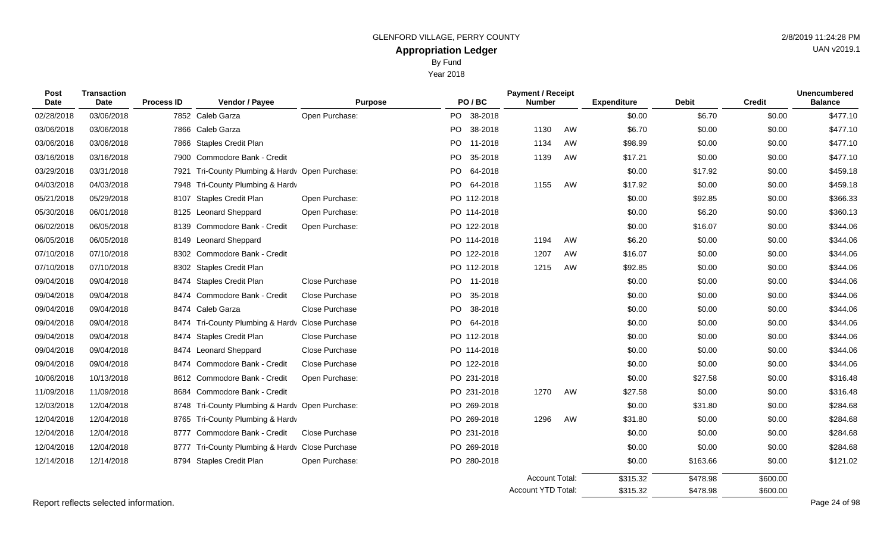Year 2018

| Post<br>Date | <b>Transaction</b><br>Date | <b>Process ID</b> | Vendor / Payee                                  | <b>Purpose</b>        |     | PO/BC       | <b>Payment / Receipt</b><br><b>Number</b>          |    | <b>Expenditure</b>   | <b>Debit</b>         | <b>Credit</b>        | <b>Unencumbered</b><br><b>Balance</b> |
|--------------|----------------------------|-------------------|-------------------------------------------------|-----------------------|-----|-------------|----------------------------------------------------|----|----------------------|----------------------|----------------------|---------------------------------------|
| 02/28/2018   | 03/06/2018                 |                   | 7852 Caleb Garza                                | Open Purchase:        |     | PO 38-2018  |                                                    |    | \$0.00               | \$6.70               | \$0.00               | \$477.10                              |
| 03/06/2018   | 03/06/2018                 |                   | 7866 Caleb Garza                                |                       |     | PO 38-2018  | 1130                                               | AW | \$6.70               | \$0.00               | \$0.00               | \$477.10                              |
| 03/06/2018   | 03/06/2018                 |                   | 7866 Staples Credit Plan                        |                       |     | PO 11-2018  | 1134                                               | AW | \$98.99              | \$0.00               | \$0.00               | \$477.10                              |
| 03/16/2018   | 03/16/2018                 | 7900              | Commodore Bank - Credit                         |                       | PO  | 35-2018     | 1139                                               | AW | \$17.21              | \$0.00               | \$0.00               | \$477.10                              |
| 03/29/2018   | 03/31/2018                 | 7921              | Tri-County Plumbing & Hardv Open Purchase:      |                       |     | PO 64-2018  |                                                    |    | \$0.00               | \$17.92              | \$0.00               | \$459.18                              |
| 04/03/2018   | 04/03/2018                 | 7948              | Tri-County Plumbing & Hardv                     |                       |     | PO 64-2018  | 1155                                               | AW | \$17.92              | \$0.00               | \$0.00               | \$459.18                              |
| 05/21/2018   | 05/29/2018                 | 8107              | <b>Staples Credit Plan</b>                      | Open Purchase:        |     | PO 112-2018 |                                                    |    | \$0.00               | \$92.85              | \$0.00               | \$366.33                              |
| 05/30/2018   | 06/01/2018                 | 8125              | Leonard Sheppard                                | Open Purchase:        |     | PO 114-2018 |                                                    |    | \$0.00               | \$6.20               | \$0.00               | \$360.13                              |
| 06/02/2018   | 06/05/2018                 | 8139              | Commodore Bank - Credit                         | Open Purchase:        |     | PO 122-2018 |                                                    |    | \$0.00               | \$16.07              | \$0.00               | \$344.06                              |
| 06/05/2018   | 06/05/2018                 | 8149              | Leonard Sheppard                                |                       |     | PO 114-2018 | 1194                                               | AW | \$6.20               | \$0.00               | \$0.00               | \$344.06                              |
| 07/10/2018   | 07/10/2018                 | 8302              | Commodore Bank - Credit                         |                       |     | PO 122-2018 | 1207                                               | AW | \$16.07              | \$0.00               | \$0.00               | \$344.06                              |
| 07/10/2018   | 07/10/2018                 |                   | 8302 Staples Credit Plan                        |                       |     | PO 112-2018 | 1215                                               | AW | \$92.85              | \$0.00               | \$0.00               | \$344.06                              |
| 09/04/2018   | 09/04/2018                 |                   | 8474 Staples Credit Plan                        | <b>Close Purchase</b> |     | PO 11-2018  |                                                    |    | \$0.00               | \$0.00               | \$0.00               | \$344.06                              |
| 09/04/2018   | 09/04/2018                 | 8474              | Commodore Bank - Credit                         | Close Purchase        |     | PO 35-2018  |                                                    |    | \$0.00               | \$0.00               | \$0.00               | \$344.06                              |
| 09/04/2018   | 09/04/2018                 | 8474              | Caleb Garza                                     | Close Purchase        | PO. | 38-2018     |                                                    |    | \$0.00               | \$0.00               | \$0.00               | \$344.06                              |
| 09/04/2018   | 09/04/2018                 |                   | 8474 Tri-County Plumbing & Hardv Close Purchase |                       |     | PO 64-2018  |                                                    |    | \$0.00               | \$0.00               | \$0.00               | \$344.06                              |
| 09/04/2018   | 09/04/2018                 | 8474              | <b>Staples Credit Plan</b>                      | Close Purchase        |     | PO 112-2018 |                                                    |    | \$0.00               | \$0.00               | \$0.00               | \$344.06                              |
| 09/04/2018   | 09/04/2018                 | 8474              | <b>Leonard Sheppard</b>                         | Close Purchase        |     | PO 114-2018 |                                                    |    | \$0.00               | \$0.00               | \$0.00               | \$344.06                              |
| 09/04/2018   | 09/04/2018                 | 8474              | Commodore Bank - Credit                         | Close Purchase        |     | PO 122-2018 |                                                    |    | \$0.00               | \$0.00               | \$0.00               | \$344.06                              |
| 10/06/2018   | 10/13/2018                 |                   | 8612 Commodore Bank - Credit                    | Open Purchase:        |     | PO 231-2018 |                                                    |    | \$0.00               | \$27.58              | \$0.00               | \$316.48                              |
| 11/09/2018   | 11/09/2018                 | 8684              | Commodore Bank - Credit                         |                       |     | PO 231-2018 | 1270                                               | AW | \$27.58              | \$0.00               | \$0.00               | \$316.48                              |
| 12/03/2018   | 12/04/2018                 | 8748              | Tri-County Plumbing & Hardv Open Purchase:      |                       |     | PO 269-2018 |                                                    |    | \$0.00               | \$31.80              | \$0.00               | \$284.68                              |
| 12/04/2018   | 12/04/2018                 |                   | 8765 Tri-County Plumbing & Hardv                |                       |     | PO 269-2018 | 1296                                               | AW | \$31.80              | \$0.00               | \$0.00               | \$284.68                              |
| 12/04/2018   | 12/04/2018                 | 8777              | Commodore Bank - Credit                         | Close Purchase        |     | PO 231-2018 |                                                    |    | \$0.00               | \$0.00               | \$0.00               | \$284.68                              |
| 12/04/2018   | 12/04/2018                 |                   | 8777 Tri-County Plumbing & Hardv Close Purchase |                       |     | PO 269-2018 |                                                    |    | \$0.00               | \$0.00               | \$0.00               | \$284.68                              |
| 12/14/2018   | 12/14/2018                 |                   | 8794 Staples Credit Plan                        | Open Purchase:        |     | PO 280-2018 |                                                    |    | \$0.00               | \$163.66             | \$0.00               | \$121.02                              |
|              |                            |                   |                                                 |                       |     |             | <b>Account Total:</b><br><b>Account YTD Total:</b> |    | \$315.32<br>\$315.32 | \$478.98<br>\$478.98 | \$600.00<br>\$600.00 |                                       |

Report reflects selected information. Page 24 of 98

\$600.00

\$478.98

\$315.32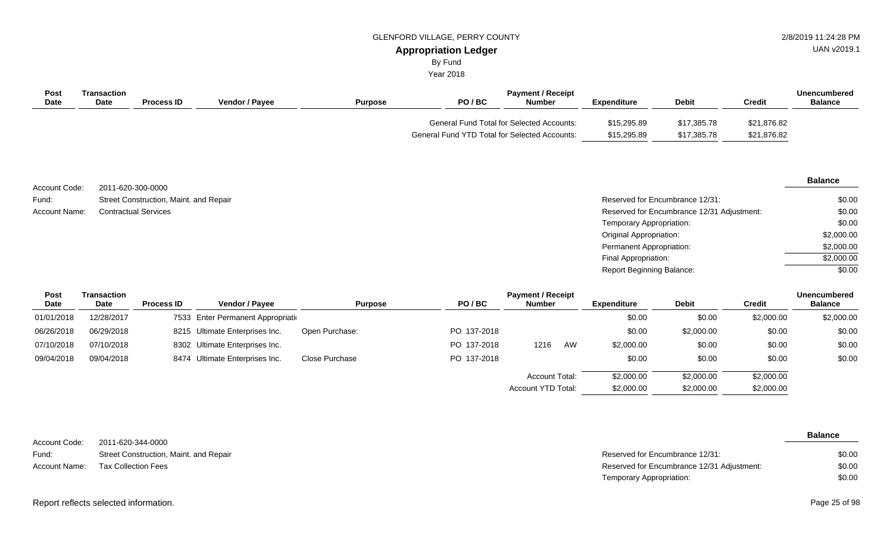By Fund

Year 2018

| Post<br><b>Date</b> | Transaction<br><b>Date</b> | <b>Process ID</b> | Vendor / Pavee | <b>Purpose</b> | PO/BC                                                                                             | <b>Payment / Receipt</b><br><b>Number</b> | <b>Expenditure</b>         | <b>Debit</b>               | <b>Credit</b>              | Unencumbered<br><b>Balance</b> |
|---------------------|----------------------------|-------------------|----------------|----------------|---------------------------------------------------------------------------------------------------|-------------------------------------------|----------------------------|----------------------------|----------------------------|--------------------------------|
|                     |                            |                   |                |                | <b>General Fund Total for Selected Accounts:</b><br>General Fund YTD Total for Selected Accounts: |                                           | \$15,295.89<br>\$15,295.89 | \$17,385.78<br>\$17,385.78 | \$21,876.82<br>\$21,876.82 |                                |

2011-620-300-0000 Street Construction, Maint. and Repair Contractual Services Account Code: Fund: Account Name:

#### **Balance**

| Reserved for Encumbrance 12/31:            | \$0.00     |
|--------------------------------------------|------------|
| Reserved for Encumbrance 12/31 Adjustment: | \$0.00     |
| Temporary Appropriation:                   | \$0.00     |
| Original Appropriation:                    | \$2,000.00 |
| Permanent Appropriation:                   | \$2,000.00 |
| Final Appropriation:                       | \$2,000.00 |
| Report Beginning Balance:                  | \$0.00     |

\$2,000.00

\$2,000.00

Account YTD Total:

\$2,000.00

| <b>Post</b> | Transaction |                   |                                    | <b>Payment / Receipt</b> |             |                       |    |             |              |            | <b>Unencumbered</b> |
|-------------|-------------|-------------------|------------------------------------|--------------------------|-------------|-----------------------|----|-------------|--------------|------------|---------------------|
| Date        | <b>Date</b> | <b>Process ID</b> | <b>Vendor / Pavee</b>              | <b>Purpose</b>           | PO/BC       | <b>Number</b>         |    | Expenditure | <b>Debit</b> | Credit     | <b>Balance</b>      |
| 01/01/2018  | 12/28/2017  |                   | 7533 Enter Permanent Appropriation |                          |             |                       |    | \$0.00      | \$0.00       | \$2,000.00 | \$2,000.00          |
| 06/26/2018  | 06/29/2018  |                   | 8215 Ultimate Enterprises Inc.     | Open Purchase:           | PO 137-2018 |                       |    | \$0.00      | \$2,000.00   | \$0.00     | \$0.00              |
| 07/10/2018  | 07/10/2018  |                   | 8302 Ultimate Enterprises Inc.     |                          | PO 137-2018 | 1216                  | AW | \$2,000.00  | \$0.00       | \$0.00     | \$0.00              |
| 09/04/2018  | 09/04/2018  |                   | 8474 Ultimate Enterprises Inc.     | Close Purchase           | PO 137-2018 |                       |    | \$0.00      | \$0.00       | \$0.00     | \$0.00              |
|             |             |                   |                                    |                          |             | <b>Account Total:</b> |    | \$2,000.00  | \$2,000.00   | \$2,000.00 |                     |

| Account Code: | 2011-620-344-0000                      |                                            | <b>Balance</b> |
|---------------|----------------------------------------|--------------------------------------------|----------------|
| Fund:         | Street Construction, Maint. and Repair | Reserved for Encumbrance 12/31:            | \$0.00         |
| Account Name: | Tax Collection Fees                    | Reserved for Encumbrance 12/31 Adjustment: | \$0.00         |
|               |                                        | Temporary Appropriation:                   | \$0.00         |

Report reflects selected information. Page 25 of 98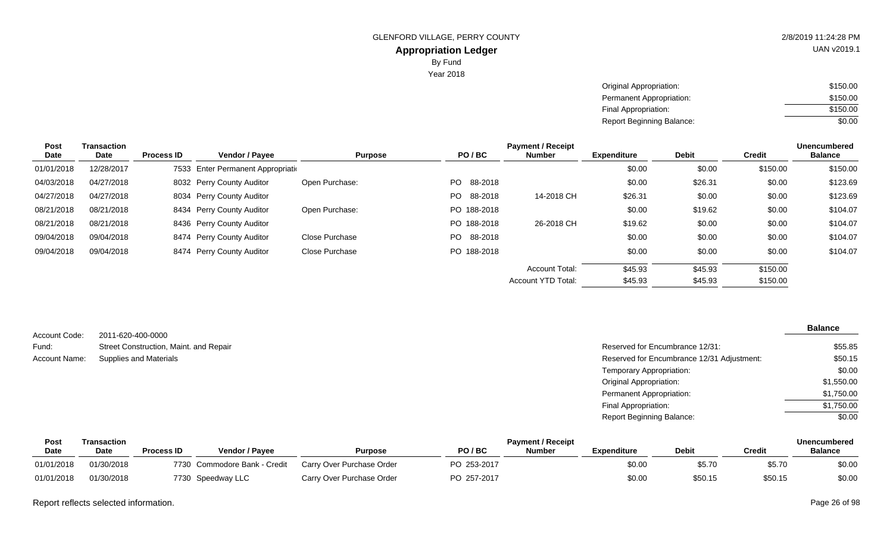Year 2018

| Original Appropriation:   | \$150.00 |
|---------------------------|----------|
| Permanent Appropriation:  | \$150.00 |
| Final Appropriation:      | \$150.00 |
| Report Beginning Balance: | \$0.00   |

| Post       | Transaction |                   |                                    |                |                | <b>Payment / Receipt</b> |                    |              |               | <b>Unencumbered</b> |
|------------|-------------|-------------------|------------------------------------|----------------|----------------|--------------------------|--------------------|--------------|---------------|---------------------|
| Date       | Date        | <b>Process ID</b> | <b>Vendor / Payee</b>              | <b>Purpose</b> | PO/BC          | <b>Number</b>            | <b>Expenditure</b> | <b>Debit</b> | <b>Credit</b> | <b>Balance</b>      |
| 01/01/2018 | 12/28/2017  |                   | 7533 Enter Permanent Appropriation |                |                |                          | \$0.00             | \$0.00       | \$150.00      | \$150.00            |
| 04/03/2018 | 04/27/2018  |                   | 8032 Perry County Auditor          | Open Purchase: | PO.<br>88-2018 |                          | \$0.00             | \$26.31      | \$0.00        | \$123.69            |
| 04/27/2018 | 04/27/2018  |                   | 8034 Perry County Auditor          |                | PO.<br>88-2018 | 14-2018 CH               | \$26.31            | \$0.00       | \$0.00        | \$123.69            |
| 08/21/2018 | 08/21/2018  |                   | 8434 Perry County Auditor          | Open Purchase: | PO 188-2018    |                          | \$0.00             | \$19.62      | \$0.00        | \$104.07            |
| 08/21/2018 | 08/21/2018  |                   | 8436 Perry County Auditor          |                | PO 188-2018    | 26-2018 CH               | \$19.62            | \$0.00       | \$0.00        | \$104.07            |
| 09/04/2018 | 09/04/2018  |                   | 8474 Perry County Auditor          | Close Purchase | 88-2018<br>PO. |                          | \$0.00             | \$0.00       | \$0.00        | \$104.07            |
| 09/04/2018 | 09/04/2018  |                   | 8474 Perry County Auditor          | Close Purchase | PO 188-2018    |                          | \$0.00             | \$0.00       | \$0.00        | \$104.07            |
|            |             |                   |                                    |                |                | <b>Account Total:</b>    | \$45.93            | \$45.93      | \$150.00      |                     |
|            |             |                   |                                    |                |                | Account YTD Total:       | \$45.93            | \$45.93      | \$150.00      |                     |

| Account Code: | 2011-620-400-0000                      |                                            | <b>Balance</b> |
|---------------|----------------------------------------|--------------------------------------------|----------------|
| Fund:         | Street Construction, Maint. and Repair | Reserved for Encumbrance 12/31:            | \$55.85        |
| Account Name: | Supplies and Materials                 | Reserved for Encumbrance 12/31 Adjustment: | \$50.15        |
|               |                                        | Temporary Appropriation:                   | \$0.00         |
|               |                                        | <b>Original Appropriation:</b>             | \$1,550.00     |
|               |                                        | Permanent Appropriation:                   | \$1,750.00     |
|               |                                        | Final Appropriation:                       | \$1,750.00     |
|               |                                        | <b>Report Beginning Balance:</b>           | \$0.00         |

| Post        | <b>Payment / Receipt</b><br>Transaction |                   |                              |                           |             |        |                    | Unencumbered |         |                |
|-------------|-----------------------------------------|-------------------|------------------------------|---------------------------|-------------|--------|--------------------|--------------|---------|----------------|
| <b>Date</b> | Date                                    | <b>Process ID</b> | Vendor / Pavee               | Purpose                   | PO/BC       | Number | <b>Expenditure</b> | <b>Debit</b> | Credit  | <b>Balance</b> |
| 01/01/2018  | 01/30/2018                              |                   | 7730 Commodore Bank - Credit | Carry Over Purchase Order | PO 253-2017 |        | \$0.00             | \$5.70       | \$5.70  | \$0.00         |
| 01/01/2018  | 01/30/2018                              |                   | 7730 Speedway LLC            | Carry Over Purchase Order | PO 257-2017 |        | \$0.00             | \$50.15      | \$50.15 | \$0.00         |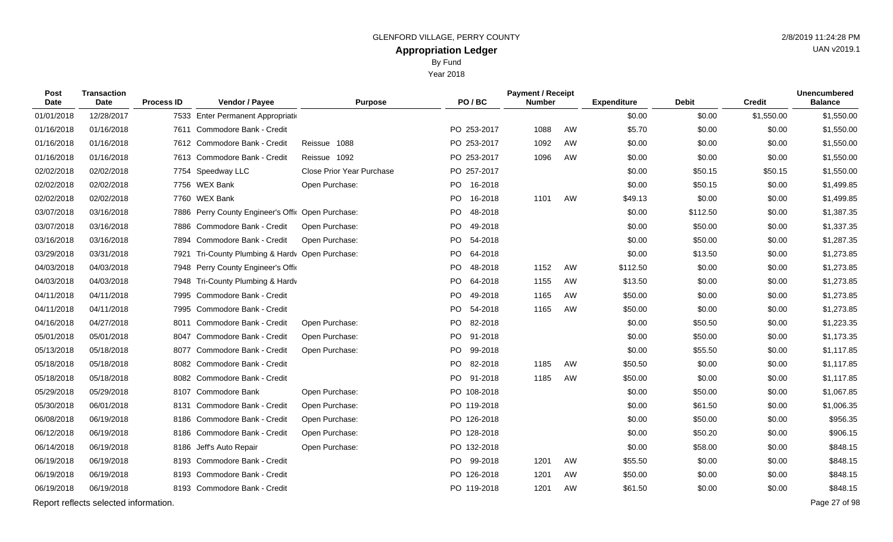Year 2018

| Post<br>Date | <b>Transaction</b><br><b>Date</b>     | <b>Process ID</b> | Vendor / Payee                                    | <b>Purpose</b>                   |    | PO/BC       | <b>Payment / Receipt</b><br><b>Number</b> |    | <b>Expenditure</b> | <b>Debit</b> | <b>Credit</b> | <b>Unencumbered</b><br><b>Balance</b> |
|--------------|---------------------------------------|-------------------|---------------------------------------------------|----------------------------------|----|-------------|-------------------------------------------|----|--------------------|--------------|---------------|---------------------------------------|
| 01/01/2018   | 12/28/2017                            |                   | 7533 Enter Permanent Appropriation                |                                  |    |             |                                           |    | \$0.00             | \$0.00       | \$1,550.00    | \$1,550.00                            |
| 01/16/2018   | 01/16/2018                            |                   | 7611 Commodore Bank - Credit                      |                                  |    | PO 253-2017 | 1088                                      | AW | \$5.70             | \$0.00       | \$0.00        | \$1,550.00                            |
| 01/16/2018   | 01/16/2018                            |                   | 7612 Commodore Bank - Credit                      | Reissue 1088                     |    | PO 253-2017 | 1092                                      | AW | \$0.00             | \$0.00       | \$0.00        | \$1,550.00                            |
| 01/16/2018   | 01/16/2018                            |                   | 7613 Commodore Bank - Credit                      | Reissue 1092                     |    | PO 253-2017 | 1096                                      | AW | \$0.00             | \$0.00       | \$0.00        | \$1,550.00                            |
| 02/02/2018   | 02/02/2018                            |                   | 7754 Speedway LLC                                 | <b>Close Prior Year Purchase</b> |    | PO 257-2017 |                                           |    | \$0.00             | \$50.15      | \$50.15       | \$1,550.00                            |
| 02/02/2018   | 02/02/2018                            |                   | 7756 WEX Bank                                     | Open Purchase:                   | PO | 16-2018     |                                           |    | \$0.00             | \$50.15      | \$0.00        | \$1,499.85                            |
| 02/02/2018   | 02/02/2018                            |                   | 7760 WEX Bank                                     |                                  | PO | 16-2018     | 1101                                      | AW | \$49.13            | \$0.00       | \$0.00        | \$1,499.85                            |
| 03/07/2018   | 03/16/2018                            |                   | 7886 Perry County Engineer's Offic Open Purchase: |                                  | PO | 48-2018     |                                           |    | \$0.00             | \$112.50     | \$0.00        | \$1,387.35                            |
| 03/07/2018   | 03/16/2018                            |                   | 7886 Commodore Bank - Credit                      | Open Purchase:                   | PO | 49-2018     |                                           |    | \$0.00             | \$50.00      | \$0.00        | \$1,337.35                            |
| 03/16/2018   | 03/16/2018                            | 7894              | Commodore Bank - Credit                           | Open Purchase:                   | PO | 54-2018     |                                           |    | \$0.00             | \$50.00      | \$0.00        | \$1,287.35                            |
| 03/29/2018   | 03/31/2018                            | 7921              | Tri-County Plumbing & Hardv Open Purchase:        |                                  | PO | 64-2018     |                                           |    | \$0.00             | \$13.50      | \$0.00        | \$1,273.85                            |
| 04/03/2018   | 04/03/2018                            | 7948              | Perry County Engineer's Offic                     |                                  | PO | 48-2018     | 1152                                      | AW | \$112.50           | \$0.00       | \$0.00        | \$1,273.85                            |
| 04/03/2018   | 04/03/2018                            |                   | 7948 Tri-County Plumbing & Hardv                  |                                  | PO | 64-2018     | 1155                                      | AW | \$13.50            | \$0.00       | \$0.00        | \$1,273.85                            |
| 04/11/2018   | 04/11/2018                            | 7995              | Commodore Bank - Credit                           |                                  | PO | 49-2018     | 1165                                      | AW | \$50.00            | \$0.00       | \$0.00        | \$1,273.85                            |
| 04/11/2018   | 04/11/2018                            |                   | 7995 Commodore Bank - Credit                      |                                  | PO | 54-2018     | 1165                                      | AW | \$50.00            | \$0.00       | \$0.00        | \$1,273.85                            |
| 04/16/2018   | 04/27/2018                            |                   | 8011 Commodore Bank - Credit                      | Open Purchase:                   | PO | 82-2018     |                                           |    | \$0.00             | \$50.50      | \$0.00        | \$1,223.35                            |
| 05/01/2018   | 05/01/2018                            |                   | 8047 Commodore Bank - Credit                      | Open Purchase:                   |    | PO 91-2018  |                                           |    | \$0.00             | \$50.00      | \$0.00        | \$1,173.35                            |
| 05/13/2018   | 05/18/2018                            | 8077              | Commodore Bank - Credit                           | Open Purchase:                   | PO | 99-2018     |                                           |    | \$0.00             | \$55.50      | \$0.00        | \$1,117.85                            |
| 05/18/2018   | 05/18/2018                            |                   | 8082 Commodore Bank - Credit                      |                                  |    | PO 82-2018  | 1185                                      | AW | \$50.50            | \$0.00       | \$0.00        | \$1,117.85                            |
| 05/18/2018   | 05/18/2018                            |                   | 8082 Commodore Bank - Credit                      |                                  | PO | 91-2018     | 1185                                      | AW | \$50.00            | \$0.00       | \$0.00        | \$1,117.85                            |
| 05/29/2018   | 05/29/2018                            |                   | 8107 Commodore Bank                               | Open Purchase:                   |    | PO 108-2018 |                                           |    | \$0.00             | \$50.00      | \$0.00        | \$1,067.85                            |
| 05/30/2018   | 06/01/2018                            | 8131              | Commodore Bank - Credit                           | Open Purchase:                   |    | PO 119-2018 |                                           |    | \$0.00             | \$61.50      | \$0.00        | \$1,006.35                            |
| 06/08/2018   | 06/19/2018                            | 8186              | Commodore Bank - Credit                           | Open Purchase:                   |    | PO 126-2018 |                                           |    | \$0.00             | \$50.00      | \$0.00        | \$956.35                              |
| 06/12/2018   | 06/19/2018                            | 8186              | Commodore Bank - Credit                           | Open Purchase:                   |    | PO 128-2018 |                                           |    | \$0.00             | \$50.20      | \$0.00        | \$906.15                              |
| 06/14/2018   | 06/19/2018                            | 8186              | Jeff's Auto Repair                                | Open Purchase:                   |    | PO 132-2018 |                                           |    | \$0.00             | \$58.00      | \$0.00        | \$848.15                              |
| 06/19/2018   | 06/19/2018                            | 8193              | Commodore Bank - Credit                           |                                  |    | PO 99-2018  | 1201                                      | AW | \$55.50            | \$0.00       | \$0.00        | \$848.15                              |
| 06/19/2018   | 06/19/2018                            | 8193              | Commodore Bank - Credit                           |                                  |    | PO 126-2018 | 1201                                      | AW | \$50.00            | \$0.00       | \$0.00        | \$848.15                              |
| 06/19/2018   | 06/19/2018                            |                   | 8193 Commodore Bank - Credit                      |                                  |    | PO 119-2018 | 1201                                      | AW | \$61.50            | \$0.00       | \$0.00        | \$848.15                              |
|              | Report reflects selected information. |                   |                                                   |                                  |    |             |                                           |    |                    |              |               | Page 27 of 98                         |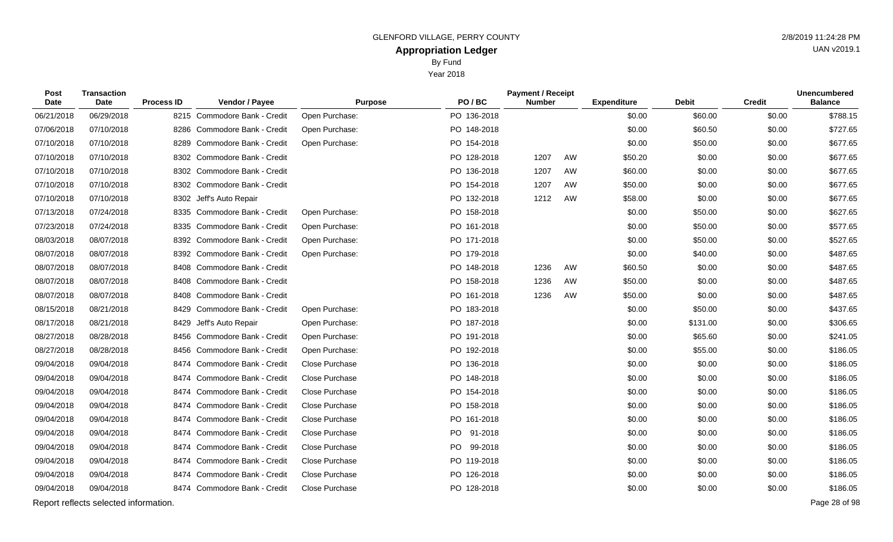Year 2018

| Post<br>Date | <b>Transaction</b><br><b>Date</b>     | <b>Process ID</b> | Vendor / Payee               | <b>Purpose</b>        | PO/BC       | <b>Payment / Receipt</b><br><b>Number</b> |    | <b>Expenditure</b> | <b>Debit</b> | <b>Credit</b> | <b>Unencumbered</b><br><b>Balance</b> |
|--------------|---------------------------------------|-------------------|------------------------------|-----------------------|-------------|-------------------------------------------|----|--------------------|--------------|---------------|---------------------------------------|
| 06/21/2018   | 06/29/2018                            |                   | 8215 Commodore Bank - Credit | Open Purchase:        | PO 136-2018 |                                           |    | \$0.00             | \$60.00      | \$0.00        | \$788.15                              |
| 07/06/2018   | 07/10/2018                            |                   | 8286 Commodore Bank - Credit | Open Purchase:        | PO 148-2018 |                                           |    | \$0.00             | \$60.50      | \$0.00        | \$727.65                              |
| 07/10/2018   | 07/10/2018                            | 8289              | Commodore Bank - Credit      | Open Purchase:        | PO 154-2018 |                                           |    | \$0.00             | \$50.00      | \$0.00        | \$677.65                              |
| 07/10/2018   | 07/10/2018                            |                   | 8302 Commodore Bank - Credit |                       | PO 128-2018 | 1207                                      | AW | \$50.20            | \$0.00       | \$0.00        | \$677.65                              |
| 07/10/2018   | 07/10/2018                            |                   | 8302 Commodore Bank - Credit |                       | PO 136-2018 | 1207                                      | AW | \$60.00            | \$0.00       | \$0.00        | \$677.65                              |
| 07/10/2018   | 07/10/2018                            |                   | 8302 Commodore Bank - Credit |                       | PO 154-2018 | 1207                                      | AW | \$50.00            | \$0.00       | \$0.00        | \$677.65                              |
| 07/10/2018   | 07/10/2018                            |                   | 8302 Jeff's Auto Repair      |                       | PO 132-2018 | 1212                                      | AW | \$58.00            | \$0.00       | \$0.00        | \$677.65                              |
| 07/13/2018   | 07/24/2018                            |                   | 8335 Commodore Bank - Credit | Open Purchase:        | PO 158-2018 |                                           |    | \$0.00             | \$50.00      | \$0.00        | \$627.65                              |
| 07/23/2018   | 07/24/2018                            | 8335              | Commodore Bank - Credit      | Open Purchase:        | PO 161-2018 |                                           |    | \$0.00             | \$50.00      | \$0.00        | \$577.65                              |
| 08/03/2018   | 08/07/2018                            |                   | 8392 Commodore Bank - Credit | Open Purchase:        | PO 171-2018 |                                           |    | \$0.00             | \$50.00      | \$0.00        | \$527.65                              |
| 08/07/2018   | 08/07/2018                            |                   | 8392 Commodore Bank - Credit | Open Purchase:        | PO 179-2018 |                                           |    | \$0.00             | \$40.00      | \$0.00        | \$487.65                              |
| 08/07/2018   | 08/07/2018                            | 8408              | Commodore Bank - Credit      |                       | PO 148-2018 | 1236                                      | AW | \$60.50            | \$0.00       | \$0.00        | \$487.65                              |
| 08/07/2018   | 08/07/2018                            | 8408              | Commodore Bank - Credit      |                       | PO 158-2018 | 1236                                      | AW | \$50.00            | \$0.00       | \$0.00        | \$487.65                              |
| 08/07/2018   | 08/07/2018                            | 8408              | Commodore Bank - Credit      |                       | PO 161-2018 | 1236                                      | AW | \$50.00            | \$0.00       | \$0.00        | \$487.65                              |
| 08/15/2018   | 08/21/2018                            | 8429              | Commodore Bank - Credit      | Open Purchase:        | PO 183-2018 |                                           |    | \$0.00             | \$50.00      | \$0.00        | \$437.65                              |
| 08/17/2018   | 08/21/2018                            | 8429              | Jeff's Auto Repair           | Open Purchase:        | PO 187-2018 |                                           |    | \$0.00             | \$131.00     | \$0.00        | \$306.65                              |
| 08/27/2018   | 08/28/2018                            |                   | 8456 Commodore Bank - Credit | Open Purchase:        | PO 191-2018 |                                           |    | \$0.00             | \$65.60      | \$0.00        | \$241.05                              |
| 08/27/2018   | 08/28/2018                            | 8456              | Commodore Bank - Credit      | Open Purchase:        | PO 192-2018 |                                           |    | \$0.00             | \$55.00      | \$0.00        | \$186.05                              |
| 09/04/2018   | 09/04/2018                            |                   | 8474 Commodore Bank - Credit | Close Purchase        | PO 136-2018 |                                           |    | \$0.00             | \$0.00       | \$0.00        | \$186.05                              |
| 09/04/2018   | 09/04/2018                            |                   | 8474 Commodore Bank - Credit | Close Purchase        | PO 148-2018 |                                           |    | \$0.00             | \$0.00       | \$0.00        | \$186.05                              |
| 09/04/2018   | 09/04/2018                            |                   | 8474 Commodore Bank - Credit | Close Purchase        | PO 154-2018 |                                           |    | \$0.00             | \$0.00       | \$0.00        | \$186.05                              |
| 09/04/2018   | 09/04/2018                            |                   | 8474 Commodore Bank - Credit | Close Purchase        | PO 158-2018 |                                           |    | \$0.00             | \$0.00       | \$0.00        | \$186.05                              |
| 09/04/2018   | 09/04/2018                            |                   | 8474 Commodore Bank - Credit | Close Purchase        | PO 161-2018 |                                           |    | \$0.00             | \$0.00       | \$0.00        | \$186.05                              |
| 09/04/2018   | 09/04/2018                            |                   | 8474 Commodore Bank - Credit | Close Purchase        | PO 91-2018  |                                           |    | \$0.00             | \$0.00       | \$0.00        | \$186.05                              |
| 09/04/2018   | 09/04/2018                            | 8474              | Commodore Bank - Credit      | Close Purchase        | PO 99-2018  |                                           |    | \$0.00             | \$0.00       | \$0.00        | \$186.05                              |
| 09/04/2018   | 09/04/2018                            |                   | 8474 Commodore Bank - Credit | Close Purchase        | PO 119-2018 |                                           |    | \$0.00             | \$0.00       | \$0.00        | \$186.05                              |
| 09/04/2018   | 09/04/2018                            |                   | 8474 Commodore Bank - Credit | Close Purchase        | PO 126-2018 |                                           |    | \$0.00             | \$0.00       | \$0.00        | \$186.05                              |
| 09/04/2018   | 09/04/2018                            |                   | 8474 Commodore Bank - Credit | <b>Close Purchase</b> | PO 128-2018 |                                           |    | \$0.00             | \$0.00       | \$0.00        | \$186.05                              |
|              | Report reflects selected information. |                   |                              |                       |             |                                           |    |                    |              |               | Page 28 of 98                         |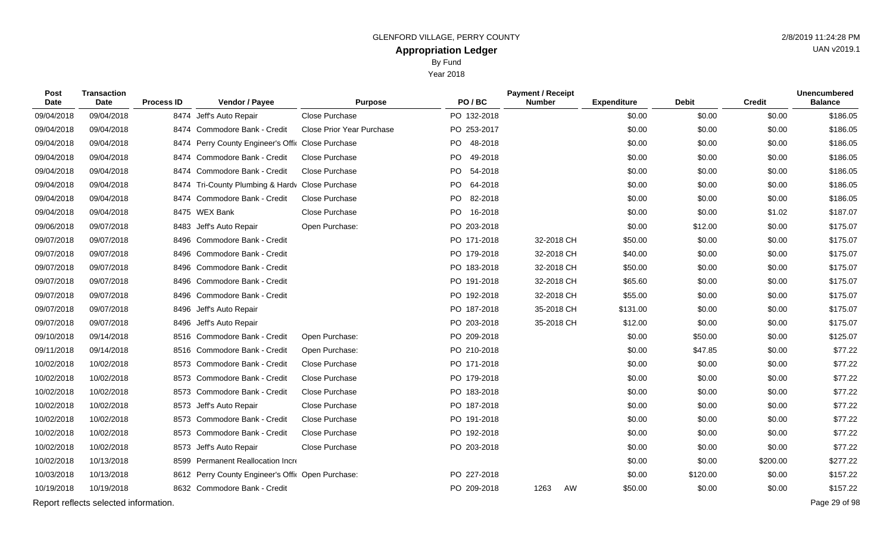Year 2018

| Post<br>Date | <b>Transaction</b><br><b>Date</b>     | <b>Process ID</b> | Vendor / Payee                                    | <b>Purpose</b>            | PO/BC       | <b>Payment / Receipt</b><br><b>Number</b> |    | <b>Expenditure</b> | <b>Debit</b> | <b>Credit</b> | <b>Unencumbered</b><br><b>Balance</b> |
|--------------|---------------------------------------|-------------------|---------------------------------------------------|---------------------------|-------------|-------------------------------------------|----|--------------------|--------------|---------------|---------------------------------------|
| 09/04/2018   | 09/04/2018                            |                   | 8474 Jeff's Auto Repair                           | Close Purchase            | PO 132-2018 |                                           |    | \$0.00             | \$0.00       | \$0.00        | \$186.05                              |
| 09/04/2018   | 09/04/2018                            |                   | 8474 Commodore Bank - Credit                      | Close Prior Year Purchase | PO 253-2017 |                                           |    | \$0.00             | \$0.00       | \$0.00        | \$186.05                              |
| 09/04/2018   | 09/04/2018                            |                   | 8474 Perry County Engineer's Offic Close Purchase |                           | PO 48-2018  |                                           |    | \$0.00             | \$0.00       | \$0.00        | \$186.05                              |
| 09/04/2018   | 09/04/2018                            |                   | 8474 Commodore Bank - Credit                      | <b>Close Purchase</b>     | PO 49-2018  |                                           |    | \$0.00             | \$0.00       | \$0.00        | \$186.05                              |
| 09/04/2018   | 09/04/2018                            |                   | 8474 Commodore Bank - Credit                      | Close Purchase            | PO 54-2018  |                                           |    | \$0.00             | \$0.00       | \$0.00        | \$186.05                              |
| 09/04/2018   | 09/04/2018                            |                   | 8474 Tri-County Plumbing & Hardv Close Purchase   |                           | PO 64-2018  |                                           |    | \$0.00             | \$0.00       | \$0.00        | \$186.05                              |
| 09/04/2018   | 09/04/2018                            |                   | 8474 Commodore Bank - Credit                      | Close Purchase            | PO 82-2018  |                                           |    | \$0.00             | \$0.00       | \$0.00        | \$186.05                              |
| 09/04/2018   | 09/04/2018                            |                   | 8475 WEX Bank                                     | Close Purchase            | PO 16-2018  |                                           |    | \$0.00             | \$0.00       | \$1.02        | \$187.07                              |
| 09/06/2018   | 09/07/2018                            |                   | 8483 Jeff's Auto Repair                           | Open Purchase:            | PO 203-2018 |                                           |    | \$0.00             | \$12.00      | \$0.00        | \$175.07                              |
| 09/07/2018   | 09/07/2018                            | 8496              | Commodore Bank - Credit                           |                           | PO 171-2018 | 32-2018 CH                                |    | \$50.00            | \$0.00       | \$0.00        | \$175.07                              |
| 09/07/2018   | 09/07/2018                            | 8496              | Commodore Bank - Credit                           |                           | PO 179-2018 | 32-2018 CH                                |    | \$40.00            | \$0.00       | \$0.00        | \$175.07                              |
| 09/07/2018   | 09/07/2018                            | 8496              | Commodore Bank - Credit                           |                           | PO 183-2018 | 32-2018 CH                                |    | \$50.00            | \$0.00       | \$0.00        | \$175.07                              |
| 09/07/2018   | 09/07/2018                            | 8496              | Commodore Bank - Credit                           |                           | PO 191-2018 | 32-2018 CH                                |    | \$65.60            | \$0.00       | \$0.00        | \$175.07                              |
| 09/07/2018   | 09/07/2018                            | 8496              | Commodore Bank - Credit                           |                           | PO 192-2018 | 32-2018 CH                                |    | \$55.00            | \$0.00       | \$0.00        | \$175.07                              |
| 09/07/2018   | 09/07/2018                            |                   | 8496 Jeff's Auto Repair                           |                           | PO 187-2018 | 35-2018 CH                                |    | \$131.00           | \$0.00       | \$0.00        | \$175.07                              |
| 09/07/2018   | 09/07/2018                            | 8496              | Jeff's Auto Repair                                |                           | PO 203-2018 | 35-2018 CH                                |    | \$12.00            | \$0.00       | \$0.00        | \$175.07                              |
| 09/10/2018   | 09/14/2018                            |                   | 8516 Commodore Bank - Credit                      | Open Purchase:            | PO 209-2018 |                                           |    | \$0.00             | \$50.00      | \$0.00        | \$125.07                              |
| 09/11/2018   | 09/14/2018                            |                   | 8516 Commodore Bank - Credit                      | Open Purchase:            | PO 210-2018 |                                           |    | \$0.00             | \$47.85      | \$0.00        | \$77.22                               |
| 10/02/2018   | 10/02/2018                            |                   | 8573 Commodore Bank - Credit                      | Close Purchase            | PO 171-2018 |                                           |    | \$0.00             | \$0.00       | \$0.00        | \$77.22                               |
| 10/02/2018   | 10/02/2018                            | 8573              | Commodore Bank - Credit                           | Close Purchase            | PO 179-2018 |                                           |    | \$0.00             | \$0.00       | \$0.00        | \$77.22                               |
| 10/02/2018   | 10/02/2018                            |                   | 8573 Commodore Bank - Credit                      | Close Purchase            | PO 183-2018 |                                           |    | \$0.00             | \$0.00       | \$0.00        | \$77.22                               |
| 10/02/2018   | 10/02/2018                            |                   | 8573 Jeff's Auto Repair                           | Close Purchase            | PO 187-2018 |                                           |    | \$0.00             | \$0.00       | \$0.00        | \$77.22                               |
| 10/02/2018   | 10/02/2018                            |                   | 8573 Commodore Bank - Credit                      | Close Purchase            | PO 191-2018 |                                           |    | \$0.00             | \$0.00       | \$0.00        | \$77.22                               |
| 10/02/2018   | 10/02/2018                            |                   | 8573 Commodore Bank - Credit                      | Close Purchase            | PO 192-2018 |                                           |    | \$0.00             | \$0.00       | \$0.00        | \$77.22                               |
| 10/02/2018   | 10/02/2018                            | 8573              | Jeff's Auto Repair                                | Close Purchase            | PO 203-2018 |                                           |    | \$0.00             | \$0.00       | \$0.00        | \$77.22                               |
| 10/02/2018   | 10/13/2018                            |                   | 8599 Permanent Reallocation Incre                 |                           |             |                                           |    | \$0.00             | \$0.00       | \$200.00      | \$277.22                              |
| 10/03/2018   | 10/13/2018                            |                   | 8612 Perry County Engineer's Offic Open Purchase: |                           | PO 227-2018 |                                           |    | \$0.00             | \$120.00     | \$0.00        | \$157.22                              |
| 10/19/2018   | 10/19/2018                            |                   | 8632 Commodore Bank - Credit                      |                           | PO 209-2018 | 1263                                      | AW | \$50.00            | \$0.00       | \$0.00        | \$157.22                              |
|              | Report reflects selected information. |                   |                                                   |                           |             |                                           |    |                    |              |               | Page 29 of 98                         |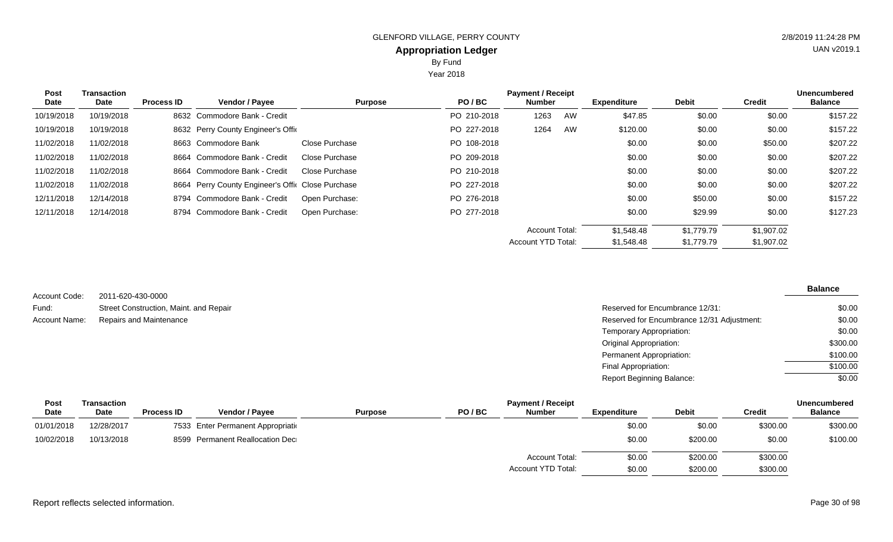Year 2018

| <b>Post</b><br><b>Date</b> | <b>Transaction</b><br>Date | <b>Process ID</b> | <b>Vendor / Payee</b>                             | <b>Purpose</b> | PO/BC       | <b>Payment / Receipt</b><br><b>Number</b> |    | <b>Expenditure</b> | <b>Debit</b> | Credit     | <b>Unencumbered</b><br><b>Balance</b> |
|----------------------------|----------------------------|-------------------|---------------------------------------------------|----------------|-------------|-------------------------------------------|----|--------------------|--------------|------------|---------------------------------------|
| 10/19/2018                 | 10/19/2018                 |                   | 8632 Commodore Bank - Credit                      |                | PO 210-2018 | 1263                                      | AW | \$47.85            | \$0.00       | \$0.00     | \$157.22                              |
| 10/19/2018                 | 10/19/2018                 |                   | 8632 Perry County Engineer's Offic                |                | PO 227-2018 | 1264                                      | AW | \$120.00           | \$0.00       | \$0.00     | \$157.22                              |
| 11/02/2018                 | 11/02/2018                 |                   | 8663 Commodore Bank                               | Close Purchase | PO 108-2018 |                                           |    | \$0.00             | \$0.00       | \$50.00    | \$207.22                              |
| 11/02/2018                 | 11/02/2018                 |                   | 8664 Commodore Bank - Credit                      | Close Purchase | PO 209-2018 |                                           |    | \$0.00             | \$0.00       | \$0.00     | \$207.22                              |
| 11/02/2018                 | 11/02/2018                 |                   | 8664 Commodore Bank - Credit                      | Close Purchase | PO 210-2018 |                                           |    | \$0.00             | \$0.00       | \$0.00     | \$207.22                              |
| 11/02/2018                 | 11/02/2018                 |                   | 8664 Perry County Engineer's Offic Close Purchase |                | PO 227-2018 |                                           |    | \$0.00             | \$0.00       | \$0.00     | \$207.22                              |
| 12/11/2018                 | 12/14/2018                 |                   | 8794 Commodore Bank - Credit                      | Open Purchase: | PO 276-2018 |                                           |    | \$0.00             | \$50.00      | \$0.00     | \$157.22                              |
| 12/11/2018                 | 12/14/2018                 |                   | 8794 Commodore Bank - Credit                      | Open Purchase: | PO 277-2018 |                                           |    | \$0.00             | \$29.99      | \$0.00     | \$127.23                              |
|                            |                            |                   |                                                   |                |             | <b>Account Total:</b>                     |    | \$1,548.48         | \$1.779.79   | \$1,907.02 |                                       |
|                            |                            |                   |                                                   |                |             | Account YTD Total:                        |    | \$1,548.48         | \$1,779.79   | \$1,907.02 |                                       |

| Account Code: | 2011-620-430-0000                      |                                            |
|---------------|----------------------------------------|--------------------------------------------|
| Fund:         | Street Construction, Maint. and Repair | Reserved for Encumbrance 12/31:            |
| Account Name: | Repairs and Maintenance                | Reserved for Encumbrance 12/31 Adjustment: |
|               |                                        | Temporary Appropriation:                   |
|               |                                        | Original Appropriation:                    |
|               |                                        | Permanent Appropriation:                   |
|               |                                        | Final Appropriation:                       |
|               |                                        | <b>Report Beginning Balance:</b>           |

| <b>Post</b> | Transaction |                   |                                    |                         | <b>Payment / Receipt</b> |                    |              | Unencumbered |                |
|-------------|-------------|-------------------|------------------------------------|-------------------------|--------------------------|--------------------|--------------|--------------|----------------|
| Date        | Date        | <b>Process ID</b> | <b>Vendor / Pavee</b>              | PO/BC<br><b>Purpose</b> | <b>Number</b>            | <b>Expenditure</b> | <b>Debit</b> | Credit       | <b>Balance</b> |
| 01/01/2018  | 12/28/2017  |                   | 7533 Enter Permanent Appropriation |                         |                          | \$0.00             | \$0.00       | \$300.00     | \$300.00       |
| 10/02/2018  | 10/13/2018  |                   | 8599 Permanent Reallocation Dec    |                         |                          | \$0.00             | \$200.00     | \$0.00       | \$100.00       |
|             |             |                   |                                    |                         | <b>Account Total:</b>    | \$0.00             | \$200.00     | \$300.00     |                |
|             |             |                   |                                    |                         | Account YTD Total:       | \$0.00             | \$200.00     | \$300.00     |                |

#### Report reflects selected information. Page 30 of 98

UAN v2019.1

**Balance**

\$0.00 \$0.00 \$0.00 \$300.00 \$100.00 \$100.00 \$0.00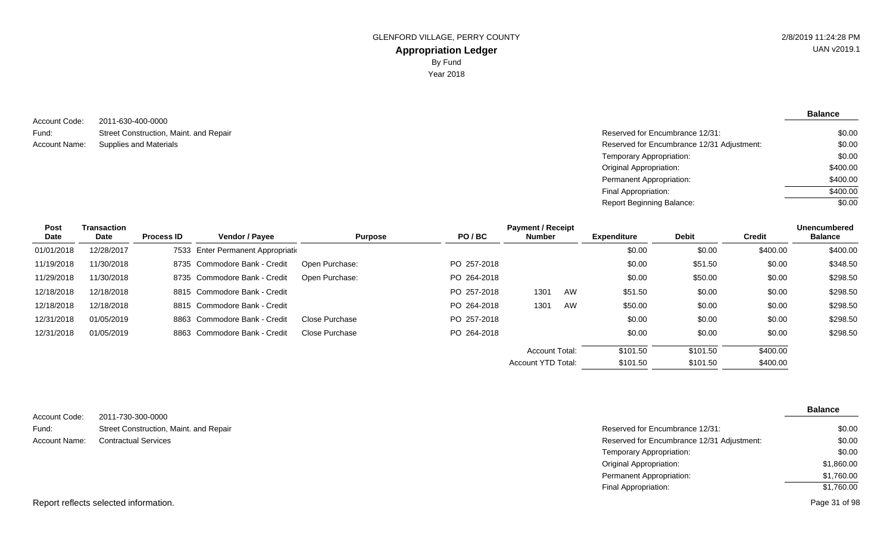**Balance**

2011-630-400-0000 Street Construction, Maint. and Repair Account Code: Fund: Account Name:

Reserved for Encumbrance 12/31: Supplies and Materials **Reserved for Encumbrance 12/31 Adjustment:** Temporary Appropriation: Original Appropriation: Permanent Appropriation: Final Appropriation: Report Beginning Balance: \$0.00 \$0.00 \$0.00 \$400.00 \$400.00 \$400.00 \$0.00

| Post        | <b>Transaction</b> |                   |                                    |                |             | <b>Payment / Receipt</b> |    |                    |              | <b>Unencumbered</b> |                |
|-------------|--------------------|-------------------|------------------------------------|----------------|-------------|--------------------------|----|--------------------|--------------|---------------------|----------------|
| <b>Date</b> | Date               | <b>Process ID</b> | <b>Vendor / Payee</b>              | <b>Purpose</b> | PO/BC       | <b>Number</b>            |    | <b>Expenditure</b> | <b>Debit</b> | <b>Credit</b>       | <b>Balance</b> |
| 01/01/2018  | 12/28/2017         |                   | 7533 Enter Permanent Appropriation |                |             |                          |    | \$0.00             | \$0.00       | \$400.00            | \$400.00       |
| 11/19/2018  | 11/30/2018         |                   | 8735 Commodore Bank - Credit       | Open Purchase: | PO 257-2018 |                          |    | \$0.00             | \$51.50      | \$0.00              | \$348.50       |
| 11/29/2018  | 11/30/2018         |                   | 8735 Commodore Bank - Credit       | Open Purchase: | PO 264-2018 |                          |    | \$0.00             | \$50.00      | \$0.00              | \$298.50       |
| 12/18/2018  | 12/18/2018         |                   | 8815 Commodore Bank - Credit       |                | PO 257-2018 | 1301                     | AW | \$51.50            | \$0.00       | \$0.00              | \$298.50       |
| 12/18/2018  | 12/18/2018         |                   | 8815 Commodore Bank - Credit       |                | PO 264-2018 | 1301                     | AW | \$50.00            | \$0.00       | \$0.00              | \$298.50       |
| 12/31/2018  | 01/05/2019         |                   | 8863 Commodore Bank - Credit       | Close Purchase | PO 257-2018 |                          |    | \$0.00             | \$0.00       | \$0.00              | \$298.50       |
| 12/31/2018  | 01/05/2019         |                   | 8863 Commodore Bank - Credit       | Close Purchase | PO 264-2018 |                          |    | \$0.00             | \$0.00       | \$0.00              | \$298.50       |
|             |                    |                   |                                    |                |             | Account Total:           |    | \$101.50           | \$101.50     | \$400.00            |                |
|             |                    |                   |                                    |                |             | Account YTD Total:       |    | \$101.50           | \$101.50     | \$400.00            |                |

|               |                                        |                                            | <b>Balance</b> |
|---------------|----------------------------------------|--------------------------------------------|----------------|
| Account Code: | 2011-730-300-0000                      |                                            |                |
| Fund:         | Street Construction, Maint. and Repair | Reserved for Encumbrance 12/31:            | \$0.00         |
| Account Name: | <b>Contractual Services</b>            | Reserved for Encumbrance 12/31 Adjustment: | \$0.00         |
|               |                                        | Temporary Appropriation:                   | \$0.00         |
|               |                                        | Original Appropriation:                    | \$1,860.00     |
|               |                                        | Permanent Appropriation:                   | \$1,760.00     |
|               |                                        | Final Appropriation:                       | \$1,760.00     |
|               |                                        |                                            | _ _ _ _ _      |

Report reflects selected information.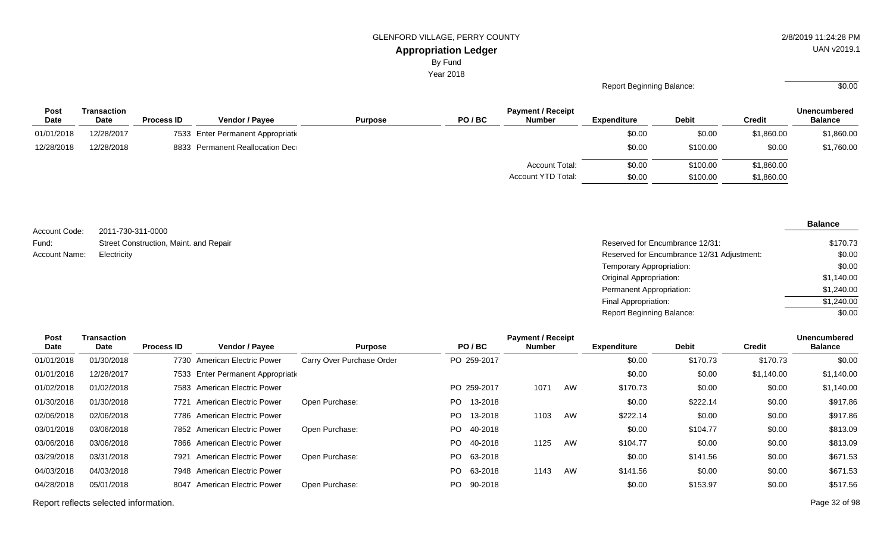By Fund

Year 2018

#### Report Beginning Balance:  $\overline{\hspace{1.5cm}80.00}$

| <b>Post</b> | Transaction |                   |                                    |                |       | <b>Payment / Receipt</b> |                    |              |               | <b>Unencumbered</b> |
|-------------|-------------|-------------------|------------------------------------|----------------|-------|--------------------------|--------------------|--------------|---------------|---------------------|
| <b>Date</b> | Date        | <b>Process ID</b> | <b>Vendor / Payee</b>              | <b>Purpose</b> | PO/BC | <b>Number</b>            | <b>Expenditure</b> | <b>Debit</b> | <b>Credit</b> | <b>Balance</b>      |
| 01/01/2018  | 12/28/2017  |                   | 7533 Enter Permanent Appropriation |                |       |                          | \$0.00             | \$0.00       | \$1,860.00    | \$1,860.00          |
| 12/28/2018  | 12/28/2018  |                   | 8833 Permanent Reallocation Dec    |                |       |                          | \$0.00             | \$100.00     | \$0.00        | \$1,760.00          |
|             |             |                   |                                    |                |       | <b>Account Total:</b>    | \$0.00             | \$100.00     | \$1,860.00    |                     |
|             |             |                   |                                    |                |       | Account YTD Total:       | \$0.00             | \$100.00     | \$1,860.00    |                     |

2011-730-311-0000 Street Construction, Maint. and Repair Account Code: Fund: Account Name:

| ZU I I-1 JU-J I I-UUUU                 |                                            |            |
|----------------------------------------|--------------------------------------------|------------|
| Street Construction, Maint. and Repair | Reserved for Encumbrance 12/31:            | \$170.73   |
| Electricity                            | Reserved for Encumbrance 12/31 Adjustment: | \$0.00     |
|                                        | Temporary Appropriation:                   | \$0.00     |
|                                        | Original Appropriation:                    | \$1,140.00 |
|                                        | Permanent Appropriation:                   | \$1,240.00 |
|                                        | Final Appropriation:                       | \$1,240.00 |
|                                        | <b>Report Beginning Balance:</b>           | \$0.00     |

| <b>Post</b><br><b>Date</b> | Transaction<br>Date | <b>Process ID</b> | Vendor / Payee                     | <b>Purpose</b>            | PO/BC           | <b>Payment / Receipt</b><br><b>Number</b> |    | <b>Expenditure</b> | <b>Debit</b> | <b>Credit</b> | Unencumbered<br><b>Balance</b> |
|----------------------------|---------------------|-------------------|------------------------------------|---------------------------|-----------------|-------------------------------------------|----|--------------------|--------------|---------------|--------------------------------|
| 01/01/2018                 | 01/30/2018          |                   | 7730 American Electric Power       | Carry Over Purchase Order | PO 259-2017     |                                           |    | \$0.00             | \$170.73     | \$170.73      | \$0.00                         |
| 01/01/2018                 | 12/28/2017          |                   | 7533 Enter Permanent Appropriation |                           |                 |                                           |    | \$0.00             | \$0.00       | \$1,140.00    | \$1,140.00                     |
| 01/02/2018                 | 01/02/2018          |                   | 7583 American Electric Power       |                           | PO 259-2017     | 107'                                      | AW | \$170.73           | \$0.00       | \$0.00        | \$1,140.00                     |
| 01/30/2018                 | 01/30/2018          | 7721              | <b>American Electric Power</b>     | Open Purchase:            | 13-2018<br>PO - |                                           |    | \$0.00             | \$222.14     | \$0.00        | \$917.86                       |
| 02/06/2018                 | 02/06/2018          |                   | 7786 American Electric Power       |                           | PO.<br>13-2018  | 1103                                      | AW | \$222.14           | \$0.00       | \$0.00        | \$917.86                       |
| 03/01/2018                 | 03/06/2018          |                   | 7852 American Electric Power       | Open Purchase:            | PO.<br>40-2018  |                                           |    | \$0.00             | \$104.77     | \$0.00        | \$813.09                       |
| 03/06/2018                 | 03/06/2018          |                   | 7866 American Electric Power       |                           | PO.<br>40-2018  | 1125                                      | AW | \$104.77           | \$0.00       | \$0.00        | \$813.09                       |
| 03/29/2018                 | 03/31/2018          | 7921              | <b>American Electric Power</b>     | Open Purchase:            | PO.<br>63-2018  |                                           |    | \$0.00             | \$141.56     | \$0.00        | \$671.53                       |
| 04/03/2018                 | 04/03/2018          |                   | 7948 American Electric Power       |                           | PO.<br>63-2018  | 1143                                      | AW | \$141.56           | \$0.00       | \$0.00        | \$671.53                       |
| 04/28/2018                 | 05/01/2018          | 8047              | <b>American Electric Power</b>     | Open Purchase:            | 90-2018<br>PO.  |                                           |    | \$0.00             | \$153.97     | \$0.00        | \$517.56                       |
|                            |                     |                   |                                    |                           |                 |                                           |    |                    |              |               |                                |

Report reflects selected information. Page 32 of 98

# UAN v2019.1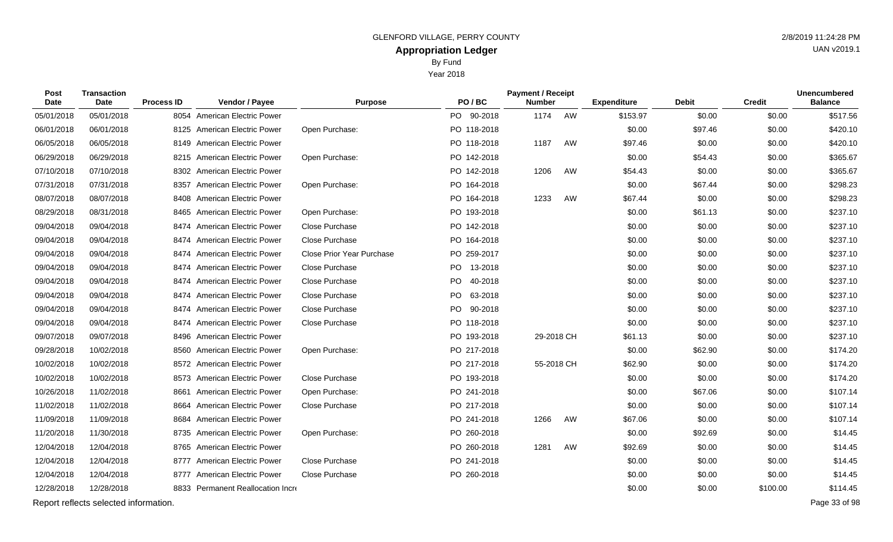Year 2018

| Post<br><b>Date</b> | Transaction<br>Date                   | <b>Process ID</b> | Vendor / Payee                    | <b>Purpose</b>                   | PO/BC       | <b>Payment / Receipt</b><br><b>Number</b> |    | <b>Expenditure</b> | <b>Debit</b> | <b>Credit</b> | <b>Unencumbered</b><br><b>Balance</b> |
|---------------------|---------------------------------------|-------------------|-----------------------------------|----------------------------------|-------------|-------------------------------------------|----|--------------------|--------------|---------------|---------------------------------------|
| 05/01/2018          | 05/01/2018                            |                   | 8054 American Electric Power      |                                  | PO 90-2018  | 1174                                      | AW | \$153.97           | \$0.00       | \$0.00        | \$517.56                              |
| 06/01/2018          | 06/01/2018                            |                   | 8125 American Electric Power      | Open Purchase:                   | PO 118-2018 |                                           |    | \$0.00             | \$97.46      | \$0.00        | \$420.10                              |
| 06/05/2018          | 06/05/2018                            |                   | 8149 American Electric Power      |                                  | PO 118-2018 | 1187                                      | AW | \$97.46            | \$0.00       | \$0.00        | \$420.10                              |
| 06/29/2018          | 06/29/2018                            |                   | 8215 American Electric Power      | Open Purchase:                   | PO 142-2018 |                                           |    | \$0.00             | \$54.43      | \$0.00        | \$365.67                              |
| 07/10/2018          | 07/10/2018                            |                   | 8302 American Electric Power      |                                  | PO 142-2018 | 1206                                      | AW | \$54.43            | \$0.00       | \$0.00        | \$365.67                              |
| 07/31/2018          | 07/31/2018                            |                   | 8357 American Electric Power      | Open Purchase:                   | PO 164-2018 |                                           |    | \$0.00             | \$67.44      | \$0.00        | \$298.23                              |
| 08/07/2018          | 08/07/2018                            |                   | 8408 American Electric Power      |                                  | PO 164-2018 | 1233                                      | AW | \$67.44            | \$0.00       | \$0.00        | \$298.23                              |
| 08/29/2018          | 08/31/2018                            |                   | 8465 American Electric Power      | Open Purchase:                   | PO 193-2018 |                                           |    | \$0.00             | \$61.13      | \$0.00        | \$237.10                              |
| 09/04/2018          | 09/04/2018                            |                   | 8474 American Electric Power      | Close Purchase                   | PO 142-2018 |                                           |    | \$0.00             | \$0.00       | \$0.00        | \$237.10                              |
| 09/04/2018          | 09/04/2018                            |                   | 8474 American Electric Power      | <b>Close Purchase</b>            | PO 164-2018 |                                           |    | \$0.00             | \$0.00       | \$0.00        | \$237.10                              |
| 09/04/2018          | 09/04/2018                            |                   | 8474 American Electric Power      | <b>Close Prior Year Purchase</b> | PO 259-2017 |                                           |    | \$0.00             | \$0.00       | \$0.00        | \$237.10                              |
| 09/04/2018          | 09/04/2018                            | 8474              | American Electric Power           | Close Purchase                   | PO 13-2018  |                                           |    | \$0.00             | \$0.00       | \$0.00        | \$237.10                              |
| 09/04/2018          | 09/04/2018                            |                   | 8474 American Electric Power      | Close Purchase                   | PO 40-2018  |                                           |    | \$0.00             | \$0.00       | \$0.00        | \$237.10                              |
| 09/04/2018          | 09/04/2018                            | 8474              | <b>American Electric Power</b>    | Close Purchase                   | PO 63-2018  |                                           |    | \$0.00             | \$0.00       | \$0.00        | \$237.10                              |
| 09/04/2018          | 09/04/2018                            |                   | 8474 American Electric Power      | Close Purchase                   | PO 90-2018  |                                           |    | \$0.00             | \$0.00       | \$0.00        | \$237.10                              |
| 09/04/2018          | 09/04/2018                            | 8474              | <b>American Electric Power</b>    | Close Purchase                   | PO 118-2018 |                                           |    | \$0.00             | \$0.00       | \$0.00        | \$237.10                              |
| 09/07/2018          | 09/07/2018                            |                   | 8496 American Electric Power      |                                  | PO 193-2018 | 29-2018 CH                                |    | \$61.13            | \$0.00       | \$0.00        | \$237.10                              |
| 09/28/2018          | 10/02/2018                            |                   | 8560 American Electric Power      | Open Purchase:                   | PO 217-2018 |                                           |    | \$0.00             | \$62.90      | \$0.00        | \$174.20                              |
| 10/02/2018          | 10/02/2018                            |                   | 8572 American Electric Power      |                                  | PO 217-2018 | 55-2018 CH                                |    | \$62.90            | \$0.00       | \$0.00        | \$174.20                              |
| 10/02/2018          | 10/02/2018                            |                   | 8573 American Electric Power      | Close Purchase                   | PO 193-2018 |                                           |    | \$0.00             | \$0.00       | \$0.00        | \$174.20                              |
| 10/26/2018          | 11/02/2018                            |                   | 8661 American Electric Power      | Open Purchase:                   | PO 241-2018 |                                           |    | \$0.00             | \$67.06      | \$0.00        | \$107.14                              |
| 11/02/2018          | 11/02/2018                            |                   | 8664 American Electric Power      | Close Purchase                   | PO 217-2018 |                                           |    | \$0.00             | \$0.00       | \$0.00        | \$107.14                              |
| 11/09/2018          | 11/09/2018                            |                   | 8684 American Electric Power      |                                  | PO 241-2018 | 1266                                      | AW | \$67.06            | \$0.00       | \$0.00        | \$107.14                              |
| 11/20/2018          | 11/30/2018                            |                   | 8735 American Electric Power      | Open Purchase:                   | PO 260-2018 |                                           |    | \$0.00             | \$92.69      | \$0.00        | \$14.45                               |
| 12/04/2018          | 12/04/2018                            |                   | 8765 American Electric Power      |                                  | PO 260-2018 | 1281                                      | AW | \$92.69            | \$0.00       | \$0.00        | \$14.45                               |
| 12/04/2018          | 12/04/2018                            |                   | 8777 American Electric Power      | Close Purchase                   | PO 241-2018 |                                           |    | \$0.00             | \$0.00       | \$0.00        | \$14.45                               |
| 12/04/2018          | 12/04/2018                            |                   | 8777 American Electric Power      | Close Purchase                   | PO 260-2018 |                                           |    | \$0.00             | \$0.00       | \$0.00        | \$14.45                               |
| 12/28/2018          | 12/28/2018                            |                   | 8833 Permanent Reallocation Incre |                                  |             |                                           |    | \$0.00             | \$0.00       | \$100.00      | \$114.45                              |
|                     | Report reflects selected information. |                   |                                   |                                  |             |                                           |    |                    |              |               | Page 33 of 98                         |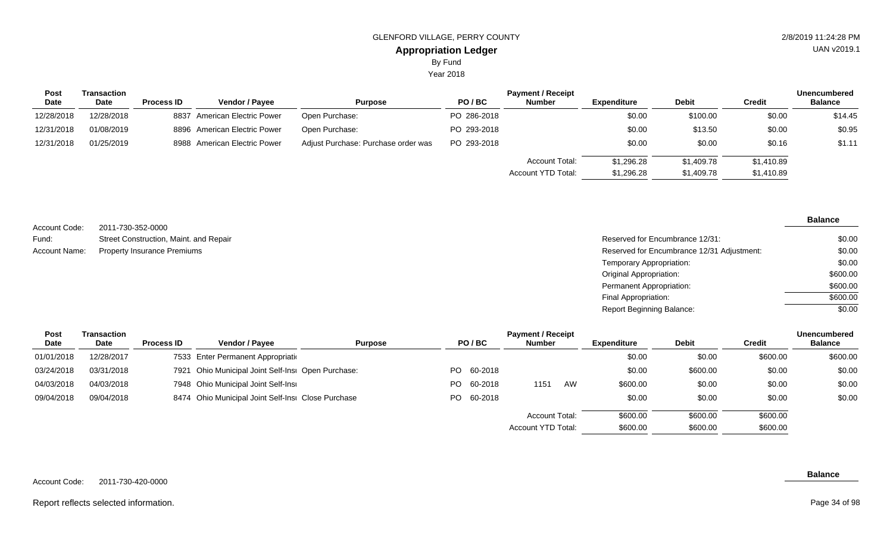Year 2018

| Post        | Transaction |                   |                              |                                     |             | <b>Payment / Receipt</b> |             |              |            | <b>Unencumbered</b> |
|-------------|-------------|-------------------|------------------------------|-------------------------------------|-------------|--------------------------|-------------|--------------|------------|---------------------|
| <b>Date</b> | <b>Date</b> | <b>Process ID</b> | <b>Vendor / Payee</b>        | <b>Purpose</b>                      | PO/BC       | <b>Number</b>            | Expenditure | <b>Debit</b> | Credit     | <b>Balance</b>      |
| 12/28/2018  | 12/28/2018  |                   | 8837 American Electric Power | Open Purchase:                      | PO 286-2018 |                          | \$0.00      | \$100.00     | \$0.00     | \$14.45             |
| 12/31/2018  | 01/08/2019  |                   | 8896 American Electric Power | Open Purchase:                      | PO 293-2018 |                          | \$0.00      | \$13.50      | \$0.00     | \$0.95              |
| 12/31/2018  | 01/25/2019  |                   | 8988 American Electric Power | Adjust Purchase: Purchase order was | PO 293-2018 |                          | \$0.00      | \$0.00       | \$0.16     | \$1.11              |
|             |             |                   |                              |                                     |             | Account Total:           | \$1,296.28  | \$1,409.78   | \$1,410.89 |                     |
|             |             |                   |                              |                                     |             | Account YTD Total:       | \$1,296.28  | \$1,409.78   | \$1,410.89 |                     |

| Account Code: | 2011-730-352-0000                      |
|---------------|----------------------------------------|
| Fund:         | Street Construction, Maint. and Repair |
| Account Name: | <b>Property Insurance Premiums</b>     |

| Street Construction, Maint. and Repair | Reserved for Encumbrance 12/31:            | \$0.00   |
|----------------------------------------|--------------------------------------------|----------|
| Property Insurance Premiums            | Reserved for Encumbrance 12/31 Adjustment: | \$0.00   |
|                                        | Temporary Appropriation:                   | \$0.00   |
|                                        | Original Appropriation:                    | \$600.00 |
|                                        | Permanent Appropriation:                   | \$600.00 |
|                                        | Final Appropriation:                       | \$600.00 |
|                                        | <b>Report Beginning Balance:</b>           | \$0.00   |

| Post       | Transaction |                   |                                                    |                |     |            | <b>Payment / Receipt</b> |    |                    |              |               | Unencumbered   |
|------------|-------------|-------------------|----------------------------------------------------|----------------|-----|------------|--------------------------|----|--------------------|--------------|---------------|----------------|
| Date       | Date        | <b>Process ID</b> | <b>Vendor / Pavee</b>                              | <b>Purpose</b> |     | PO/BC      | <b>Number</b>            |    | <b>Expenditure</b> | <b>Debit</b> | <b>Credit</b> | <b>Balance</b> |
| 01/01/2018 | 12/28/2017  |                   | 7533 Enter Permanent Appropriation                 |                |     |            |                          |    | \$0.00             | \$0.00       | \$600.00      | \$600.00       |
| 03/24/2018 | 03/31/2018  |                   | 7921 Ohio Municipal Joint Self-Insi Open Purchase: |                |     | PO 60-2018 |                          |    | \$0.00             | \$600.00     | \$0.00        | \$0.00         |
| 04/03/2018 | 04/03/2018  |                   | 7948 Ohio Municipal Joint Self-Insi                |                | PO. | 60-2018    | 1151                     | AW | \$600.00           | \$0.00       | \$0.00        | \$0.00         |
| 09/04/2018 | 09/04/2018  |                   | 8474 Ohio Municipal Joint Self-Insi Close Purchase |                |     | PO 60-2018 |                          |    | \$0.00             | \$0.00       | \$0.00        | \$0.00         |
|            |             |                   |                                                    |                |     |            | Account Total:           |    | \$600.00           | \$600.00     | \$600.00      |                |
|            |             |                   |                                                    |                |     |            | Account YTD Total:       |    | \$600.00           | \$600.00     | \$600.00      |                |

Report reflects selected information.

#### **Balance**

# UAN v2019.1

**Balance**

Page 34 of 98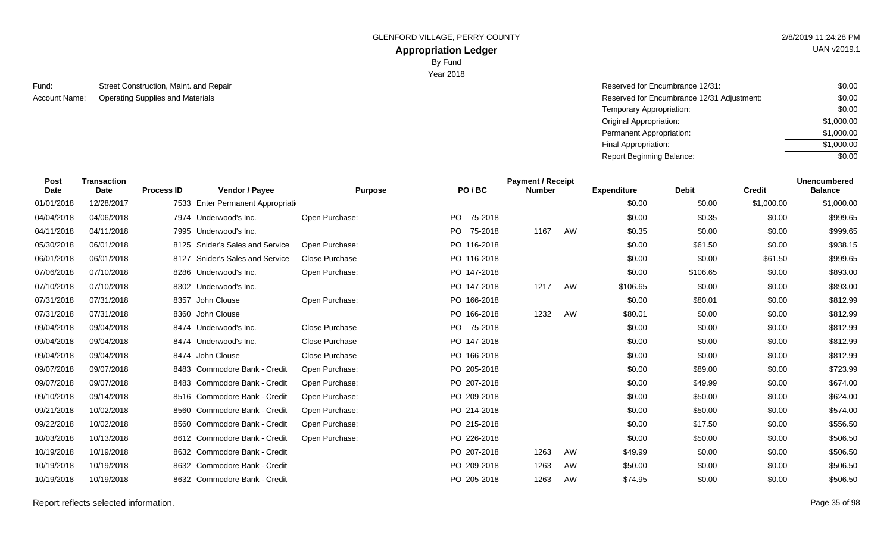GLENFORD VILLAGE, PERRY COUNTY **2/8/2019 11:24:28 PM** 

# **Appropriation Ledger**

By Fund

Year 2018

| Fund:         | Street Construction, Maint. and Repair | Reserved for Encumbrance 12/31: |
|---------------|----------------------------------------|---------------------------------|
| Account Name: | Operating Supplies and Materials       | Reserved for Encumbrance 12/31  |

| Street Construction, Maint. and Repair | Reserved for Encumbrance 12/31:            | \$0.00     |
|----------------------------------------|--------------------------------------------|------------|
| Operating Supplies and Materials       | Reserved for Encumbrance 12/31 Adjustment: | \$0.00     |
|                                        | Temporary Appropriation:                   | \$0.00     |
|                                        | Original Appropriation:                    | \$1,000.00 |
|                                        | Permanent Appropriation:                   | \$1,000.00 |
|                                        | Final Appropriation:                       | \$1,000.00 |
|                                        | <b>Report Beginning Balance:</b>           | \$0.00     |

| <b>Post</b><br><b>Date</b> | <b>Transaction</b><br>Date | <b>Process ID</b> | Vendor / Payee                     | <b>Purpose</b>        | PO/BC          | <b>Payment / Receipt</b><br><b>Number</b> |    | <b>Expenditure</b> | <b>Debit</b> | <b>Credit</b> | <b>Unencumbered</b><br><b>Balance</b> |
|----------------------------|----------------------------|-------------------|------------------------------------|-----------------------|----------------|-------------------------------------------|----|--------------------|--------------|---------------|---------------------------------------|
| 01/01/2018                 | 12/28/2017                 |                   | 7533 Enter Permanent Appropriation |                       |                |                                           |    | \$0.00             | \$0.00       | \$1,000.00    | \$1,000.00                            |
| 04/04/2018                 | 04/06/2018                 |                   | 7974 Underwood's Inc.              | Open Purchase:        | PO.<br>75-2018 |                                           |    | \$0.00             | \$0.35       | \$0.00        | \$999.65                              |
| 04/11/2018                 | 04/11/2018                 |                   | 7995 Underwood's Inc.              |                       | PO 75-2018     | 1167                                      | AW | \$0.35             | \$0.00       | \$0.00        | \$999.65                              |
| 05/30/2018                 | 06/01/2018                 | 8125              | <b>Snider's Sales and Service</b>  | Open Purchase:        | PO 116-2018    |                                           |    | \$0.00             | \$61.50      | \$0.00        | \$938.15                              |
| 06/01/2018                 | 06/01/2018                 | 8127              | <b>Snider's Sales and Service</b>  | <b>Close Purchase</b> | PO 116-2018    |                                           |    | \$0.00             | \$0.00       | \$61.50       | \$999.65                              |
| 07/06/2018                 | 07/10/2018                 |                   | 8286 Underwood's Inc.              | Open Purchase:        | PO 147-2018    |                                           |    | \$0.00             | \$106.65     | \$0.00        | \$893.00                              |
| 07/10/2018                 | 07/10/2018                 |                   | 8302 Underwood's Inc.              |                       | PO 147-2018    | 1217                                      | AW | \$106.65           | \$0.00       | \$0.00        | \$893.00                              |
| 07/31/2018                 | 07/31/2018                 |                   | 8357 John Clouse                   | Open Purchase:        | PO 166-2018    |                                           |    | \$0.00             | \$80.01      | \$0.00        | \$812.99                              |
| 07/31/2018                 | 07/31/2018                 |                   | 8360 John Clouse                   |                       | PO 166-2018    | 1232                                      | AW | \$80.01            | \$0.00       | \$0.00        | \$812.99                              |
| 09/04/2018                 | 09/04/2018                 |                   | 8474 Underwood's Inc.              | <b>Close Purchase</b> | 75-2018<br>PO. |                                           |    | \$0.00             | \$0.00       | \$0.00        | \$812.99                              |
| 09/04/2018                 | 09/04/2018                 |                   | 8474 Underwood's Inc.              | Close Purchase        | PO 147-2018    |                                           |    | \$0.00             | \$0.00       | \$0.00        | \$812.99                              |
| 09/04/2018                 | 09/04/2018                 |                   | 8474 John Clouse                   | Close Purchase        | PO 166-2018    |                                           |    | \$0.00             | \$0.00       | \$0.00        | \$812.99                              |
| 09/07/2018                 | 09/07/2018                 |                   | 8483 Commodore Bank - Credit       | Open Purchase:        | PO 205-2018    |                                           |    | \$0.00             | \$89.00      | \$0.00        | \$723.99                              |
| 09/07/2018                 | 09/07/2018                 |                   | 8483 Commodore Bank - Credit       | Open Purchase:        | PO 207-2018    |                                           |    | \$0.00             | \$49.99      | \$0.00        | \$674.00                              |
| 09/10/2018                 | 09/14/2018                 | 8516              | Commodore Bank - Credit            | Open Purchase:        | PO 209-2018    |                                           |    | \$0.00             | \$50.00      | \$0.00        | \$624.00                              |
| 09/21/2018                 | 10/02/2018                 | 8560              | Commodore Bank - Credit            | Open Purchase:        | PO 214-2018    |                                           |    | \$0.00             | \$50.00      | \$0.00        | \$574.00                              |
| 09/22/2018                 | 10/02/2018                 | 8560              | Commodore Bank - Credit            | Open Purchase:        | PO 215-2018    |                                           |    | \$0.00             | \$17.50      | \$0.00        | \$556.50                              |
| 10/03/2018                 | 10/13/2018                 | 8612              | Commodore Bank - Credit            | Open Purchase:        | PO 226-2018    |                                           |    | \$0.00             | \$50.00      | \$0.00        | \$506.50                              |
| 10/19/2018                 | 10/19/2018                 |                   | 8632 Commodore Bank - Credit       |                       | PO 207-2018    | 1263                                      | AW | \$49.99            | \$0.00       | \$0.00        | \$506.50                              |
| 10/19/2018                 | 10/19/2018                 |                   | 8632 Commodore Bank - Credit       |                       | PO 209-2018    | 1263                                      | AW | \$50.00            | \$0.00       | \$0.00        | \$506.50                              |
| 10/19/2018                 | 10/19/2018                 |                   | 8632 Commodore Bank - Credit       |                       | PO 205-2018    | 1263                                      | AW | \$74.95            | \$0.00       | \$0.00        | \$506.50                              |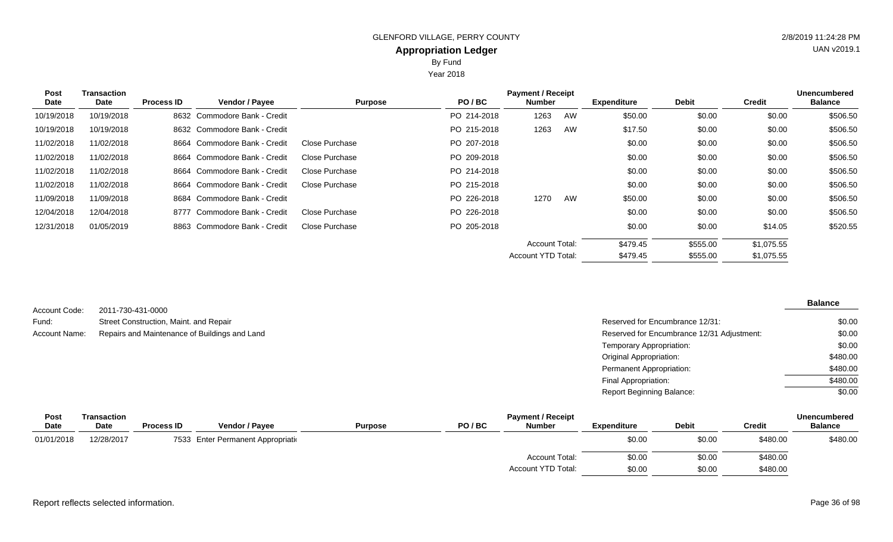Year 2018

| <b>Post</b><br>Date | <b>Transaction</b><br>Date | <b>Process ID</b> | <b>Vendor / Payee</b>        | <b>Purpose</b> | PO/BC       | <b>Payment / Receipt</b><br><b>Number</b> |    | <b>Expenditure</b> | <b>Debit</b> | <b>Credit</b> | <b>Unencumbered</b><br><b>Balance</b> |
|---------------------|----------------------------|-------------------|------------------------------|----------------|-------------|-------------------------------------------|----|--------------------|--------------|---------------|---------------------------------------|
| 10/19/2018          | 10/19/2018                 |                   | 8632 Commodore Bank - Credit |                | PO 214-2018 | 1263                                      | AW | \$50.00            | \$0.00       | \$0.00        | \$506.50                              |
| 10/19/2018          | 10/19/2018                 |                   | 8632 Commodore Bank - Credit |                | PO 215-2018 | 1263                                      | AW | \$17.50            | \$0.00       | \$0.00        | \$506.50                              |
| 11/02/2018          | 11/02/2018                 |                   | 8664 Commodore Bank - Credit | Close Purchase | PO 207-2018 |                                           |    | \$0.00             | \$0.00       | \$0.00        | \$506.50                              |
| 11/02/2018          | 11/02/2018                 |                   | 8664 Commodore Bank - Credit | Close Purchase | PO 209-2018 |                                           |    | \$0.00             | \$0.00       | \$0.00        | \$506.50                              |
| 11/02/2018          | 11/02/2018                 |                   | 8664 Commodore Bank - Credit | Close Purchase | PO 214-2018 |                                           |    | \$0.00             | \$0.00       | \$0.00        | \$506.50                              |
| 11/02/2018          | 11/02/2018                 |                   | 8664 Commodore Bank - Credit | Close Purchase | PO 215-2018 |                                           |    | \$0.00             | \$0.00       | \$0.00        | \$506.50                              |
| 11/09/2018          | 11/09/2018                 |                   | 8684 Commodore Bank - Credit |                | PO 226-2018 | 1270                                      | AW | \$50.00            | \$0.00       | \$0.00        | \$506.50                              |
| 12/04/2018          | 12/04/2018                 | 8777              | Commodore Bank - Credit      | Close Purchase | PO 226-2018 |                                           |    | \$0.00             | \$0.00       | \$0.00        | \$506.50                              |
| 12/31/2018          | 01/05/2019                 |                   | 8863 Commodore Bank - Credit | Close Purchase | PO 205-2018 |                                           |    | \$0.00             | \$0.00       | \$14.05       | \$520.55                              |
|                     |                            |                   |                              |                |             | <b>Account Total:</b>                     |    | \$479.45           | \$555.00     | \$1,075.55    |                                       |
|                     |                            |                   |                              |                |             | <b>Account YTD Total:</b>                 |    | \$479.45           | \$555.00     | \$1,075.55    |                                       |

| Account Code: | 2011-730-431-0000                             |                                            | <b>Balance</b> |
|---------------|-----------------------------------------------|--------------------------------------------|----------------|
| Fund:         | Street Construction, Maint. and Repair        | Reserved for Encumbrance 12/31:            | \$0.00         |
| Account Name: | Repairs and Maintenance of Buildings and Land | Reserved for Encumbrance 12/31 Adjustment: | \$0.00         |
|               |                                               | Temporary Appropriation:                   | \$0.00         |
|               |                                               | Original Appropriation:                    | \$480.00       |
|               |                                               | Permanent Appropriation:                   | \$480.00       |
|               |                                               | Final Appropriation:                       | \$480.00       |
|               |                                               | Report Beginning Balance:                  | \$0.00         |

| <b>Post</b> | Transaction |                   |                                    |                |       | <b>Unencumbered</b>   |                    |              |               |                |
|-------------|-------------|-------------------|------------------------------------|----------------|-------|-----------------------|--------------------|--------------|---------------|----------------|
| <b>Date</b> | <b>Date</b> | <b>Process ID</b> | <b>Vendor / Payee</b>              | <b>Purpose</b> | PO/BC | <b>Number</b>         | <b>Expenditure</b> | <b>Debit</b> | <b>Credit</b> | <b>Balance</b> |
| 01/01/2018  | 12/28/2017  |                   | 7533 Enter Permanent Appropriation |                |       |                       | \$0.00             | \$0.00       | \$480.00      | \$480.00       |
|             |             |                   |                                    |                |       | <b>Account Total:</b> | \$0.00             | \$0.00       | \$480.00      |                |
|             |             |                   |                                    |                |       | Account YTD Total:    | \$0.00             | \$0.00       | \$480.00      |                |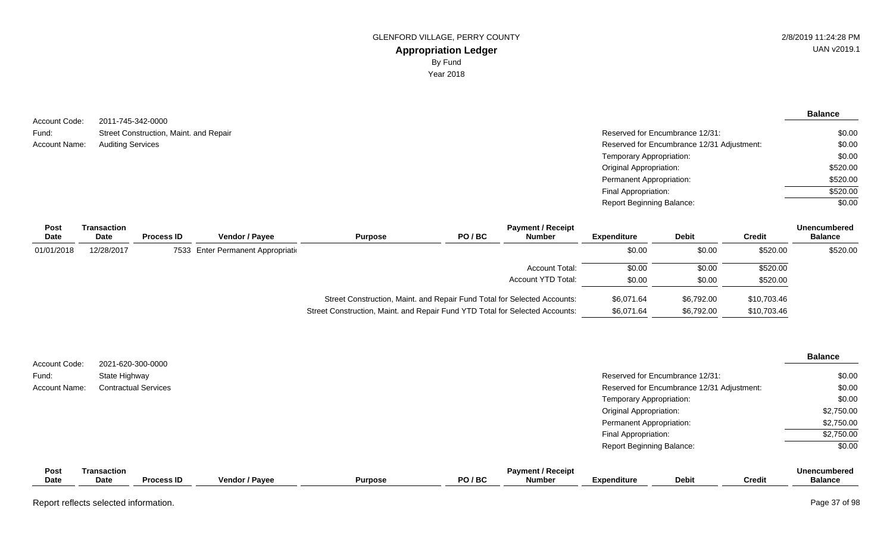**Balance**

\$0.00 \$0.00 \$0.00 \$520.00 \$520.00 \$520.00 \$0.00

| Street Construction, Maint. and Repair<br>Reserved for Encumbrance 12/31:<br>Fund:      |  |
|-----------------------------------------------------------------------------------------|--|
|                                                                                         |  |
| Reserved for Encumbrance 12/31 Adjustment:<br><b>Auditing Services</b><br>Account Name: |  |
| Temporary Appropriation:                                                                |  |
| Original Appropriation:                                                                 |  |
| Permanent Appropriation:                                                                |  |
| Final Appropriation:                                                                    |  |
| <b>Report Beginning Balance:</b>                                                        |  |

| <b>Post</b><br>Date | Transaction<br>Date | <b>Process ID</b> | <b>Vendor / Payee</b>              | <b>Purpose</b>                                                               | PO/BC | <b>Payment / Receipt</b><br><b>Number</b> | <b>Expenditure</b> | <b>Debit</b> | <b>Credit</b> | <b>Unencumbered</b><br><b>Balance</b> |
|---------------------|---------------------|-------------------|------------------------------------|------------------------------------------------------------------------------|-------|-------------------------------------------|--------------------|--------------|---------------|---------------------------------------|
| 01/01/2018          | 12/28/2017          |                   | 7533 Enter Permanent Appropriation |                                                                              |       |                                           | \$0.00             | \$0.00       | \$520.00      | \$520.00                              |
|                     |                     |                   |                                    |                                                                              |       | Account Total:                            | \$0.00             | \$0.00       | \$520.00      |                                       |
|                     |                     |                   |                                    |                                                                              |       | Account YTD Total:                        | \$0.00             | \$0.00       | \$520.00      |                                       |
|                     |                     |                   |                                    | Street Construction, Maint. and Repair Fund Total for Selected Accounts:     |       |                                           | \$6.071.64         | \$6.792.00   | \$10,703.46   |                                       |
|                     |                     |                   |                                    | Street Construction, Maint. and Repair Fund YTD Total for Selected Accounts: |       |                                           | \$6,071.64         | \$6.792.00   | \$10,703.46   |                                       |

| Account Code: |                            | 2021-620-300-0000           |                       |                |       |                                           |                                  |                                            |               | <b>Balance</b>                        |
|---------------|----------------------------|-----------------------------|-----------------------|----------------|-------|-------------------------------------------|----------------------------------|--------------------------------------------|---------------|---------------------------------------|
| Fund:         | State Highway              |                             |                       |                |       |                                           |                                  | Reserved for Encumbrance 12/31:            |               | \$0.00                                |
| Account Name: |                            | <b>Contractual Services</b> |                       |                |       |                                           |                                  | Reserved for Encumbrance 12/31 Adjustment: |               | \$0.00                                |
|               |                            |                             |                       |                |       |                                           | Temporary Appropriation:         |                                            |               | \$0.00                                |
|               |                            |                             |                       |                |       |                                           | <b>Original Appropriation:</b>   |                                            |               | \$2,750.00                            |
|               |                            |                             |                       |                |       |                                           | Permanent Appropriation:         |                                            |               | \$2,750.00                            |
|               |                            |                             |                       |                |       |                                           | Final Appropriation:             |                                            |               | \$2,750.00                            |
|               |                            |                             |                       |                |       |                                           | <b>Report Beginning Balance:</b> |                                            |               | \$0.00                                |
| Post<br>Date  | <b>Transaction</b><br>Date | <b>Process ID</b>           | <b>Vendor / Payee</b> | <b>Purpose</b> | PO/BC | <b>Payment / Receipt</b><br><b>Number</b> | <b>Expenditure</b>               | <b>Debit</b>                               | <b>Credit</b> | <b>Unencumbered</b><br><b>Balance</b> |

Report reflects selected information. Page 37 of 98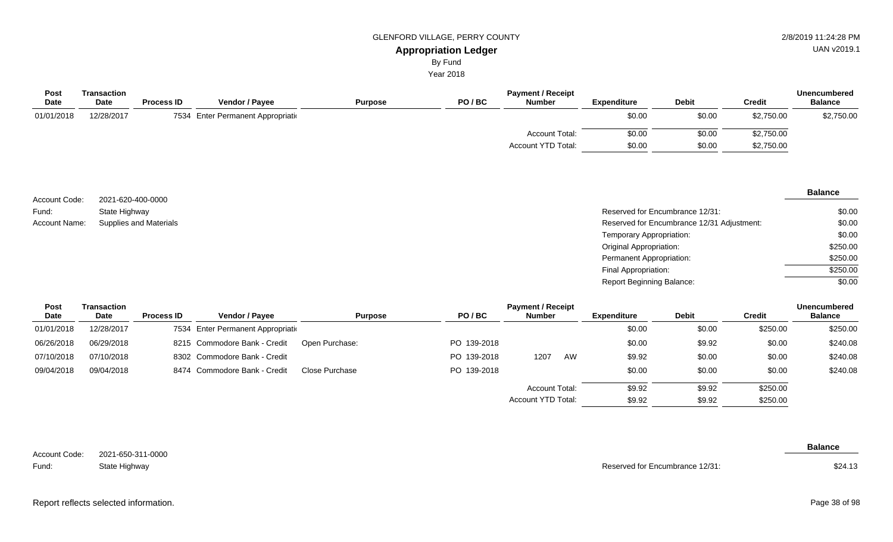# **Appropriation Ledger**

By Fund

Year 2018

| Post<br><b>Date</b> | Transaction<br>Date | <b>Process ID</b> | Vendor / Payee                     | <b>Purpose</b> | PO/BC | <b>Payment / Receipt</b><br><b>Number</b> | <b>Expenditure</b> | <b>Debit</b> | <b>Credit</b> | <b>Unencumbered</b><br><b>Balance</b> |
|---------------------|---------------------|-------------------|------------------------------------|----------------|-------|-------------------------------------------|--------------------|--------------|---------------|---------------------------------------|
| 01/01/2018          | 12/28/2017          |                   | 7534 Enter Permanent Appropriation |                |       |                                           | \$0.00             | \$0.00       | \$2,750.00    | \$2,750.00                            |
|                     |                     |                   |                                    |                |       | <b>Account Total:</b>                     | \$0.00             | \$0.00       | \$2,750.00    |                                       |
|                     |                     |                   |                                    |                |       | Account YTD Total:                        | \$0.00             | \$0.00       | \$2,750.00    |                                       |

|               |                               |                                            | <b>Balance</b> |
|---------------|-------------------------------|--------------------------------------------|----------------|
| Account Code: | 2021-620-400-0000             |                                            |                |
| Fund:         | State Highway                 | Reserved for Encumbrance 12/31:            | \$0.00         |
| Account Name: | <b>Supplies and Materials</b> | Reserved for Encumbrance 12/31 Adjustment: | \$0.00         |
|               |                               | Temporary Appropriation:                   | \$0.00         |
|               |                               | <b>Original Appropriation:</b>             | \$250.00       |
|               |                               | Permanent Appropriation:                   | \$250.00       |
|               |                               | Final Appropriation:                       | \$250.00       |
|               |                               | <b>Report Beginning Balance:</b>           | \$0.00         |

| Post       | Transaction |                   |                                    |                |             | <b>Payment / Receipt</b>  |    |                    |              |               | <b>Unencumbered</b> |
|------------|-------------|-------------------|------------------------------------|----------------|-------------|---------------------------|----|--------------------|--------------|---------------|---------------------|
| Date       | Date        | <b>Process ID</b> | <b>Vendor / Payee</b>              | <b>Purpose</b> | PO/BC       | <b>Number</b>             |    | <b>Expenditure</b> | <b>Debit</b> | <b>Credit</b> | <b>Balance</b>      |
| 01/01/2018 | 12/28/2017  |                   | 7534 Enter Permanent Appropriation |                |             |                           |    | \$0.00             | \$0.00       | \$250.00      | \$250.00            |
| 06/26/2018 | 06/29/2018  |                   | 8215 Commodore Bank - Credit       | Open Purchase: | PO 139-2018 |                           |    | \$0.00             | \$9.92       | \$0.00        | \$240.08            |
| 07/10/2018 | 07/10/2018  |                   | 8302 Commodore Bank - Credit       |                | PO 139-2018 | 1207                      | AW | \$9.92             | \$0.00       | \$0.00        | \$240.08            |
| 09/04/2018 | 09/04/2018  |                   | 8474 Commodore Bank - Credit       | Close Purchase | PO 139-2018 |                           |    | \$0.00             | \$0.00       | \$0.00        | \$240.08            |
|            |             |                   |                                    |                |             | Account Total:            |    | \$9.92             | \$9.92       | \$250.00      |                     |
|            |             |                   |                                    |                |             | <b>Account YTD Total:</b> |    | \$9.92             | \$9.92       | \$250.00      |                     |

| Account Code: | 2021-650-311-0000 |
|---------------|-------------------|
| Fund:         | State Highway     |

 $\sim$ 

Reserved for Encumbrance 12/31:

**Balance**

\$24.13

# GLENFORD VILLAGE, PERRY COUNTY **2/8/2019 11:24:28 PM**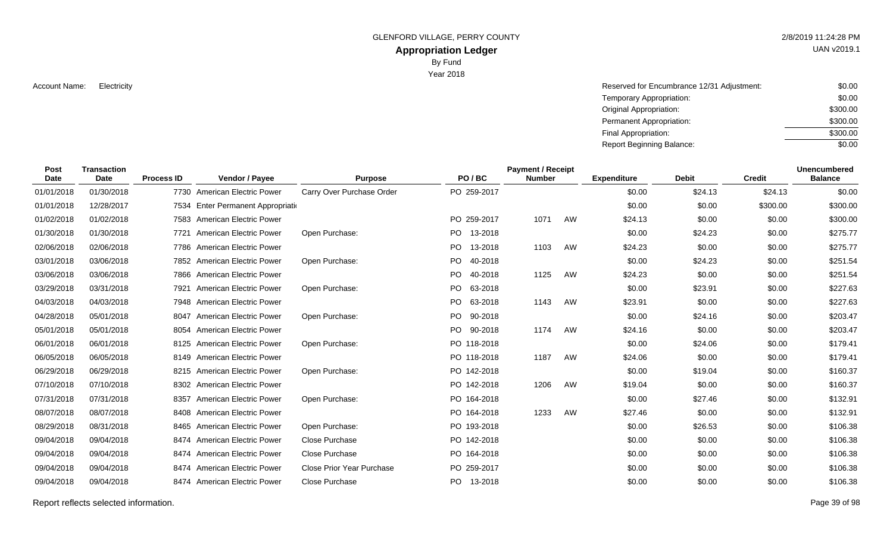GLENFORD VILLAGE, PERRY COUNTY 2/8/2019 11:24:28 PM

# **Appropriation Ledger**

By Fund

Year 2018

Account Name: Electricity **Reserved for Encumbrance 12/31 Adjustment:** \$0.00 Temporary Appropriation: Original Appropriation: Permanent Appropriation: Final Appropriation: Report Beginning Balance: \$0.00 \$300.00 \$300.00 \$300.00 \$0.00

| Post<br><b>Date</b> | <b>Transaction</b><br>Date | <b>Process ID</b> | Vendor / Payee                     | <b>Purpose</b>                   | PO/BC                | <b>Payment / Receipt</b><br><b>Number</b> |    | <b>Expenditure</b> | <b>Debit</b> | <b>Credit</b> | <b>Unencumbered</b><br><b>Balance</b> |
|---------------------|----------------------------|-------------------|------------------------------------|----------------------------------|----------------------|-------------------------------------------|----|--------------------|--------------|---------------|---------------------------------------|
| 01/01/2018          | 01/30/2018                 |                   | 7730 American Electric Power       | Carry Over Purchase Order        | PO 259-2017          |                                           |    | \$0.00             | \$24.13      | \$24.13       | \$0.00                                |
| 01/01/2018          | 12/28/2017                 |                   | 7534 Enter Permanent Appropriation |                                  |                      |                                           |    | \$0.00             | \$0.00       | \$300.00      | \$300.00                              |
| 01/02/2018          | 01/02/2018                 |                   | 7583 American Electric Power       |                                  | PO 259-2017          | 1071                                      | AW | \$24.13            | \$0.00       | \$0.00        | \$300.00                              |
| 01/30/2018          | 01/30/2018                 |                   | 7721 American Electric Power       | Open Purchase:                   | PO -<br>13-2018      |                                           |    | \$0.00             | \$24.23      | \$0.00        | \$275.77                              |
| 02/06/2018          | 02/06/2018                 |                   | 7786 American Electric Power       |                                  | PO 13-2018           | 1103                                      | AW | \$24.23            | \$0.00       | \$0.00        | \$275.77                              |
| 03/01/2018          | 03/06/2018                 |                   | 7852 American Electric Power       | Open Purchase:                   | PO<br>40-2018        |                                           |    | \$0.00             | \$24.23      | \$0.00        | \$251.54                              |
| 03/06/2018          | 03/06/2018                 |                   | 7866 American Electric Power       |                                  | <b>PO</b><br>40-2018 | 1125                                      | AW | \$24.23            | \$0.00       | \$0.00        | \$251.54                              |
| 03/29/2018          | 03/31/2018                 | 7921              | <b>American Electric Power</b>     | Open Purchase:                   | PO.<br>63-2018       |                                           |    | \$0.00             | \$23.91      | \$0.00        | \$227.63                              |
| 04/03/2018          | 04/03/2018                 |                   | 7948 American Electric Power       |                                  | PO.<br>63-2018       | 1143                                      | AW | \$23.91            | \$0.00       | \$0.00        | \$227.63                              |
| 04/28/2018          | 05/01/2018                 |                   | 8047 American Electric Power       | Open Purchase:                   | PO 90-2018           |                                           |    | \$0.00             | \$24.16      | \$0.00        | \$203.47                              |
| 05/01/2018          | 05/01/2018                 |                   | 8054 American Electric Power       |                                  | PO.<br>90-2018       | 1174                                      | AW | \$24.16            | \$0.00       | \$0.00        | \$203.47                              |
| 06/01/2018          | 06/01/2018                 |                   | 8125 American Electric Power       | Open Purchase:                   | PO 118-2018          |                                           |    | \$0.00             | \$24.06      | \$0.00        | \$179.41                              |
| 06/05/2018          | 06/05/2018                 |                   | 8149 American Electric Power       |                                  | PO 118-2018          | 1187                                      | AW | \$24.06            | \$0.00       | \$0.00        | \$179.41                              |
| 06/29/2018          | 06/29/2018                 |                   | 8215 American Electric Power       | Open Purchase:                   | PO 142-2018          |                                           |    | \$0.00             | \$19.04      | \$0.00        | \$160.37                              |
| 07/10/2018          | 07/10/2018                 |                   | 8302 American Electric Power       |                                  | PO 142-2018          | 1206                                      | AW | \$19.04            | \$0.00       | \$0.00        | \$160.37                              |
| 07/31/2018          | 07/31/2018                 |                   | 8357 American Electric Power       | Open Purchase:                   | PO 164-2018          |                                           |    | \$0.00             | \$27.46      | \$0.00        | \$132.91                              |
| 08/07/2018          | 08/07/2018                 |                   | 8408 American Electric Power       |                                  | PO 164-2018          | 1233                                      | AW | \$27.46            | \$0.00       | \$0.00        | \$132.91                              |
| 08/29/2018          | 08/31/2018                 |                   | 8465 American Electric Power       | Open Purchase:                   | PO 193-2018          |                                           |    | \$0.00             | \$26.53      | \$0.00        | \$106.38                              |
| 09/04/2018          | 09/04/2018                 |                   | 8474 American Electric Power       | Close Purchase                   | PO 142-2018          |                                           |    | \$0.00             | \$0.00       | \$0.00        | \$106.38                              |
| 09/04/2018          | 09/04/2018                 |                   | 8474 American Electric Power       | Close Purchase                   | PO 164-2018          |                                           |    | \$0.00             | \$0.00       | \$0.00        | \$106.38                              |
| 09/04/2018          | 09/04/2018                 |                   | 8474 American Electric Power       | <b>Close Prior Year Purchase</b> | PO 259-2017          |                                           |    | \$0.00             | \$0.00       | \$0.00        | \$106.38                              |
| 09/04/2018          | 09/04/2018                 |                   | 8474 American Electric Power       | Close Purchase                   | PO 13-2018           |                                           |    | \$0.00             | \$0.00       | \$0.00        | \$106.38                              |

Report reflects selected information. Page 39 of 98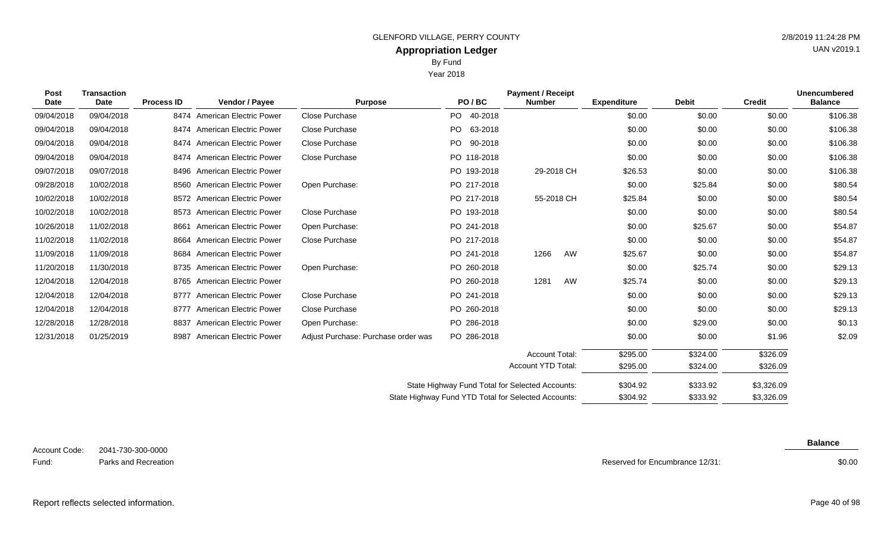Year 2018

| <b>Post</b><br>Date | Transaction<br>Date | <b>Process ID</b> | Vendor / Payee                 | <b>Purpose</b> | PO/BC |             | <b>Payment / Receipt</b><br><b>Number</b> | <b>Expenditure</b> | <b>Debit</b> | <b>Credit</b> | <b>Unencumbered</b><br><b>Balance</b> |
|---------------------|---------------------|-------------------|--------------------------------|----------------|-------|-------------|-------------------------------------------|--------------------|--------------|---------------|---------------------------------------|
| 09/04/2018          | 09/04/2018          |                   | 8474 American Electric Power   | Close Purchase | PO.   | 40-2018     |                                           | \$0.00             | \$0.00       | \$0.00        | \$106.38                              |
| 09/04/2018          | 09/04/2018          |                   | 8474 American Electric Power   | Close Purchase | PO.   | 63-2018     |                                           | \$0.00             | \$0.00       | \$0.00        | \$106.38                              |
| 09/04/2018          | 09/04/2018          |                   | 8474 American Electric Power   | Close Purchase | PO.   | 90-2018     |                                           | \$0.00             | \$0.00       | \$0.00        | \$106.38                              |
| 09/04/2018          | 09/04/2018          |                   | 8474 American Electric Power   | Close Purchase |       | PO 118-2018 |                                           | \$0.00             | \$0.00       | \$0.00        | \$106.38                              |
| 09/07/2018          | 09/07/2018          |                   | 8496 American Electric Power   |                |       | PO 193-2018 | 29-2018 CH                                | \$26.53            | \$0.00       | \$0.00        | \$106.38                              |
| 09/28/2018          | 10/02/2018          |                   | 8560 American Electric Power   | Open Purchase: |       | PO 217-2018 |                                           | \$0.00             | \$25.84      | \$0.00        | \$80.54                               |
| 10/02/2018          | 10/02/2018          |                   | 8572 American Electric Power   |                |       | PO 217-2018 | 55-2018 CH                                | \$25.84            | \$0.00       | \$0.00        | \$80.54                               |
| 10/02/2018          | 10/02/2018          |                   | 8573 American Electric Power   | Close Purchase |       | PO 193-2018 |                                           | \$0.00             | \$0.00       | \$0.00        | \$80.54                               |
| 10/26/2018          | 11/02/2018          | 8661              | American Electric Power        | Open Purchase: |       | PO 241-2018 |                                           | \$0.00             | \$25.67      | \$0.00        | \$54.87                               |
| 11/02/2018          | 11/02/2018          |                   | 8664 American Electric Power   | Close Purchase |       | PO 217-2018 |                                           | \$0.00             | \$0.00       | \$0.00        | \$54.87                               |
| 11/09/2018          | 11/09/2018          |                   | 8684 American Electric Power   |                |       | PO 241-2018 | 1266<br>AW                                | \$25.67            | \$0.00       | \$0.00        | \$54.87                               |
| 11/20/2018          | 11/30/2018          |                   | 8735 American Electric Power   | Open Purchase: |       | PO 260-2018 |                                           | \$0.00             | \$25.74      | \$0.00        | \$29.13                               |
| 12/04/2018          | 12/04/2018          |                   | 8765 American Electric Power   |                |       | PO 260-2018 | AW<br>1281                                | \$25.74            | \$0.00       | \$0.00        | \$29.13                               |
| 12/04/2018          | 12/04/2018          | 8777              | American Electric Power        | Close Purchase |       | PO 241-2018 |                                           | \$0.00             | \$0.00       | \$0.00        | \$29.13                               |
| 12/04/2018          | 12/04/2018          | 8777              | <b>American Electric Power</b> | Close Purchase |       | PO 260-2018 |                                           | \$0.00             | \$0.00       | \$0.00        | \$29.13                               |
| 12/28/2018          | 12/28/2018          | 8837              | <b>American Electric Power</b> | Open Purchase: |       | PO 286-2018 |                                           | \$0.00             | \$29.00      | \$0.00        | \$0.13                                |

| 12/31/2018 | 01/25/2019 | 8987 American Electric Power | Adjust Purchase: Purchase order was | PO 286-2018                                         | \$0.00   | \$0.00   | \$1.96     | \$2.09 |
|------------|------------|------------------------------|-------------------------------------|-----------------------------------------------------|----------|----------|------------|--------|
|            |            |                              |                                     | <b>Account Total:</b>                               | \$295.00 | \$324.00 | \$326.09   |        |
|            |            |                              |                                     | Account YTD Total:                                  | \$295.00 | \$324.00 | \$326.09   |        |
|            |            |                              |                                     | State Highway Fund Total for Selected Accounts:     | \$304.92 | \$333.92 | \$3,326.09 |        |
|            |            |                              |                                     | State Highway Fund YTD Total for Selected Accounts: | \$304.92 | \$333.92 | \$3,326.09 |        |

Reserved for Encumbrance 12/31:

**Balance**

\$0.00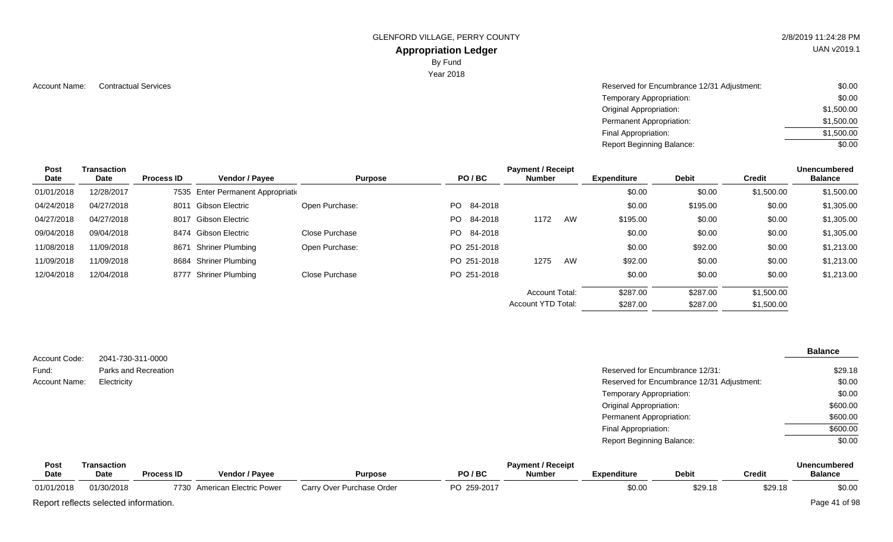GLENFORD VILLAGE, PERRY COUNTY 2/8/2019 11:24:28 PM

# **Appropriation Ledger**

By Fund

Year 2018

Account Name: Contractual Services **Account Name:** Contractual Services **Account Name:** Contractual Services **Account Name:**  $\sim$  \$0.00 Temporary Appropriation: Original Appropriation: Permanent Appropriation: Final Appropriation: Report Beginning Balance: \$0.00 \$1,500.00 \$1,500.00 \$1,500.00 \$0.00

| Post<br>Date | <b>Transaction</b><br>Date | <b>Process ID</b> | Vendor / Payee                     | <b>Purpose</b> |     | PO/BC       | <b>Payment / Receipt</b><br><b>Number</b> |    | <b>Expenditure</b> | <b>Debit</b> | <b>Credit</b> | <b>Unencumbered</b><br><b>Balance</b> |
|--------------|----------------------------|-------------------|------------------------------------|----------------|-----|-------------|-------------------------------------------|----|--------------------|--------------|---------------|---------------------------------------|
| 01/01/2018   | 12/28/2017                 |                   | 7535 Enter Permanent Appropriation |                |     |             |                                           |    | \$0.00             | \$0.00       | \$1,500.00    | \$1,500.00                            |
| 04/24/2018   | 04/27/2018                 | 8011              | <b>Gibson Electric</b>             | Open Purchase: | PO. | 84-2018     |                                           |    | \$0.00             | \$195.00     | \$0.00        | \$1,305.00                            |
| 04/27/2018   | 04/27/2018                 |                   | 8017 Gibson Electric               |                | PO. | 84-2018     | 1172                                      | AW | \$195.00           | \$0.00       | \$0.00        | \$1,305.00                            |
| 09/04/2018   | 09/04/2018                 |                   | 8474 Gibson Electric               | Close Purchase |     | PO 84-2018  |                                           |    | \$0.00             | \$0.00       | \$0.00        | \$1,305.00                            |
| 11/08/2018   | 11/09/2018                 | 8671              | Shriner Plumbing                   | Open Purchase: |     | PO 251-2018 |                                           |    | \$0.00             | \$92.00      | \$0.00        | \$1,213.00                            |
| 11/09/2018   | 11/09/2018                 |                   | 8684 Shriner Plumbing              |                |     | PO 251-2018 | 1275                                      | AW | \$92.00            | \$0.00       | \$0.00        | \$1,213.00                            |
| 12/04/2018   | 12/04/2018                 | 8777              | <b>Shriner Plumbing</b>            | Close Purchase |     | PO 251-2018 |                                           |    | \$0.00             | \$0.00       | \$0.00        | \$1,213.00                            |
|              |                            |                   |                                    |                |     |             | <b>Account Total:</b>                     |    | \$287.00           | \$287.00     | \$1,500.00    |                                       |
|              |                            |                   |                                    |                |     |             | Account YTD Total:                        |    | \$287.00           | \$287.00     | \$1,500.00    |                                       |

|               |                      |                                            | <b>Balance</b> |
|---------------|----------------------|--------------------------------------------|----------------|
| Account Code: | 2041-730-311-0000    |                                            |                |
| Fund:         | Parks and Recreation | Reserved for Encumbrance 12/31:            | \$29.18        |
| Account Name: | Electricity          | Reserved for Encumbrance 12/31 Adjustment: | \$0.00         |
|               |                      | Temporary Appropriation:                   | \$0.00         |
|               |                      | <b>Original Appropriation:</b>             | \$600.00       |
|               |                      | <b>Permanent Appropriation:</b>            | \$600.00       |
|               |                      | Final Appropriation:                       | \$600.00       |
|               |                      | <b>Report Beginning Balance:</b>           | \$0.00         |

| Post        | Transaction                           |                   |                              |                           |             | <b>Payment / Receipt</b> |                    |              |               | Unencumbered   |
|-------------|---------------------------------------|-------------------|------------------------------|---------------------------|-------------|--------------------------|--------------------|--------------|---------------|----------------|
| <b>Date</b> | <b>Date</b>                           | <b>Process ID</b> | <b>Vendor / Pavee</b>        | <b>Purpose</b>            | PO/BC       | <b>Number</b>            | <b>Expenditure</b> | <b>Debit</b> | <b>Credit</b> | <b>Balance</b> |
| 01/01/2018  | 01/30/2018                            |                   | 7730 American Electric Power | Carry Over Purchase Order | PO 259-2017 |                          | \$0.00             | \$29.18      | \$29.18       | \$0.00         |
|             | Report reflects selected information. |                   |                              |                           |             |                          |                    |              |               | Page 41 of 98  |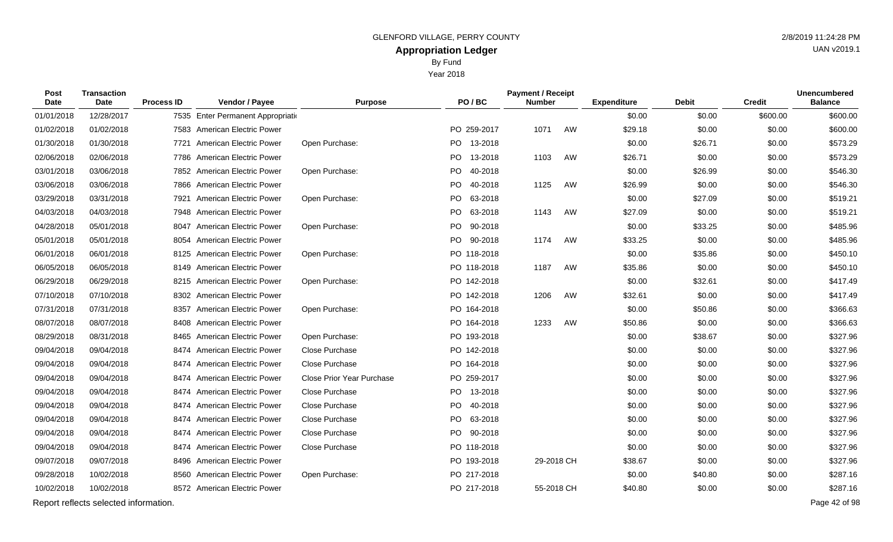By Fund

Year 2018

| Post<br>Date | Transaction<br>Date                   | <b>Process ID</b> | Vendor / Payee                     | <b>Purpose</b>            |      | PO/BC       | <b>Payment / Receipt</b><br><b>Number</b> |    | <b>Expenditure</b> | <b>Debit</b> | <b>Credit</b> | <b>Unencumbered</b><br><b>Balance</b> |
|--------------|---------------------------------------|-------------------|------------------------------------|---------------------------|------|-------------|-------------------------------------------|----|--------------------|--------------|---------------|---------------------------------------|
| 01/01/2018   | 12/28/2017                            |                   | 7535 Enter Permanent Appropriation |                           |      |             |                                           |    | \$0.00             | \$0.00       | \$600.00      | \$600.00                              |
| 01/02/2018   | 01/02/2018                            |                   | 7583 American Electric Power       |                           |      | PO 259-2017 | 1071                                      | AW | \$29.18            | \$0.00       | \$0.00        | \$600.00                              |
| 01/30/2018   | 01/30/2018                            |                   | 7721 American Electric Power       | Open Purchase:            |      | PO 13-2018  |                                           |    | \$0.00             | \$26.71      | \$0.00        | \$573.29                              |
| 02/06/2018   | 02/06/2018                            |                   | 7786 American Electric Power       |                           |      | PO 13-2018  | 1103                                      | AW | \$26.71            | \$0.00       | \$0.00        | \$573.29                              |
| 03/01/2018   | 03/06/2018                            |                   | 7852 American Electric Power       | Open Purchase:            |      | PO 40-2018  |                                           |    | \$0.00             | \$26.99      | \$0.00        | \$546.30                              |
| 03/06/2018   | 03/06/2018                            |                   | 7866 American Electric Power       |                           | PO   | 40-2018     | 1125                                      | AW | \$26.99            | \$0.00       | \$0.00        | \$546.30                              |
| 03/29/2018   | 03/31/2018                            |                   | 7921 American Electric Power       | Open Purchase:            |      | PO 63-2018  |                                           |    | \$0.00             | \$27.09      | \$0.00        | \$519.21                              |
| 04/03/2018   | 04/03/2018                            |                   | 7948 American Electric Power       |                           | PO.  | 63-2018     | 1143                                      | AW | \$27.09            | \$0.00       | \$0.00        | \$519.21                              |
| 04/28/2018   | 05/01/2018                            |                   | 8047 American Electric Power       | Open Purchase:            | PO - | 90-2018     |                                           |    | \$0.00             | \$33.25      | \$0.00        | \$485.96                              |
| 05/01/2018   | 05/01/2018                            |                   | 8054 American Electric Power       |                           |      | PO 90-2018  | 1174                                      | AW | \$33.25            | \$0.00       | \$0.00        | \$485.96                              |
| 06/01/2018   | 06/01/2018                            |                   | 8125 American Electric Power       | Open Purchase:            |      | PO 118-2018 |                                           |    | \$0.00             | \$35.86      | \$0.00        | \$450.10                              |
| 06/05/2018   | 06/05/2018                            |                   | 8149 American Electric Power       |                           |      | PO 118-2018 | 1187                                      | AW | \$35.86            | \$0.00       | \$0.00        | \$450.10                              |
| 06/29/2018   | 06/29/2018                            |                   | 8215 American Electric Power       | Open Purchase:            |      | PO 142-2018 |                                           |    | \$0.00             | \$32.61      | \$0.00        | \$417.49                              |
| 07/10/2018   | 07/10/2018                            |                   | 8302 American Electric Power       |                           |      | PO 142-2018 | 1206                                      | AW | \$32.61            | \$0.00       | \$0.00        | \$417.49                              |
| 07/31/2018   | 07/31/2018                            |                   | 8357 American Electric Power       | Open Purchase:            |      | PO 164-2018 |                                           |    | \$0.00             | \$50.86      | \$0.00        | \$366.63                              |
| 08/07/2018   | 08/07/2018                            |                   | 8408 American Electric Power       |                           |      | PO 164-2018 | 1233                                      | AW | \$50.86            | \$0.00       | \$0.00        | \$366.63                              |
| 08/29/2018   | 08/31/2018                            |                   | 8465 American Electric Power       | Open Purchase:            |      | PO 193-2018 |                                           |    | \$0.00             | \$38.67      | \$0.00        | \$327.96                              |
| 09/04/2018   | 09/04/2018                            |                   | 8474 American Electric Power       | Close Purchase            |      | PO 142-2018 |                                           |    | \$0.00             | \$0.00       | \$0.00        | \$327.96                              |
| 09/04/2018   | 09/04/2018                            |                   | 8474 American Electric Power       | Close Purchase            |      | PO 164-2018 |                                           |    | \$0.00             | \$0.00       | \$0.00        | \$327.96                              |
| 09/04/2018   | 09/04/2018                            | 8474              | American Electric Power            | Close Prior Year Purchase |      | PO 259-2017 |                                           |    | \$0.00             | \$0.00       | \$0.00        | \$327.96                              |
| 09/04/2018   | 09/04/2018                            | 8474              | American Electric Power            | Close Purchase            |      | PO 13-2018  |                                           |    | \$0.00             | \$0.00       | \$0.00        | \$327.96                              |
| 09/04/2018   | 09/04/2018                            |                   | 8474 American Electric Power       | Close Purchase            |      | PO 40-2018  |                                           |    | \$0.00             | \$0.00       | \$0.00        | \$327.96                              |
| 09/04/2018   | 09/04/2018                            |                   | 8474 American Electric Power       | Close Purchase            |      | PO 63-2018  |                                           |    | \$0.00             | \$0.00       | \$0.00        | \$327.96                              |
| 09/04/2018   | 09/04/2018                            |                   | 8474 American Electric Power       | Close Purchase            |      | PO 90-2018  |                                           |    | \$0.00             | \$0.00       | \$0.00        | \$327.96                              |
| 09/04/2018   | 09/04/2018                            |                   | 8474 American Electric Power       | Close Purchase            |      | PO 118-2018 |                                           |    | \$0.00             | \$0.00       | \$0.00        | \$327.96                              |
| 09/07/2018   | 09/07/2018                            |                   | 8496 American Electric Power       |                           |      | PO 193-2018 | 29-2018 CH                                |    | \$38.67            | \$0.00       | \$0.00        | \$327.96                              |
| 09/28/2018   | 10/02/2018                            |                   | 8560 American Electric Power       | Open Purchase:            |      | PO 217-2018 |                                           |    | \$0.00             | \$40.80      | \$0.00        | \$287.16                              |
| 10/02/2018   | 10/02/2018                            |                   | 8572 American Electric Power       |                           |      | PO 217-2018 | 55-2018 CH                                |    | \$40.80            | \$0.00       | \$0.00        | \$287.16                              |
|              | Report reflects selected information. |                   |                                    |                           |      |             |                                           |    |                    |              |               | Page 42 of 98                         |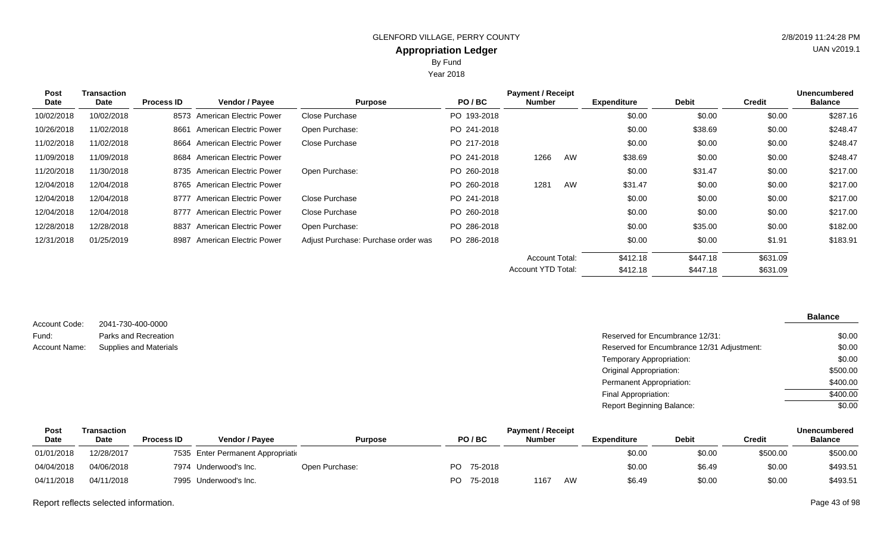Year 2018

| Post       | <b>Transaction</b> | <b>Payment / Receipt</b><br><b>Unencumbered</b> |                                |                                     |             |                       |    |                    |              |               |                |  |
|------------|--------------------|-------------------------------------------------|--------------------------------|-------------------------------------|-------------|-----------------------|----|--------------------|--------------|---------------|----------------|--|
| Date       | Date               | <b>Process ID</b>                               | <b>Vendor / Payee</b>          | <b>Purpose</b>                      | PO/BC       | <b>Number</b>         |    | <b>Expenditure</b> | <b>Debit</b> | <b>Credit</b> | <b>Balance</b> |  |
| 10/02/2018 | 10/02/2018         |                                                 | 8573 American Electric Power   | Close Purchase                      | PO 193-2018 |                       |    | \$0.00             | \$0.00       | \$0.00        | \$287.16       |  |
| 10/26/2018 | 11/02/2018         | 8661                                            | American Electric Power        | Open Purchase:                      | PO 241-2018 |                       |    | \$0.00             | \$38.69      | \$0.00        | \$248.47       |  |
| 11/02/2018 | 11/02/2018         | 8664                                            | American Electric Power        | Close Purchase                      | PO 217-2018 |                       |    | \$0.00             | \$0.00       | \$0.00        | \$248.47       |  |
| 11/09/2018 | 11/09/2018         |                                                 | 8684 American Electric Power   |                                     | PO 241-2018 | 1266                  | AW | \$38.69            | \$0.00       | \$0.00        | \$248.47       |  |
| 11/20/2018 | 11/30/2018         |                                                 | 8735 American Electric Power   | Open Purchase:                      | PO 260-2018 |                       |    | \$0.00             | \$31.47      | \$0.00        | \$217.00       |  |
| 12/04/2018 | 12/04/2018         |                                                 | 8765 American Electric Power   |                                     | PO 260-2018 | 1281                  | AW | \$31.47            | \$0.00       | \$0.00        | \$217.00       |  |
| 12/04/2018 | 12/04/2018         | 8777                                            | American Electric Power        | Close Purchase                      | PO 241-2018 |                       |    | \$0.00             | \$0.00       | \$0.00        | \$217.00       |  |
| 12/04/2018 | 12/04/2018         | 8777                                            | <b>American Electric Power</b> | Close Purchase                      | PO 260-2018 |                       |    | \$0.00             | \$0.00       | \$0.00        | \$217.00       |  |
| 12/28/2018 | 12/28/2018         | 8837                                            | American Electric Power        | Open Purchase:                      | PO 286-2018 |                       |    | \$0.00             | \$35.00      | \$0.00        | \$182.00       |  |
| 12/31/2018 | 01/25/2019         | 8987                                            | <b>American Electric Power</b> | Adjust Purchase: Purchase order was | PO 286-2018 |                       |    | \$0.00             | \$0.00       | \$1.91        | \$183.91       |  |
|            |                    |                                                 |                                |                                     |             | <b>Account Total:</b> |    | \$412.18           | \$447.18     | \$631.09      |                |  |
|            |                    |                                                 |                                |                                     |             | Account YTD Total:    |    | \$412.18           | \$447.18     | \$631.09      |                |  |

2041-730-400-0000 Parks and Recreation Account Code: Fund:

| Fund:         | Parks and Recreation          | Reserved for Encumbrance 12/31:            | \$0.00   |
|---------------|-------------------------------|--------------------------------------------|----------|
| Account Name: | <b>Supplies and Materials</b> | Reserved for Encumbrance 12/31 Adjustment: | \$0.00   |
|               |                               | Temporary Appropriation:                   | \$0.00   |
|               |                               | Original Appropriation:                    | \$500.00 |
|               |                               | Permanent Appropriation:                   | \$400.00 |
|               |                               | Final Appropriation:                       | \$400.00 |
|               |                               | <b>Report Beginning Balance:</b>           | \$0.00   |

| Post        | Transaction |                   |                                    |                |     |         | <b>Payment / Receipt</b> |    |                    |              |          | Unencumbered   |
|-------------|-------------|-------------------|------------------------------------|----------------|-----|---------|--------------------------|----|--------------------|--------------|----------|----------------|
| <b>Date</b> | Date        | <b>Process ID</b> | <b>Vendor / Pavee</b>              | <b>Purpose</b> |     | PO/BC   | <b>Number</b>            |    | <b>Expenditure</b> | <b>Debit</b> | Credit   | <b>Balance</b> |
| 01/01/2018  | 12/28/2017  |                   | 7535 Enter Permanent Appropriation |                |     |         |                          |    | \$0.00             | \$0.00       | \$500.00 | \$500.00       |
| 04/04/2018  | 04/06/2018  |                   | 7974 Underwood's Inc.              | Open Purchase: | PO. | 75-2018 |                          |    | \$0.00             | \$6.49       | \$0.00   | \$493.51       |
| 04/11/2018  | 04/11/2018  |                   | 7995 Underwood's Inc.              |                | PO. | 75-2018 | 1167                     | AW | \$6.49             | \$0.00       | \$0.00   | \$493.51       |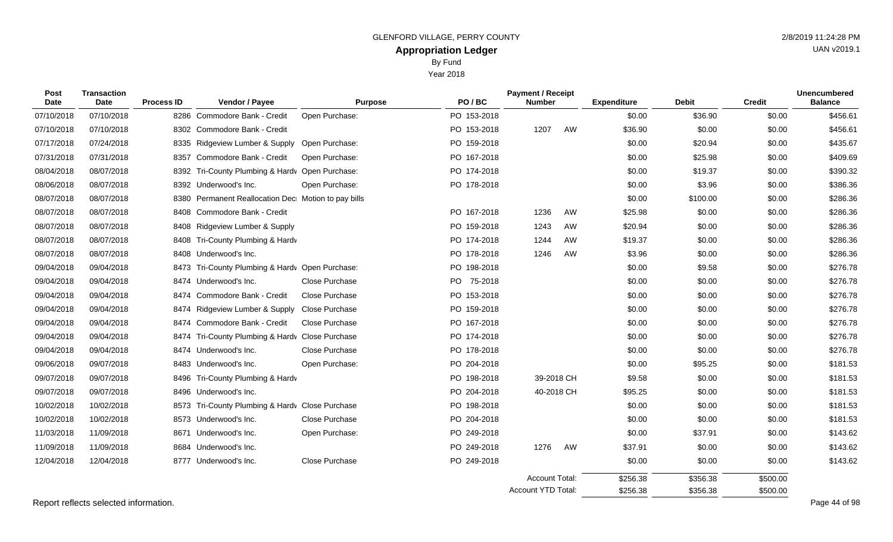Year 2018

| Post<br><b>Date</b> | <b>Transaction</b><br>Date | <b>Process ID</b> | Vendor / Payee                                  | <b>Purpose</b>        | PO/BC          | <b>Payment / Receipt</b><br><b>Number</b> |            | <b>Expenditure</b> | <b>Debit</b> | <b>Credit</b> | <b>Unencumbered</b><br><b>Balance</b> |
|---------------------|----------------------------|-------------------|-------------------------------------------------|-----------------------|----------------|-------------------------------------------|------------|--------------------|--------------|---------------|---------------------------------------|
| 07/10/2018          | 07/10/2018                 |                   | 8286 Commodore Bank - Credit                    | Open Purchase:        | PO 153-2018    |                                           |            | \$0.00             | \$36.90      | \$0.00        | \$456.61                              |
| 07/10/2018          | 07/10/2018                 |                   | 8302 Commodore Bank - Credit                    |                       | PO 153-2018    | 1207                                      | AW         | \$36.90            | \$0.00       | \$0.00        | \$456.61                              |
| 07/17/2018          | 07/24/2018                 |                   | 8335 Ridgeview Lumber & Supply                  | Open Purchase:        | PO 159-2018    |                                           |            | \$0.00             | \$20.94      | \$0.00        | \$435.67                              |
| 07/31/2018          | 07/31/2018                 | 8357              | Commodore Bank - Credit                         | Open Purchase:        | PO 167-2018    |                                           |            | \$0.00             | \$25.98      | \$0.00        | \$409.69                              |
| 08/04/2018          | 08/07/2018                 |                   | 8392 Tri-County Plumbing & Hardv Open Purchase: |                       | PO 174-2018    |                                           |            | \$0.00             | \$19.37      | \$0.00        | \$390.32                              |
| 08/06/2018          | 08/07/2018                 |                   | 8392 Underwood's Inc.                           | Open Purchase:        | PO 178-2018    |                                           |            | \$0.00             | \$3.96       | \$0.00        | \$386.36                              |
| 08/07/2018          | 08/07/2018                 | 8380              | Permanent Reallocation Dec Motion to pay bills  |                       |                |                                           |            | \$0.00             | \$100.00     | \$0.00        | \$286.36                              |
| 08/07/2018          | 08/07/2018                 |                   | 8408 Commodore Bank - Credit                    |                       | PO 167-2018    | 1236                                      | AW         | \$25.98            | \$0.00       | \$0.00        | \$286.36                              |
| 08/07/2018          | 08/07/2018                 |                   | 8408 Ridgeview Lumber & Supply                  |                       | PO 159-2018    | 1243                                      | AW         | \$20.94            | \$0.00       | \$0.00        | \$286.36                              |
| 08/07/2018          | 08/07/2018                 | 8408              | Tri-County Plumbing & Hardv                     |                       | PO 174-2018    | 1244                                      | AW         | \$19.37            | \$0.00       | \$0.00        | \$286.36                              |
| 08/07/2018          | 08/07/2018                 |                   | 8408 Underwood's Inc.                           |                       | PO 178-2018    | 1246                                      | AW         | \$3.96             | \$0.00       | \$0.00        | \$286.36                              |
| 09/04/2018          | 09/04/2018                 |                   | 8473 Tri-County Plumbing & Hardy Open Purchase: |                       | PO 198-2018    |                                           |            | \$0.00             | \$9.58       | \$0.00        | \$276.78                              |
| 09/04/2018          | 09/04/2018                 | 8474              | Underwood's Inc.                                | Close Purchase        | 75-2018<br>PO. |                                           |            | \$0.00             | \$0.00       | \$0.00        | \$276.78                              |
| 09/04/2018          | 09/04/2018                 | 8474              | Commodore Bank - Credit                         | Close Purchase        | PO 153-2018    |                                           |            | \$0.00             | \$0.00       | \$0.00        | \$276.78                              |
| 09/04/2018          | 09/04/2018                 |                   | 8474 Ridgeview Lumber & Supply                  | Close Purchase        | PO 159-2018    |                                           |            | \$0.00             | \$0.00       | \$0.00        | \$276.78                              |
| 09/04/2018          | 09/04/2018                 |                   | 8474 Commodore Bank - Credit                    | <b>Close Purchase</b> | PO 167-2018    |                                           |            | \$0.00             | \$0.00       | \$0.00        | \$276.78                              |
| 09/04/2018          | 09/04/2018                 |                   | 8474 Tri-County Plumbing & Hardv Close Purchase |                       | PO 174-2018    |                                           |            | \$0.00             | \$0.00       | \$0.00        | \$276.78                              |
| 09/04/2018          | 09/04/2018                 |                   | 8474 Underwood's Inc.                           | Close Purchase        | PO 178-2018    |                                           |            | \$0.00             | \$0.00       | \$0.00        | \$276.78                              |
| 09/06/2018          | 09/07/2018                 |                   | 8483 Underwood's Inc.                           | Open Purchase:        | PO 204-2018    |                                           |            | \$0.00             | \$95.25      | \$0.00        | \$181.53                              |
| 09/07/2018          | 09/07/2018                 |                   | 8496 Tri-County Plumbing & Hardv                |                       | PO 198-2018    |                                           | 39-2018 CH | \$9.58             | \$0.00       | \$0.00        | \$181.53                              |
| 09/07/2018          | 09/07/2018                 |                   | 8496 Underwood's Inc.                           |                       | PO 204-2018    |                                           | 40-2018 CH | \$95.25            | \$0.00       | \$0.00        | \$181.53                              |
| 10/02/2018          | 10/02/2018                 |                   | 8573 Tri-County Plumbing & Hardy Close Purchase |                       | PO 198-2018    |                                           |            | \$0.00             | \$0.00       | \$0.00        | \$181.53                              |
| 10/02/2018          | 10/02/2018                 |                   | 8573 Underwood's Inc.                           | Close Purchase        | PO 204-2018    |                                           |            | \$0.00             | \$0.00       | \$0.00        | \$181.53                              |
| 11/03/2018          | 11/09/2018                 | 8671              | Underwood's Inc.                                | Open Purchase:        | PO 249-2018    |                                           |            | \$0.00             | \$37.91      | \$0.00        | \$143.62                              |
| 11/09/2018          | 11/09/2018                 |                   | 8684 Underwood's Inc.                           |                       | PO 249-2018    | 1276                                      | AW         | \$37.91            | \$0.00       | \$0.00        | \$143.62                              |
| 12/04/2018          | 12/04/2018                 |                   | 8777 Underwood's Inc.                           | Close Purchase        | PO 249-2018    |                                           |            | \$0.00             | \$0.00       | \$0.00        | \$143.62                              |
|                     |                            |                   |                                                 |                       |                |                                           |            |                    |              |               |                                       |

Report reflects selected information. Page 44 of 98

\$500.00 \$500.00

\$356.38 \$356.38

\$256.38 \$256.38

Account Total: Account YTD Total: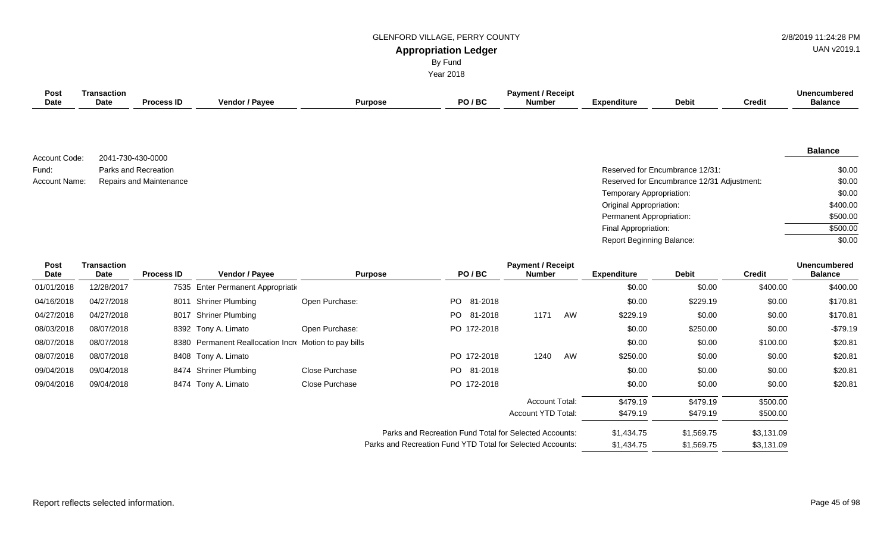## GLENFORD VILLAGE, PERRY COUNTY **1998** 2/8/2019 11:24:28 PM

UAN v2019.1

# **Appropriation Ledger**

By Fund

Year 2018

| <b>Post</b><br><b>Date</b> | <b>Transaction</b><br>Date | <b>Process ID</b>       | Vendor / Payee                                        |                | <b>Purpose</b>                                             | PO/BC           | <b>Payment / Receipt</b><br><b>Number</b> |    | <b>Expenditure</b>               | <b>Debit</b>                               | <b>Credit</b> | <b>Unencumbered</b><br><b>Balance</b> |
|----------------------------|----------------------------|-------------------------|-------------------------------------------------------|----------------|------------------------------------------------------------|-----------------|-------------------------------------------|----|----------------------------------|--------------------------------------------|---------------|---------------------------------------|
|                            |                            |                         |                                                       |                |                                                            |                 |                                           |    |                                  |                                            |               |                                       |
| Account Code:              | 2041-730-430-0000          |                         |                                                       |                |                                                            |                 |                                           |    |                                  |                                            |               | <b>Balance</b>                        |
| Fund:                      |                            | Parks and Recreation    |                                                       |                |                                                            |                 |                                           |    |                                  | Reserved for Encumbrance 12/31:            |               | \$0.00                                |
| Account Name:              |                            | Repairs and Maintenance |                                                       |                |                                                            |                 |                                           |    |                                  | Reserved for Encumbrance 12/31 Adjustment: |               | \$0.00                                |
|                            |                            |                         |                                                       |                |                                                            |                 |                                           |    | Temporary Appropriation:         |                                            |               | \$0.00                                |
|                            |                            |                         |                                                       |                |                                                            |                 |                                           |    | Original Appropriation:          |                                            |               | \$400.00                              |
|                            |                            |                         |                                                       |                |                                                            |                 |                                           |    | Permanent Appropriation:         |                                            |               | \$500.00                              |
|                            |                            |                         |                                                       |                |                                                            |                 |                                           |    | Final Appropriation:             |                                            |               | \$500.00                              |
|                            |                            |                         |                                                       |                |                                                            |                 |                                           |    | <b>Report Beginning Balance:</b> |                                            |               | \$0.00                                |
| <b>Post</b><br><b>Date</b> | <b>Transaction</b><br>Date | <b>Process ID</b>       | Vendor / Payee                                        |                | <b>Purpose</b>                                             | PO/BC           | <b>Payment / Receipt</b><br><b>Number</b> |    | <b>Expenditure</b>               | <b>Debit</b>                               | <b>Credit</b> | <b>Unencumbered</b><br><b>Balance</b> |
| 01/01/2018                 | 12/28/2017                 |                         | 7535 Enter Permanent Appropriation                    |                |                                                            |                 |                                           |    | \$0.00                           | \$0.00                                     | \$400.00      | \$400.00                              |
| 04/16/2018                 | 04/27/2018                 |                         | 8011 Shriner Plumbing                                 | Open Purchase: |                                                            | PO.<br>81-2018  |                                           |    | \$0.00                           | \$229.19                                   | \$0.00        | \$170.81                              |
| 04/27/2018                 | 04/27/2018                 |                         | 8017 Shriner Plumbing                                 |                |                                                            | PO 81-2018      | 1171                                      | AW | \$229.19                         | \$0.00                                     | \$0.00        | \$170.81                              |
| 08/03/2018                 | 08/07/2018                 |                         | 8392 Tony A. Limato                                   | Open Purchase: |                                                            | PO 172-2018     |                                           |    | \$0.00                           | \$250.00                                   | \$0.00        | $-$79.19$                             |
| 08/07/2018                 | 08/07/2018                 |                         | 8380 Permanent Reallocation Incre Motion to pay bills |                |                                                            |                 |                                           |    | \$0.00                           | \$0.00                                     | \$100.00      | \$20.81                               |
| 08/07/2018                 | 08/07/2018                 | 8408                    | Tony A. Limato                                        |                |                                                            | PO 172-2018     | 1240                                      | AW | \$250.00                         | \$0.00                                     | \$0.00        | \$20.81                               |
| 09/04/2018                 | 09/04/2018                 | 8474                    | <b>Shriner Plumbing</b>                               | Close Purchase |                                                            | PO -<br>81-2018 |                                           |    | \$0.00                           | \$0.00                                     | \$0.00        | \$20.81                               |
| 09/04/2018                 | 09/04/2018                 |                         | 8474 Tony A. Limato                                   | Close Purchase |                                                            | PO 172-2018     |                                           |    | \$0.00                           | \$0.00                                     | \$0.00        | \$20.81                               |
|                            |                            |                         |                                                       |                |                                                            |                 | Account Total:                            |    | \$479.19                         | \$479.19                                   | \$500.00      |                                       |
|                            |                            |                         |                                                       |                |                                                            |                 | Account YTD Total:                        |    | \$479.19                         | \$479.19                                   | \$500.00      |                                       |
|                            |                            |                         |                                                       |                |                                                            |                 |                                           |    |                                  |                                            |               |                                       |
|                            |                            |                         |                                                       |                | Parks and Recreation Fund Total for Selected Accounts:     |                 |                                           |    | \$1,434.75                       | \$1,569.75                                 | \$3,131.09    |                                       |
|                            |                            |                         |                                                       |                | Parks and Recreation Fund YTD Total for Selected Accounts: |                 |                                           |    | \$1,434.75                       | \$1,569.75                                 | \$3,131.09    |                                       |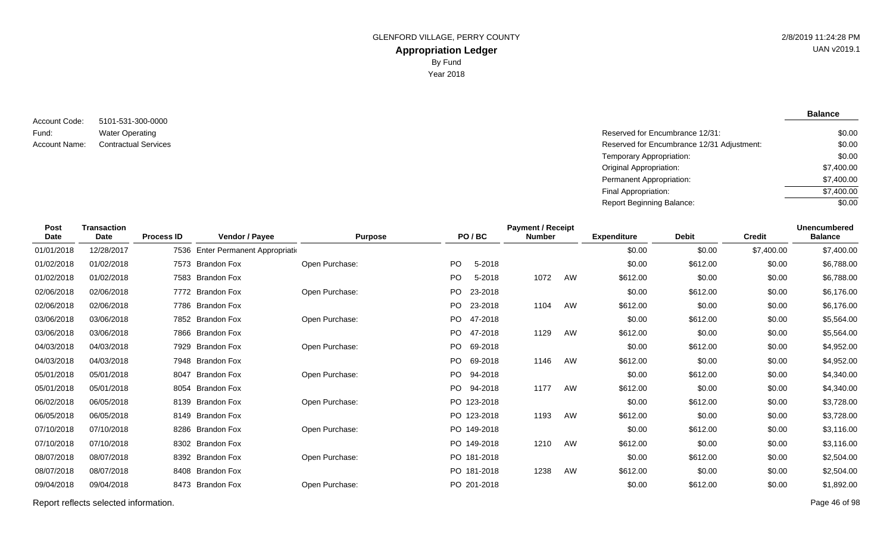5101-531-300-0000 Water Operating Account Code: Fund:

**Balance**

| Fund:         | <b>Water Operating</b>      | Reserved for Encumbrance 12/31:            | \$0.00     |
|---------------|-----------------------------|--------------------------------------------|------------|
| Account Name: | <b>Contractual Services</b> | Reserved for Encumbrance 12/31 Adjustment: | \$0.00     |
|               |                             | Temporary Appropriation:                   | \$0.00     |
|               |                             | Original Appropriation:                    | \$7,400.00 |
|               |                             | Permanent Appropriation:                   | \$7,400.00 |
|               |                             | Final Appropriation:                       | \$7,400.00 |
|               |                             | Report Beginning Balance:                  | \$0.00     |
|               |                             |                                            |            |

| <b>Post</b><br><b>Date</b> | <b>Transaction</b><br><b>Date</b> | <b>Process ID</b> | Vendor / Payee                     | <b>Purpose</b> |           | PO/BC       | <b>Payment / Receipt</b><br><b>Number</b> |    | <b>Expenditure</b> | <b>Debit</b> | <b>Credit</b> | <b>Unencumbered</b><br><b>Balance</b> |
|----------------------------|-----------------------------------|-------------------|------------------------------------|----------------|-----------|-------------|-------------------------------------------|----|--------------------|--------------|---------------|---------------------------------------|
| 01/01/2018                 | 12/28/2017                        |                   | 7536 Enter Permanent Appropriation |                |           |             |                                           |    | \$0.00             | \$0.00       | \$7,400.00    | \$7,400.00                            |
| 01/02/2018                 | 01/02/2018                        |                   | 7573 Brandon Fox                   | Open Purchase: | PO.       | 5-2018      |                                           |    | \$0.00             | \$612.00     | \$0.00        | \$6,788.00                            |
| 01/02/2018                 | 01/02/2018                        |                   | 7583 Brandon Fox                   |                | <b>PO</b> | 5-2018      | 1072                                      | AW | \$612.00           | \$0.00       | \$0.00        | \$6,788.00                            |
| 02/06/2018                 | 02/06/2018                        |                   | 7772 Brandon Fox                   | Open Purchase: | <b>PO</b> | 23-2018     |                                           |    | \$0.00             | \$612.00     | \$0.00        | \$6,176.00                            |
| 02/06/2018                 | 02/06/2018                        |                   | 7786 Brandon Fox                   |                | <b>PO</b> | 23-2018     | 1104                                      | AW | \$612.00           | \$0.00       | \$0.00        | \$6,176.00                            |
| 03/06/2018                 | 03/06/2018                        |                   | 7852 Brandon Fox                   | Open Purchase: | <b>PO</b> | 47-2018     |                                           |    | \$0.00             | \$612.00     | \$0.00        | \$5,564.00                            |
| 03/06/2018                 | 03/06/2018                        |                   | 7866 Brandon Fox                   |                | PO.       | 47-2018     | 1129                                      | AW | \$612.00           | \$0.00       | \$0.00        | \$5,564.00                            |
| 04/03/2018                 | 04/03/2018                        |                   | 7929 Brandon Fox                   | Open Purchase: | <b>PO</b> | 69-2018     |                                           |    | \$0.00             | \$612.00     | \$0.00        | \$4,952.00                            |
| 04/03/2018                 | 04/03/2018                        |                   | 7948 Brandon Fox                   |                | <b>PO</b> | 69-2018     | 1146                                      | AW | \$612.00           | \$0.00       | \$0.00        | \$4,952.00                            |
| 05/01/2018                 | 05/01/2018                        | 8047              | <b>Brandon Fox</b>                 | Open Purchase: | <b>PO</b> | 94-2018     |                                           |    | \$0.00             | \$612.00     | \$0.00        | \$4,340.00                            |
| 05/01/2018                 | 05/01/2018                        |                   | 8054 Brandon Fox                   |                |           | PO 94-2018  | 1177                                      | AW | \$612.00           | \$0.00       | \$0.00        | \$4,340.00                            |
| 06/02/2018                 | 06/05/2018                        |                   | 8139 Brandon Fox                   | Open Purchase: |           | PO 123-2018 |                                           |    | \$0.00             | \$612.00     | \$0.00        | \$3,728.00                            |
| 06/05/2018                 | 06/05/2018                        |                   | 8149 Brandon Fox                   |                |           | PO 123-2018 | 1193                                      | AW | \$612.00           | \$0.00       | \$0.00        | \$3,728.00                            |
| 07/10/2018                 | 07/10/2018                        |                   | 8286 Brandon Fox                   | Open Purchase: |           | PO 149-2018 |                                           |    | \$0.00             | \$612.00     | \$0.00        | \$3,116.00                            |
| 07/10/2018                 | 07/10/2018                        |                   | 8302 Brandon Fox                   |                |           | PO 149-2018 | 1210                                      | AW | \$612.00           | \$0.00       | \$0.00        | \$3,116.00                            |
| 08/07/2018                 | 08/07/2018                        |                   | 8392 Brandon Fox                   | Open Purchase: |           | PO 181-2018 |                                           |    | \$0.00             | \$612.00     | \$0.00        | \$2,504.00                            |
| 08/07/2018                 | 08/07/2018                        |                   | 8408 Brandon Fox                   |                |           | PO 181-2018 | 1238                                      | AW | \$612.00           | \$0.00       | \$0.00        | \$2,504.00                            |
| 09/04/2018                 | 09/04/2018                        | 8473              | <b>Brandon Fox</b>                 | Open Purchase: |           | PO 201-2018 |                                           |    | \$0.00             | \$612.00     | \$0.00        | \$1,892.00                            |

Report reflects selected information. Page 46 of 98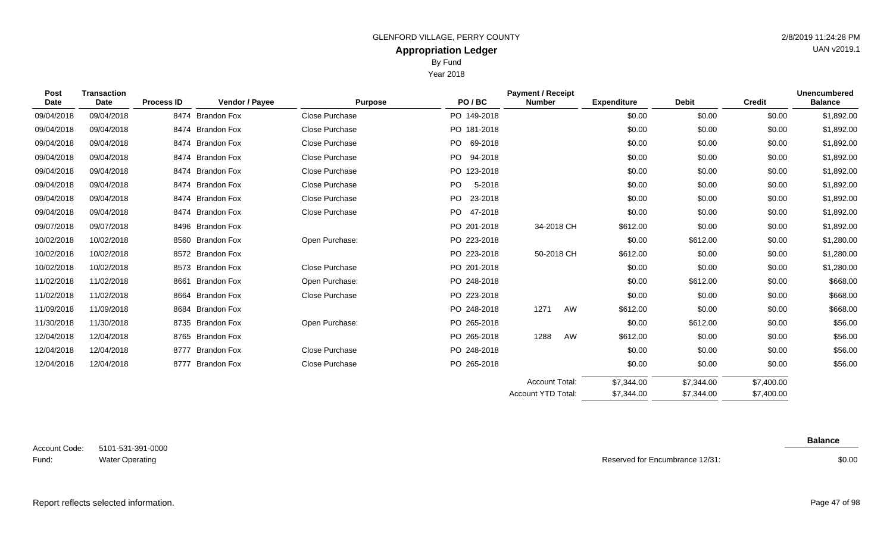Year 2018

| Post<br><b>Date</b> | <b>Transaction</b><br>Date | <b>Process ID</b> | Vendor / Payee     | <b>Purpose</b>        | PO/BC           | <b>Payment / Receipt</b><br><b>Number</b> | <b>Expenditure</b> | <b>Debit</b> | <b>Credit</b> | <b>Unencumbered</b><br><b>Balance</b> |
|---------------------|----------------------------|-------------------|--------------------|-----------------------|-----------------|-------------------------------------------|--------------------|--------------|---------------|---------------------------------------|
| 09/04/2018          | 09/04/2018                 |                   | 8474 Brandon Fox   | Close Purchase        | PO 149-2018     |                                           | \$0.00             | \$0.00       | \$0.00        | \$1,892.00                            |
| 09/04/2018          | 09/04/2018                 | 8474              | <b>Brandon Fox</b> | Close Purchase        | PO 181-2018     |                                           | \$0.00             | \$0.00       | \$0.00        | \$1,892.00                            |
| 09/04/2018          | 09/04/2018                 |                   | 8474 Brandon Fox   | Close Purchase        | PO.<br>69-2018  |                                           | \$0.00             | \$0.00       | \$0.00        | \$1,892.00                            |
| 09/04/2018          | 09/04/2018                 |                   | 8474 Brandon Fox   | Close Purchase        | PO.<br>94-2018  |                                           | \$0.00             | \$0.00       | \$0.00        | \$1,892.00                            |
| 09/04/2018          | 09/04/2018                 |                   | 8474 Brandon Fox   | Close Purchase        | PO 123-2018     |                                           | \$0.00             | \$0.00       | \$0.00        | \$1,892.00                            |
| 09/04/2018          | 09/04/2018                 |                   | 8474 Brandon Fox   | Close Purchase        | PO.<br>5-2018   |                                           | \$0.00             | \$0.00       | \$0.00        | \$1,892.00                            |
| 09/04/2018          | 09/04/2018                 |                   | 8474 Brandon Fox   | Close Purchase        | PO<br>23-2018   |                                           | \$0.00             | \$0.00       | \$0.00        | \$1,892.00                            |
| 09/04/2018          | 09/04/2018                 |                   | 8474 Brandon Fox   | Close Purchase        | PO  <br>47-2018 |                                           | \$0.00             | \$0.00       | \$0.00        | \$1,892.00                            |
| 09/07/2018          | 09/07/2018                 |                   | 8496 Brandon Fox   |                       | PO 201-2018     | 34-2018 CH                                | \$612.00           | \$0.00       | \$0.00        | \$1,892.00                            |
| 10/02/2018          | 10/02/2018                 |                   | 8560 Brandon Fox   | Open Purchase:        | PO 223-2018     |                                           | \$0.00             | \$612.00     | \$0.00        | \$1,280.00                            |
| 10/02/2018          | 10/02/2018                 | 8572              | Brandon Fox        |                       | PO 223-2018     | 50-2018 CH                                | \$612.00           | \$0.00       | \$0.00        | \$1,280.00                            |
| 10/02/2018          | 10/02/2018                 |                   | 8573 Brandon Fox   | <b>Close Purchase</b> | PO 201-2018     |                                           | \$0.00             | \$0.00       | \$0.00        | \$1,280.00                            |
| 11/02/2018          | 11/02/2018                 | 8661              | <b>Brandon Fox</b> | Open Purchase:        | PO 248-2018     |                                           | \$0.00             | \$612.00     | \$0.00        | \$668.00                              |
| 11/02/2018          | 11/02/2018                 |                   | 8664 Brandon Fox   | <b>Close Purchase</b> | PO 223-2018     |                                           | \$0.00             | \$0.00       | \$0.00        | \$668.00                              |
| 11/09/2018          | 11/09/2018                 |                   | 8684 Brandon Fox   |                       | PO 248-2018     | 1271<br>AW                                | \$612.00           | \$0.00       | \$0.00        | \$668.00                              |
| 11/30/2018          | 11/30/2018                 |                   | 8735 Brandon Fox   | Open Purchase:        | PO 265-2018     |                                           | \$0.00             | \$612.00     | \$0.00        | \$56.00                               |
| 12/04/2018          | 12/04/2018                 |                   | 8765 Brandon Fox   |                       | PO 265-2018     | AW<br>1288                                | \$612.00           | \$0.00       | \$0.00        | \$56.00                               |
| 12/04/2018          | 12/04/2018                 |                   | 8777 Brandon Fox   | Close Purchase        | PO 248-2018     |                                           | \$0.00             | \$0.00       | \$0.00        | \$56.00                               |
| 12/04/2018          | 12/04/2018                 |                   | 8777 Brandon Fox   | Close Purchase        | PO 265-2018     |                                           | \$0.00             | \$0.00       | \$0.00        | \$56.00                               |
|                     |                            |                   |                    |                       |                 | <b>Account Total:</b>                     | \$7,344.00         | \$7,344,00   | \$7,400.00    |                                       |

5101-531-391-0000 Water Operating Account Code: Fund:

**Balance**

\$7,400.00

Reserved for Encumbrance 12/31:

\$7,344.00

Account YTD Total:

\$7,344.00

\$0.00

Report reflects selected information. Page 47 of 98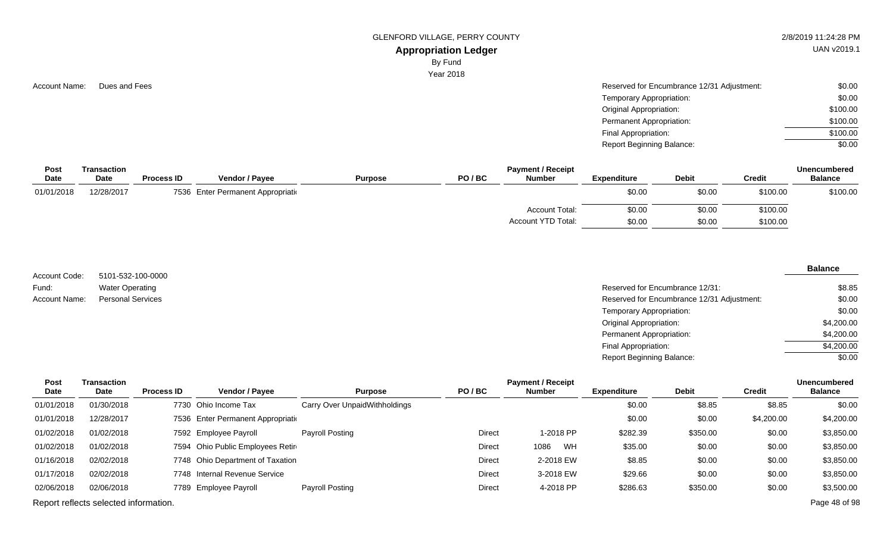GLENFORD VILLAGE, PERRY COUNTY **2/8/2019 11:24:28 PM** 

# **Appropriation Ledger**

By Fund

Year 2018

| <b>Account Name:</b> | Dues and Fees | Reserved for Encumbrance 12/31 Adjustment: | \$0.00   |
|----------------------|---------------|--------------------------------------------|----------|
|                      |               | Temporary Appropriation:                   | \$0.00   |
|                      |               | Original Appropriation:                    | \$100.00 |
|                      |               | Permanent Appropriation:                   | \$100.00 |
|                      |               | Final Appropriation:                       | \$100.00 |
|                      |               | <b>Report Beginning Balance:</b>           | \$0.00   |

| Post       | Transaction |                   |                                    |                | <b>Unencumbered</b> |                       |                    |              |               |                |
|------------|-------------|-------------------|------------------------------------|----------------|---------------------|-----------------------|--------------------|--------------|---------------|----------------|
| Date       | <b>Date</b> | <b>Process ID</b> | <b>Vendor / Payee</b>              | <b>Purpose</b> | PO/BC               | <b>Number</b>         | <b>Expenditure</b> | <b>Debit</b> | <b>Credit</b> | <b>Balance</b> |
| 01/01/2018 | 12/28/2017  |                   | 7536 Enter Permanent Appropriation |                |                     |                       | \$0.00             | \$0.00       | \$100.00      | \$100.00       |
|            |             |                   |                                    |                |                     | <b>Account Total:</b> | \$0.00             | \$0.00       | \$100.00      |                |
|            |             |                   |                                    |                |                     | Account YTD Total:    | \$0.00             | \$0.00       | \$100.00      |                |

5101-532-100-0000 Water Operating Account Code: Fund: Account Name:

#### **Balance**

| Water Operating          | Reserved for Encumbrance 12/31:            | \$8.85     |
|--------------------------|--------------------------------------------|------------|
| <b>Personal Services</b> | Reserved for Encumbrance 12/31 Adjustment: | \$0.00     |
|                          | Temporary Appropriation:                   | \$0.00     |
|                          | Original Appropriation:                    | \$4,200.00 |
|                          | Permanent Appropriation:                   | \$4,200.00 |
|                          | Final Appropriation:                       | \$4,200.00 |
|                          | <b>Report Beginning Balance:</b>           | \$0.00     |

| Post       | <b>Transaction</b>                    |                   |                                    |                               |               | <b>Payment / Receipt</b> |                    |              |               | <b>Unencumbered</b> |
|------------|---------------------------------------|-------------------|------------------------------------|-------------------------------|---------------|--------------------------|--------------------|--------------|---------------|---------------------|
| Date       | Date                                  | <b>Process ID</b> | Vendor / Payee                     | <b>Purpose</b>                | PO/BC         | Number                   | <b>Expenditure</b> | <b>Debit</b> | <b>Credit</b> | <b>Balance</b>      |
| 01/01/2018 | 01/30/2018                            |                   | 7730 Ohio Income Tax               | Carry Over UnpaidWithholdings |               |                          | \$0.00             | \$8.85       | \$8.85        | \$0.00              |
| 01/01/2018 | 12/28/2017                            |                   | 7536 Enter Permanent Appropriation |                               |               |                          | \$0.00             | \$0.00       | \$4,200.00    | \$4,200.00          |
| 01/02/2018 | 01/02/2018                            |                   | 7592 Employee Payroll              | Payroll Posting               | <b>Direct</b> | 1-2018 PP                | \$282.39           | \$350.00     | \$0.00        | \$3,850.00          |
| 01/02/2018 | 01/02/2018                            |                   | 7594 Ohio Public Employees Retire  |                               | <b>Direct</b> | WH<br>1086               | \$35.00            | \$0.00       | \$0.00        | \$3,850.00          |
| 01/16/2018 | 02/02/2018                            |                   | 7748 Ohio Department of Taxation   |                               | <b>Direct</b> | 2-2018 EW                | \$8.85             | \$0.00       | \$0.00        | \$3,850.00          |
| 01/17/2018 | 02/02/2018                            |                   | 7748 Internal Revenue Service      |                               | <b>Direct</b> | 3-2018 EW                | \$29.66            | \$0.00       | \$0.00        | \$3,850.00          |
| 02/06/2018 | 02/06/2018                            |                   | 7789 Employee Payroll              | Payroll Posting               | <b>Direct</b> | 4-2018 PP                | \$286.63           | \$350.00     | \$0.00        | \$3,500.00          |
|            | Report reflects selected information. |                   |                                    |                               |               |                          |                    |              |               | Page 48 of 98       |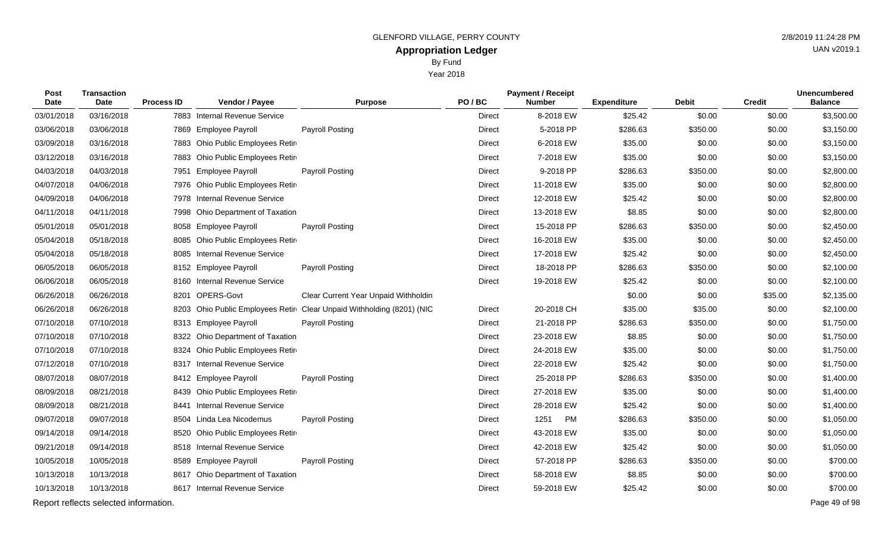Year 2018

| <b>Post</b><br><b>Date</b> | <b>Transaction</b><br><b>Date</b> | <b>Process ID</b> | Vendor / Payee                    | <b>Purpose</b>                       | PO/BC         | <b>Payment / Receipt</b><br><b>Number</b> | <b>Expenditure</b> | <b>Debit</b> | <b>Credit</b> | Unencumbered<br><b>Balance</b> |
|----------------------------|-----------------------------------|-------------------|-----------------------------------|--------------------------------------|---------------|-------------------------------------------|--------------------|--------------|---------------|--------------------------------|
| 03/01/2018                 | 03/16/2018                        |                   | 7883 Internal Revenue Service     |                                      | <b>Direct</b> | 8-2018 EW                                 | \$25.42            | \$0.00       | \$0.00        | \$3,500.00                     |
| 03/06/2018                 | 03/06/2018                        |                   | 7869 Employee Payroll             | <b>Payroll Posting</b>               | <b>Direct</b> | 5-2018 PP                                 | \$286.63           | \$350.00     | \$0.00        | \$3,150.00                     |
| 03/09/2018                 | 03/16/2018                        |                   | 7883 Ohio Public Employees Retire |                                      | <b>Direct</b> | 6-2018 EW                                 | \$35.00            | \$0.00       | \$0.00        | \$3,150.00                     |
| 03/12/2018                 | 03/16/2018                        |                   | 7883 Ohio Public Employees Retire |                                      | <b>Direct</b> | 7-2018 EW                                 | \$35.00            | \$0.00       | \$0.00        | \$3,150.00                     |
| 04/03/2018                 | 04/03/2018                        |                   | 7951 Employee Payroll             | <b>Payroll Posting</b>               | Direct        | 9-2018 PP                                 | \$286.63           | \$350.00     | \$0.00        | \$2,800.00                     |
| 04/07/2018                 | 04/06/2018                        |                   | 7976 Ohio Public Employees Retir  |                                      | <b>Direct</b> | 11-2018 EW                                | \$35.00            | \$0.00       | \$0.00        | \$2,800.00                     |
| 04/09/2018                 | 04/06/2018                        |                   | 7978 Internal Revenue Service     |                                      | Direct        | 12-2018 EW                                | \$25.42            | \$0.00       | \$0.00        | \$2,800.00                     |
| 04/11/2018                 | 04/11/2018                        |                   | 7998 Ohio Department of Taxation  |                                      | Direct        | 13-2018 EW                                | \$8.85             | \$0.00       | \$0.00        | \$2,800.00                     |
| 05/01/2018                 | 05/01/2018                        |                   | 8058 Employee Payroll             | Payroll Posting                      | Direct        | 15-2018 PP                                | \$286.63           | \$350.00     | \$0.00        | \$2,450.00                     |
| 05/04/2018                 | 05/18/2018                        |                   | 8085 Ohio Public Employees Retire |                                      | Direct        | 16-2018 EW                                | \$35.00            | \$0.00       | \$0.00        | \$2,450.00                     |
| 05/04/2018                 | 05/18/2018                        |                   | 8085 Internal Revenue Service     |                                      | Direct        | 17-2018 EW                                | \$25.42            | \$0.00       | \$0.00        | \$2,450.00                     |
| 06/05/2018                 | 06/05/2018                        |                   | 8152 Employee Payroll             | Payroll Posting                      | <b>Direct</b> | 18-2018 PP                                | \$286.63           | \$350.00     | \$0.00        | \$2,100.00                     |
| 06/06/2018                 | 06/05/2018                        |                   | 8160 Internal Revenue Service     |                                      | Direct        | 19-2018 EW                                | \$25.42            | \$0.00       | \$0.00        | \$2,100.00                     |
| 06/26/2018                 | 06/26/2018                        |                   | 8201 OPERS-Govt                   | Clear Current Year Unpaid Withholdin |               |                                           | \$0.00             | \$0.00       | \$35.00       | \$2,135.00                     |
| 06/26/2018                 | 06/26/2018                        |                   | 8203 Ohio Public Employees Retire | Clear Unpaid Withholding (8201) (NIC | Direct        | 20-2018 CH                                | \$35.00            | \$35.00      | \$0.00        | \$2,100.00                     |
| 07/10/2018                 | 07/10/2018                        |                   | 8313 Employee Payroll             | <b>Payroll Posting</b>               | <b>Direct</b> | 21-2018 PP                                | \$286.63           | \$350.00     | \$0.00        | \$1,750.00                     |
| 07/10/2018                 | 07/10/2018                        |                   | 8322 Ohio Department of Taxation  |                                      | <b>Direct</b> | 23-2018 EW                                | \$8.85             | \$0.00       | \$0.00        | \$1,750.00                     |
| 07/10/2018                 | 07/10/2018                        |                   | 8324 Ohio Public Employees Retire |                                      | <b>Direct</b> | 24-2018 EW                                | \$35.00            | \$0.00       | \$0.00        | \$1,750.00                     |
| 07/12/2018                 | 07/10/2018                        |                   | 8317 Internal Revenue Service     |                                      | <b>Direct</b> | 22-2018 EW                                | \$25.42            | \$0.00       | \$0.00        | \$1,750.00                     |
| 08/07/2018                 | 08/07/2018                        |                   | 8412 Employee Payroll             | <b>Payroll Posting</b>               | Direct        | 25-2018 PP                                | \$286.63           | \$350.00     | \$0.00        | \$1,400.00                     |
| 08/09/2018                 | 08/21/2018                        |                   | 8439 Ohio Public Employees Retire |                                      | Direct        | 27-2018 EW                                | \$35.00            | \$0.00       | \$0.00        | \$1,400.00                     |
| 08/09/2018                 | 08/21/2018                        | 8441              | <b>Internal Revenue Service</b>   |                                      | <b>Direct</b> | 28-2018 EW                                | \$25.42            | \$0.00       | \$0.00        | \$1,400.00                     |
| 09/07/2018                 | 09/07/2018                        |                   | 8504 Linda Lea Nicodemus          | Payroll Posting                      | <b>Direct</b> | 1251<br>PM                                | \$286.63           | \$350.00     | \$0.00        | \$1,050.00                     |
| 09/14/2018                 | 09/14/2018                        |                   | 8520 Ohio Public Employees Retire |                                      | <b>Direct</b> | 43-2018 EW                                | \$35.00            | \$0.00       | \$0.00        | \$1,050.00                     |
| 09/21/2018                 | 09/14/2018                        |                   | 8518 Internal Revenue Service     |                                      | Direct        | 42-2018 EW                                | \$25.42            | \$0.00       | \$0.00        | \$1,050.00                     |

10/05/2018 10/05/2018 8589 Employee Payroll Payroll Posting Direct 57-2018 PP \$286.63 \$350.00 \$0.00 \$700.00 10/13/2018 10/13/2018 8617 Ohio Department of Taxation 2000 Direct 58-2018 EW \$8.85 \$0.00 \$0.00 \$700.00 10/13/2018 10/13/2018 8617 Internal Revenue Service Direct 59-2018 EW \$25.42 \$0.00 \$0.00 \$700.00

Report reflects selected information. Page 49 of 98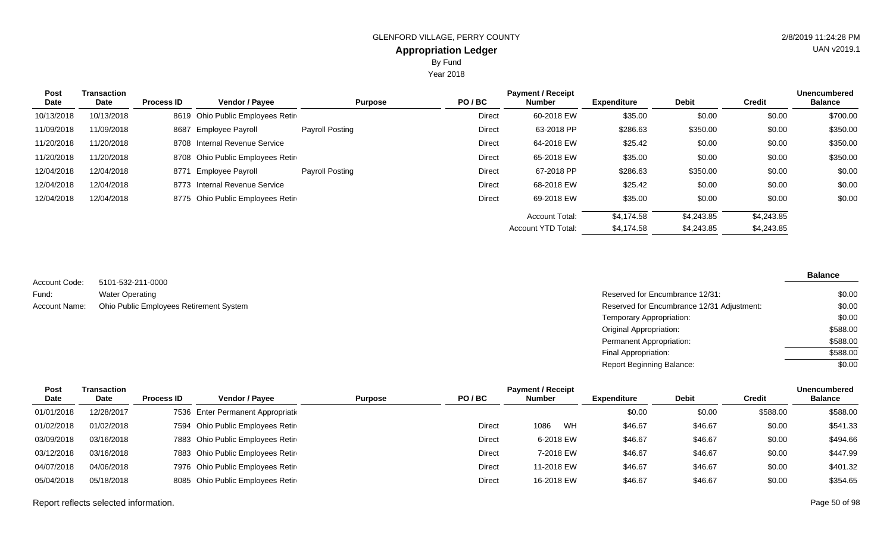Year 2018

| <b>Post</b><br>Date | Transaction<br>Date | <b>Process ID</b> | <b>Vendor / Payee</b>            | <b>Purpose</b>  | PO/BC  | <b>Payment / Receipt</b><br><b>Number</b> | <b>Expenditure</b> | <b>Debit</b> | <b>Credit</b> | <b>Unencumbered</b><br><b>Balance</b> |
|---------------------|---------------------|-------------------|----------------------------------|-----------------|--------|-------------------------------------------|--------------------|--------------|---------------|---------------------------------------|
| 10/13/2018          | 10/13/2018          |                   | 8619 Ohio Public Employees Retir |                 | Direct | 60-2018 EW                                | \$35.00            | \$0.00       | \$0.00        | \$700.00                              |
| 11/09/2018          | 11/09/2018          |                   | 8687 Employee Payroll            | Payroll Posting | Direct | 63-2018 PP                                | \$286.63           | \$350.00     | \$0.00        | \$350.00                              |
| 11/20/2018          | 11/20/2018          |                   | 8708 Internal Revenue Service    |                 | Direct | 64-2018 EW                                | \$25.42            | \$0.00       | \$0.00        | \$350.00                              |
| 11/20/2018          | 11/20/2018          |                   | 8708 Ohio Public Employees Retir |                 | Direct | 65-2018 EW                                | \$35.00            | \$0.00       | \$0.00        | \$350.00                              |
| 12/04/2018          | 12/04/2018          |                   | 8771 Employee Payroll            | Payroll Posting | Direct | 67-2018 PP                                | \$286.63           | \$350.00     | \$0.00        | \$0.00                                |
| 12/04/2018          | 12/04/2018          | 8773              | <b>Internal Revenue Service</b>  |                 | Direct | 68-2018 EW                                | \$25.42            | \$0.00       | \$0.00        | \$0.00                                |
| 12/04/2018          | 12/04/2018          |                   | 8775 Ohio Public Employees Retin |                 | Direct | 69-2018 EW                                | \$35.00            | \$0.00       | \$0.00        | \$0.00                                |
|                     |                     |                   |                                  |                 |        | <b>Account Total:</b>                     | \$4.174.58         | \$4,243.85   | \$4,243.85    |                                       |
|                     |                     |                   |                                  |                 |        | <b>Account YTD Total:</b>                 | \$4,174.58         | \$4,243.85   | \$4,243.85    |                                       |

5101-532-211-0000 Water Operating Ohio Public Employees Retirement System Account Code: Fund: Account Name:

| Reserved for Encumbrance 12/31:            | \$0.00   |
|--------------------------------------------|----------|
| Reserved for Encumbrance 12/31 Adjustment: | \$0.00   |
| Temporary Appropriation:                   | \$0.00   |
| Original Appropriation:                    | \$588.00 |
| Permanent Appropriation:                   | \$588.00 |
| Final Appropriation:                       | \$588.00 |
| Report Beginning Balance:                  | \$0.00   |

| Post       | Transaction |                   |                                    |                         | <b>Payment / Receipt</b> |                    |              |               | <b>Unencumbered</b> |
|------------|-------------|-------------------|------------------------------------|-------------------------|--------------------------|--------------------|--------------|---------------|---------------------|
| Date       | Date        | <b>Process ID</b> | <b>Vendor / Payee</b>              | PO/BC<br><b>Purpose</b> | <b>Number</b>            | <b>Expenditure</b> | <b>Debit</b> | <b>Credit</b> | <b>Balance</b>      |
| 01/01/2018 | 12/28/2017  |                   | 7536 Enter Permanent Appropriation |                         |                          | \$0.00             | \$0.00       | \$588.00      | \$588.00            |
| 01/02/2018 | 01/02/2018  |                   | 7594 Ohio Public Employees Retire  | <b>Direct</b>           | WH<br>1086               | \$46.67            | \$46.67      | \$0.00        | \$541.33            |
| 03/09/2018 | 03/16/2018  |                   | 7883 Ohio Public Employees Retire  | <b>Direct</b>           | 6-2018 EW                | \$46.67            | \$46.67      | \$0.00        | \$494.66            |
| 03/12/2018 | 03/16/2018  |                   | 7883 Ohio Public Employees Retire  | <b>Direct</b>           | 7-2018 EW                | \$46.67            | \$46.67      | \$0.00        | \$447.99            |
| 04/07/2018 | 04/06/2018  |                   | 7976 Ohio Public Employees Retire  | Direct                  | 11-2018 EW               | \$46.67            | \$46.67      | \$0.00        | \$401.32            |
| 05/04/2018 | 05/18/2018  |                   | 8085 Ohio Public Employees Retire  | Direct                  | 16-2018 EW               | \$46.67            | \$46.67      | \$0.00        | \$354.65            |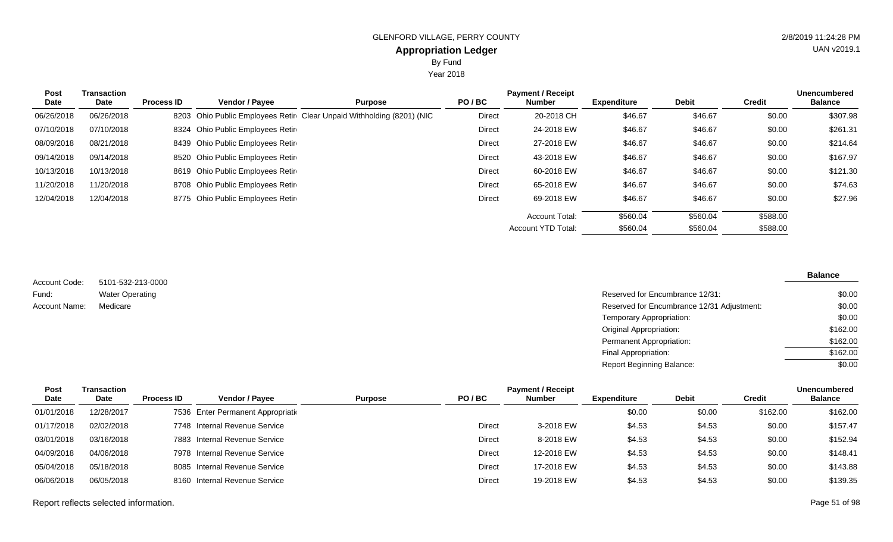Year 2018

| <b>Post</b><br>Date | Transaction<br>Date | <b>Process ID</b> | Vendor / Payee                    | <b>Purpose</b>                                                        | PO/BC         | <b>Payment / Receipt</b><br><b>Number</b> | <b>Expenditure</b> | <b>Debit</b> | <b>Credit</b> | <b>Unencumbered</b><br><b>Balance</b> |
|---------------------|---------------------|-------------------|-----------------------------------|-----------------------------------------------------------------------|---------------|-------------------------------------------|--------------------|--------------|---------------|---------------------------------------|
| 06/26/2018          | 06/26/2018          |                   |                                   | 8203 Ohio Public Employees Retir Clear Unpaid Withholding (8201) (NIC | Direct        | 20-2018 CH                                | \$46.67            | \$46.67      | \$0.00        | \$307.98                              |
| 07/10/2018          | 07/10/2018          |                   | 8324 Ohio Public Employees Retire |                                                                       | Direct        | 24-2018 EW                                | \$46.67            | \$46.67      | \$0.00        | \$261.31                              |
| 08/09/2018          | 08/21/2018          |                   | 8439 Ohio Public Employees Retir  |                                                                       | Direct        | 27-2018 EW                                | \$46.67            | \$46.67      | \$0.00        | \$214.64                              |
| 09/14/2018          | 09/14/2018          |                   | 8520 Ohio Public Employees Retire |                                                                       | Direct        | 43-2018 EW                                | \$46.67            | \$46.67      | \$0.00        | \$167.97                              |
| 10/13/2018          | 10/13/2018          |                   | 8619 Ohio Public Employees Retir  |                                                                       | <b>Direct</b> | 60-2018 EW                                | \$46.67            | \$46.67      | \$0.00        | \$121.30                              |
| 11/20/2018          | 11/20/2018          |                   | 8708 Ohio Public Employees Retire |                                                                       | Direct        | 65-2018 EW                                | \$46.67            | \$46.67      | \$0.00        | \$74.63                               |
| 12/04/2018          | 12/04/2018          |                   | 8775 Ohio Public Employees Retir  |                                                                       | Direct        | 69-2018 EW                                | \$46.67            | \$46.67      | \$0.00        | \$27.96                               |
|                     |                     |                   |                                   |                                                                       |               | <b>Account Total:</b>                     | \$560.04           | \$560.04     | \$588.00      |                                       |
|                     |                     |                   |                                   |                                                                       |               | Account YTD Total:                        | \$560.04           | \$560.04     | \$588.00      |                                       |

5101-532-213-0000 Water Operating Account Code: Fund: Account Name:

| Water Operating | Reserved for Encumbrance 12/31:            | \$0.00   |
|-----------------|--------------------------------------------|----------|
| Medicare        | Reserved for Encumbrance 12/31 Adjustment: | \$0.00   |
|                 | Temporary Appropriation:                   | \$0.00   |
|                 | Original Appropriation:                    | \$162.00 |
|                 | Permanent Appropriation:                   | \$162.00 |
|                 | Final Appropriation:                       | \$162.00 |
|                 | <b>Report Beginning Balance:</b>           | \$0.00   |

| Post       | Transaction |                   |                                    |                |               | <b>Payment / Receipt</b> |                    |              |               | <b>Unencumbered</b> |
|------------|-------------|-------------------|------------------------------------|----------------|---------------|--------------------------|--------------------|--------------|---------------|---------------------|
| Date       | Date        | <b>Process ID</b> | Vendor / Pavee                     | <b>Purpose</b> | PO/BC         | <b>Number</b>            | <b>Expenditure</b> | <b>Debit</b> | <b>Credit</b> | <b>Balance</b>      |
| 01/01/2018 | 12/28/2017  |                   | 7536 Enter Permanent Appropriation |                |               |                          | \$0.00             | \$0.00       | \$162.00      | \$162.00            |
| 01/17/2018 | 02/02/2018  |                   | 7748 Internal Revenue Service      |                | Direct        | 3-2018 EW                | \$4.53             | \$4.53       | \$0.00        | \$157.47            |
| 03/01/2018 | 03/16/2018  |                   | 7883 Internal Revenue Service      |                | Direct        | 8-2018 EW                | \$4.53             | \$4.53       | \$0.00        | \$152.94            |
| 04/09/2018 | 04/06/2018  |                   | 7978 Internal Revenue Service      |                | <b>Direct</b> | 12-2018 EW               | \$4.53             | \$4.53       | \$0.00        | \$148.41            |
| 05/04/2018 | 05/18/2018  |                   | 8085 Internal Revenue Service      |                | <b>Direct</b> | 17-2018 EW               | \$4.53             | \$4.53       | \$0.00        | \$143.88            |
| 06/06/2018 | 06/05/2018  |                   | 8160 Internal Revenue Service      |                | Direct        | 19-2018 EW               | \$4.53             | \$4.53       | \$0.00        | \$139.35            |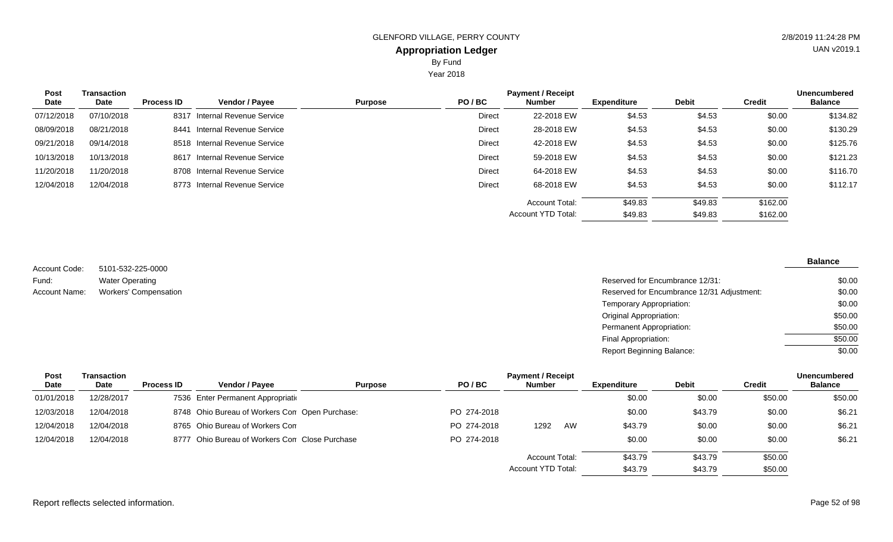Year 2018

| Post       | <b>Transaction</b> |                   |                               |                |        | <b>Payment / Receipt</b> |             |              |               | <b>Unencumbered</b> |
|------------|--------------------|-------------------|-------------------------------|----------------|--------|--------------------------|-------------|--------------|---------------|---------------------|
| Date       | Date               | <b>Process ID</b> | <b>Vendor / Payee</b>         | <b>Purpose</b> | PO/BC  | <b>Number</b>            | Expenditure | <b>Debit</b> | <b>Credit</b> | <b>Balance</b>      |
| 07/12/2018 | 07/10/2018         | 8317              | Internal Revenue Service      |                | Direct | 22-2018 EW               | \$4.53      | \$4.53       | \$0.00        | \$134.82            |
| 08/09/2018 | 08/21/2018         | 8441              | Internal Revenue Service      |                | Direct | 28-2018 EW               | \$4.53      | \$4.53       | \$0.00        | \$130.29            |
| 09/21/2018 | 09/14/2018         |                   | 8518 Internal Revenue Service |                | Direct | 42-2018 EW               | \$4.53      | \$4.53       | \$0.00        | \$125.76            |
| 10/13/2018 | 10/13/2018         |                   | 8617 Internal Revenue Service |                | Direct | 59-2018 EW               | \$4.53      | \$4.53       | \$0.00        | \$121.23            |
| 11/20/2018 | 11/20/2018         |                   | 8708 Internal Revenue Service |                | Direct | 64-2018 EW               | \$4.53      | \$4.53       | \$0.00        | \$116.70            |
| 12/04/2018 | 12/04/2018         |                   | 8773 Internal Revenue Service |                | Direct | 68-2018 EW               | \$4.53      | \$4.53       | \$0.00        | \$112.17            |
|            |                    |                   |                               |                |        | Account Total:           | \$49.83     | \$49.83      | \$162.00      |                     |
|            |                    |                   |                               |                |        | Account YTD Total:       | \$49.83     | \$49.83      | \$162.00      |                     |

5101-532-225-0000 Water Operating Workers' Compensation Account Code: Fund: Account Name:

| Reserved for Encumbrance 12/31:            | \$0.00  |
|--------------------------------------------|---------|
| Reserved for Encumbrance 12/31 Adjustment: | \$0.00  |
| Temporary Appropriation:                   | \$0.00  |
| Original Appropriation:                    | \$50.00 |
| Permanent Appropriation:                   | \$50.00 |
| Final Appropriation:                       | \$50.00 |
| Report Beginning Balance:                  | \$0.00  |

| Post        | Transaction |                   |                                                |                |             | <b>Payment / Receipt</b> |    |             |              |               | <b>Unencumbered</b> |
|-------------|-------------|-------------------|------------------------------------------------|----------------|-------------|--------------------------|----|-------------|--------------|---------------|---------------------|
| <b>Date</b> | Date        | <b>Process ID</b> | <b>Vendor / Pavee</b>                          | <b>Purpose</b> | PO/BC       | <b>Number</b>            |    | Expenditure | <b>Debit</b> | <b>Credit</b> | <b>Balance</b>      |
| 01/01/2018  | 12/28/2017  |                   | 7536 Enter Permanent Appropriation             |                |             |                          |    | \$0.00      | \$0.00       | \$50.00       | \$50.00             |
| 12/03/2018  | 12/04/2018  |                   | 8748 Ohio Bureau of Workers Con Open Purchase: |                | PO 274-2018 |                          |    | \$0.00      | \$43.79      | \$0.00        | \$6.21              |
| 12/04/2018  | 12/04/2018  |                   | 8765 Ohio Bureau of Workers Com                |                | PO 274-2018 | 1292                     | AW | \$43.79     | \$0.00       | \$0.00        | \$6.21              |
| 12/04/2018  | 12/04/2018  |                   | 8777 Ohio Bureau of Workers Con Close Purchase |                | PO 274-2018 |                          |    | \$0.00      | \$0.00       | \$0.00        | \$6.21              |
|             |             |                   |                                                |                |             | Account Total:           |    | \$43.79     | \$43.79      | \$50.00       |                     |
|             |             |                   |                                                |                |             | Account YTD Total:       |    | \$43.79     | \$43.79      | \$50.00       |                     |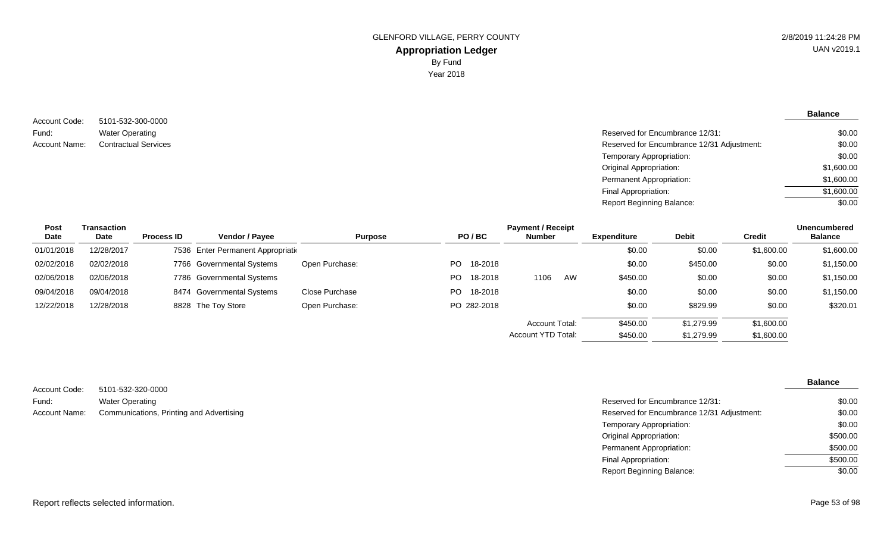5101-532-300-0000 Water Operating Account Code: Fund:

**Balance**

| Fund:         | <b>Water Operating</b>      | Reserved for Encumbrance 12/31:            | \$0.00     |
|---------------|-----------------------------|--------------------------------------------|------------|
| Account Name: | <b>Contractual Services</b> | Reserved for Encumbrance 12/31 Adjustment: | \$0.00     |
|               |                             | Temporary Appropriation:                   | \$0.00     |
|               |                             | <b>Original Appropriation:</b>             | \$1,600.00 |
|               |                             | Permanent Appropriation:                   | \$1,600.00 |
|               |                             | Final Appropriation:                       | \$1,600.00 |
|               |                             | <b>Report Beginning Balance:</b>           | \$0.00     |
|               |                             |                                            |            |

| Post       | Transaction |                   |                                    |                |     |             | <b>Payment / Receipt</b> |    |             |              |            | <b>Unencumbered</b> |
|------------|-------------|-------------------|------------------------------------|----------------|-----|-------------|--------------------------|----|-------------|--------------|------------|---------------------|
| Date       | Date        | <b>Process ID</b> | <b>Vendor / Pavee</b>              | <b>Purpose</b> |     | PO/BC       | <b>Number</b>            |    | Expenditure | <b>Debit</b> | Credit     | <b>Balance</b>      |
| 01/01/2018 | 12/28/2017  |                   | 7536 Enter Permanent Appropriation |                |     |             |                          |    | \$0.00      | \$0.00       | \$1,600.00 | \$1,600.00          |
| 02/02/2018 | 02/02/2018  |                   | 7766 Governmental Systems          | Open Purchase: | PO. | 18-2018     |                          |    | \$0.00      | \$450.00     | \$0.00     | \$1,150.00          |
| 02/06/2018 | 02/06/2018  |                   | 7786 Governmental Systems          |                | PO. | 18-2018     | 1106                     | AW | \$450.00    | \$0.00       | \$0.00     | \$1,150.00          |
| 09/04/2018 | 09/04/2018  |                   | 8474 Governmental Systems          | Close Purchase | PO. | 18-2018     |                          |    | \$0.00      | \$0.00       | \$0.00     | \$1,150.00          |
| 12/22/2018 | 12/28/2018  |                   | 8828 The Toy Store                 | Open Purchase: |     | PO 282-2018 |                          |    | \$0.00      | \$829.99     | \$0.00     | \$320.01            |
|            |             |                   |                                    |                |     |             | <b>Account Total:</b>    |    | \$450.00    | \$1,279.99   | \$1,600.00 |                     |
|            |             |                   |                                    |                |     |             | Account YTD Total:       |    | \$450.00    | \$1,279.99   | \$1,600.00 |                     |

| Account Code: | 5101-532-320-0000                        |                                            |
|---------------|------------------------------------------|--------------------------------------------|
| Fund:         | Water Operating                          | Reserved for Encumbrance 12/31:            |
| Account Name: | Communications, Printing and Advertising | Reserved for Encumbrance 12/31 Adjustment: |

| Reserved for Encumbrance 12/31:            | \$0.00   |
|--------------------------------------------|----------|
| Reserved for Encumbrance 12/31 Adjustment: | \$0.00   |
| Temporary Appropriation:                   | \$0.00   |
| Original Appropriation:                    | \$500.00 |
| Permanent Appropriation:                   | \$500.00 |
| Final Appropriation:                       | \$500.00 |
| Report Beginning Balance:                  | \$0.00   |
|                                            |          |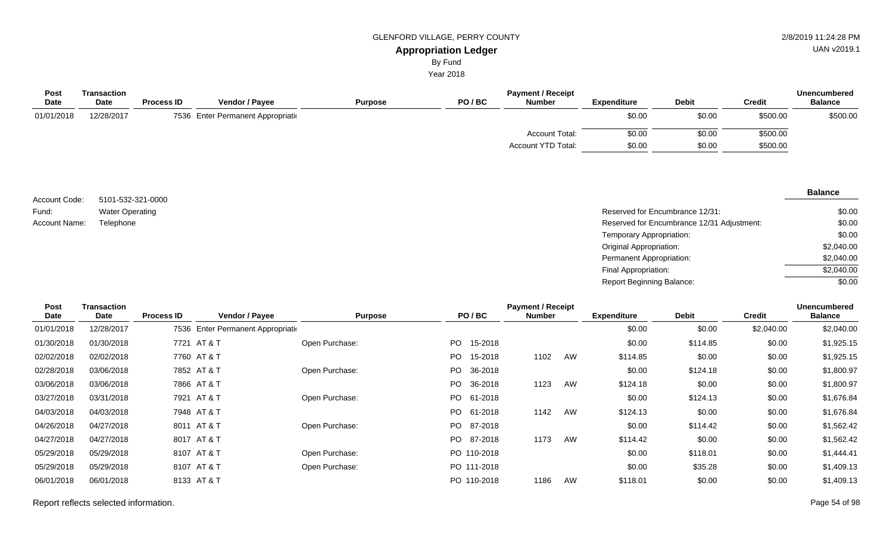By Fund

Year 2018

| Transaction |                   |                       |                                    |       | <b>Unencumbered</b>   |                          |              |               |                |
|-------------|-------------------|-----------------------|------------------------------------|-------|-----------------------|--------------------------|--------------|---------------|----------------|
| <b>Date</b> | <b>Process ID</b> | <b>Vendor / Payee</b> | <b>Purpose</b>                     | PO/BC | <b>Number</b>         | <b>Expenditure</b>       | <b>Debit</b> | <b>Credit</b> | <b>Balance</b> |
| 12/28/2017  |                   |                       |                                    |       |                       | \$0.00                   | \$0.00       | \$500.00      | \$500.00       |
|             |                   |                       |                                    |       | <b>Account Total:</b> | \$0.00                   | \$0.00       | \$500.00      |                |
|             |                   |                       |                                    |       | Account YTD Total:    | \$0.00                   | \$0.00       | \$500.00      |                |
|             |                   |                       | 7536 Enter Permanent Appropriation |       |                       | <b>Payment / Receipt</b> |              |               |                |

| Account Code: | 5101-532-321-0000      |
|---------------|------------------------|
| Fund:         | <b>Water Operating</b> |
| Account Name: | Telephone              |

| Water Operating | Reserved for Encumbrance 12/31:            | \$0.00     |
|-----------------|--------------------------------------------|------------|
| Telephone       | Reserved for Encumbrance 12/31 Adjustment: | \$0.00     |
|                 | Temporary Appropriation:                   | \$0.00     |
|                 | <b>Original Appropriation:</b>             | \$2,040.00 |
|                 | Permanent Appropriation:                   | \$2,040.00 |
|                 | Final Appropriation:                       | \$2,040.00 |
|                 | <b>Report Beginning Balance:</b>           | \$0.00     |

| Post       | Transaction | <b>Payment / Receipt</b> |                                    |                |      |             |               |    |                    |              | <b>Unencumbered</b> |                |
|------------|-------------|--------------------------|------------------------------------|----------------|------|-------------|---------------|----|--------------------|--------------|---------------------|----------------|
| Date       | Date        | <b>Process ID</b>        | Vendor / Payee                     | <b>Purpose</b> |      | PO/BC       | <b>Number</b> |    | <b>Expenditure</b> | <b>Debit</b> | <b>Credit</b>       | <b>Balance</b> |
| 01/01/2018 | 12/28/2017  |                          | 7536 Enter Permanent Appropriation |                |      |             |               |    | \$0.00             | \$0.00       | \$2,040.00          | \$2,040.00     |
| 01/30/2018 | 01/30/2018  |                          | 7721 AT & T                        | Open Purchase: | PO - | 15-2018     |               |    | \$0.00             | \$114.85     | \$0.00              | \$1,925.15     |
| 02/02/2018 | 02/02/2018  |                          | 7760 AT & T                        |                | PO - | 15-2018     | 1102          | AW | \$114.85           | \$0.00       | \$0.00              | \$1,925.15     |
| 02/28/2018 | 03/06/2018  |                          | 7852 AT & T                        | Open Purchase: | PO.  | 36-2018     |               |    | \$0.00             | \$124.18     | \$0.00              | \$1,800.97     |
| 03/06/2018 | 03/06/2018  |                          | 7866 AT & T                        |                | PO - | 36-2018     | 1123          | AW | \$124.18           | \$0.00       | \$0.00              | \$1,800.97     |
| 03/27/2018 | 03/31/2018  |                          | 7921 AT & T                        | Open Purchase: |      | PO 61-2018  |               |    | \$0.00             | \$124.13     | \$0.00              | \$1,676.84     |
| 04/03/2018 | 04/03/2018  |                          | 7948 AT & T                        |                |      | PO 61-2018  | 1142          | AW | \$124.13           | \$0.00       | \$0.00              | \$1,676.84     |
| 04/26/2018 | 04/27/2018  |                          | 8011 AT & T                        | Open Purchase: |      | PO 87-2018  |               |    | \$0.00             | \$114.42     | \$0.00              | \$1,562.42     |
| 04/27/2018 | 04/27/2018  |                          | 8017 AT & T                        |                | PO - | 87-2018     | 1173          | AW | \$114.42           | \$0.00       | \$0.00              | \$1,562.42     |
| 05/29/2018 | 05/29/2018  |                          | 8107 AT & T                        | Open Purchase: |      | PO 110-2018 |               |    | \$0.00             | \$118.01     | \$0.00              | \$1,444.41     |
| 05/29/2018 | 05/29/2018  |                          | 8107 AT & T                        | Open Purchase: |      | PO 111-2018 |               |    | \$0.00             | \$35.28      | \$0.00              | \$1,409.13     |
| 06/01/2018 | 06/01/2018  |                          | 8133 AT & T                        |                |      | PO 110-2018 | 1186          | AW | \$118.01           | \$0.00       | \$0.00              | \$1,409.13     |
|            |             |                          |                                    |                |      |             |               |    |                    |              |                     |                |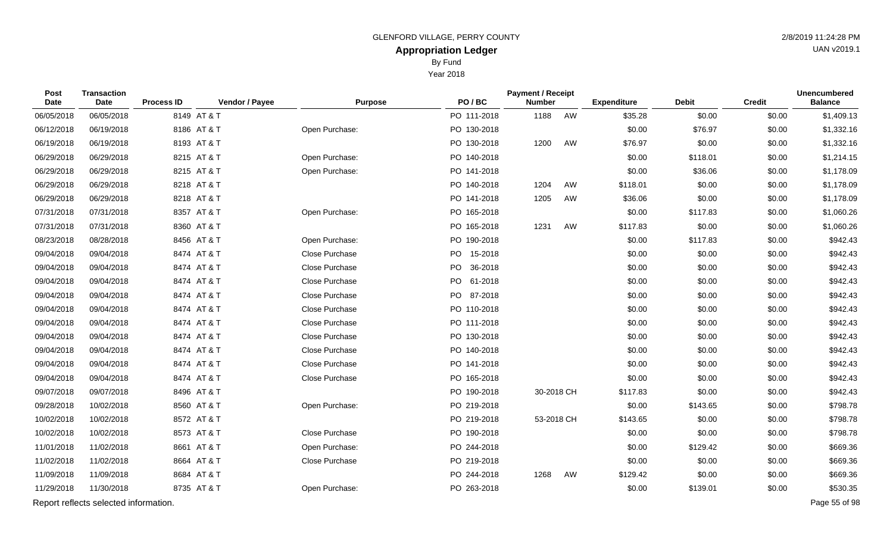By Fund

Year 2018

| Post<br>Date | <b>Transaction</b><br><b>Date</b>     | <b>Process ID</b> | Vendor / Payee | <b>Purpose</b> | PO/BC       | <b>Payment / Receipt</b><br><b>Number</b> |    | <b>Expenditure</b> | <b>Debit</b> | <b>Credit</b> | <b>Unencumbered</b><br><b>Balance</b> |
|--------------|---------------------------------------|-------------------|----------------|----------------|-------------|-------------------------------------------|----|--------------------|--------------|---------------|---------------------------------------|
| 06/05/2018   | 06/05/2018                            |                   | 8149 AT & T    |                | PO 111-2018 | 1188                                      | AW | \$35.28            | \$0.00       | \$0.00        | \$1,409.13                            |
| 06/12/2018   | 06/19/2018                            |                   | 8186 AT & T    | Open Purchase: | PO 130-2018 |                                           |    | \$0.00             | \$76.97      | \$0.00        | \$1,332.16                            |
| 06/19/2018   | 06/19/2018                            |                   | 8193 AT & T    |                | PO 130-2018 | 1200                                      | AW | \$76.97            | \$0.00       | \$0.00        | \$1,332.16                            |
| 06/29/2018   | 06/29/2018                            |                   | 8215 AT & T    | Open Purchase: | PO 140-2018 |                                           |    | \$0.00             | \$118.01     | \$0.00        | \$1,214.15                            |
| 06/29/2018   | 06/29/2018                            |                   | 8215 AT & T    | Open Purchase: | PO 141-2018 |                                           |    | \$0.00             | \$36.06      | \$0.00        | \$1,178.09                            |
| 06/29/2018   | 06/29/2018                            |                   | 8218 AT & T    |                | PO 140-2018 | 1204                                      | AW | \$118.01           | \$0.00       | \$0.00        | \$1,178.09                            |
| 06/29/2018   | 06/29/2018                            |                   | 8218 AT & T    |                | PO 141-2018 | 1205                                      | AW | \$36.06            | \$0.00       | \$0.00        | \$1,178.09                            |
| 07/31/2018   | 07/31/2018                            |                   | 8357 AT & T    | Open Purchase: | PO 165-2018 |                                           |    | \$0.00             | \$117.83     | \$0.00        | \$1,060.26                            |
| 07/31/2018   | 07/31/2018                            |                   | 8360 AT & T    |                | PO 165-2018 | 1231                                      | AW | \$117.83           | \$0.00       | \$0.00        | \$1,060.26                            |
| 08/23/2018   | 08/28/2018                            |                   | 8456 AT & T    | Open Purchase: | PO 190-2018 |                                           |    | \$0.00             | \$117.83     | \$0.00        | \$942.43                              |
| 09/04/2018   | 09/04/2018                            |                   | 8474 AT & T    | Close Purchase | PO 15-2018  |                                           |    | \$0.00             | \$0.00       | \$0.00        | \$942.43                              |
| 09/04/2018   | 09/04/2018                            |                   | 8474 AT & T    | Close Purchase | PO 36-2018  |                                           |    | \$0.00             | \$0.00       | \$0.00        | \$942.43                              |
| 09/04/2018   | 09/04/2018                            |                   | 8474 AT & T    | Close Purchase | PO 61-2018  |                                           |    | \$0.00             | \$0.00       | \$0.00        | \$942.43                              |
| 09/04/2018   | 09/04/2018                            |                   | 8474 AT & T    | Close Purchase | PO 87-2018  |                                           |    | \$0.00             | \$0.00       | \$0.00        | \$942.43                              |
| 09/04/2018   | 09/04/2018                            |                   | 8474 AT & T    | Close Purchase | PO 110-2018 |                                           |    | \$0.00             | \$0.00       | \$0.00        | \$942.43                              |
| 09/04/2018   | 09/04/2018                            |                   | 8474 AT & T    | Close Purchase | PO 111-2018 |                                           |    | \$0.00             | \$0.00       | \$0.00        | \$942.43                              |
| 09/04/2018   | 09/04/2018                            |                   | 8474 AT & T    | Close Purchase | PO 130-2018 |                                           |    | \$0.00             | \$0.00       | \$0.00        | \$942.43                              |
| 09/04/2018   | 09/04/2018                            |                   | 8474 AT & T    | Close Purchase | PO 140-2018 |                                           |    | \$0.00             | \$0.00       | \$0.00        | \$942.43                              |
| 09/04/2018   | 09/04/2018                            |                   | 8474 AT & T    | Close Purchase | PO 141-2018 |                                           |    | \$0.00             | \$0.00       | \$0.00        | \$942.43                              |
| 09/04/2018   | 09/04/2018                            |                   | 8474 AT & T    | Close Purchase | PO 165-2018 |                                           |    | \$0.00             | \$0.00       | \$0.00        | \$942.43                              |
| 09/07/2018   | 09/07/2018                            |                   | 8496 AT & T    |                | PO 190-2018 | 30-2018 CH                                |    | \$117.83           | \$0.00       | \$0.00        | \$942.43                              |
| 09/28/2018   | 10/02/2018                            |                   | 8560 AT & T    | Open Purchase: | PO 219-2018 |                                           |    | \$0.00             | \$143.65     | \$0.00        | \$798.78                              |
| 10/02/2018   | 10/02/2018                            |                   | 8572 AT & T    |                | PO 219-2018 | 53-2018 CH                                |    | \$143.65           | \$0.00       | \$0.00        | \$798.78                              |
| 10/02/2018   | 10/02/2018                            |                   | 8573 AT & T    | Close Purchase | PO 190-2018 |                                           |    | \$0.00             | \$0.00       | \$0.00        | \$798.78                              |
| 11/01/2018   | 11/02/2018                            |                   | 8661 AT & T    | Open Purchase: | PO 244-2018 |                                           |    | \$0.00             | \$129.42     | \$0.00        | \$669.36                              |
| 11/02/2018   | 11/02/2018                            |                   | 8664 AT & T    | Close Purchase | PO 219-2018 |                                           |    | \$0.00             | \$0.00       | \$0.00        | \$669.36                              |
| 11/09/2018   | 11/09/2018                            |                   | 8684 AT & T    |                | PO 244-2018 | 1268                                      | AW | \$129.42           | \$0.00       | \$0.00        | \$669.36                              |
| 11/29/2018   | 11/30/2018                            |                   | 8735 AT & T    | Open Purchase: | PO 263-2018 |                                           |    | \$0.00             | \$139.01     | \$0.00        | \$530.35                              |
|              | Report reflects selected information. |                   |                |                |             |                                           |    |                    |              |               | Page 55 of 98                         |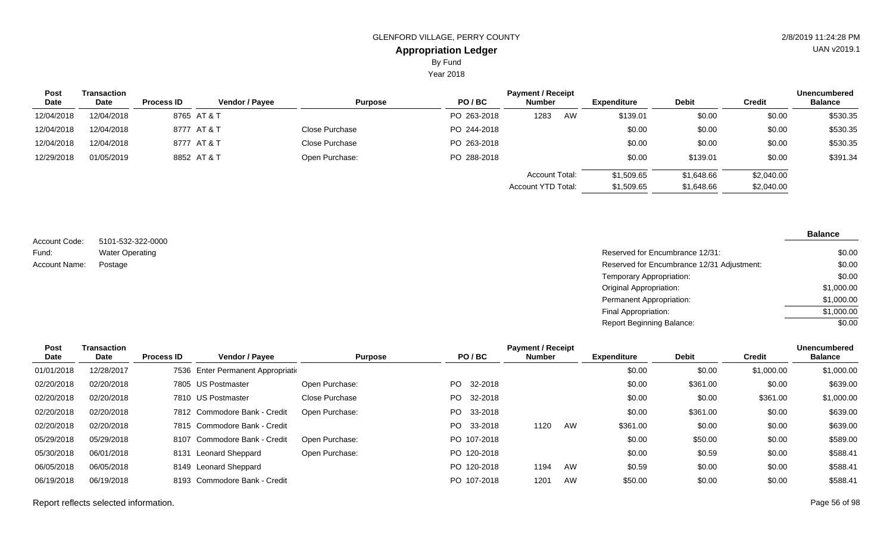By Fund

Year 2018

| <b>Post</b> | Transaction |                   |                       |                |             | <b>Payment / Receipt</b> |    |                    |              |               | <b>Unencumbered</b> |
|-------------|-------------|-------------------|-----------------------|----------------|-------------|--------------------------|----|--------------------|--------------|---------------|---------------------|
| <b>Date</b> | Date        | <b>Process ID</b> | <b>Vendor / Payee</b> | <b>Purpose</b> | PO/BC       | <b>Number</b>            |    | <b>Expenditure</b> | <b>Debit</b> | <b>Credit</b> | <b>Balance</b>      |
| 12/04/2018  | 12/04/2018  |                   | 8765 AT & T           |                | PO 263-2018 | 1283                     | AW | \$139.01           | \$0.00       | \$0.00        | \$530.35            |
| 12/04/2018  | 12/04/2018  |                   | 8777 AT & T           | Close Purchase | PO 244-2018 |                          |    | \$0.00             | \$0.00       | \$0.00        | \$530.35            |
| 12/04/2018  | 12/04/2018  |                   | 8777 AT & T           | Close Purchase | PO 263-2018 |                          |    | \$0.00             | \$0.00       | \$0.00        | \$530.35            |
| 12/29/2018  | 01/05/2019  |                   | 8852 AT & T           | Open Purchase: | PO 288-2018 |                          |    | \$0.00             | \$139.01     | \$0.00        | \$391.34            |
|             |             |                   |                       |                |             | Account Total:           |    | \$1,509.65         | \$1,648.66   | \$2,040.00    |                     |
|             |             |                   |                       |                |             | Account YTD Total:       |    | \$1,509.65         | \$1,648.66   | \$2,040.00    |                     |

5101-532-322-0000 Water Operating Account Code: Fund: Account Name:

| Postage<br>Reserved for Encumbrance 12/31 Adjustment:<br>Temporary Appropriation:<br><b>Original Appropriation:</b><br>Permanent Appropriation:<br>Final Appropriation:<br><b>Report Beginning Balance:</b> | Water Operating | Reserved for Encumbrance 12/31: | \$0.00     |
|-------------------------------------------------------------------------------------------------------------------------------------------------------------------------------------------------------------|-----------------|---------------------------------|------------|
|                                                                                                                                                                                                             |                 |                                 | \$0.00     |
|                                                                                                                                                                                                             |                 |                                 | \$0.00     |
|                                                                                                                                                                                                             |                 |                                 | \$1,000.00 |
|                                                                                                                                                                                                             |                 |                                 | \$1,000.00 |
|                                                                                                                                                                                                             |                 |                                 | \$1,000.00 |
|                                                                                                                                                                                                             |                 |                                 | \$0.00     |

| Post       | Transaction |                   |                                    |                |                 | <b>Payment / Receipt</b> |    |                    |              |            | <b>Unencumbered</b> |
|------------|-------------|-------------------|------------------------------------|----------------|-----------------|--------------------------|----|--------------------|--------------|------------|---------------------|
| Date       | Date        | <b>Process ID</b> | <b>Vendor / Payee</b>              | <b>Purpose</b> | PO/BC           | <b>Number</b>            |    | <b>Expenditure</b> | <b>Debit</b> | Credit     | <b>Balance</b>      |
| 01/01/2018 | 12/28/2017  |                   | 7536 Enter Permanent Appropriation |                |                 |                          |    | \$0.00             | \$0.00       | \$1,000.00 | \$1,000.00          |
| 02/20/2018 | 02/20/2018  |                   | 7805 US Postmaster                 | Open Purchase: | PO -<br>32-2018 |                          |    | \$0.00             | \$361.00     | \$0.00     | \$639.00            |
| 02/20/2018 | 02/20/2018  |                   | 7810 US Postmaster                 | Close Purchase | PO 32-2018      |                          |    | \$0.00             | \$0.00       | \$361.00   | \$1,000.00          |
| 02/20/2018 | 02/20/2018  |                   | 7812 Commodore Bank - Credit       | Open Purchase: | PO 33-2018      |                          |    | \$0.00             | \$361.00     | \$0.00     | \$639.00            |
| 02/20/2018 | 02/20/2018  |                   | 7815 Commodore Bank - Credit       |                | 33-2018<br>PO - | 1120                     | AW | \$361.00           | \$0.00       | \$0.00     | \$639.00            |
| 05/29/2018 | 05/29/2018  | 8107              | Commodore Bank - Credit            | Open Purchase: | PO 107-2018     |                          |    | \$0.00             | \$50.00      | \$0.00     | \$589.00            |
| 05/30/2018 | 06/01/2018  |                   | 8131 Leonard Sheppard              | Open Purchase: | PO 120-2018     |                          |    | \$0.00             | \$0.59       | \$0.00     | \$588.41            |
| 06/05/2018 | 06/05/2018  |                   | 8149 Leonard Sheppard              |                | PO 120-2018     | 1194                     | AW | \$0.59             | \$0.00       | \$0.00     | \$588.41            |
| 06/19/2018 | 06/19/2018  |                   | 8193 Commodore Bank - Credit       |                | PO 107-2018     | 1201                     | AW | \$50.00            | \$0.00       | \$0.00     | \$588.41            |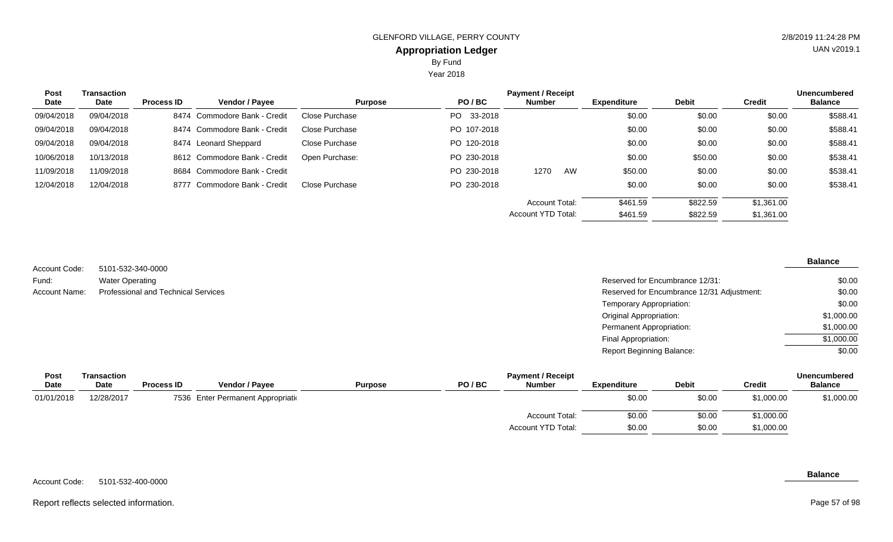Year 2018

| <b>Post</b> | Transaction |                   |                              |                |             | <b>Payment / Receipt</b> |    |                    |              |            | <b>Unencumbered</b> |
|-------------|-------------|-------------------|------------------------------|----------------|-------------|--------------------------|----|--------------------|--------------|------------|---------------------|
| Date        | Date        | <b>Process ID</b> | <b>Vendor / Payee</b>        | <b>Purpose</b> | PO/BC       | <b>Number</b>            |    | <b>Expenditure</b> | <b>Debit</b> | Credit     | <b>Balance</b>      |
| 09/04/2018  | 09/04/2018  |                   | 8474 Commodore Bank - Credit | Close Purchase | PO 33-2018  |                          |    | \$0.00             | \$0.00       | \$0.00     | \$588.41            |
| 09/04/2018  | 09/04/2018  |                   | 8474 Commodore Bank - Credit | Close Purchase | PO 107-2018 |                          |    | \$0.00             | \$0.00       | \$0.00     | \$588.41            |
| 09/04/2018  | 09/04/2018  |                   | 8474 Leonard Sheppard        | Close Purchase | PO 120-2018 |                          |    | \$0.00             | \$0.00       | \$0.00     | \$588.41            |
| 10/06/2018  | 10/13/2018  |                   | 8612 Commodore Bank - Credit | Open Purchase: | PO 230-2018 |                          |    | \$0.00             | \$50.00      | \$0.00     | \$538.41            |
| 11/09/2018  | 11/09/2018  |                   | 8684 Commodore Bank - Credit |                | PO 230-2018 | 1270                     | AW | \$50.00            | \$0.00       | \$0.00     | \$538.41            |
| 12/04/2018  | 12/04/2018  | 8777              | Commodore Bank - Credit      | Close Purchase | PO 230-2018 |                          |    | \$0.00             | \$0.00       | \$0.00     | \$538.41            |
|             |             |                   |                              |                |             | <b>Account Total:</b>    |    | \$461.59           | \$822.59     | \$1,361.00 |                     |
|             |             |                   |                              |                |             | Account YTD Total:       |    | \$461.59           | \$822.59     | \$1,361.00 |                     |

| Account Code: | 5101-532-340-0000                          |
|---------------|--------------------------------------------|
| Fund:         | <b>Water Operating</b>                     |
| Account Name: | <b>Professional and Technical Services</b> |

#### **Balance**

| Water Operating                     | Reserved for Encumbrance 12/31:            | \$0.00     |
|-------------------------------------|--------------------------------------------|------------|
| Professional and Technical Services | Reserved for Encumbrance 12/31 Adjustment: | \$0.00     |
|                                     | Temporary Appropriation:                   | \$0.00     |
|                                     | <b>Original Appropriation:</b>             | \$1,000.00 |
|                                     | Permanent Appropriation:                   | \$1,000.00 |
|                                     | Final Appropriation:                       | \$1,000.00 |
|                                     | Report Beginning Balance:                  | \$0.00     |

| <b>Balance</b> |
|----------------|
| \$1,000.00     |
|                |
|                |
|                |

#### 5101-532-400-0000 Account Code:

### **Balance**

#### Report reflects selected information. Page 57 of 98

Page 57 of 98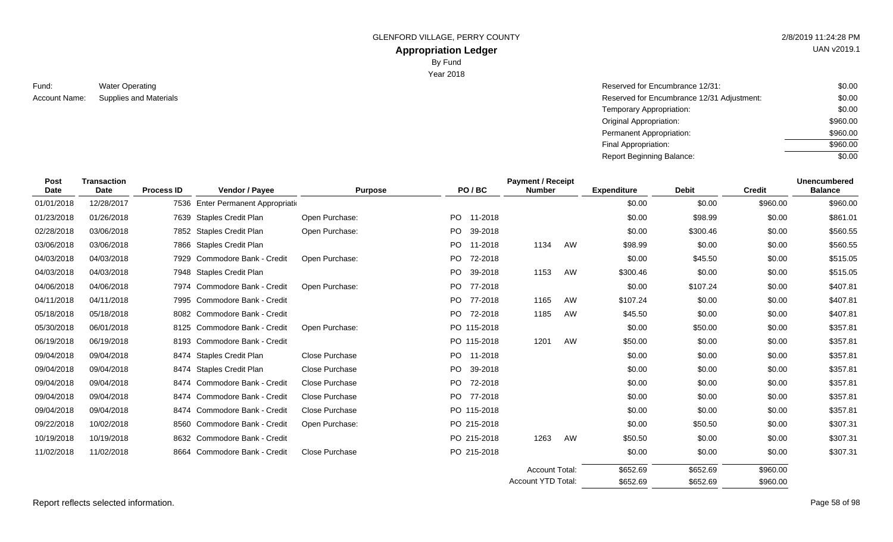GLENFORD VILLAGE, PERRY COUNTY **2/8/2019 11:24:28 PM** 

# **Appropriation Ledger**

By Fund

Year 2018

| Fund:         | <b>Water Operating</b>        |
|---------------|-------------------------------|
| Account Name: | <b>Supplies and Materials</b> |

| Water Operating               | Reserved for Encumbrance 12/31:            | \$0.00   |
|-------------------------------|--------------------------------------------|----------|
| <b>Supplies and Materials</b> | Reserved for Encumbrance 12/31 Adjustment: | \$0.00   |
|                               | Temporary Appropriation:                   | \$0.00   |
|                               | Original Appropriation:                    | \$960.00 |
|                               | Permanent Appropriation:                   | \$960.00 |
|                               | Final Appropriation:                       | \$960.00 |
|                               | <b>Report Beginning Balance:</b>           | \$0.00   |

| <b>Post</b><br><b>Date</b> | <b>Transaction</b><br><b>Date</b> | <b>Process ID</b> | Vendor / Payee                       | <b>Purpose</b>        |      | PO/BC       | <b>Payment / Receipt</b><br><b>Number</b> |    |          |          |          |          | <b>Expenditure</b> | <b>Debit</b> | <b>Credit</b> | <b>Unencumbered</b><br><b>Balance</b> |
|----------------------------|-----------------------------------|-------------------|--------------------------------------|-----------------------|------|-------------|-------------------------------------------|----|----------|----------|----------|----------|--------------------|--------------|---------------|---------------------------------------|
| 01/01/2018                 | 12/28/2017                        | 7536              | <b>Enter Permanent Appropriation</b> |                       |      |             |                                           |    | \$0.00   | \$0.00   | \$960.00 | \$960.00 |                    |              |               |                                       |
| 01/23/2018                 | 01/26/2018                        |                   | 7639 Staples Credit Plan             | Open Purchase:        |      | PO 11-2018  |                                           |    | \$0.00   | \$98.99  | \$0.00   | \$861.01 |                    |              |               |                                       |
| 02/28/2018                 | 03/06/2018                        |                   | 7852 Staples Credit Plan             | Open Purchase:        | PO - | 39-2018     |                                           |    | \$0.00   | \$300.46 | \$0.00   | \$560.55 |                    |              |               |                                       |
| 03/06/2018                 | 03/06/2018                        |                   | 7866 Staples Credit Plan             |                       | PO.  | 11-2018     | 1134                                      | AW | \$98.99  | \$0.00   | \$0.00   | \$560.55 |                    |              |               |                                       |
| 04/03/2018                 | 04/03/2018                        | 7929              | Commodore Bank - Credit              | Open Purchase:        |      | PO 72-2018  |                                           |    | \$0.00   | \$45.50  | \$0.00   | \$515.05 |                    |              |               |                                       |
| 04/03/2018                 | 04/03/2018                        |                   | 7948 Staples Credit Plan             |                       |      | PO 39-2018  | 1153                                      | AW | \$300.46 | \$0.00   | \$0.00   | \$515.05 |                    |              |               |                                       |
| 04/06/2018                 | 04/06/2018                        | 7974              | Commodore Bank - Credit              | Open Purchase:        | PO.  | 77-2018     |                                           |    | \$0.00   | \$107.24 | \$0.00   | \$407.81 |                    |              |               |                                       |
| 04/11/2018                 | 04/11/2018                        |                   | 7995 Commodore Bank - Credit         |                       |      | PO 77-2018  | 1165                                      | AW | \$107.24 | \$0.00   | \$0.00   | \$407.81 |                    |              |               |                                       |
| 05/18/2018                 | 05/18/2018                        |                   | 8082 Commodore Bank - Credit         |                       |      | PO 72-2018  | 1185                                      | AW | \$45.50  | \$0.00   | \$0.00   | \$407.81 |                    |              |               |                                       |
| 05/30/2018                 | 06/01/2018                        | 8125              | Commodore Bank - Credit              | Open Purchase:        |      | PO 115-2018 |                                           |    | \$0.00   | \$50.00  | \$0.00   | \$357.81 |                    |              |               |                                       |
| 06/19/2018                 | 06/19/2018                        |                   | 8193 Commodore Bank - Credit         |                       |      | PO 115-2018 | 1201                                      | AW | \$50.00  | \$0.00   | \$0.00   | \$357.81 |                    |              |               |                                       |
| 09/04/2018                 | 09/04/2018                        | 8474              | <b>Staples Credit Plan</b>           | Close Purchase        |      | PO 11-2018  |                                           |    | \$0.00   | \$0.00   | \$0.00   | \$357.81 |                    |              |               |                                       |
| 09/04/2018                 | 09/04/2018                        | 8474              | Staples Credit Plan                  | Close Purchase        | PO.  | 39-2018     |                                           |    | \$0.00   | \$0.00   | \$0.00   | \$357.81 |                    |              |               |                                       |
| 09/04/2018                 | 09/04/2018                        | 8474              | Commodore Bank - Credit              | <b>Close Purchase</b> |      | PO 72-2018  |                                           |    | \$0.00   | \$0.00   | \$0.00   | \$357.81 |                    |              |               |                                       |
| 09/04/2018                 | 09/04/2018                        | 8474              | Commodore Bank - Credit              | Close Purchase        |      | PO 77-2018  |                                           |    | \$0.00   | \$0.00   | \$0.00   | \$357.81 |                    |              |               |                                       |
| 09/04/2018                 | 09/04/2018                        | 8474              | Commodore Bank - Credit              | Close Purchase        |      | PO 115-2018 |                                           |    | \$0.00   | \$0.00   | \$0.00   | \$357.81 |                    |              |               |                                       |
| 09/22/2018                 | 10/02/2018                        | 8560              | Commodore Bank - Credit              | Open Purchase:        |      | PO 215-2018 |                                           |    | \$0.00   | \$50.50  | \$0.00   | \$307.31 |                    |              |               |                                       |
| 10/19/2018                 | 10/19/2018                        |                   | 8632 Commodore Bank - Credit         |                       |      | PO 215-2018 | 1263                                      | AW | \$50.50  | \$0.00   | \$0.00   | \$307.31 |                    |              |               |                                       |
| 11/02/2018                 | 11/02/2018                        | 8664              | Commodore Bank - Credit              | <b>Close Purchase</b> |      | PO 215-2018 |                                           |    | \$0.00   | \$0.00   | \$0.00   | \$307.31 |                    |              |               |                                       |
|                            |                                   |                   |                                      |                       |      |             | <b>Account Total:</b>                     |    | \$652.69 | \$652.69 | \$960.00 |          |                    |              |               |                                       |
|                            |                                   |                   |                                      |                       |      |             | <b>Account YTD Total:</b>                 |    | \$652.69 | \$652.69 | \$960.00 |          |                    |              |               |                                       |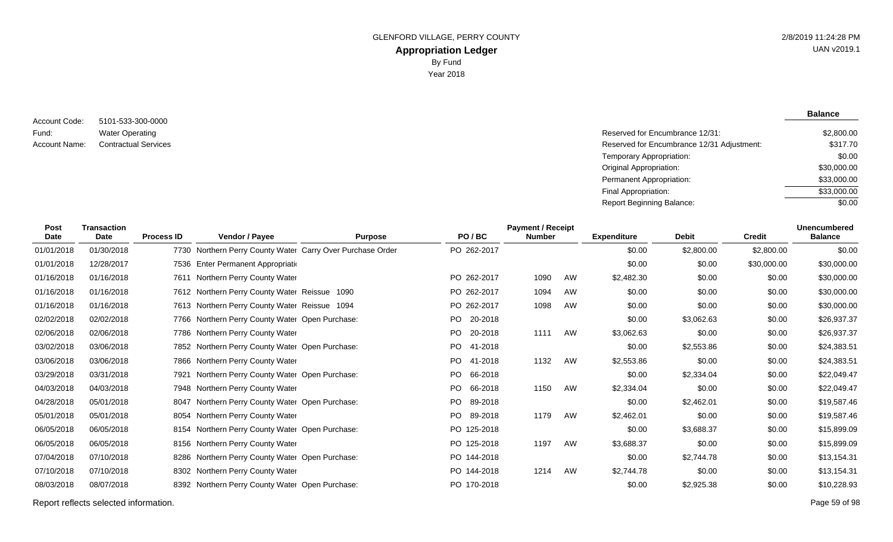5101-533-300-0000 Water Operating Account Code: Fund:

**Balance**

| Fund:         | <b>Water Operating</b>      | Reserved for Encumbrance 12/31:            | \$2,800.00  |
|---------------|-----------------------------|--------------------------------------------|-------------|
| Account Name: | <b>Contractual Services</b> | Reserved for Encumbrance 12/31 Adjustment: | \$317.70    |
|               |                             | Temporary Appropriation:                   | \$0.00      |
|               |                             | Original Appropriation:                    | \$30,000.00 |
|               |                             | Permanent Appropriation:                   | \$33,000.00 |
|               |                             | Final Appropriation:                       | \$33,000.00 |
|               |                             | Report Beginning Balance:                  | \$0.00      |
|               |                             |                                            |             |

| <b>Post</b><br><b>Date</b> | <b>Transaction</b><br>Date | <b>Process ID</b> | Vendor / Payee                                             | <b>Purpose</b> |     | PO/BC       | <b>Payment / Receipt</b><br><b>Number</b> |    | <b>Expenditure</b> | <b>Debit</b> | <b>Credit</b> | <b>Unencumbered</b><br><b>Balance</b> |
|----------------------------|----------------------------|-------------------|------------------------------------------------------------|----------------|-----|-------------|-------------------------------------------|----|--------------------|--------------|---------------|---------------------------------------|
| 01/01/2018                 | 01/30/2018                 |                   | 7730 Northern Perry County Water Carry Over Purchase Order |                |     | PO 262-2017 |                                           |    | \$0.00             | \$2,800.00   | \$2,800.00    | \$0.00                                |
| 01/01/2018                 | 12/28/2017                 |                   | 7536 Enter Permanent Appropriation                         |                |     |             |                                           |    | \$0.00             | \$0.00       | \$30,000.00   | \$30,000.00                           |
| 01/16/2018                 | 01/16/2018                 |                   | 7611 Northern Perry County Water                           |                |     | PO 262-2017 | 1090                                      | AW | \$2,482.30         | \$0.00       | \$0.00        | \$30,000.00                           |
| 01/16/2018                 | 01/16/2018                 |                   | 7612 Northern Perry County Water Reissue 1090              |                |     | PO 262-2017 | 1094                                      | AW | \$0.00             | \$0.00       | \$0.00        | \$30,000.00                           |
| 01/16/2018                 | 01/16/2018                 |                   | 7613 Northern Perry County Water Reissue 1094              |                |     | PO 262-2017 | 1098                                      | AW | \$0.00             | \$0.00       | \$0.00        | \$30,000.00                           |
| 02/02/2018                 | 02/02/2018                 |                   | 7766 Northern Perry County Water Open Purchase:            |                | PO. | 20-2018     |                                           |    | \$0.00             | \$3,062.63   | \$0.00        | \$26,937.37                           |
| 02/06/2018                 | 02/06/2018                 |                   | 7786 Northern Perry County Water                           |                | PO. | 20-2018     | 1111                                      | AW | \$3,062.63         | \$0.00       | \$0.00        | \$26,937.37                           |
| 03/02/2018                 | 03/06/2018                 |                   | 7852 Northern Perry County Water Open Purchase:            |                | PO. | 41-2018     |                                           |    | \$0.00             | \$2,553.86   | \$0.00        | \$24,383.51                           |
| 03/06/2018                 | 03/06/2018                 |                   | 7866 Northern Perry County Water                           |                | PO. | 41-2018     | 1132                                      | AW | \$2,553.86         | \$0.00       | \$0.00        | \$24,383.51                           |
| 03/29/2018                 | 03/31/2018                 | 7921              | Northern Perry County Water Open Purchase:                 |                | PO  | 66-2018     |                                           |    | \$0.00             | \$2,334.04   | \$0.00        | \$22,049.47                           |
| 04/03/2018                 | 04/03/2018                 |                   | 7948 Northern Perry County Water                           |                | PO. | 66-2018     | 1150                                      | AW | \$2,334.04         | \$0.00       | \$0.00        | \$22,049.47                           |
| 04/28/2018                 | 05/01/2018                 |                   | 8047 Northern Perry County Water Open Purchase:            |                | PO. | 89-2018     |                                           |    | \$0.00             | \$2,462.01   | \$0.00        | \$19,587.46                           |
| 05/01/2018                 | 05/01/2018                 |                   | 8054 Northern Perry County Water                           |                | PO. | 89-2018     | 1179                                      | AW | \$2,462.01         | \$0.00       | \$0.00        | \$19,587.46                           |
| 06/05/2018                 | 06/05/2018                 |                   | 8154 Northern Perry County Water Open Purchase:            |                |     | PO 125-2018 |                                           |    | \$0.00             | \$3,688.37   | \$0.00        | \$15,899.09                           |
| 06/05/2018                 | 06/05/2018                 |                   | 8156 Northern Perry County Water                           |                |     | PO 125-2018 | 1197                                      | AW | \$3,688.37         | \$0.00       | \$0.00        | \$15,899.09                           |
| 07/04/2018                 | 07/10/2018                 |                   | 8286 Northern Perry County Water Open Purchase:            |                |     | PO 144-2018 |                                           |    | \$0.00             | \$2,744.78   | \$0.00        | \$13,154.31                           |
| 07/10/2018                 | 07/10/2018                 |                   | 8302 Northern Perry County Water                           |                |     | PO 144-2018 | 1214                                      | AW | \$2,744.78         | \$0.00       | \$0.00        | \$13,154.31                           |
| 08/03/2018                 | 08/07/2018                 | 8392              | Northern Perry County Water Open Purchase:                 |                |     | PO 170-2018 |                                           |    | \$0.00             | \$2,925.38   | \$0.00        | \$10,228.93                           |

Report reflects selected information. Page 59 of 98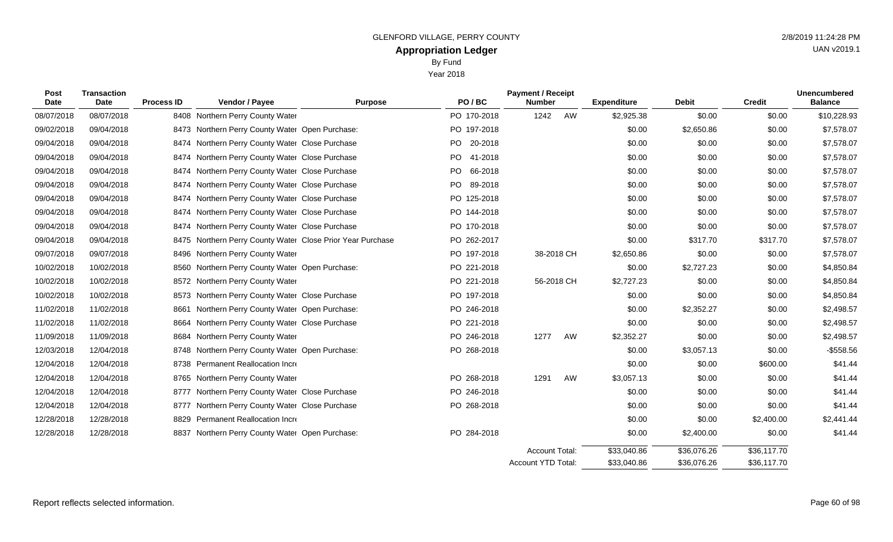Year 2018

| Post<br><b>Date</b> | <b>Transaction</b><br><b>Date</b> | <b>Process ID</b> | Vendor / Payee                                        | <b>Purpose</b> | PO/BC          | <b>Payment / Receipt</b><br><b>Number</b> |    | <b>Expenditure</b> | <b>Debit</b> | <b>Credit</b> | <b>Unencumbered</b><br><b>Balance</b> |
|---------------------|-----------------------------------|-------------------|-------------------------------------------------------|----------------|----------------|-------------------------------------------|----|--------------------|--------------|---------------|---------------------------------------|
| 08/07/2018          | 08/07/2018                        |                   | 8408 Northern Perry County Water                      |                | PO 170-2018    | 1242                                      | AW | \$2,925.38         | \$0.00       | \$0.00        | \$10,228.93                           |
| 09/02/2018          | 09/04/2018                        | 8473              | Northern Perry County Water Open Purchase:            |                | PO 197-2018    |                                           |    | \$0.00             | \$2,650.86   | \$0.00        | \$7,578.07                            |
| 09/04/2018          | 09/04/2018                        |                   | 8474 Northern Perry County Water Close Purchase       |                | PO 20-2018     |                                           |    | \$0.00             | \$0.00       | \$0.00        | \$7,578.07                            |
| 09/04/2018          | 09/04/2018                        | 8474              | Northern Perry County Water Close Purchase            |                | PO 41-2018     |                                           |    | \$0.00             | \$0.00       | \$0.00        | \$7,578.07                            |
| 09/04/2018          | 09/04/2018                        | 8474              | Northern Perry County Water Close Purchase            |                | PO.<br>66-2018 |                                           |    | \$0.00             | \$0.00       | \$0.00        | \$7,578.07                            |
| 09/04/2018          | 09/04/2018                        | 8474              | Northern Perry County Water Close Purchase            |                | 89-2018<br>PO. |                                           |    | \$0.00             | \$0.00       | \$0.00        | \$7,578.07                            |
| 09/04/2018          | 09/04/2018                        | 8474              | Northern Perry County Water Close Purchase            |                | PO 125-2018    |                                           |    | \$0.00             | \$0.00       | \$0.00        | \$7,578.07                            |
| 09/04/2018          | 09/04/2018                        |                   | 8474 Northern Perry County Water Close Purchase       |                | PO 144-2018    |                                           |    | \$0.00             | \$0.00       | \$0.00        | \$7,578.07                            |
| 09/04/2018          | 09/04/2018                        | 8474              | Northern Perry County Water Close Purchase            |                | PO 170-2018    |                                           |    | \$0.00             | \$0.00       | \$0.00        | \$7,578.07                            |
| 09/04/2018          | 09/04/2018                        | 8475              | Northern Perry County Water Close Prior Year Purchase |                | PO 262-2017    |                                           |    | \$0.00             | \$317.70     | \$317.70      | \$7,578.07                            |
| 09/07/2018          | 09/07/2018                        | 8496              | Northern Perry County Water                           |                | PO 197-2018    | 38-2018 CH                                |    | \$2,650.86         | \$0.00       | \$0.00        | \$7,578.07                            |
| 10/02/2018          | 10/02/2018                        | 8560              | Northern Perry County Water Open Purchase:            |                | PO 221-2018    |                                           |    | \$0.00             | \$2,727.23   | \$0.00        | \$4,850.84                            |
| 10/02/2018          | 10/02/2018                        |                   | 8572 Northern Perry County Water                      |                | PO 221-2018    | 56-2018 CH                                |    | \$2,727.23         | \$0.00       | \$0.00        | \$4,850.84                            |
| 10/02/2018          | 10/02/2018                        | 8573              | Northern Perry County Water Close Purchase            |                | PO 197-2018    |                                           |    | \$0.00             | \$0.00       | \$0.00        | \$4,850.84                            |
| 11/02/2018          | 11/02/2018                        | 8661              | Northern Perry County Water Open Purchase:            |                | PO 246-2018    |                                           |    | \$0.00             | \$2,352.27   | \$0.00        | \$2,498.57                            |
| 11/02/2018          | 11/02/2018                        | 8664              | Northern Perry County Water Close Purchase            |                | PO 221-2018    |                                           |    | \$0.00             | \$0.00       | \$0.00        | \$2,498.57                            |
| 11/09/2018          | 11/09/2018                        | 8684              | Northern Perry County Water                           |                | PO 246-2018    | 1277                                      | AW | \$2,352.27         | \$0.00       | \$0.00        | \$2,498.57                            |
| 12/03/2018          | 12/04/2018                        |                   | 8748 Northern Perry County Water Open Purchase:       |                | PO 268-2018    |                                           |    | \$0.00             | \$3,057.13   | \$0.00        | $-$558.56$                            |
| 12/04/2018          | 12/04/2018                        | 8738              | Permanent Reallocation Incre                          |                |                |                                           |    | \$0.00             | \$0.00       | \$600.00      | \$41.44                               |
| 12/04/2018          | 12/04/2018                        | 8765              | Northern Perry County Water                           |                | PO 268-2018    | 1291                                      | AW | \$3,057.13         | \$0.00       | \$0.00        | \$41.44                               |
| 12/04/2018          | 12/04/2018                        | 8777              | Northern Perry County Water Close Purchase            |                | PO 246-2018    |                                           |    | \$0.00             | \$0.00       | \$0.00        | \$41.44                               |
| 12/04/2018          | 12/04/2018                        | 8777              | Northern Perry County Water Close Purchase            |                | PO 268-2018    |                                           |    | \$0.00             | \$0.00       | \$0.00        | \$41.44                               |
| 12/28/2018          | 12/28/2018                        | 8829              | Permanent Reallocation Incre                          |                |                |                                           |    | \$0.00             | \$0.00       | \$2,400.00    | \$2,441.44                            |
| 12/28/2018          | 12/28/2018                        | 8837              | Northern Perry County Water Open Purchase:            |                | PO 284-2018    |                                           |    | \$0.00             | \$2,400.00   | \$0.00        | \$41.44                               |
|                     |                                   |                   |                                                       |                |                | Account Total:                            |    | \$33,040.86        | \$36,076.26  | \$36,117.70   |                                       |

\$36,117.70

\$36,076.26

\$33,040.86

Account YTD Total: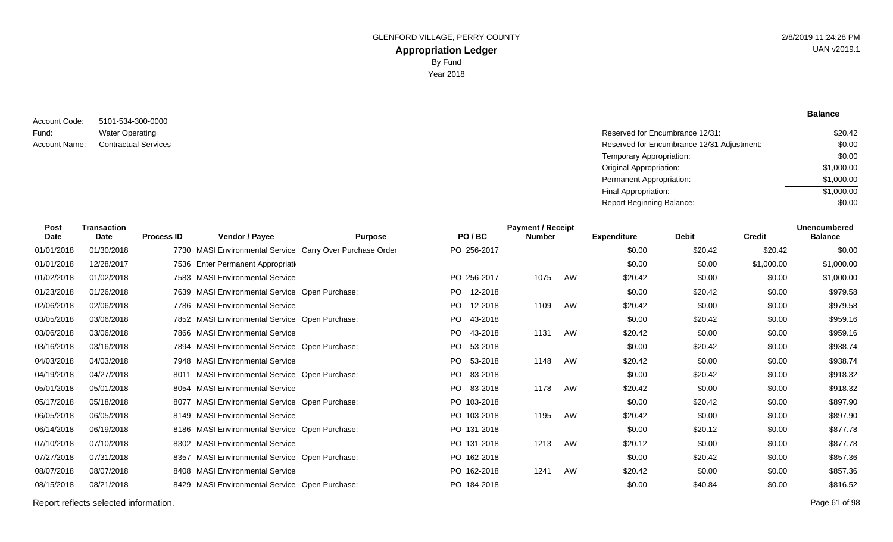5101-534-300-0000 Water Operating Account Code: Fund:

**Balance**

| Fund:         | <b>Water Operating</b>      | Reserved for Encumbrance 12/31:            | \$20.42    |
|---------------|-----------------------------|--------------------------------------------|------------|
| Account Name: | <b>Contractual Services</b> | Reserved for Encumbrance 12/31 Adjustment: | \$0.00     |
|               |                             | Temporary Appropriation:                   | \$0.00     |
|               |                             | Original Appropriation:                    | \$1,000.00 |
|               |                             | Permanent Appropriation:                   | \$1,000.00 |
|               |                             | Final Appropriation:                       | \$1,000.00 |
|               |                             | <b>Report Beginning Balance:</b>           | \$0.00     |
|               |                             |                                            |            |

| <b>Post</b><br>Date | <b>Transaction</b><br>Date | <b>Process ID</b> | Vendor / Payee                                            | <b>Purpose</b> | PO/BC          | <b>Payment / Receipt</b><br><b>Number</b> |    | <b>Expenditure</b> | <b>Debit</b> | <b>Credit</b> | <b>Unencumbered</b><br><b>Balance</b> |
|---------------------|----------------------------|-------------------|-----------------------------------------------------------|----------------|----------------|-------------------------------------------|----|--------------------|--------------|---------------|---------------------------------------|
| 01/01/2018          | 01/30/2018                 |                   | 7730 MASI Environmental Service Carry Over Purchase Order |                | PO 256-2017    |                                           |    | \$0.00             | \$20.42      | \$20.42       | \$0.00                                |
| 01/01/2018          | 12/28/2017                 |                   | 7536 Enter Permanent Appropriation                        |                |                |                                           |    | \$0.00             | \$0.00       | \$1,000.00    | \$1,000.00                            |
| 01/02/2018          | 01/02/2018                 |                   | 7583 MASI Environmental Service                           |                | PO 256-2017    | 1075                                      | AW | \$20.42            | \$0.00       | \$0.00        | \$1,000.00                            |
| 01/23/2018          | 01/26/2018                 |                   | 7639 MASI Environmental Service: Open Purchase:           |                | PO.<br>12-2018 |                                           |    | \$0.00             | \$20.42      | \$0.00        | \$979.58                              |
| 02/06/2018          | 02/06/2018                 |                   | 7786 MASI Environmental Service                           |                | PO.<br>12-2018 | 1109                                      | AW | \$20.42            | \$0.00       | \$0.00        | \$979.58                              |
| 03/05/2018          | 03/06/2018                 |                   | 7852 MASI Environmental Service: Open Purchase:           |                | PO.<br>43-2018 |                                           |    | \$0.00             | \$20.42      | \$0.00        | \$959.16                              |
| 03/06/2018          | 03/06/2018                 |                   | 7866 MASI Environmental Service                           |                | PO.<br>43-2018 | 1131                                      | AW | \$20.42            | \$0.00       | \$0.00        | \$959.16                              |
| 03/16/2018          | 03/16/2018                 |                   | 7894 MASI Environmental Service: Open Purchase:           |                | PO.<br>53-2018 |                                           |    | \$0.00             | \$20.42      | \$0.00        | \$938.74                              |
| 04/03/2018          | 04/03/2018                 |                   | 7948 MASI Environmental Service                           |                | PO.<br>53-2018 | 1148                                      | AW | \$20.42            | \$0.00       | \$0.00        | \$938.74                              |
| 04/19/2018          | 04/27/2018                 | 8011              | <b>MASI Environmental Service Open Purchase:</b>          |                | PO<br>83-2018  |                                           |    | \$0.00             | \$20.42      | \$0.00        | \$918.32                              |
| 05/01/2018          | 05/01/2018                 |                   | 8054 MASI Environmental Service                           |                | PO.<br>83-2018 | 1178                                      | AW | \$20.42            | \$0.00       | \$0.00        | \$918.32                              |
| 05/17/2018          | 05/18/2018                 |                   | 8077 MASI Environmental Service: Open Purchase:           |                | PO 103-2018    |                                           |    | \$0.00             | \$20.42      | \$0.00        | \$897.90                              |
| 06/05/2018          | 06/05/2018                 |                   | 8149 MASI Environmental Service                           |                | PO 103-2018    | 1195                                      | AW | \$20.42            | \$0.00       | \$0.00        | \$897.90                              |
| 06/14/2018          | 06/19/2018                 |                   | 8186 MASI Environmental Service: Open Purchase:           |                | PO 131-2018    |                                           |    | \$0.00             | \$20.12      | \$0.00        | \$877.78                              |
| 07/10/2018          | 07/10/2018                 |                   | 8302 MASI Environmental Service                           |                | PO 131-2018    | 1213                                      | AW | \$20.12            | \$0.00       | \$0.00        | \$877.78                              |
| 07/27/2018          | 07/31/2018                 |                   | 8357 MASI Environmental Service: Open Purchase:           |                | PO 162-2018    |                                           |    | \$0.00             | \$20.42      | \$0.00        | \$857.36                              |
| 08/07/2018          | 08/07/2018                 |                   | 8408 MASI Environmental Service                           |                | PO 162-2018    | 1241                                      | AW | \$20.42            | \$0.00       | \$0.00        | \$857.36                              |
| 08/15/2018          | 08/21/2018                 | 8429              | MASI Environmental Service Open Purchase:                 |                | PO 184-2018    |                                           |    | \$0.00             | \$40.84      | \$0.00        | \$816.52                              |

Report reflects selected information. Page 61 of 98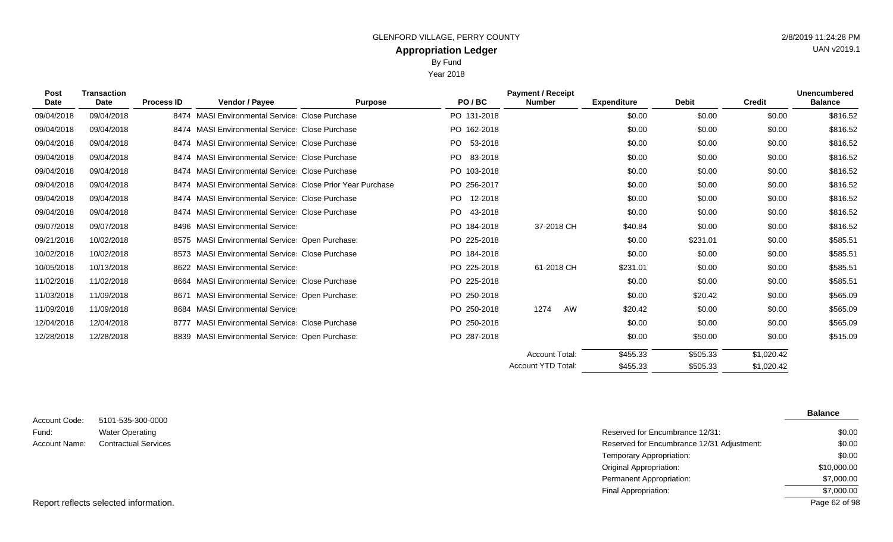Year 2018

|  |  | 20221311.2 |            |
|--|--|------------|------------|
|  |  |            | <b>UAN</b> |
|  |  |            |            |
|  |  |            |            |

| Post<br><b>Date</b> | <b>Transaction</b><br>Date | <b>Process ID</b> | Vendor / Payee                                            | <b>Purpose</b> | PO/BC           | <b>Payment / Receipt</b><br><b>Number</b> | <b>Expenditure</b> | <b>Debit</b> | <b>Credit</b> | <b>Unencumbered</b><br><b>Balance</b> |
|---------------------|----------------------------|-------------------|-----------------------------------------------------------|----------------|-----------------|-------------------------------------------|--------------------|--------------|---------------|---------------------------------------|
| 09/04/2018          | 09/04/2018                 |                   | 8474 MASI Environmental Service Close Purchase            |                | PO 131-2018     |                                           | \$0.00             | \$0.00       | \$0.00        | \$816.52                              |
| 09/04/2018          | 09/04/2018                 |                   | 8474 MASI Environmental Service Close Purchase            |                | PO 162-2018     |                                           | \$0.00             | \$0.00       | \$0.00        | \$816.52                              |
| 09/04/2018          | 09/04/2018                 |                   | 8474 MASI Environmental Service Close Purchase            |                | PO 53-2018      |                                           | \$0.00             | \$0.00       | \$0.00        | \$816.52                              |
| 09/04/2018          | 09/04/2018                 |                   | 8474 MASI Environmental Service Close Purchase            |                | PO 83-2018      |                                           | \$0.00             | \$0.00       | \$0.00        | \$816.52                              |
| 09/04/2018          | 09/04/2018                 |                   | 8474 MASI Environmental Service Close Purchase            |                | PO 103-2018     |                                           | \$0.00             | \$0.00       | \$0.00        | \$816.52                              |
| 09/04/2018          | 09/04/2018                 |                   | 8474 MASI Environmental Service Close Prior Year Purchase |                | PO 256-2017     |                                           | \$0.00             | \$0.00       | \$0.00        | \$816.52                              |
| 09/04/2018          | 09/04/2018                 |                   | 8474 MASI Environmental Service Close Purchase            |                | 12-2018<br>PO - |                                           | \$0.00             | \$0.00       | \$0.00        | \$816.52                              |
| 09/04/2018          | 09/04/2018                 |                   | 8474 MASI Environmental Service Close Purchase            |                | PO.<br>43-2018  |                                           | \$0.00             | \$0.00       | \$0.00        | \$816.52                              |
| 09/07/2018          | 09/07/2018                 |                   | 8496 MASI Environmental Service                           |                | PO 184-2018     | 37-2018 CH                                | \$40.84            | \$0.00       | \$0.00        | \$816.52                              |
| 09/21/2018          | 10/02/2018                 |                   | 8575 MASI Environmental Service: Open Purchase:           |                | PO 225-2018     |                                           | \$0.00             | \$231.01     | \$0.00        | \$585.51                              |
| 10/02/2018          | 10/02/2018                 |                   | 8573 MASI Environmental Service Close Purchase            |                | PO 184-2018     |                                           | \$0.00             | \$0.00       | \$0.00        | \$585.51                              |
| 10/05/2018          | 10/13/2018                 |                   | 8622 MASI Environmental Service                           |                | PO 225-2018     | 61-2018 CH                                | \$231.01           | \$0.00       | \$0.00        | \$585.51                              |
| 11/02/2018          | 11/02/2018                 |                   | 8664 MASI Environmental Service Close Purchase            |                | PO 225-2018     |                                           | \$0.00             | \$0.00       | \$0.00        | \$585.51                              |
| 11/03/2018          | 11/09/2018                 |                   | 8671 MASI Environmental Service: Open Purchase:           |                | PO 250-2018     |                                           | \$0.00             | \$20.42      | \$0.00        | \$565.09                              |
| 11/09/2018          | 11/09/2018                 |                   | 8684 MASI Environmental Service                           |                | PO 250-2018     | AW<br>1274                                | \$20.42            | \$0.00       | \$0.00        | \$565.09                              |
| 12/04/2018          | 12/04/2018                 |                   | 8777 MASI Environmental Service Close Purchase            |                | PO 250-2018     |                                           | \$0.00             | \$0.00       | \$0.00        | \$565.09                              |
| 12/28/2018          | 12/28/2018                 |                   | 8839 MASI Environmental Service: Open Purchase:           |                | PO 287-2018     |                                           | \$0.00             | \$50.00      | \$0.00        | \$515.09                              |
|                     |                            |                   |                                                           |                |                 | <b>Account Total:</b>                     | \$455.33           | \$505.33     | \$1,020.42    |                                       |
|                     |                            |                   |                                                           |                |                 | <b>Account YTD Total:</b>                 | \$455.33           | \$505.33     | \$1,020.42    |                                       |

5101-535-300-0000 Water Operating Account Code: Fund: Account Name:

**Balance**

| Water Operating             | Reserved for Encumbrance 12/31:            | \$0.00        |
|-----------------------------|--------------------------------------------|---------------|
| <b>Contractual Services</b> | Reserved for Encumbrance 12/31 Adjustment: | \$0.00        |
|                             | Temporary Appropriation:                   | \$0.00        |
|                             | Original Appropriation:                    | \$10,000.00   |
|                             | Permanent Appropriation:                   | \$7,000.00    |
|                             | Final Appropriation:                       | \$7,000.00    |
| elected information.        |                                            | Page 62 of 98 |

Report reflects selected information.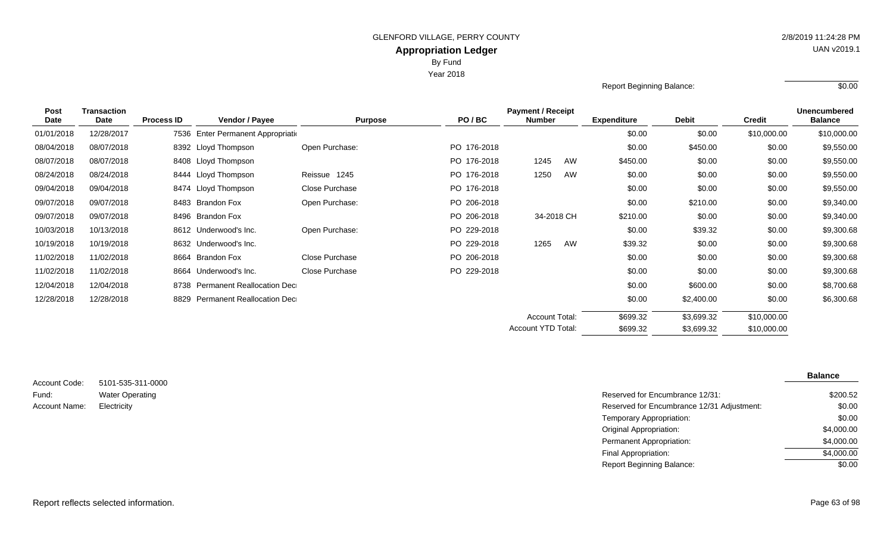Year 2018

| Report Beginning Balance: | \$0.00 |
|---------------------------|--------|
|                           |        |

| <b>Post</b> | <b>Transaction</b> |                   | <b>Payment / Receipt</b>          |                |             |                       |            |                    |              |               | <b>Unencumbered</b> |
|-------------|--------------------|-------------------|-----------------------------------|----------------|-------------|-----------------------|------------|--------------------|--------------|---------------|---------------------|
| Date        | Date               | <b>Process ID</b> | <b>Vendor / Payee</b>             | <b>Purpose</b> | PO/BC       | <b>Number</b>         |            | <b>Expenditure</b> | <b>Debit</b> | <b>Credit</b> | <b>Balance</b>      |
| 01/01/2018  | 12/28/2017         | 7536              | Enter Permanent Appropriation     |                |             |                       |            | \$0.00             | \$0.00       | \$10,000.00   | \$10,000.00         |
| 08/04/2018  | 08/07/2018         |                   | 8392 Lloyd Thompson               | Open Purchase: | PO 176-2018 |                       |            | \$0.00             | \$450.00     | \$0.00        | \$9,550.00          |
| 08/07/2018  | 08/07/2018         |                   | 8408 Lloyd Thompson               |                | PO 176-2018 | 1245                  | AW         | \$450.00           | \$0.00       | \$0.00        | \$9,550.00          |
| 08/24/2018  | 08/24/2018         |                   | 8444 Lloyd Thompson               | Reissue 1245   | PO 176-2018 | 1250                  | AW         | \$0.00             | \$0.00       | \$0.00        | \$9,550.00          |
| 09/04/2018  | 09/04/2018         |                   | 8474 Lloyd Thompson               | Close Purchase | PO 176-2018 |                       |            | \$0.00             | \$0.00       | \$0.00        | \$9,550.00          |
| 09/07/2018  | 09/07/2018         |                   | 8483 Brandon Fox                  | Open Purchase: | PO 206-2018 |                       |            | \$0.00             | \$210.00     | \$0.00        | \$9,340.00          |
| 09/07/2018  | 09/07/2018         | 8496              | Brandon Fox                       |                | PO 206-2018 |                       | 34-2018 CH | \$210.00           | \$0.00       | \$0.00        | \$9,340.00          |
| 10/03/2018  | 10/13/2018         |                   | 8612 Underwood's Inc.             | Open Purchase: | PO 229-2018 |                       |            | \$0.00             | \$39.32      | \$0.00        | \$9,300.68          |
| 10/19/2018  | 10/19/2018         |                   | 8632 Underwood's Inc.             |                | PO 229-2018 | 1265                  | AW         | \$39.32            | \$0.00       | \$0.00        | \$9,300.68          |
| 11/02/2018  | 11/02/2018         | 8664              | Brandon Fox                       | Close Purchase | PO 206-2018 |                       |            | \$0.00             | \$0.00       | \$0.00        | \$9,300.68          |
| 11/02/2018  | 11/02/2018         | 8664              | Underwood's Inc.                  | Close Purchase | PO 229-2018 |                       |            | \$0.00             | \$0.00       | \$0.00        | \$9,300.68          |
| 12/04/2018  | 12/04/2018         |                   | 8738 Permanent Reallocation Dec   |                |             |                       |            | \$0.00             | \$600.00     | \$0.00        | \$8,700.68          |
| 12/28/2018  | 12/28/2018         | 8829              | <b>Permanent Reallocation Dec</b> |                |             |                       |            | \$0.00             | \$2,400.00   | \$0.00        | \$6,300.68          |
|             |                    |                   |                                   |                |             | <b>Account Total:</b> |            | \$699.32           | \$3,699.32   | \$10,000.00   |                     |
|             |                    |                   |                                   |                |             | Account YTD Total:    |            | \$699.32           | \$3,699.32   | \$10,000.00   |                     |

| Account Code: | 5101-535-311-0000      |
|---------------|------------------------|
| Fund:         | <b>Water Operating</b> |
| Account Name: | Electricity            |

|            |                                            | 5101-535-311-0000 |
|------------|--------------------------------------------|-------------------|
| \$200.52   | Reserved for Encumbrance 12/31:            | Water Operating   |
| \$0.00     | Reserved for Encumbrance 12/31 Adjustment: | Electricity       |
| \$0.00     | Temporary Appropriation:                   |                   |
| \$4,000.00 | Original Appropriation:                    |                   |
| \$4,000.00 | Permanent Appropriation:                   |                   |
| \$4,000.00 | Final Appropriation:                       |                   |
| \$0.00     | <b>Report Beginning Balance:</b>           |                   |
|            |                                            |                   |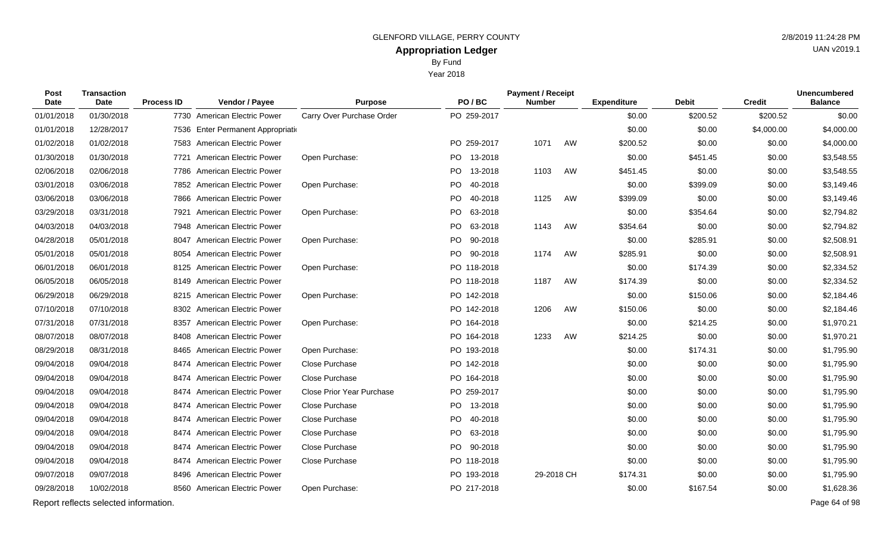Year 2018

| Post<br>Date | <b>Transaction</b><br><b>Date</b>     | <b>Process ID</b> | Vendor / Payee                     | <b>Purpose</b>            | PO/BC           | <b>Payment / Receipt</b><br><b>Number</b> |    | <b>Expenditure</b> | <b>Debit</b> | <b>Credit</b> | <b>Unencumbered</b><br><b>Balance</b> |
|--------------|---------------------------------------|-------------------|------------------------------------|---------------------------|-----------------|-------------------------------------------|----|--------------------|--------------|---------------|---------------------------------------|
| 01/01/2018   | 01/30/2018                            |                   | 7730 American Electric Power       | Carry Over Purchase Order | PO 259-2017     |                                           |    | \$0.00             | \$200.52     | \$200.52      | \$0.00                                |
| 01/01/2018   | 12/28/2017                            |                   | 7536 Enter Permanent Appropriation |                           |                 |                                           |    | \$0.00             | \$0.00       | \$4,000.00    | \$4,000.00                            |
| 01/02/2018   | 01/02/2018                            |                   | 7583 American Electric Power       |                           | PO 259-2017     | 1071                                      | AW | \$200.52           | \$0.00       | \$0.00        | \$4,000.00                            |
| 01/30/2018   | 01/30/2018                            |                   | 7721 American Electric Power       | Open Purchase:            | PO 13-2018      |                                           |    | \$0.00             | \$451.45     | \$0.00        | \$3,548.55                            |
| 02/06/2018   | 02/06/2018                            | 7786              | American Electric Power            |                           | PO 13-2018      | 1103                                      | AW | \$451.45           | \$0.00       | \$0.00        | \$3,548.55                            |
| 03/01/2018   | 03/06/2018                            |                   | 7852 American Electric Power       | Open Purchase:            | PO  <br>40-2018 |                                           |    | \$0.00             | \$399.09     | \$0.00        | \$3,149.46                            |
| 03/06/2018   | 03/06/2018                            |                   | 7866 American Electric Power       |                           | PO 40-2018      | 1125                                      | AW | \$399.09           | \$0.00       | \$0.00        | \$3,149.46                            |
| 03/29/2018   | 03/31/2018                            | 7921              | <b>American Electric Power</b>     | Open Purchase:            | PO 63-2018      |                                           |    | \$0.00             | \$354.64     | \$0.00        | \$2,794.82                            |
| 04/03/2018   | 04/03/2018                            |                   | 7948 American Electric Power       |                           | PO 63-2018      | 1143                                      | AW | \$354.64           | \$0.00       | \$0.00        | \$2,794.82                            |
| 04/28/2018   | 05/01/2018                            |                   | 8047 American Electric Power       | Open Purchase:            | PO<br>90-2018   |                                           |    | \$0.00             | \$285.91     | \$0.00        | \$2,508.91                            |
| 05/01/2018   | 05/01/2018                            |                   | 8054 American Electric Power       |                           | PO 90-2018      | 1174                                      | AW | \$285.91           | \$0.00       | \$0.00        | \$2,508.91                            |
| 06/01/2018   | 06/01/2018                            | 8125              | <b>American Electric Power</b>     | Open Purchase:            | PO 118-2018     |                                           |    | \$0.00             | \$174.39     | \$0.00        | \$2,334.52                            |
| 06/05/2018   | 06/05/2018                            |                   | 8149 American Electric Power       |                           | PO 118-2018     | 1187                                      | AW | \$174.39           | \$0.00       | \$0.00        | \$2,334.52                            |
| 06/29/2018   | 06/29/2018                            |                   | 8215 American Electric Power       | Open Purchase:            | PO 142-2018     |                                           |    | \$0.00             | \$150.06     | \$0.00        | \$2,184.46                            |
| 07/10/2018   | 07/10/2018                            |                   | 8302 American Electric Power       |                           | PO 142-2018     | 1206                                      | AW | \$150.06           | \$0.00       | \$0.00        | \$2,184.46                            |
| 07/31/2018   | 07/31/2018                            | 8357              | American Electric Power            | Open Purchase:            | PO 164-2018     |                                           |    | \$0.00             | \$214.25     | \$0.00        | \$1,970.21                            |
| 08/07/2018   | 08/07/2018                            |                   | 8408 American Electric Power       |                           | PO 164-2018     | 1233                                      | AW | \$214.25           | \$0.00       | \$0.00        | \$1,970.21                            |
| 08/29/2018   | 08/31/2018                            |                   | 8465 American Electric Power       | Open Purchase:            | PO 193-2018     |                                           |    | \$0.00             | \$174.31     | \$0.00        | \$1,795.90                            |
| 09/04/2018   | 09/04/2018                            |                   | 8474 American Electric Power       | Close Purchase            | PO 142-2018     |                                           |    | \$0.00             | \$0.00       | \$0.00        | \$1,795.90                            |
| 09/04/2018   | 09/04/2018                            | 8474              | American Electric Power            | Close Purchase            | PO 164-2018     |                                           |    | \$0.00             | \$0.00       | \$0.00        | \$1,795.90                            |
| 09/04/2018   | 09/04/2018                            | 8474              | <b>American Electric Power</b>     | Close Prior Year Purchase | PO 259-2017     |                                           |    | \$0.00             | \$0.00       | \$0.00        | \$1,795.90                            |
| 09/04/2018   | 09/04/2018                            | 8474              | American Electric Power            | Close Purchase            | PO 13-2018      |                                           |    | \$0.00             | \$0.00       | \$0.00        | \$1,795.90                            |
| 09/04/2018   | 09/04/2018                            | 8474              | <b>American Electric Power</b>     | Close Purchase            | PO 40-2018      |                                           |    | \$0.00             | \$0.00       | \$0.00        | \$1,795.90                            |
| 09/04/2018   | 09/04/2018                            |                   | 8474 American Electric Power       | Close Purchase            | PO 63-2018      |                                           |    | \$0.00             | \$0.00       | \$0.00        | \$1,795.90                            |
| 09/04/2018   | 09/04/2018                            | 8474              | <b>American Electric Power</b>     | Close Purchase            | PO 90-2018      |                                           |    | \$0.00             | \$0.00       | \$0.00        | \$1,795.90                            |
| 09/04/2018   | 09/04/2018                            |                   | 8474 American Electric Power       | Close Purchase            | PO 118-2018     |                                           |    | \$0.00             | \$0.00       | \$0.00        | \$1,795.90                            |
| 09/07/2018   | 09/07/2018                            |                   | 8496 American Electric Power       |                           | PO 193-2018     | 29-2018 CH                                |    | \$174.31           | \$0.00       | \$0.00        | \$1,795.90                            |
| 09/28/2018   | 10/02/2018                            |                   | 8560 American Electric Power       | Open Purchase:            | PO 217-2018     |                                           |    | \$0.00             | \$167.54     | \$0.00        | \$1,628.36                            |
|              | Report reflects selected information. |                   |                                    |                           |                 |                                           |    |                    |              |               | Page 64 of 98                         |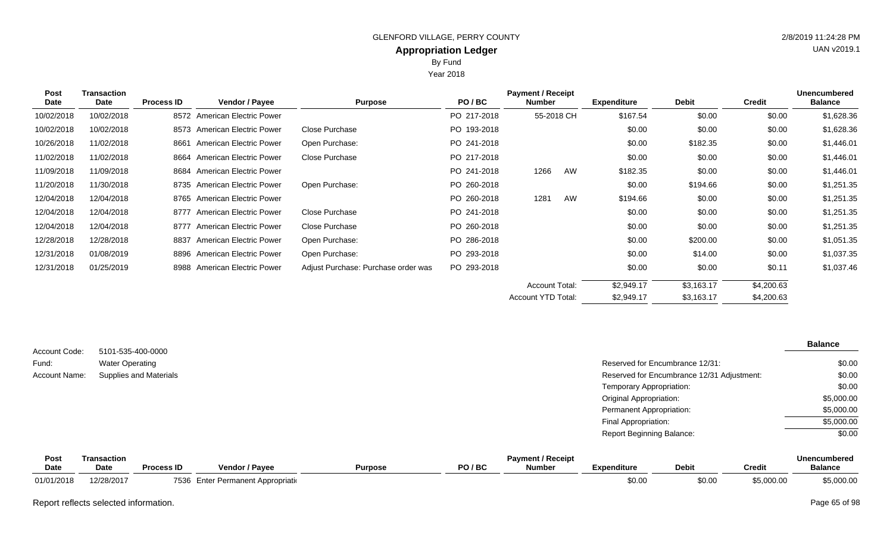Year 2018

| <b>Post</b> | Transaction | <b>Payment / Receipt</b><br><b>Unencumbered</b> |                              |                                     |             |                    |    |                    |              |               |                |
|-------------|-------------|-------------------------------------------------|------------------------------|-------------------------------------|-------------|--------------------|----|--------------------|--------------|---------------|----------------|
| Date        | Date        | <b>Process ID</b>                               | <b>Vendor / Payee</b>        | <b>Purpose</b>                      | PO/BC       | <b>Number</b>      |    | <b>Expenditure</b> | <b>Debit</b> | <b>Credit</b> | <b>Balance</b> |
| 10/02/2018  | 10/02/2018  |                                                 | 8572 American Electric Power |                                     | PO 217-2018 | 55-2018 CH         |    | \$167.54           | \$0.00       | \$0.00        | \$1,628.36     |
| 10/02/2018  | 10/02/2018  | 8573                                            | American Electric Power      | Close Purchase                      | PO 193-2018 |                    |    | \$0.00             | \$0.00       | \$0.00        | \$1,628.36     |
| 10/26/2018  | 11/02/2018  | 8661                                            | American Electric Power      | Open Purchase:                      | PO 241-2018 |                    |    | \$0.00             | \$182.35     | \$0.00        | \$1,446.01     |
| 11/02/2018  | 11/02/2018  | 8664                                            | American Electric Power      | Close Purchase                      | PO 217-2018 |                    |    | \$0.00             | \$0.00       | \$0.00        | \$1,446.01     |
| 11/09/2018  | 11/09/2018  |                                                 | 8684 American Electric Power |                                     | PO 241-2018 | 1266               | AW | \$182.35           | \$0.00       | \$0.00        | \$1,446.01     |
| 11/20/2018  | 11/30/2018  |                                                 | 8735 American Electric Power | Open Purchase:                      | PO 260-2018 |                    |    | \$0.00             | \$194.66     | \$0.00        | \$1,251.35     |
| 12/04/2018  | 12/04/2018  |                                                 | 8765 American Electric Power |                                     | PO 260-2018 | 1281               | AW | \$194.66           | \$0.00       | \$0.00        | \$1,251.35     |
| 12/04/2018  | 12/04/2018  | 8777                                            | American Electric Power      | Close Purchase                      | PO 241-2018 |                    |    | \$0.00             | \$0.00       | \$0.00        | \$1,251.35     |
| 12/04/2018  | 12/04/2018  | 8777                                            | American Electric Power      | Close Purchase                      | PO 260-2018 |                    |    | \$0.00             | \$0.00       | \$0.00        | \$1,251.35     |
| 12/28/2018  | 12/28/2018  | 8837                                            | American Electric Power      | Open Purchase:                      | PO 286-2018 |                    |    | \$0.00             | \$200.00     | \$0.00        | \$1,051.35     |
| 12/31/2018  | 01/08/2019  | 8896                                            | American Electric Power      | Open Purchase:                      | PO 293-2018 |                    |    | \$0.00             | \$14.00      | \$0.00        | \$1,037.35     |
| 12/31/2018  | 01/25/2019  |                                                 | 8988 American Electric Power | Adjust Purchase: Purchase order was | PO 293-2018 |                    |    | \$0.00             | \$0.00       | \$0.11        | \$1,037.46     |
|             |             |                                                 |                              |                                     |             | Account Total:     |    | \$2,949.17         | \$3,163.17   | \$4,200.63    |                |
|             |             |                                                 |                              |                                     |             | Account YTD Total: |    | \$2,949.17         | \$3,163.17   | \$4,200.63    |                |

|               |                        |                                            | <b>Balance</b> |
|---------------|------------------------|--------------------------------------------|----------------|
| Account Code: | 5101-535-400-0000      |                                            |                |
| Fund:         | <b>Water Operating</b> | Reserved for Encumbrance 12/31:            | \$0.00         |
| Account Name: | Supplies and Materials | Reserved for Encumbrance 12/31 Adjustment: | \$0.00         |
|               |                        | Temporary Appropriation:                   | \$0.00         |
|               |                        | <b>Original Appropriation:</b>             | \$5,000.00     |
|               |                        | Permanent Appropriation:                   | \$5,000.00     |
|               |                        | Final Appropriation:                       | \$5,000.00     |
|               |                        | <b>Report Beginning Balance:</b>           | \$0.00         |

| <b>Post</b> | <b>ransaction</b> |                   |                                        |                |         | <b>Payment / Receipt</b> |             |              |            | <b>Unencumbered</b> |
|-------------|-------------------|-------------------|----------------------------------------|----------------|---------|--------------------------|-------------|--------------|------------|---------------------|
| <b>Date</b> | Date              | <b>Process ID</b> | <b>Vendor / Pavee</b>                  | <b>Purpose</b> | PO / BC | <b>Number</b>            | Expenditure | <b>Debit</b> | Credit     | <b>Balance</b>      |
| 01/01/2018  | 12/28/2017        | 7536              | <b>Enter Permanent Appropriational</b> |                |         |                          | \$0.00      | \$0.00       | \$5,000.00 | \$5,000.00          |

Report reflects selected information. Page 65 of 98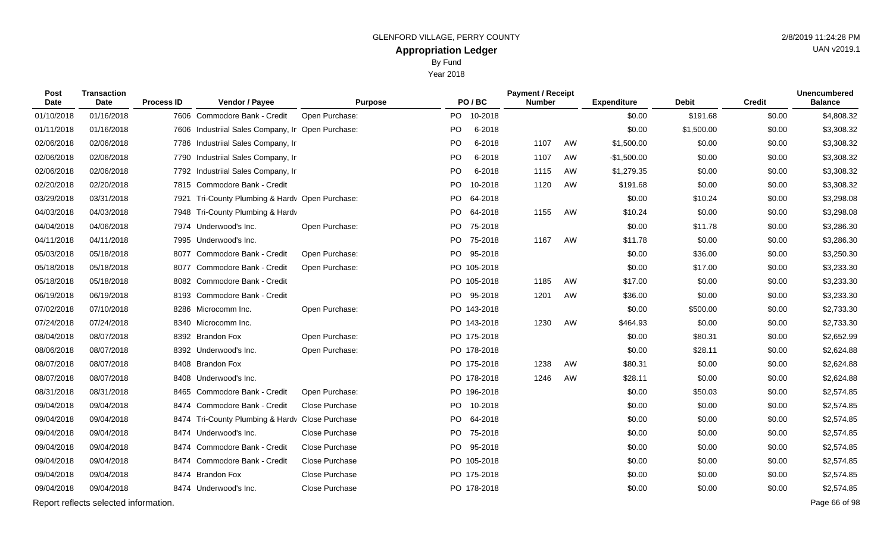Year 2018

| Post<br>Date | <b>Transaction</b><br><b>Date</b>     | <b>Process ID</b> | Vendor / Payee                                    | <b>Purpose</b> |           | PO/BC       | <b>Payment / Receipt</b><br><b>Number</b> |    | <b>Expenditure</b> | <b>Debit</b> | <b>Credit</b> | <b>Unencumbered</b><br><b>Balance</b> |
|--------------|---------------------------------------|-------------------|---------------------------------------------------|----------------|-----------|-------------|-------------------------------------------|----|--------------------|--------------|---------------|---------------------------------------|
| 01/10/2018   | 01/16/2018                            |                   | 7606 Commodore Bank - Credit                      | Open Purchase: | PO.       | 10-2018     |                                           |    | \$0.00             | \$191.68     | \$0.00        | \$4,808.32                            |
| 01/11/2018   | 01/16/2018                            |                   | 7606 Industriial Sales Company, Ir Open Purchase: |                | <b>PO</b> | 6-2018      |                                           |    | \$0.00             | \$1,500.00   | \$0.00        | \$3,308.32                            |
| 02/06/2018   | 02/06/2018                            | 7786              | Industriial Sales Company, Ir                     |                | <b>PO</b> | 6-2018      | 1107                                      | AW | \$1,500.00         | \$0.00       | \$0.00        | \$3,308.32                            |
| 02/06/2018   | 02/06/2018                            | 7790              | Industriial Sales Company, Ir                     |                | <b>PO</b> | 6-2018      | 1107                                      | AW | $-$1,500.00$       | \$0.00       | \$0.00        | \$3,308.32                            |
| 02/06/2018   | 02/06/2018                            | 7792              | Industriial Sales Company, Ir                     |                | <b>PO</b> | 6-2018      | 1115                                      | AW | \$1,279.35         | \$0.00       | \$0.00        | \$3,308.32                            |
| 02/20/2018   | 02/20/2018                            | 7815              | Commodore Bank - Credit                           |                | PO        | 10-2018     | 1120                                      | AW | \$191.68           | \$0.00       | \$0.00        | \$3,308.32                            |
| 03/29/2018   | 03/31/2018                            | 7921              | Tri-County Plumbing & Hardv Open Purchase:        |                |           | PO 64-2018  |                                           |    | \$0.00             | \$10.24      | \$0.00        | \$3,298.08                            |
| 04/03/2018   | 04/03/2018                            | 7948              | Tri-County Plumbing & Hardy                       |                |           | PO 64-2018  | 1155                                      | AW | \$10.24            | \$0.00       | \$0.00        | \$3,298.08                            |
| 04/04/2018   | 04/06/2018                            | 7974              | Underwood's Inc.                                  | Open Purchase: |           | PO 75-2018  |                                           |    | \$0.00             | \$11.78      | \$0.00        | \$3,286.30                            |
| 04/11/2018   | 04/11/2018                            |                   | 7995 Underwood's Inc.                             |                | PO.       | 75-2018     | 1167                                      | AW | \$11.78            | \$0.00       | \$0.00        | \$3,286.30                            |
| 05/03/2018   | 05/18/2018                            | 8077              | Commodore Bank - Credit                           | Open Purchase: |           | PO 95-2018  |                                           |    | \$0.00             | \$36.00      | \$0.00        | \$3,250.30                            |
| 05/18/2018   | 05/18/2018                            | 8077              | Commodore Bank - Credit                           | Open Purchase: |           | PO 105-2018 |                                           |    | \$0.00             | \$17.00      | \$0.00        | \$3,233.30                            |
| 05/18/2018   | 05/18/2018                            | 8082              | Commodore Bank - Credit                           |                |           | PO 105-2018 | 1185                                      | AW | \$17.00            | \$0.00       | \$0.00        | \$3,233.30                            |
| 06/19/2018   | 06/19/2018                            | 8193              | Commodore Bank - Credit                           |                |           | PO 95-2018  | 1201                                      | AW | \$36.00            | \$0.00       | \$0.00        | \$3,233.30                            |
| 07/02/2018   | 07/10/2018                            |                   | 8286 Microcomm Inc.                               | Open Purchase: |           | PO 143-2018 |                                           |    | \$0.00             | \$500.00     | \$0.00        | \$2,733.30                            |
| 07/24/2018   | 07/24/2018                            |                   | 8340 Microcomm Inc.                               |                |           | PO 143-2018 | 1230                                      | AW | \$464.93           | \$0.00       | \$0.00        | \$2,733.30                            |
| 08/04/2018   | 08/07/2018                            |                   | 8392 Brandon Fox                                  | Open Purchase: |           | PO 175-2018 |                                           |    | \$0.00             | \$80.31      | \$0.00        | \$2,652.99                            |
| 08/06/2018   | 08/07/2018                            |                   | 8392 Underwood's Inc.                             | Open Purchase: |           | PO 178-2018 |                                           |    | \$0.00             | \$28.11      | \$0.00        | \$2,624.88                            |
| 08/07/2018   | 08/07/2018                            |                   | 8408 Brandon Fox                                  |                |           | PO 175-2018 | 1238                                      | AW | \$80.31            | \$0.00       | \$0.00        | \$2,624.88                            |
| 08/07/2018   | 08/07/2018                            |                   | 8408 Underwood's Inc.                             |                |           | PO 178-2018 | 1246                                      | AW | \$28.11            | \$0.00       | \$0.00        | \$2,624.88                            |
| 08/31/2018   | 08/31/2018                            | 8465              | Commodore Bank - Credit                           | Open Purchase: |           | PO 196-2018 |                                           |    | \$0.00             | \$50.03      | \$0.00        | \$2,574.85                            |
| 09/04/2018   | 09/04/2018                            | 8474              | Commodore Bank - Credit                           | Close Purchase | PO        | 10-2018     |                                           |    | \$0.00             | \$0.00       | \$0.00        | \$2,574.85                            |
| 09/04/2018   | 09/04/2018                            | 8474              | Tri-County Plumbing & Hardy Close Purchase        |                |           | PO 64-2018  |                                           |    | \$0.00             | \$0.00       | \$0.00        | \$2,574.85                            |
| 09/04/2018   | 09/04/2018                            | 8474              | Underwood's Inc.                                  | Close Purchase |           | PO 75-2018  |                                           |    | \$0.00             | \$0.00       | \$0.00        | \$2,574.85                            |
| 09/04/2018   | 09/04/2018                            | 8474              | Commodore Bank - Credit                           | Close Purchase |           | PO 95-2018  |                                           |    | \$0.00             | \$0.00       | \$0.00        | \$2,574.85                            |
| 09/04/2018   | 09/04/2018                            | 8474              | Commodore Bank - Credit                           | Close Purchase |           | PO 105-2018 |                                           |    | \$0.00             | \$0.00       | \$0.00        | \$2,574.85                            |
| 09/04/2018   | 09/04/2018                            | 8474              | <b>Brandon Fox</b>                                | Close Purchase |           | PO 175-2018 |                                           |    | \$0.00             | \$0.00       | \$0.00        | \$2,574.85                            |
| 09/04/2018   | 09/04/2018                            |                   | 8474 Underwood's Inc.                             | Close Purchase |           | PO 178-2018 |                                           |    | \$0.00             | \$0.00       | \$0.00        | \$2,574.85                            |
|              | Report reflects selected information. |                   |                                                   |                |           |             |                                           |    |                    |              |               | Page 66 of 98                         |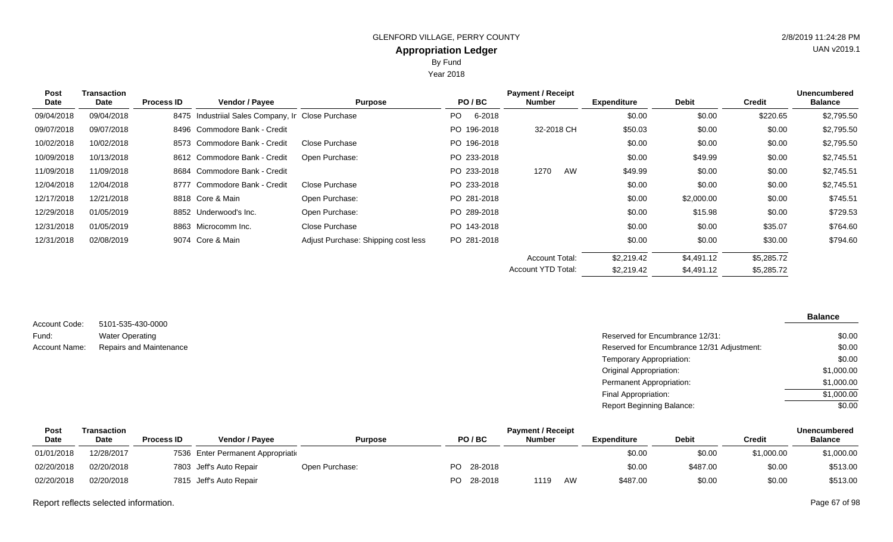Year 2018

| <b>Post</b> | Transaction |                   |                                                   |                                     |       |             | <b>Payment / Receipt</b> |    |                    |              |               | <b>Unencumbered</b> |
|-------------|-------------|-------------------|---------------------------------------------------|-------------------------------------|-------|-------------|--------------------------|----|--------------------|--------------|---------------|---------------------|
| Date        | Date        | <b>Process ID</b> | <b>Vendor / Payee</b>                             | <b>Purpose</b>                      | PO/BC |             | <b>Number</b>            |    | <b>Expenditure</b> | <b>Debit</b> | <b>Credit</b> | <b>Balance</b>      |
| 09/04/2018  | 09/04/2018  |                   | 8475 Industriial Sales Company, Ir Close Purchase |                                     | PO.   | 6-2018      |                          |    | \$0.00             | \$0.00       | \$220.65      | \$2,795.50          |
| 09/07/2018  | 09/07/2018  |                   | 8496 Commodore Bank - Credit                      |                                     |       | PO 196-2018 | 32-2018 CH               |    | \$50.03            | \$0.00       | \$0.00        | \$2,795.50          |
| 10/02/2018  | 10/02/2018  |                   | 8573 Commodore Bank - Credit                      | <b>Close Purchase</b>               |       | PO 196-2018 |                          |    | \$0.00             | \$0.00       | \$0.00        | \$2,795.50          |
| 10/09/2018  | 10/13/2018  |                   | 8612 Commodore Bank - Credit                      | Open Purchase:                      |       | PO 233-2018 |                          |    | \$0.00             | \$49.99      | \$0.00        | \$2,745.51          |
| 11/09/2018  | 11/09/2018  |                   | 8684 Commodore Bank - Credit                      |                                     |       | PO 233-2018 | 1270                     | AW | \$49.99            | \$0.00       | \$0.00        | \$2,745.51          |
| 12/04/2018  | 12/04/2018  |                   | 8777 Commodore Bank - Credit                      | Close Purchase                      |       | PO 233-2018 |                          |    | \$0.00             | \$0.00       | \$0.00        | \$2,745.51          |
| 12/17/2018  | 12/21/2018  |                   | 8818 Core & Main                                  | Open Purchase:                      |       | PO 281-2018 |                          |    | \$0.00             | \$2,000.00   | \$0.00        | \$745.51            |
| 12/29/2018  | 01/05/2019  |                   | 8852 Underwood's Inc.                             | Open Purchase:                      |       | PO 289-2018 |                          |    | \$0.00             | \$15.98      | \$0.00        | \$729.53            |
| 12/31/2018  | 01/05/2019  |                   | 8863 Microcomm Inc.                               | Close Purchase                      |       | PO 143-2018 |                          |    | \$0.00             | \$0.00       | \$35.07       | \$764.60            |
| 12/31/2018  | 02/08/2019  |                   | 9074 Core & Main                                  | Adjust Purchase: Shipping cost less |       | PO 281-2018 |                          |    | \$0.00             | \$0.00       | \$30.00       | \$794.60            |
|             |             |                   |                                                   |                                     |       |             | <b>Account Total:</b>    |    | \$2,219.42         | \$4,491.12   | \$5,285.72    |                     |
|             |             |                   |                                                   |                                     |       |             | Account YTD Total:       |    | \$2,219.42         | \$4,491.12   | \$5,285.72    |                     |

5101-535-430-0000 Water Operating Repairs and Maintenance Account Code: Fund: Account Name:

| Reserved for Encumbrance 12/31:            | \$0.00     |
|--------------------------------------------|------------|
| Reserved for Encumbrance 12/31 Adjustment: | \$0.00     |
| Temporary Appropriation:                   | \$0.00     |
| Original Appropriation:                    | \$1,000.00 |
| Permanent Appropriation:                   | \$1,000.00 |
| Final Appropriation:                       | \$1,000.00 |
| Report Beginning Balance:                  | \$0.00     |

| Post        | Transaction |                   |                                    |                |      |         | <b>Payment / Receipt</b> |    |             |              |            | <b>Unencumbered</b> |
|-------------|-------------|-------------------|------------------------------------|----------------|------|---------|--------------------------|----|-------------|--------------|------------|---------------------|
| <b>Date</b> | <b>Date</b> | <b>Process ID</b> | Vendor / Pavee                     | <b>Purpose</b> |      | PO/BC   | <b>Number</b>            |    | Expenditure | <b>Debit</b> | Credit     | <b>Balance</b>      |
| 01/01/2018  | 12/28/2017  |                   | 7536 Enter Permanent Appropriation |                |      |         |                          |    | \$0.00      | \$0.00       | \$1,000.00 | \$1,000.00          |
| 02/20/2018  | 02/20/2018  |                   | 7803 Jeff's Auto Repair            | Open Purchase: | PO - | 28-2018 |                          |    | \$0.00      | \$487.00     | \$0.00     | \$513.00            |
| 02/20/2018  | 02/20/2018  |                   | 7815 Jeff's Auto Repair            |                | PO.  | 28-2018 | 1119                     | AW | \$487.00    | \$0.00       | \$0.00     | \$513.00            |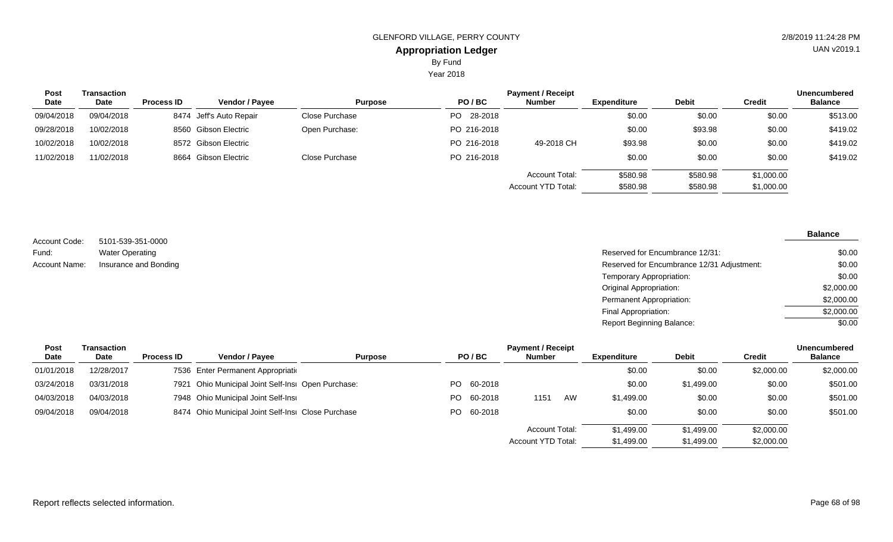Year 2018

| <b>Post</b> | Transaction |                   |                         |                |             | <b>Payment / Receipt</b>  |                    |              |               | <b>Unencumbered</b> |
|-------------|-------------|-------------------|-------------------------|----------------|-------------|---------------------------|--------------------|--------------|---------------|---------------------|
| <b>Date</b> | Date        | <b>Process ID</b> | <b>Vendor / Payee</b>   | <b>Purpose</b> | PO/BC       | <b>Number</b>             | <b>Expenditure</b> | <b>Debit</b> | <b>Credit</b> | <b>Balance</b>      |
| 09/04/2018  | 09/04/2018  |                   | 8474 Jeff's Auto Repair | Close Purchase | PO 28-2018  |                           | \$0.00             | \$0.00       | \$0.00        | \$513.00            |
| 09/28/2018  | 10/02/2018  |                   | 8560 Gibson Electric    | Open Purchase: | PO 216-2018 |                           | \$0.00             | \$93.98      | \$0.00        | \$419.02            |
| 10/02/2018  | 10/02/2018  |                   | 8572 Gibson Electric    |                | PO 216-2018 | 49-2018 CH                | \$93.98            | \$0.00       | \$0.00        | \$419.02            |
| 11/02/2018  | 11/02/2018  |                   | 8664 Gibson Electric    | Close Purchase | PO 216-2018 |                           | \$0.00             | \$0.00       | \$0.00        | \$419.02            |
|             |             |                   |                         |                |             | <b>Account Total:</b>     | \$580.98           | \$580.98     | \$1,000.00    |                     |
|             |             |                   |                         |                |             | <b>Account YTD Total:</b> | \$580.98           | \$580.98     | \$1,000.00    |                     |

5101-539-351-0000 Water Operating Account Code: Fund:

| <b>Account Name:</b><br>Insurance and Bonding | Reserved for Encumbrance 12/31:            | \$0.00     |
|-----------------------------------------------|--------------------------------------------|------------|
|                                               | Reserved for Encumbrance 12/31 Adjustment: | \$0.00     |
|                                               | Temporary Appropriation:                   | \$0.00     |
|                                               | <b>Original Appropriation:</b>             | \$2,000.00 |
|                                               | Permanent Appropriation:                   | \$2,000.00 |
|                                               | Final Appropriation:                       | \$2,000.00 |
|                                               | Report Beginning Balance:                  | \$0.00     |

| Post       | Transaction | <b>Payment / Receipt</b> |                                                    |                |  |            |                       |    |                    |              | <b>Unencumbered</b> |                |
|------------|-------------|--------------------------|----------------------------------------------------|----------------|--|------------|-----------------------|----|--------------------|--------------|---------------------|----------------|
| Date       | <b>Date</b> | <b>Process ID</b>        | <b>Vendor / Pavee</b>                              | <b>Purpose</b> |  | PO/BC      | <b>Number</b>         |    | <b>Expenditure</b> | <b>Debit</b> | <b>Credit</b>       | <b>Balance</b> |
| 01/01/2018 | 12/28/2017  |                          | 7536 Enter Permanent Appropriation                 |                |  |            |                       |    | \$0.00             | \$0.00       | \$2,000.00          | \$2,000.00     |
| 03/24/2018 | 03/31/2018  |                          | 7921 Ohio Municipal Joint Self-Insi Open Purchase: |                |  | PO 60-2018 |                       |    | \$0.00             | \$1,499.00   | \$0.00              | \$501.00       |
| 04/03/2018 | 04/03/2018  |                          | 7948 Ohio Municipal Joint Self-Insi                |                |  | PO 60-2018 | 1151                  | AW | \$1,499.00         | \$0.00       | \$0.00              | \$501.00       |
| 09/04/2018 | 09/04/2018  |                          | 8474 Ohio Municipal Joint Self-Insi Close Purchase |                |  | PO 60-2018 |                       |    | \$0.00             | \$0.00       | \$0.00              | \$501.00       |
|            |             |                          |                                                    |                |  |            | <b>Account Total:</b> |    | \$1,499.00         | \$1,499.00   | \$2,000.00          |                |
|            |             |                          |                                                    |                |  |            | Account YTD Total:    |    | \$1,499.00         | \$1,499.00   | \$2,000.00          |                |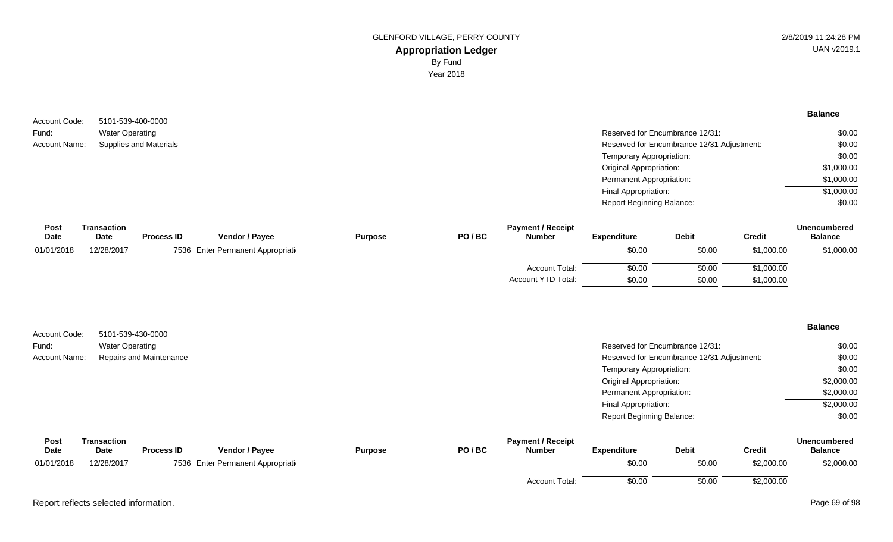| Account Code: | 5101-539-400-0000             |                                            | <b>Balance</b> |
|---------------|-------------------------------|--------------------------------------------|----------------|
|               |                               |                                            |                |
| Fund:         | <b>Water Operating</b>        | Reserved for Encumbrance 12/31:            | \$0.00         |
| Account Name: | <b>Supplies and Materials</b> | Reserved for Encumbrance 12/31 Adjustment: | \$0.00         |
|               |                               | Temporary Appropriation:                   | \$0.00         |
|               |                               | <b>Original Appropriation:</b>             | \$1,000.00     |
|               |                               | <b>Permanent Appropriation:</b>            | \$1,000.00     |
|               |                               | Final Appropriation:                       | \$1,000.00     |
|               |                               | <b>Report Beginning Balance:</b>           | \$0.00         |

| Post       | Transaction |                   |                                    |                |       | <b>Payment / Receipt</b> |                    |              |               | <b>Unencumbered</b> |
|------------|-------------|-------------------|------------------------------------|----------------|-------|--------------------------|--------------------|--------------|---------------|---------------------|
| Date       | <b>Date</b> | <b>Process ID</b> | <b>Vendor / Payee</b>              | <b>Purpose</b> | PO/BC | <b>Number</b>            | <b>Expenditure</b> | <b>Debit</b> | <b>Credit</b> | <b>Balance</b>      |
| 01/01/2018 | 12/28/2017  |                   | 7536 Enter Permanent Appropriation |                |       |                          | \$0.00             | \$0.00       | \$1,000.00    | \$1,000.00          |
|            |             |                   |                                    |                |       | <b>Account Total:</b>    | \$0.00             | \$0.00       | \$1,000.00    |                     |
|            |             |                   |                                    |                |       | Account YTD Total:       | \$0.00             | \$0.00       | \$1,000.00    |                     |

| Account Code: | 5101-539-430-0000       |                                            | <b>Balance</b> |
|---------------|-------------------------|--------------------------------------------|----------------|
| Fund:         | <b>Water Operating</b>  | Reserved for Encumbrance 12/31:            | \$0.00         |
| Account Name: | Repairs and Maintenance | Reserved for Encumbrance 12/31 Adjustment: | \$0.00         |
|               |                         | Temporary Appropriation:                   | \$0.00         |
|               |                         | <b>Original Appropriation:</b>             | \$2,000.00     |
|               |                         | <b>Permanent Appropriation:</b>            | \$2,000.00     |
|               |                         | Final Appropriation:                       | \$2,000.00     |
|               |                         | <b>Report Beginning Balance:</b>           | \$0.00         |
|               |                         |                                            |                |

| Post        | Transaction |                   |                                    |                |       | <b>Payment / Receipt</b> |                    |              |               | <b>Unencumbered</b> |
|-------------|-------------|-------------------|------------------------------------|----------------|-------|--------------------------|--------------------|--------------|---------------|---------------------|
| <b>Date</b> | <b>Date</b> | <b>Process ID</b> | Vendor / Payee                     | <b>Purpose</b> | PO/BC | <b>Number</b>            | <b>Expenditure</b> | <b>Debit</b> | <b>Credit</b> | <b>Balance</b>      |
| 01/01/2018  | 12/28/2017  |                   | 7536 Enter Permanent Appropriation |                |       |                          | \$0.00             | \$0.00       | \$2,000.00    | \$2,000.00          |
|             |             |                   |                                    |                |       | <b>Account Total:</b>    | \$0.00             | \$0.00       | \$2,000.00    |                     |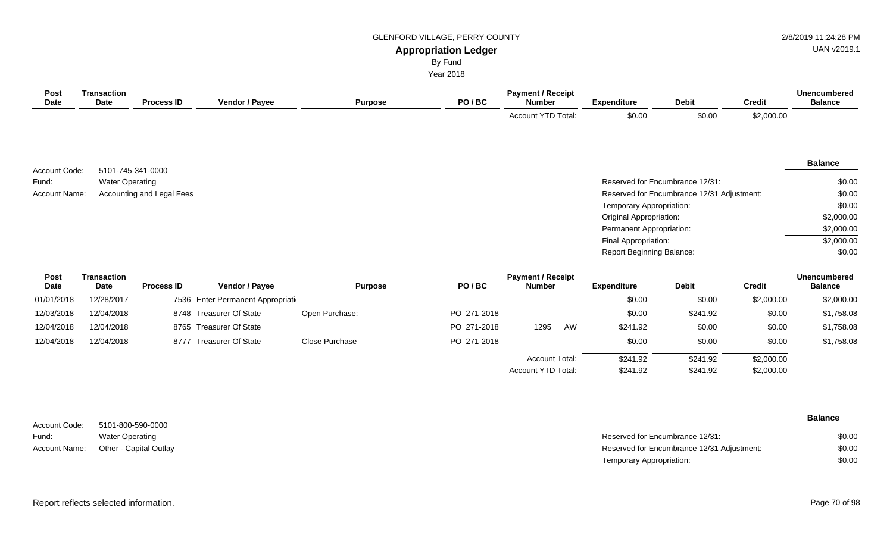## GLENFORD VILLAGE, PERRY COUNTY **1998** 2/8/2019 11:24:28 PM

# UAN v2019.1

**Appropriation Ledger** By Fund

Year 2018

| <b>Post</b><br>Date | <b>Transaction</b><br>Date | <b>Process ID</b>         | Vendor / Payee | <b>Purpose</b> | PO/BC | <b>Payment / Receipt</b><br><b>Number</b> | <b>Expenditure</b>        | <b>Debit</b>                               | <b>Credit</b> | <b>Unencumbered</b><br><b>Balance</b> |
|---------------------|----------------------------|---------------------------|----------------|----------------|-------|-------------------------------------------|---------------------------|--------------------------------------------|---------------|---------------------------------------|
|                     |                            |                           |                |                |       | Account YTD Total:                        | \$0.00                    | \$0.00                                     | \$2,000.00    |                                       |
|                     |                            |                           |                |                |       |                                           |                           |                                            |               |                                       |
|                     |                            |                           |                |                |       |                                           |                           |                                            |               |                                       |
| Account Code:       |                            | 5101-745-341-0000         |                |                |       |                                           |                           |                                            |               | <b>Balance</b>                        |
| Fund:               | <b>Water Operating</b>     |                           |                |                |       |                                           |                           | Reserved for Encumbrance 12/31:            |               | \$0.00                                |
| Account Name:       |                            | Accounting and Legal Fees |                |                |       |                                           |                           | Reserved for Encumbrance 12/31 Adjustment: |               | \$0.00                                |
|                     |                            |                           |                |                |       |                                           | Temporary Appropriation:  |                                            |               | \$0.00                                |
|                     |                            |                           |                |                |       |                                           | Original Appropriation:   |                                            |               | \$2,000.00                            |
|                     |                            |                           |                |                |       |                                           | Permanent Appropriation:  |                                            |               | \$2,000.00                            |
|                     |                            |                           |                |                |       |                                           | Final Appropriation:      |                                            |               | \$2,000.00                            |
|                     |                            |                           |                |                |       |                                           | Report Beginning Balance: |                                            |               | \$0.00                                |
| Post<br>Date        | <b>Transaction</b><br>Date | <b>Process ID</b>         | Vendor / Payee | <b>Purpose</b> | PO/BC | <b>Payment / Receipt</b><br><b>Number</b> | <b>Expenditure</b>        | <b>Debit</b>                               | <b>Credit</b> | <b>Unencumbered</b><br><b>Balance</b> |

| $-$        | ----       | . | .                                  | .              | .           | .                     |    | ------------ | -----    | ------     | -------    |
|------------|------------|---|------------------------------------|----------------|-------------|-----------------------|----|--------------|----------|------------|------------|
| 01/01/2018 | 12/28/2017 |   | 7536 Enter Permanent Appropriation |                |             |                       |    | \$0.00       | \$0.00   | \$2,000.00 | \$2,000.00 |
| 12/03/2018 | 12/04/2018 |   | 8748 Treasurer Of State            | Open Purchase: | PO 271-2018 |                       |    | \$0.00       | \$241.92 | \$0.00     | \$1,758.08 |
| 12/04/2018 | 12/04/2018 |   | 8765 Treasurer Of State            |                | PO 271-2018 | 1295                  | AW | \$241.92     | \$0.00   | \$0.00     | \$1,758.08 |
| 12/04/2018 | 12/04/2018 |   | 8777 Treasurer Of State            | Close Purchase | PO 271-2018 |                       |    | \$0.00       | \$0.00   | \$0.00     | \$1,758.08 |
|            |            |   |                                    |                |             | <b>Account Total:</b> |    | \$241.92     | \$241.92 | \$2,000.00 |            |
|            |            |   |                                    |                |             | Account YTD Total:    |    | \$241.92     | \$241.92 | \$2,000.00 |            |

|               |                        |                                            | <b>Balance</b> |
|---------------|------------------------|--------------------------------------------|----------------|
| Account Code: | 5101-800-590-0000      |                                            |                |
| Fund:         | <b>Water Operating</b> | Reserved for Encumbrance 12/31:            | \$0.00         |
| Account Name: | Other - Capital Outlay | Reserved for Encumbrance 12/31 Adjustment: | \$0.00         |
|               |                        | Temporary Appropriation:                   | \$0.00         |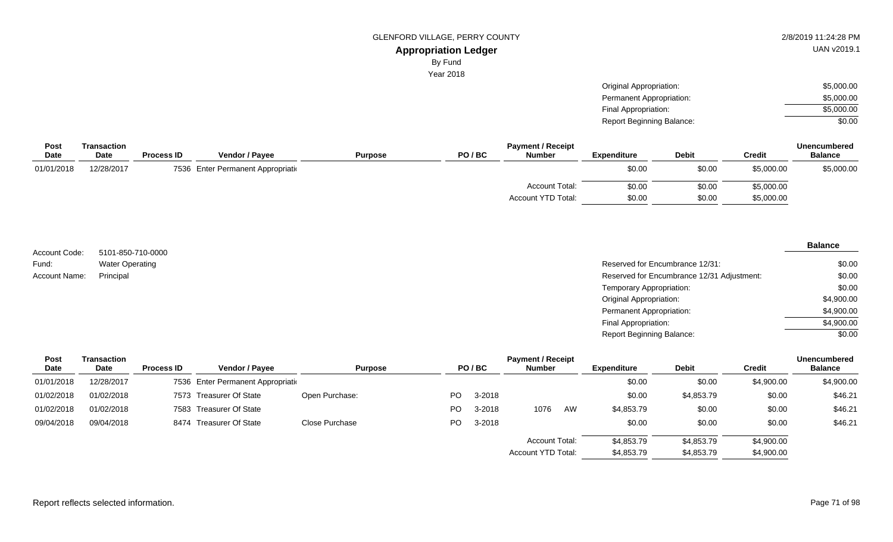By Fund

Year 2018

Original Appropriation: Permanent Appropriation: Final Appropriation: Report Beginning Balance: \$5,000.00 \$5,000.00 \$5,000.00 \$0.00

| Post        | Transaction |                   |                                    |                |       | <b>Payment / Receipt</b> |                    |              |               | <b>Unencumbered</b> |
|-------------|-------------|-------------------|------------------------------------|----------------|-------|--------------------------|--------------------|--------------|---------------|---------------------|
| <b>Date</b> | Date        | <b>Process ID</b> | <b>Vendor / Payee</b>              | <b>Purpose</b> | PO/BC | <b>Number</b>            | <b>Expenditure</b> | <b>Debit</b> | <b>Credit</b> | <b>Balance</b>      |
| 01/01/2018  | 12/28/2017  |                   | 7536 Enter Permanent Appropriation |                |       |                          | \$0.00             | \$0.00       | \$5,000.00    | \$5,000.00          |
|             |             |                   |                                    |                |       | <b>Account Total:</b>    | \$0.00             | \$0.00       | \$5,000.00    |                     |
|             |             |                   |                                    |                |       | Account YTD Total:       | \$0.00             | \$0.00       | \$5,000.00    |                     |

5101-850-710-0000 Water Operating Account Code: Fund: Account Name:

| Water Operating | Reserved for Encumbrance 12/31:            | \$0.00     |
|-----------------|--------------------------------------------|------------|
| Principal       | Reserved for Encumbrance 12/31 Adjustment: | \$0.00     |
|                 | Temporary Appropriation:                   | \$0.00     |
|                 | Original Appropriation:                    | \$4,900.00 |
|                 | Permanent Appropriation:                   | \$4,900.00 |
|                 | Final Appropriation:                       | \$4,900.00 |
|                 | <b>Report Beginning Balance:</b>           | \$0.00     |

| <b>Post</b> | Transaction |                   |                                    |                |     |        | <b>Payment / Receipt</b>  |    |                    |              |               | <b>Unencumbered</b> |
|-------------|-------------|-------------------|------------------------------------|----------------|-----|--------|---------------------------|----|--------------------|--------------|---------------|---------------------|
| <b>Date</b> | <b>Date</b> | <b>Process ID</b> | Vendor / Payee                     | <b>Purpose</b> |     | PO/BC  | <b>Number</b>             |    | <b>Expenditure</b> | <b>Debit</b> | <b>Credit</b> | <b>Balance</b>      |
| 01/01/2018  | 12/28/2017  |                   | 7536 Enter Permanent Appropriation |                |     |        |                           |    | \$0.00             | \$0.00       | \$4,900.00    | \$4,900.00          |
| 01/02/2018  | 01/02/2018  |                   | 7573 Treasurer Of State            | Open Purchase: | PO. | 3-2018 |                           |    | \$0.00             | \$4,853.79   | \$0.00        | \$46.21             |
| 01/02/2018  | 01/02/2018  |                   | 7583 Treasurer Of State            |                | PO. | 3-2018 | 1076                      | AW | \$4,853.79         | \$0.00       | \$0.00        | \$46.21             |
| 09/04/2018  | 09/04/2018  |                   | 8474 Treasurer Of State            | Close Purchase | PO. | 3-2018 |                           |    | \$0.00             | \$0.00       | \$0.00        | \$46.21             |
|             |             |                   |                                    |                |     |        | <b>Account Total:</b>     |    | \$4,853.79         | \$4,853.79   | \$4,900.00    |                     |
|             |             |                   |                                    |                |     |        | <b>Account YTD Total:</b> |    | \$4,853.79         | \$4,853.79   | \$4,900.00    |                     |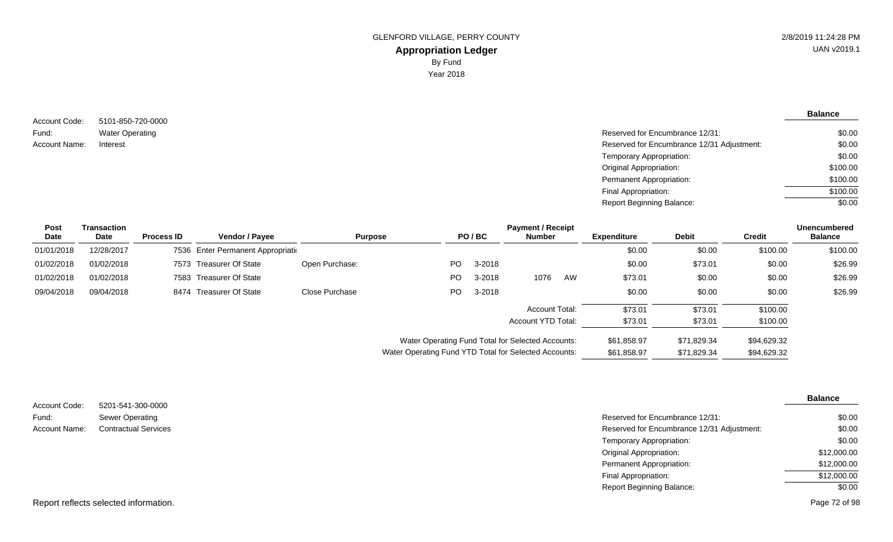#### 5101-850-720-0000 Water Operating Account Code: Fund: Account Name:

| Water Operating | Reserved for Encumbrance 12/31:            | \$0.00   |
|-----------------|--------------------------------------------|----------|
| Interest        | Reserved for Encumbrance 12/31 Adjustment: | \$0.00   |
|                 | Temporary Appropriation:                   | \$0.00   |
|                 | <b>Original Appropriation:</b>             | \$100.00 |
|                 | Permanent Appropriation:                   | \$100.00 |
|                 | Final Appropriation:                       | \$100.00 |
|                 | <b>Report Beginning Balance:</b>           | \$0.00   |
|                 |                                            |          |

| <b>Post</b> | Transaction |                   |                                    |                |                                                       |        | <b>Payment / Receipt</b> |    |                    |              |               | <b>Unencumbered</b> |
|-------------|-------------|-------------------|------------------------------------|----------------|-------------------------------------------------------|--------|--------------------------|----|--------------------|--------------|---------------|---------------------|
| Date        | Date        | <b>Process ID</b> | Vendor / Payee                     | <b>Purpose</b> |                                                       | PO/BC  | <b>Number</b>            |    | <b>Expenditure</b> | <b>Debit</b> | <b>Credit</b> | <b>Balance</b>      |
| 01/01/2018  | 12/28/2017  |                   | 7536 Enter Permanent Appropriation |                |                                                       |        |                          |    | \$0.00             | \$0.00       | \$100.00      | \$100.00            |
| 01/02/2018  | 01/02/2018  |                   | 7573 Treasurer Of State            | Open Purchase: | PO.                                                   | 3-2018 |                          |    | \$0.00             | \$73.01      | \$0.00        | \$26.99             |
| 01/02/2018  | 01/02/2018  |                   | 7583 Treasurer Of State            |                | PO.                                                   | 3-2018 | 1076                     | AW | \$73.01            | \$0.00       | \$0.00        | \$26.99             |
| 09/04/2018  | 09/04/2018  |                   | 8474 Treasurer Of State            | Close Purchase | PO.                                                   | 3-2018 |                          |    | \$0.00             | \$0.00       | \$0.00        | \$26.99             |
|             |             |                   |                                    |                |                                                       |        | <b>Account Total:</b>    |    | \$73.01            | \$73.01      | \$100.00      |                     |
|             |             |                   |                                    |                |                                                       |        | Account YTD Total:       |    | \$73.01            | \$73.01      | \$100.00      |                     |
|             |             |                   |                                    |                | Water Operating Fund Total for Selected Accounts:     |        |                          |    | \$61,858.97        | \$71,829.34  | \$94,629.32   |                     |
|             |             |                   |                                    |                | Water Operating Fund YTD Total for Selected Accounts: |        |                          |    | \$61,858.97        | \$71,829.34  | \$94,629.32   |                     |

|                        |                                             |                                            | <b>Balance</b> |
|------------------------|---------------------------------------------|--------------------------------------------|----------------|
| Account Code:<br>Fund: | 5201-541-300-0000<br><b>Sewer Operating</b> | Reserved for Encumbrance 12/31:            | \$0.00         |
|                        |                                             |                                            |                |
| Account Name:          | <b>Contractual Services</b>                 | Reserved for Encumbrance 12/31 Adjustment: | \$0.00         |
|                        |                                             | Temporary Appropriation:                   | \$0.00         |
|                        |                                             | <b>Original Appropriation:</b>             | \$12,000.00    |
|                        |                                             | <b>Permanent Appropriation:</b>            | \$12,000.00    |
|                        |                                             | Final Appropriation:                       | \$12,000.00    |
|                        |                                             | <b>Report Beginning Balance:</b>           | \$0.00         |
|                        | Report reflects selected information.       |                                            | Page 72 of 98  |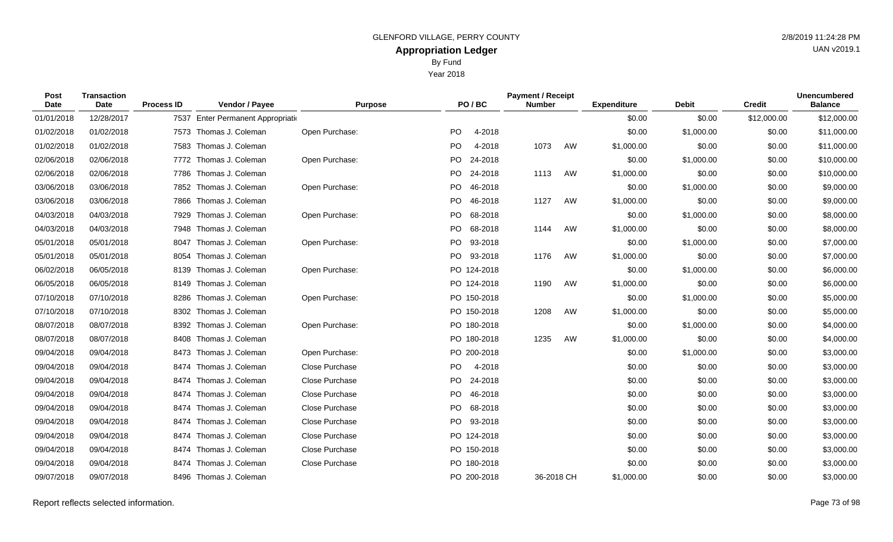| <b>Post</b><br>Date | <b>Transaction</b><br>Date | <b>Process ID</b> | Vendor / Payee                     | <b>Purpose</b>        |           | PO/BC       | <b>Payment / Receipt</b><br><b>Number</b> |    | <b>Expenditure</b> | <b>Debit</b> | <b>Credit</b> | <b>Unencumbered</b><br><b>Balance</b> |
|---------------------|----------------------------|-------------------|------------------------------------|-----------------------|-----------|-------------|-------------------------------------------|----|--------------------|--------------|---------------|---------------------------------------|
| 01/01/2018          | 12/28/2017                 |                   | 7537 Enter Permanent Appropriation |                       |           |             |                                           |    | \$0.00             | \$0.00       | \$12,000.00   | \$12,000.00                           |
| 01/02/2018          | 01/02/2018                 | 7573              | Thomas J. Coleman                  | Open Purchase:        | PO.       | 4-2018      |                                           |    | \$0.00             | \$1,000.00   | \$0.00        | \$11,000.00                           |
| 01/02/2018          | 01/02/2018                 | 7583              | Thomas J. Coleman                  |                       | <b>PO</b> | 4-2018      | 1073                                      | AW | \$1,000.00         | \$0.00       | \$0.00        | \$11,000.00                           |
| 02/06/2018          | 02/06/2018                 | 7772              | Thomas J. Coleman                  | Open Purchase:        | <b>PO</b> | 24-2018     |                                           |    | \$0.00             | \$1,000.00   | \$0.00        | \$10,000.00                           |
| 02/06/2018          | 02/06/2018                 | 7786              | Thomas J. Coleman                  |                       | <b>PO</b> | 24-2018     | 1113                                      | AW | \$1,000.00         | \$0.00       | \$0.00        | \$10,000.00                           |
| 03/06/2018          | 03/06/2018                 | 7852              | Thomas J. Coleman                  | Open Purchase:        | <b>PO</b> | 46-2018     |                                           |    | \$0.00             | \$1,000.00   | \$0.00        | \$9,000.00                            |
| 03/06/2018          | 03/06/2018                 | 7866              | Thomas J. Coleman                  |                       | PO.       | 46-2018     | 1127                                      | AW | \$1,000.00         | \$0.00       | \$0.00        | \$9,000.00                            |
| 04/03/2018          | 04/03/2018                 | 7929              | Thomas J. Coleman                  | Open Purchase:        | <b>PO</b> | 68-2018     |                                           |    | \$0.00             | \$1,000.00   | \$0.00        | \$8,000.00                            |
| 04/03/2018          | 04/03/2018                 |                   | 7948 Thomas J. Coleman             |                       | PO.       | 68-2018     | 1144                                      | AW | \$1,000.00         | \$0.00       | \$0.00        | \$8,000.00                            |
| 05/01/2018          | 05/01/2018                 | 8047              | Thomas J. Coleman                  | Open Purchase:        | <b>PO</b> | 93-2018     |                                           |    | \$0.00             | \$1,000.00   | \$0.00        | \$7,000.00                            |
| 05/01/2018          | 05/01/2018                 | 8054              | Thomas J. Coleman                  |                       | <b>PO</b> | 93-2018     | 1176                                      | AW | \$1,000.00         | \$0.00       | \$0.00        | \$7,000.00                            |
| 06/02/2018          | 06/05/2018                 | 8139              | Thomas J. Coleman                  | Open Purchase:        |           | PO 124-2018 |                                           |    | \$0.00             | \$1,000.00   | \$0.00        | \$6,000.00                            |
| 06/05/2018          | 06/05/2018                 | 8149              | Thomas J. Coleman                  |                       |           | PO 124-2018 | 1190                                      | AW | \$1,000.00         | \$0.00       | \$0.00        | \$6,000.00                            |
| 07/10/2018          | 07/10/2018                 | 8286              | Thomas J. Coleman                  | Open Purchase:        |           | PO 150-2018 |                                           |    | \$0.00             | \$1,000.00   | \$0.00        | \$5,000.00                            |
| 07/10/2018          | 07/10/2018                 | 8302              | Thomas J. Coleman                  |                       |           | PO 150-2018 | 1208                                      | AW | \$1,000.00         | \$0.00       | \$0.00        | \$5,000.00                            |
| 08/07/2018          | 08/07/2018                 | 8392              | Thomas J. Coleman                  | Open Purchase:        |           | PO 180-2018 |                                           |    | \$0.00             | \$1,000.00   | \$0.00        | \$4,000.00                            |
| 08/07/2018          | 08/07/2018                 | 8408              | Thomas J. Coleman                  |                       |           | PO 180-2018 | 1235                                      | AW | \$1,000.00         | \$0.00       | \$0.00        | \$4,000.00                            |
| 09/04/2018          | 09/04/2018                 | 8473              | Thomas J. Coleman                  | Open Purchase:        |           | PO 200-2018 |                                           |    | \$0.00             | \$1,000.00   | \$0.00        | \$3,000.00                            |
| 09/04/2018          | 09/04/2018                 | 8474              | Thomas J. Coleman                  | <b>Close Purchase</b> | <b>PO</b> | 4-2018      |                                           |    | \$0.00             | \$0.00       | \$0.00        | \$3,000.00                            |
| 09/04/2018          | 09/04/2018                 | 8474              | Thomas J. Coleman                  | <b>Close Purchase</b> | <b>PO</b> | 24-2018     |                                           |    | \$0.00             | \$0.00       | \$0.00        | \$3,000.00                            |
| 09/04/2018          | 09/04/2018                 | 8474              | Thomas J. Coleman                  | Close Purchase        | <b>PO</b> | 46-2018     |                                           |    | \$0.00             | \$0.00       | \$0.00        | \$3,000.00                            |
| 09/04/2018          | 09/04/2018                 | 8474              | Thomas J. Coleman                  | Close Purchase        | <b>PO</b> | 68-2018     |                                           |    | \$0.00             | \$0.00       | \$0.00        | \$3,000.00                            |
| 09/04/2018          | 09/04/2018                 | 8474              | Thomas J. Coleman                  | <b>Close Purchase</b> | PO.       | 93-2018     |                                           |    | \$0.00             | \$0.00       | \$0.00        | \$3,000.00                            |
| 09/04/2018          | 09/04/2018                 | 8474              | Thomas J. Coleman                  | Close Purchase        |           | PO 124-2018 |                                           |    | \$0.00             | \$0.00       | \$0.00        | \$3,000.00                            |
| 09/04/2018          | 09/04/2018                 | 8474              | Thomas J. Coleman                  | Close Purchase        |           | PO 150-2018 |                                           |    | \$0.00             | \$0.00       | \$0.00        | \$3,000.00                            |
| 09/04/2018          | 09/04/2018                 |                   | 8474 Thomas J. Coleman             | Close Purchase        |           | PO 180-2018 |                                           |    | \$0.00             | \$0.00       | \$0.00        | \$3,000.00                            |

09/07/2018 09/07/2018 8496 Thomas J. Coleman 2000-2018 PO 200-2018 36-2018 CH \$1,000.00 \$0.00 \$0.00 \$0.00 \$3,000.00

UAN v2019.1

Year 2018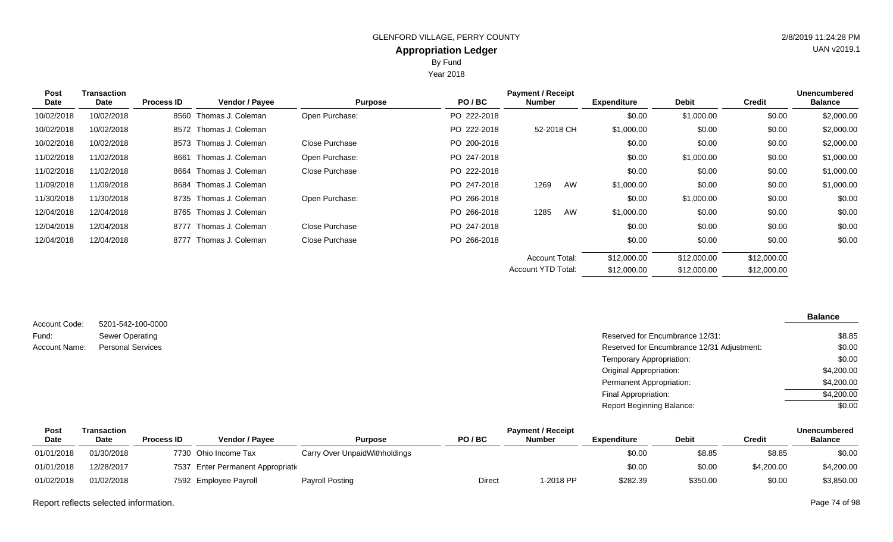Year 2018

| Post        | <b>Transaction</b> |                   |                        |                |             | <b>Payment / Receipt</b> |                    |              |               | <b>Unencumbered</b> |
|-------------|--------------------|-------------------|------------------------|----------------|-------------|--------------------------|--------------------|--------------|---------------|---------------------|
| <b>Date</b> | Date               | <b>Process ID</b> | Vendor / Payee         | <b>Purpose</b> | PO/BC       | <b>Number</b>            | <b>Expenditure</b> | <b>Debit</b> | <b>Credit</b> | <b>Balance</b>      |
| 10/02/2018  | 10/02/2018         | 8560              | Thomas J. Coleman      | Open Purchase: | PO 222-2018 |                          | \$0.00             | \$1,000.00   | \$0.00        | \$2,000.00          |
| 10/02/2018  | 10/02/2018         |                   | 8572 Thomas J. Coleman |                | PO 222-2018 | 52-2018 CH               | \$1,000.00         | \$0.00       | \$0.00        | \$2,000.00          |
| 10/02/2018  | 10/02/2018         |                   | 8573 Thomas J. Coleman | Close Purchase | PO 200-2018 |                          | \$0.00             | \$0.00       | \$0.00        | \$2,000.00          |
| 11/02/2018  | 11/02/2018         | 8661              | Thomas J. Coleman      | Open Purchase: | PO 247-2018 |                          | \$0.00             | \$1,000.00   | \$0.00        | \$1,000.00          |
| 11/02/2018  | 11/02/2018         | 8664              | Thomas J. Coleman      | Close Purchase | PO 222-2018 |                          | \$0.00             | \$0.00       | \$0.00        | \$1,000.00          |
| 11/09/2018  | 11/09/2018         |                   | 8684 Thomas J. Coleman |                | PO 247-2018 | AW<br>1269               | \$1,000.00         | \$0.00       | \$0.00        | \$1,000.00          |
| 11/30/2018  | 11/30/2018         |                   | 8735 Thomas J. Coleman | Open Purchase: | PO 266-2018 |                          | \$0.00             | \$1,000.00   | \$0.00        | \$0.00              |
| 12/04/2018  | 12/04/2018         |                   | 8765 Thomas J. Coleman |                | PO 266-2018 | AW<br>1285               | \$1,000.00         | \$0.00       | \$0.00        | \$0.00              |
| 12/04/2018  | 12/04/2018         | 8777              | Thomas J. Coleman      | Close Purchase | PO 247-2018 |                          | \$0.00             | \$0.00       | \$0.00        | \$0.00              |
| 12/04/2018  | 12/04/2018         | 8777              | Thomas J. Coleman      | Close Purchase | PO 266-2018 |                          | \$0.00             | \$0.00       | \$0.00        | \$0.00              |
|             |                    |                   |                        |                |             | Account Total:           | \$12,000.00        | \$12,000.00  | \$12,000.00   |                     |
|             |                    |                   |                        |                |             | Account YTD Total:       | \$12,000.00        | \$12,000.00  | \$12,000.00   |                     |
|             |                    |                   |                        |                |             |                          |                    |              |               |                     |

|               |                          |                                            | <b>Balance</b> |
|---------------|--------------------------|--------------------------------------------|----------------|
| Account Code: | 5201-542-100-0000        |                                            |                |
| Fund:         | <b>Sewer Operating</b>   | Reserved for Encumbrance 12/31:            | \$8.85         |
| Account Name: | <b>Personal Services</b> | Reserved for Encumbrance 12/31 Adjustment: | \$0.00         |
|               |                          | Temporary Appropriation:                   | \$0.00         |
|               |                          | <b>Original Appropriation:</b>             | \$4,200.00     |
|               |                          | Permanent Appropriation:                   | \$4,200.00     |
|               |                          | Final Appropriation:                       | \$4,200.00     |
|               |                          | <b>Report Beginning Balance:</b>           | \$0.00         |

| <b>Post</b> | Transaction |                   |                                    |                               |               | <b>Payment / Receipt</b> |                    |              |               | Unencumbered   |
|-------------|-------------|-------------------|------------------------------------|-------------------------------|---------------|--------------------------|--------------------|--------------|---------------|----------------|
| <b>Date</b> | <b>Date</b> | <b>Process ID</b> | Vendor / Payee                     | <b>Purpose</b>                | PO/BC         | <b>Number</b>            | <b>Expenditure</b> | <b>Debit</b> | <b>Credit</b> | <b>Balance</b> |
| 01/01/2018  | 01/30/2018  |                   | 7730 Ohio Income Tax               | Carry Over UnpaidWithholdings |               |                          | \$0.00             | \$8.85       | \$8.85        | \$0.00         |
| 01/01/2018  | 12/28/2017  |                   | 7537 Enter Permanent Appropriation |                               |               |                          | \$0.00             | \$0.00       | \$4,200.00    | \$4,200.00     |
| 01/02/2018  | 01/02/2018  |                   | 7592 Employee Payroll              | Payroll Posting               | <b>Direct</b> | I-2018 PP                | \$282.39           | \$350.00     | \$0.00        | \$3,850.00     |

Report reflects selected information. Page 74 of 98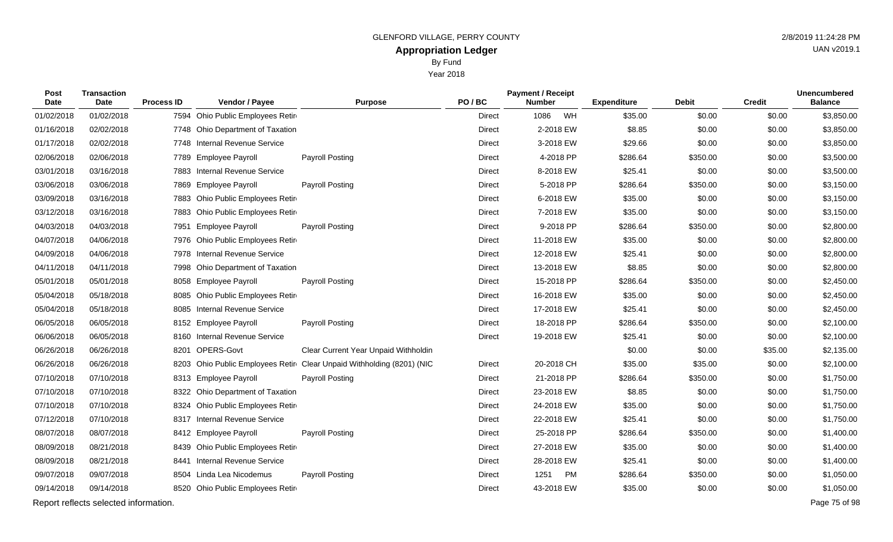Year 2018

| <b>Post</b><br><b>Date</b> | <b>Transaction</b><br>Date            | <b>Process ID</b> | Vendor / Payee                   | <b>Purpose</b>                                                        | PO/BC         | <b>Payment / Receipt</b><br><b>Number</b> |    | <b>Expenditure</b> | <b>Debit</b> | <b>Credit</b> | <b>Unencumbered</b><br><b>Balance</b> |
|----------------------------|---------------------------------------|-------------------|----------------------------------|-----------------------------------------------------------------------|---------------|-------------------------------------------|----|--------------------|--------------|---------------|---------------------------------------|
| 01/02/2018                 | 01/02/2018                            |                   | 7594 Ohio Public Employees Retir |                                                                       | <b>Direct</b> | 1086                                      | WH | \$35.00            | \$0.00       | \$0.00        | \$3,850.00                            |
| 01/16/2018                 | 02/02/2018                            |                   | 7748 Ohio Department of Taxation |                                                                       | Direct        | 2-2018 EW                                 |    | \$8.85             | \$0.00       | \$0.00        | \$3,850.00                            |
| 01/17/2018                 | 02/02/2018                            |                   | 7748 Internal Revenue Service    |                                                                       | <b>Direct</b> | 3-2018 EW                                 |    | \$29.66            | \$0.00       | \$0.00        | \$3,850.00                            |
| 02/06/2018                 | 02/06/2018                            |                   | 7789 Employee Payroll            | Payroll Posting                                                       | Direct        | 4-2018 PP                                 |    | \$286.64           | \$350.00     | \$0.00        | \$3,500.00                            |
| 03/01/2018                 | 03/16/2018                            |                   | 7883 Internal Revenue Service    |                                                                       | Direct        | 8-2018 EW                                 |    | \$25.41            | \$0.00       | \$0.00        | \$3,500.00                            |
| 03/06/2018                 | 03/06/2018                            |                   | 7869 Employee Payroll            | <b>Payroll Posting</b>                                                | Direct        | 5-2018 PP                                 |    | \$286.64           | \$350.00     | \$0.00        | \$3,150.00                            |
| 03/09/2018                 | 03/16/2018                            | 7883              | Ohio Public Employees Retir      |                                                                       | Direct        | 6-2018 EW                                 |    | \$35.00            | \$0.00       | \$0.00        | \$3,150.00                            |
| 03/12/2018                 | 03/16/2018                            | 7883              | Ohio Public Employees Retir      |                                                                       | <b>Direct</b> | 7-2018 EW                                 |    | \$35.00            | \$0.00       | \$0.00        | \$3,150.00                            |
| 04/03/2018                 | 04/03/2018                            | 7951              | <b>Employee Payroll</b>          | Payroll Posting                                                       | Direct        | 9-2018 PP                                 |    | \$286.64           | \$350.00     | \$0.00        | \$2,800.00                            |
| 04/07/2018                 | 04/06/2018                            |                   | 7976 Ohio Public Employees Retir |                                                                       | Direct        | 11-2018 EW                                |    | \$35.00            | \$0.00       | \$0.00        | \$2,800.00                            |
| 04/09/2018                 | 04/06/2018                            |                   | 7978 Internal Revenue Service    |                                                                       | Direct        | 12-2018 EW                                |    | \$25.41            | \$0.00       | \$0.00        | \$2,800.00                            |
| 04/11/2018                 | 04/11/2018                            | 7998              | Ohio Department of Taxation      |                                                                       | <b>Direct</b> | 13-2018 EW                                |    | \$8.85             | \$0.00       | \$0.00        | \$2,800.00                            |
| 05/01/2018                 | 05/01/2018                            |                   | 8058 Employee Payroll            | <b>Payroll Posting</b>                                                | <b>Direct</b> | 15-2018 PP                                |    | \$286.64           | \$350.00     | \$0.00        | \$2,450.00                            |
| 05/04/2018                 | 05/18/2018                            |                   | 8085 Ohio Public Employees Retir |                                                                       | Direct        | 16-2018 EW                                |    | \$35.00            | \$0.00       | \$0.00        | \$2,450.00                            |
| 05/04/2018                 | 05/18/2018                            | 8085              | Internal Revenue Service         |                                                                       | Direct        | 17-2018 EW                                |    | \$25.41            | \$0.00       | \$0.00        | \$2,450.00                            |
| 06/05/2018                 | 06/05/2018                            |                   | 8152 Employee Payroll            | Payroll Posting                                                       | <b>Direct</b> | 18-2018 PP                                |    | \$286.64           | \$350.00     | \$0.00        | \$2,100.00                            |
| 06/06/2018                 | 06/05/2018                            |                   | 8160 Internal Revenue Service    |                                                                       | Direct        | 19-2018 EW                                |    | \$25.41            | \$0.00       | \$0.00        | \$2,100.00                            |
| 06/26/2018                 | 06/26/2018                            | 8201              | OPERS-Govt                       | Clear Current Year Unpaid Withholdin                                  |               |                                           |    | \$0.00             | \$0.00       | \$35.00       | \$2,135.00                            |
| 06/26/2018                 | 06/26/2018                            |                   |                                  | 8203 Ohio Public Employees Retir Clear Unpaid Withholding (8201) (NIC | Direct        | 20-2018 CH                                |    | \$35.00            | \$35.00      | \$0.00        | \$2,100.00                            |
| 07/10/2018                 | 07/10/2018                            |                   | 8313 Employee Payroll            | Payroll Posting                                                       | Direct        | 21-2018 PP                                |    | \$286.64           | \$350.00     | \$0.00        | \$1,750.00                            |
| 07/10/2018                 | 07/10/2018                            |                   | 8322 Ohio Department of Taxation |                                                                       | <b>Direct</b> | 23-2018 EW                                |    | \$8.85             | \$0.00       | \$0.00        | \$1,750.00                            |
| 07/10/2018                 | 07/10/2018                            | 8324              | Ohio Public Employees Retir      |                                                                       | Direct        | 24-2018 EW                                |    | \$35.00            | \$0.00       | \$0.00        | \$1,750.00                            |
| 07/12/2018                 | 07/10/2018                            |                   | 8317 Internal Revenue Service    |                                                                       | <b>Direct</b> | 22-2018 EW                                |    | \$25.41            | \$0.00       | \$0.00        | \$1,750.00                            |
| 08/07/2018                 | 08/07/2018                            |                   | 8412 Employee Payroll            | <b>Payroll Posting</b>                                                | Direct        | 25-2018 PP                                |    | \$286.64           | \$350.00     | \$0.00        | \$1,400.00                            |
| 08/09/2018                 | 08/21/2018                            |                   | 8439 Ohio Public Employees Retir |                                                                       | Direct        | 27-2018 EW                                |    | \$35.00            | \$0.00       | \$0.00        | \$1,400.00                            |
| 08/09/2018                 | 08/21/2018                            | 8441              | <b>Internal Revenue Service</b>  |                                                                       | Direct        | 28-2018 EW                                |    | \$25.41            | \$0.00       | \$0.00        | \$1,400.00                            |
| 09/07/2018                 | 09/07/2018                            |                   | 8504 Linda Lea Nicodemus         | Payroll Posting                                                       | Direct        | 1251                                      | PM | \$286.64           | \$350.00     | \$0.00        | \$1,050.00                            |
| 09/14/2018                 | 09/14/2018                            |                   | 8520 Ohio Public Employees Retir |                                                                       | Direct        | 43-2018 EW                                |    | \$35.00            | \$0.00       | \$0.00        | \$1,050.00                            |
|                            | Report reflects selected information. |                   |                                  |                                                                       |               |                                           |    |                    |              |               | Page 75 of 98                         |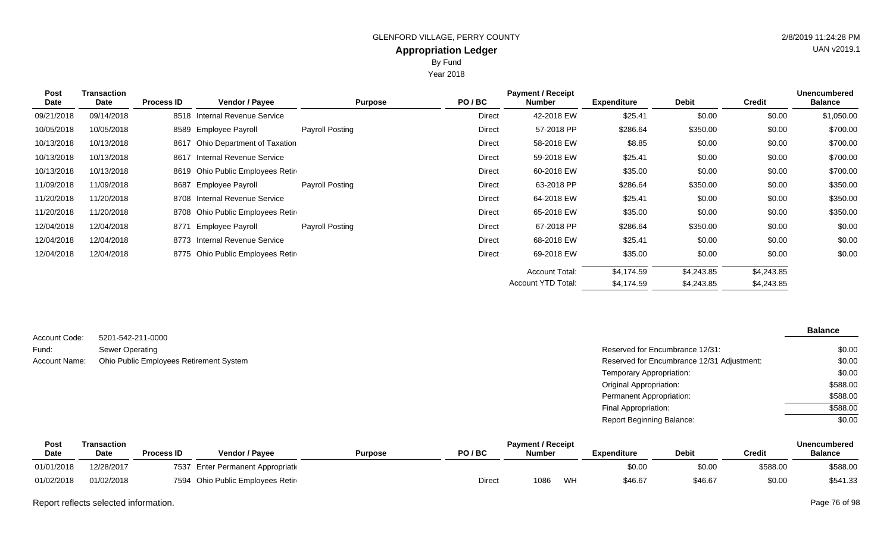Year 2018

| <b>Post</b><br>Date | <b>Transaction</b><br>Date | <b>Process ID</b> | Vendor / Payee                    | <b>Purpose</b>  | PO/BC  | <b>Payment / Receipt</b><br><b>Number</b> | <b>Expenditure</b> | <b>Debit</b> | <b>Credit</b> | <b>Unencumbered</b><br><b>Balance</b> |
|---------------------|----------------------------|-------------------|-----------------------------------|-----------------|--------|-------------------------------------------|--------------------|--------------|---------------|---------------------------------------|
| 09/21/2018          | 09/14/2018                 |                   | 8518 Internal Revenue Service     |                 | Direct | 42-2018 EW                                | \$25.41            | \$0.00       | \$0.00        | \$1,050.00                            |
| 10/05/2018          | 10/05/2018                 | 8589              | Employee Payroll                  | Payroll Posting | Direct | 57-2018 PP                                | \$286.64           | \$350.00     | \$0.00        | \$700.00                              |
| 10/13/2018          | 10/13/2018                 |                   | 8617 Ohio Department of Taxation  |                 | Direct | 58-2018 EW                                | \$8.85             | \$0.00       | \$0.00        | \$700.00                              |
| 10/13/2018          | 10/13/2018                 |                   | 8617 Internal Revenue Service     |                 | Direct | 59-2018 EW                                | \$25.41            | \$0.00       | \$0.00        | \$700.00                              |
| 10/13/2018          | 10/13/2018                 |                   | 8619 Ohio Public Employees Retir  |                 | Direct | 60-2018 EW                                | \$35.00            | \$0.00       | \$0.00        | \$700.00                              |
| 11/09/2018          | 11/09/2018                 | 8687              | Employee Payroll                  | Payroll Posting | Direct | 63-2018 PP                                | \$286.64           | \$350.00     | \$0.00        | \$350.00                              |
| 11/20/2018          | 11/20/2018                 |                   | 8708 Internal Revenue Service     |                 | Direct | 64-2018 EW                                | \$25.41            | \$0.00       | \$0.00        | \$350.00                              |
| 11/20/2018          | 11/20/2018                 |                   | 8708 Ohio Public Employees Retire |                 | Direct | 65-2018 EW                                | \$35.00            | \$0.00       | \$0.00        | \$350.00                              |
| 12/04/2018          | 12/04/2018                 |                   | 8771 Employee Payroll             | Payroll Posting | Direct | 67-2018 PP                                | \$286.64           | \$350.00     | \$0.00        | \$0.00                                |
| 12/04/2018          | 12/04/2018                 |                   | 8773 Internal Revenue Service     |                 | Direct | 68-2018 EW                                | \$25.41            | \$0.00       | \$0.00        | \$0.00                                |
| 12/04/2018          | 12/04/2018                 |                   | 8775 Ohio Public Employees Retire |                 | Direct | 69-2018 EW                                | \$35.00            | \$0.00       | \$0.00        | \$0.00                                |
|                     |                            |                   |                                   |                 |        | <b>Account Total:</b>                     | \$4,174.59         | \$4,243.85   | \$4,243.85    |                                       |
|                     |                            |                   |                                   |                 |        | <b>Account YTD Total:</b>                 | \$4,174.59         | \$4,243.85   | \$4,243.85    |                                       |

| Account Code: | 5201-542-211-0000                       |                                            |
|---------------|-----------------------------------------|--------------------------------------------|
| Fund:         | Sewer Operating                         | Reserved for Encumbrance 12/31:            |
| Account Name: | Ohio Public Employees Retirement System | Reserved for Encumbrance 12/31 Adjustment: |

| Balance |
|---------|
|---------|

| Reserved for Encumbrance 12/31:            | \$0.00   |
|--------------------------------------------|----------|
| Reserved for Encumbrance 12/31 Adjustment: | \$0.00   |
| Temporary Appropriation:                   | \$0.00   |
| Original Appropriation:                    | \$588.00 |
| Permanent Appropriation:                   | \$588.00 |
| Final Appropriation:                       | \$588.00 |
| Report Beginning Balance:                  | \$0.00   |

| Post        | <b>Fransaction</b> |                   |                                  |                |       | <b>Payment / Receipt</b> |    |             |              |          | <b>Unencumbered</b> |
|-------------|--------------------|-------------------|----------------------------------|----------------|-------|--------------------------|----|-------------|--------------|----------|---------------------|
| <b>Date</b> | <b>Date</b>        | <b>Process ID</b> | Vendor / Payee                   | <b>Purpose</b> | PO/BC | <b>Number</b>            |    | Expenditure | <b>Debit</b> | Credit   | <b>Balance</b>      |
| 01/01/2018  | 12/28/2017         | 7537              | Enter Permanent Appropriation    |                |       |                          |    | \$0.00      | \$0.00       | \$588.00 | \$588.00            |
| 01/02/2018  | 01/02/2018         |                   | 7594 Ohio Public Employees Retir |                | Direc | 1086                     | WH | \$46.67     | \$46.67      | \$0.00   | \$541.33            |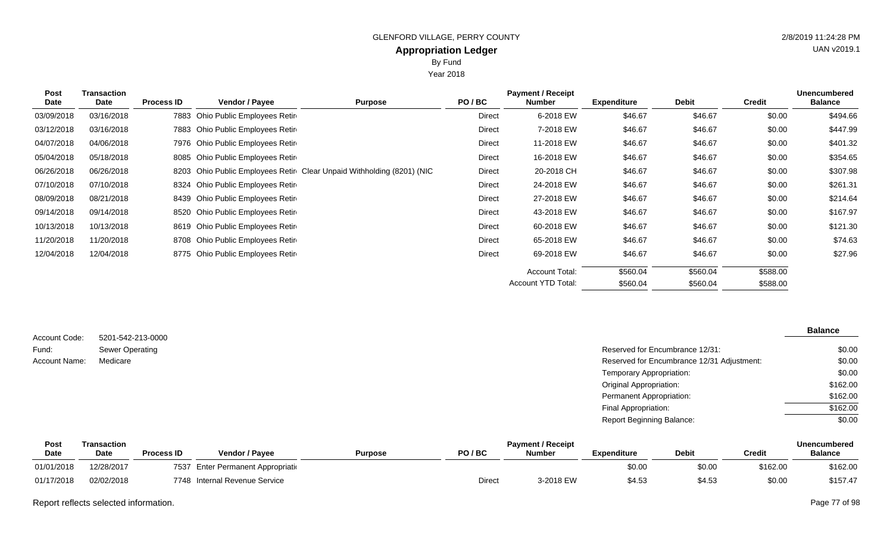Year 2018

| <b>Post</b><br>Date | Transaction<br>Date | <b>Process ID</b> | <b>Vendor / Payee</b>            | <b>Purpose</b>                                                        | PO/BC         | <b>Payment / Receipt</b><br><b>Number</b> | <b>Expenditure</b> | Debit    | <b>Credit</b> | <b>Unencumbered</b><br><b>Balance</b> |
|---------------------|---------------------|-------------------|----------------------------------|-----------------------------------------------------------------------|---------------|-------------------------------------------|--------------------|----------|---------------|---------------------------------------|
| 03/09/2018          | 03/16/2018          | 7883              | Ohio Public Employees Retir      |                                                                       | <b>Direct</b> | 6-2018 EW                                 | \$46.67            | \$46.67  | \$0.00        | \$494.66                              |
| 03/12/2018          | 03/16/2018          |                   | 7883 Ohio Public Employees Retir |                                                                       | Direct        | 7-2018 EW                                 | \$46.67            | \$46.67  | \$0.00        | \$447.99                              |
| 04/07/2018          | 04/06/2018          |                   | 7976 Ohio Public Employees Retir |                                                                       | Direct        | 11-2018 EW                                | \$46.67            | \$46.67  | \$0.00        | \$401.32                              |
| 05/04/2018          | 05/18/2018          |                   | 8085 Ohio Public Employees Retir |                                                                       | Direct        | 16-2018 EW                                | \$46.67            | \$46.67  | \$0.00        | \$354.65                              |
| 06/26/2018          | 06/26/2018          |                   |                                  | 8203 Ohio Public Employees Retir Clear Unpaid Withholding (8201) (NIC | Direct        | 20-2018 CH                                | \$46.67            | \$46.67  | \$0.00        | \$307.98                              |
| 07/10/2018          | 07/10/2018          |                   | 8324 Ohio Public Employees Retir |                                                                       | Direct        | 24-2018 EW                                | \$46.67            | \$46.67  | \$0.00        | \$261.31                              |
| 08/09/2018          | 08/21/2018          |                   | 8439 Ohio Public Employees Retir |                                                                       | Direct        | 27-2018 EW                                | \$46.67            | \$46.67  | \$0.00        | \$214.64                              |
| 09/14/2018          | 09/14/2018          |                   | 8520 Ohio Public Employees Retir |                                                                       | Direct        | 43-2018 EW                                | \$46.67            | \$46.67  | \$0.00        | \$167.97                              |
| 10/13/2018          | 10/13/2018          |                   | 8619 Ohio Public Employees Retir |                                                                       | Direct        | 60-2018 EW                                | \$46.67            | \$46.67  | \$0.00        | \$121.30                              |
| 11/20/2018          | 11/20/2018          |                   | 8708 Ohio Public Employees Retir |                                                                       | Direct        | 65-2018 EW                                | \$46.67            | \$46.67  | \$0.00        | \$74.63                               |
| 12/04/2018          | 12/04/2018          |                   | 8775 Ohio Public Employees Retir |                                                                       | Direct        | 69-2018 EW                                | \$46.67            | \$46.67  | \$0.00        | \$27.96                               |
|                     |                     |                   |                                  |                                                                       |               | <b>Account Total:</b>                     | \$560.04           | \$560.04 | \$588.00      |                                       |

| Account Code: | 5201-542-213-0000      |                                            | <b>Balance</b> |
|---------------|------------------------|--------------------------------------------|----------------|
| Fund:         | <b>Sewer Operating</b> | Reserved for Encumbrance 12/31:            | \$0.00         |
| Account Name: | Medicare               | Reserved for Encumbrance 12/31 Adjustment: | \$0.00         |
|               |                        | Temporary Appropriation:                   | \$0.00         |
|               |                        | <b>Original Appropriation:</b>             | \$162.00       |
|               |                        | Permanent Appropriation:                   | \$162.00       |
|               |                        | Final Appropriation:                       | \$162.00       |
|               |                        | <b>Report Beginning Balance:</b>           | \$0.00         |

| Post        | Transaction |                   |                               |         | <b>Unencumbered</b> |               |                    |              |          |                |
|-------------|-------------|-------------------|-------------------------------|---------|---------------------|---------------|--------------------|--------------|----------|----------------|
| <b>Date</b> | <b>Date</b> | <b>Process ID</b> | Vendor / Payee                | Purpose | PO/BC               | <b>Number</b> | <b>Expenditure</b> | <b>Debit</b> | Credit   | <b>Balance</b> |
| 01/01/2018  | 12/28/2017  | 7537              | Enter Permanent Appropriation |         |                     |               | \$0.00             | \$0.00       | \$162.00 | \$162.00       |
| 01/17/2018  | 02/02/2018  | 7748              | Internal Revenue Service      |         | Direct              | 3-2018 EW     | \$4.5              | \$4.53       | \$0.00   | \$157.47       |

Report reflects selected information. Page 77 of 98

UAN v2019.1

\$588.00

\$560.04

\$560.04

Account YTD Total: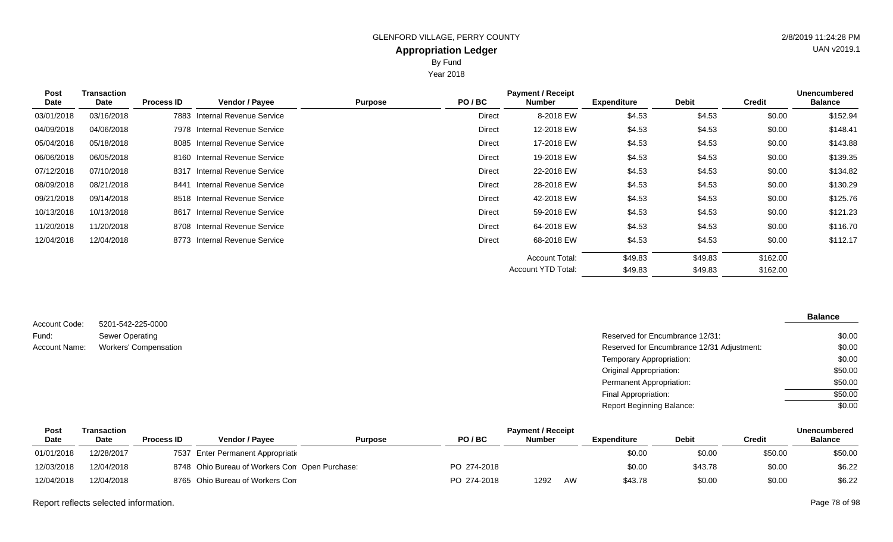Year 2018

| <b>Post</b> | <b>Transaction</b> |                   |                                 |                | <b>Unencumbered</b> |                       |                    |              |               |                |
|-------------|--------------------|-------------------|---------------------------------|----------------|---------------------|-----------------------|--------------------|--------------|---------------|----------------|
| <b>Date</b> | Date               | <b>Process ID</b> | <b>Vendor / Payee</b>           | <b>Purpose</b> | PO/BC               | Number                | <b>Expenditure</b> | <b>Debit</b> | <b>Credit</b> | <b>Balance</b> |
| 03/01/2018  | 03/16/2018         | 7883              | Internal Revenue Service        |                | <b>Direct</b>       | 8-2018 EW             | \$4.53             | \$4.53       | \$0.00        | \$152.94       |
| 04/09/2018  | 04/06/2018         |                   | 7978 Internal Revenue Service   |                | Direct              | 12-2018 EW            | \$4.53             | \$4.53       | \$0.00        | \$148.41       |
| 05/04/2018  | 05/18/2018         |                   | 8085 Internal Revenue Service   |                | Direct              | 17-2018 EW            | \$4.53             | \$4.53       | \$0.00        | \$143.88       |
| 06/06/2018  | 06/05/2018         |                   | 8160 Internal Revenue Service   |                | Direct              | 19-2018 EW            | \$4.53             | \$4.53       | \$0.00        | \$139.35       |
| 07/12/2018  | 07/10/2018         | 8317              | Internal Revenue Service        |                | Direct              | 22-2018 EW            | \$4.53             | \$4.53       | \$0.00        | \$134.82       |
| 08/09/2018  | 08/21/2018         | 8441              | Internal Revenue Service        |                | Direct              | 28-2018 EW            | \$4.53             | \$4.53       | \$0.00        | \$130.29       |
| 09/21/2018  | 09/14/2018         |                   | 8518 Internal Revenue Service   |                | Direct              | 42-2018 EW            | \$4.53             | \$4.53       | \$0.00        | \$125.76       |
| 10/13/2018  | 10/13/2018         | 8617              | <b>Internal Revenue Service</b> |                | <b>Direct</b>       | 59-2018 EW            | \$4.53             | \$4.53       | \$0.00        | \$121.23       |
| 11/20/2018  | 11/20/2018         |                   | 8708 Internal Revenue Service   |                | Direct              | 64-2018 EW            | \$4.53             | \$4.53       | \$0.00        | \$116.70       |
| 12/04/2018  | 12/04/2018         |                   | 8773 Internal Revenue Service   |                | <b>Direct</b>       | 68-2018 EW            | \$4.53             | \$4.53       | \$0.00        | \$112.17       |
|             |                    |                   |                                 |                |                     | <b>Account Total:</b> | \$49.83            | \$49.83      | \$162.00      |                |
|             |                    |                   |                                 |                |                     | Account YTD Total:    | \$49.83            | \$49.83      | \$162.00      |                |
|             |                    |                   |                                 |                |                     |                       |                    |              |               |                |

| Account Code: | 5201-542-225-0000            |
|---------------|------------------------------|
| Fund:         | Sewer Operating              |
| Account Name: | <b>Workers' Compensation</b> |

## **Balance**

| Sewer Operating       | Reserved for Encumbrance 12/31:            | \$0.00  |
|-----------------------|--------------------------------------------|---------|
| Workers' Compensation | Reserved for Encumbrance 12/31 Adjustment: | \$0.00  |
|                       | Temporary Appropriation:                   | \$0.00  |
|                       | Original Appropriation:                    | \$50.00 |
|                       | <b>Permanent Appropriation:</b>            | \$50.00 |
|                       | Final Appropriation:                       | \$50.00 |
|                       | <b>Report Beginning Balance:</b>           | \$0.00  |

| Post        | Transaction |                   | <b>Payment / Receipt</b>                       |                |             |               |    |             |              |               | Unencumbered   |  |
|-------------|-------------|-------------------|------------------------------------------------|----------------|-------------|---------------|----|-------------|--------------|---------------|----------------|--|
| <b>Date</b> | <b>Date</b> | <b>Process ID</b> | Vendor / Pavee                                 | <b>Purpose</b> | PO/BC       | <b>Number</b> |    | Expenditure | <b>Debit</b> | <b>Credit</b> | <b>Balance</b> |  |
| 01/01/2018  | 12/28/2017  |                   | 7537 Enter Permanent Appropriation             |                |             |               |    | \$0.00      | \$0.00       | \$50.00       | \$50.00        |  |
| 12/03/2018  | 12/04/2018  |                   | 8748 Ohio Bureau of Workers Con Open Purchase: |                | PO 274-2018 |               |    | \$0.00      | \$43.78      | \$0.00        | \$6.22         |  |
| 12/04/2018  | 12/04/2018  |                   | 8765 Ohio Bureau of Workers Con                |                | PO 274-2018 | 1292          | AW | \$43.78     | \$0.00       | \$0.00        | \$6.22         |  |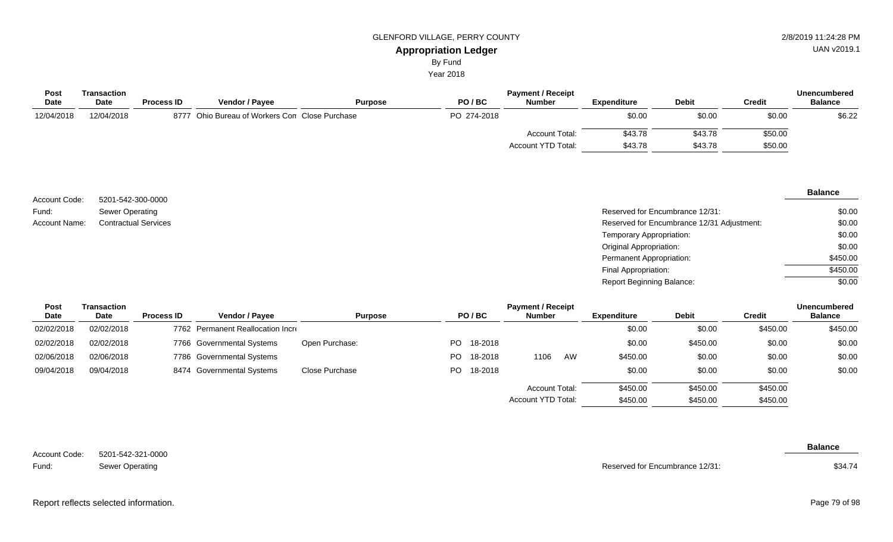By Fund

Year 2018

| <b>Post</b> | Transaction |                   |                                                | <b>Payment / Receipt</b> |             |                       |                    |              |         | <b>Unencumbered</b> |  |  |
|-------------|-------------|-------------------|------------------------------------------------|--------------------------|-------------|-----------------------|--------------------|--------------|---------|---------------------|--|--|
| <b>Date</b> | <b>Date</b> | <b>Process ID</b> | <b>Vendor / Payee</b>                          | <b>Purpose</b>           | PO/BC       | <b>Number</b>         | <b>Expenditure</b> | <b>Debit</b> | Credit  | <b>Balance</b>      |  |  |
| 12/04/2018  | 12/04/2018  |                   | 8777 Ohio Bureau of Workers Con Close Purchase |                          | PO 274-2018 |                       | \$0.00             | \$0.00       | \$0.00  | \$6.22              |  |  |
|             |             |                   |                                                |                          |             | <b>Account Total:</b> | \$43.78            | \$43.78      | \$50.00 |                     |  |  |
|             |             |                   |                                                |                          |             | Account YTD Total:    | \$43.78            | \$43.78      | \$50.00 |                     |  |  |

|                      |                             |                                            | <b>Balance</b> |
|----------------------|-----------------------------|--------------------------------------------|----------------|
| Account Code:        | 5201-542-300-0000           |                                            |                |
| Fund:                | Sewer Operating             | Reserved for Encumbrance 12/31:            | \$0.00         |
| <b>Account Name:</b> | <b>Contractual Services</b> | Reserved for Encumbrance 12/31 Adjustment: | \$0.00         |
|                      |                             | Temporary Appropriation:                   | \$0.00         |
|                      |                             | Original Appropriation:                    | \$0.00         |
|                      |                             | Permanent Appropriation:                   | \$450.00       |
|                      |                             | Final Appropriation:                       | \$450.00       |
|                      |                             | <b>Report Beginning Balance:</b>           | \$0.00         |

| <b>Post</b> | Transaction |                   | <b>Payment / Receipt</b>          |                |     |         |                       |    |                    |              |               | <b>Unencumbered</b> |
|-------------|-------------|-------------------|-----------------------------------|----------------|-----|---------|-----------------------|----|--------------------|--------------|---------------|---------------------|
| Date        | Date        | <b>Process ID</b> | <b>Vendor / Payee</b>             | <b>Purpose</b> |     | PO/BC   | <b>Number</b>         |    | <b>Expenditure</b> | <b>Debit</b> | <b>Credit</b> | <b>Balance</b>      |
| 02/02/2018  | 02/02/2018  |                   | 7762 Permanent Reallocation Incre |                |     |         |                       |    | \$0.00             | \$0.00       | \$450.00      | \$450.00            |
| 02/02/2018  | 02/02/2018  |                   | 7766 Governmental Systems         | Open Purchase: | PO. | 18-2018 |                       |    | \$0.00             | \$450.00     | \$0.00        | \$0.00              |
| 02/06/2018  | 02/06/2018  |                   | 7786 Governmental Systems         |                | PO. | 18-2018 | 1106                  | AW | \$450.00           | \$0.00       | \$0.00        | \$0.00              |
| 09/04/2018  | 09/04/2018  |                   | 8474 Governmental Systems         | Close Purchase | PO. | 18-2018 |                       |    | \$0.00             | \$0.00       | \$0.00        | \$0.00              |
|             |             |                   |                                   |                |     |         | <b>Account Total:</b> |    | \$450.00           | \$450.00     | \$450.00      |                     |
|             |             |                   |                                   |                |     |         | Account YTD Total:    |    | \$450.00           | \$450.00     | \$450.00      |                     |

| Account Code: | 5201-542-321-0000 |
|---------------|-------------------|
| Fund:         | Sewer Operating   |

Reserved for Encumbrance 12/31:

**Balance**

Report reflects selected information. Page 79 of 98

\$34.74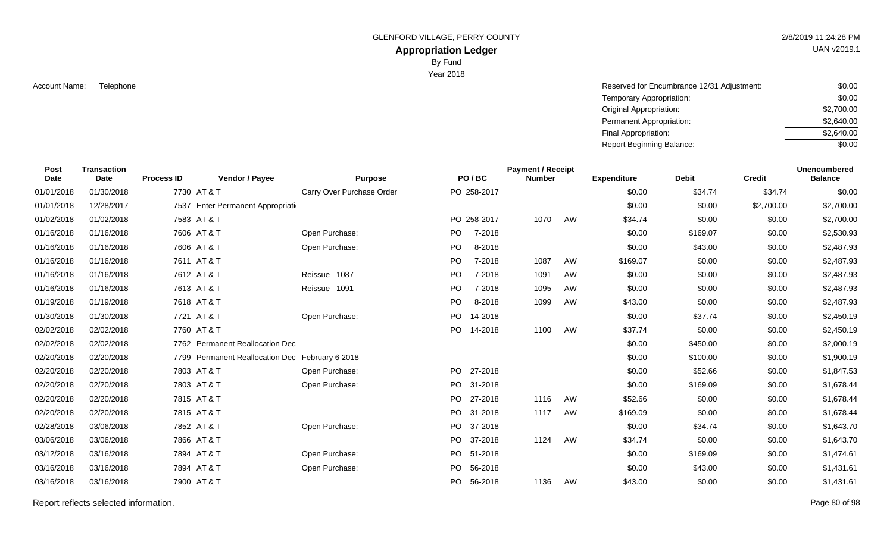GLENFORD VILLAGE, PERRY COUNTY 2/8/2019 11:24:28 PM

# **Appropriation Ledger**

By Fund

Year 2018

Account Name: Solution Telephone (12/31 Adjustment: \$0.00) Reserved for Encumbrance 12/31 Adjustment: \$0.000 Account Name: 50.000 Account Name: 50.000 Account Name: 50.000 Account Name: 50.000 Account Name: 50.000 Account Temporary Appropriation: Original Appropriation: Permanent Appropriation: Final Appropriation: Report Beginning Balance: \$0.00 \$2,700.00 \$2,640.00 \$2,640.00 \$0.00

| <b>Post</b><br><b>Date</b> | <b>Transaction</b><br>Date | <b>Process ID</b> | Vendor / Payee                                  | <b>Purpose</b>            |           | PO/BC       | <b>Payment / Receipt</b><br><b>Number</b> |    | <b>Expenditure</b> | <b>Debit</b> | <b>Credit</b> | <b>Unencumbered</b><br><b>Balance</b> |
|----------------------------|----------------------------|-------------------|-------------------------------------------------|---------------------------|-----------|-------------|-------------------------------------------|----|--------------------|--------------|---------------|---------------------------------------|
| 01/01/2018                 | 01/30/2018                 |                   | 7730 AT & T                                     | Carry Over Purchase Order |           | PO 258-2017 |                                           |    | \$0.00             | \$34.74      | \$34.74       | \$0.00                                |
| 01/01/2018                 | 12/28/2017                 |                   | 7537 Enter Permanent Appropriatio               |                           |           |             |                                           |    | \$0.00             | \$0.00       | \$2,700.00    | \$2,700.00                            |
| 01/02/2018                 | 01/02/2018                 |                   | 7583 AT & T                                     |                           |           | PO 258-2017 | 1070                                      | AW | \$34.74            | \$0.00       | \$0.00        | \$2,700.00                            |
| 01/16/2018                 | 01/16/2018                 |                   | 7606 AT & T                                     | Open Purchase:            | PO.       | 7-2018      |                                           |    | \$0.00             | \$169.07     | \$0.00        | \$2,530.93                            |
| 01/16/2018                 | 01/16/2018                 |                   | 7606 AT & T                                     | Open Purchase:            | PO        | 8-2018      |                                           |    | \$0.00             | \$43.00      | \$0.00        | \$2,487.93                            |
| 01/16/2018                 | 01/16/2018                 |                   | 7611 AT & T                                     |                           | PO.       | 7-2018      | 1087                                      | AW | \$169.07           | \$0.00       | \$0.00        | \$2,487.93                            |
| 01/16/2018                 | 01/16/2018                 |                   | 7612 AT & T                                     | Reissue 1087              | PO        | 7-2018      | 1091                                      | AW | \$0.00             | \$0.00       | \$0.00        | \$2,487.93                            |
| 01/16/2018                 | 01/16/2018                 |                   | 7613 AT & T                                     | Reissue 1091              | <b>PO</b> | 7-2018      | 1095                                      | AW | \$0.00             | \$0.00       | \$0.00        | \$2,487.93                            |
| 01/19/2018                 | 01/19/2018                 |                   | 7618 AT & T                                     |                           | PO        | 8-2018      | 1099                                      | AW | \$43.00            | \$0.00       | \$0.00        | \$2,487.93                            |
| 01/30/2018                 | 01/30/2018                 |                   | 7721 AT & T                                     | Open Purchase:            | <b>PO</b> | 14-2018     |                                           |    | \$0.00             | \$37.74      | \$0.00        | \$2,450.19                            |
| 02/02/2018                 | 02/02/2018                 |                   | 7760 AT & T                                     |                           | PO -      | 14-2018     | 1100                                      | AW | \$37.74            | \$0.00       | \$0.00        | \$2,450.19                            |
| 02/02/2018                 | 02/02/2018                 |                   | 7762 Permanent Reallocation Dec                 |                           |           |             |                                           |    | \$0.00             | \$450.00     | \$0.00        | \$2,000.19                            |
| 02/20/2018                 | 02/20/2018                 |                   | 7799 Permanent Reallocation Dec February 6 2018 |                           |           |             |                                           |    | \$0.00             | \$100.00     | \$0.00        | \$1,900.19                            |
| 02/20/2018                 | 02/20/2018                 |                   | 7803 AT & T                                     | Open Purchase:            | PO.       | 27-2018     |                                           |    | \$0.00             | \$52.66      | \$0.00        | \$1,847.53                            |
| 02/20/2018                 | 02/20/2018                 |                   | 7803 AT & T                                     | Open Purchase:            | PO.       | 31-2018     |                                           |    | \$0.00             | \$169.09     | \$0.00        | \$1,678.44                            |
| 02/20/2018                 | 02/20/2018                 |                   | 7815 AT & T                                     |                           | PO.       | 27-2018     | 1116                                      | AW | \$52.66            | \$0.00       | \$0.00        | \$1,678.44                            |
| 02/20/2018                 | 02/20/2018                 |                   | 7815 AT & T                                     |                           | PO.       | 31-2018     | 1117                                      | AW | \$169.09           | \$0.00       | \$0.00        | \$1,678.44                            |
| 02/28/2018                 | 03/06/2018                 |                   | 7852 AT & T                                     | Open Purchase:            | PO        | 37-2018     |                                           |    | \$0.00             | \$34.74      | \$0.00        | \$1,643.70                            |
| 03/06/2018                 | 03/06/2018                 |                   | 7866 AT & T                                     |                           | PO        | 37-2018     | 1124                                      | AW | \$34.74            | \$0.00       | \$0.00        | \$1,643.70                            |
| 03/12/2018                 | 03/16/2018                 |                   | 7894 AT & T                                     | Open Purchase:            | PO        | 51-2018     |                                           |    | \$0.00             | \$169.09     | \$0.00        | \$1,474.61                            |
| 03/16/2018                 | 03/16/2018                 |                   | 7894 AT & T                                     | Open Purchase:            | PO.       | 56-2018     |                                           |    | \$0.00             | \$43.00      | \$0.00        | \$1,431.61                            |
| 03/16/2018                 | 03/16/2018                 |                   | 7900 AT & T                                     |                           |           | PO 56-2018  | 1136                                      | AW | \$43.00            | \$0.00       | \$0.00        | \$1,431.61                            |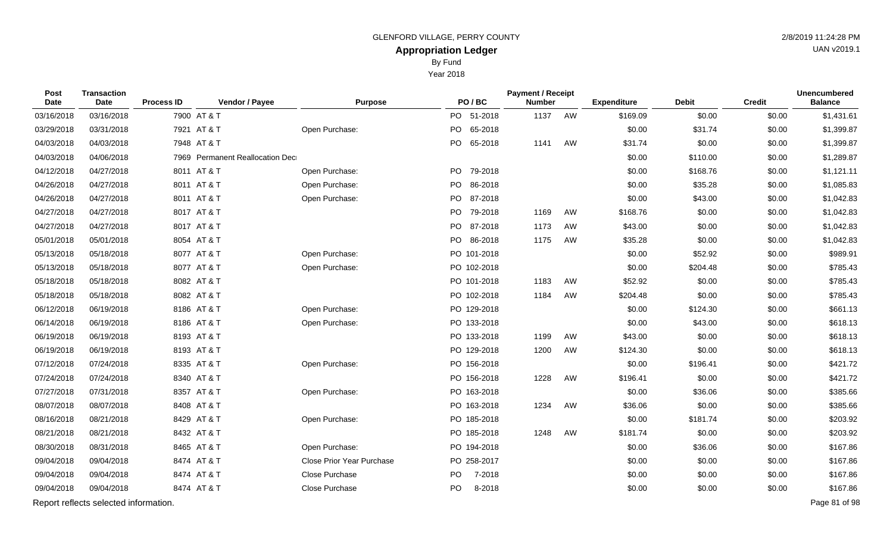By Fund

Year 2018

| Post<br>Date | <b>Transaction</b><br><b>Date</b>     | <b>Process ID</b> | Vendor / Payee                  | <b>Purpose</b>                   | PO/BC         | <b>Payment / Receipt</b><br><b>Number</b> |    | <b>Expenditure</b> | <b>Debit</b> | <b>Credit</b> | <b>Unencumbered</b><br><b>Balance</b> |
|--------------|---------------------------------------|-------------------|---------------------------------|----------------------------------|---------------|-------------------------------------------|----|--------------------|--------------|---------------|---------------------------------------|
| 03/16/2018   | 03/16/2018                            |                   | 7900 AT & T                     |                                  | PO 51-2018    | 1137                                      | AW | \$169.09           | \$0.00       | \$0.00        | \$1,431.61                            |
| 03/29/2018   | 03/31/2018                            |                   | 7921 AT & T                     | Open Purchase:                   | PO 65-2018    |                                           |    | \$0.00             | \$31.74      | \$0.00        | \$1,399.87                            |
| 04/03/2018   | 04/03/2018                            |                   | 7948 AT & T                     |                                  | PO<br>65-2018 | 1141                                      | AW | \$31.74            | \$0.00       | \$0.00        | \$1,399.87                            |
| 04/03/2018   | 04/06/2018                            |                   | 7969 Permanent Reallocation Dec |                                  |               |                                           |    | \$0.00             | \$110.00     | \$0.00        | \$1,289.87                            |
| 04/12/2018   | 04/27/2018                            |                   | 8011 AT & T                     | Open Purchase:                   | PO 79-2018    |                                           |    | \$0.00             | \$168.76     | \$0.00        | \$1,121.11                            |
| 04/26/2018   | 04/27/2018                            |                   | 8011 AT & T                     | Open Purchase:                   | PO 86-2018    |                                           |    | \$0.00             | \$35.28      | \$0.00        | \$1,085.83                            |
| 04/26/2018   | 04/27/2018                            |                   | 8011 AT & T                     | Open Purchase:                   | PO 87-2018    |                                           |    | \$0.00             | \$43.00      | \$0.00        | \$1,042.83                            |
| 04/27/2018   | 04/27/2018                            |                   | 8017 AT & T                     |                                  | PO 79-2018    | 1169                                      | AW | \$168.76           | \$0.00       | \$0.00        | \$1,042.83                            |
| 04/27/2018   | 04/27/2018                            |                   | 8017 AT & T                     |                                  | PO 87-2018    | 1173                                      | AW | \$43.00            | \$0.00       | \$0.00        | \$1,042.83                            |
| 05/01/2018   | 05/01/2018                            |                   | 8054 AT & T                     |                                  | PO 86-2018    | 1175                                      | AW | \$35.28            | \$0.00       | \$0.00        | \$1,042.83                            |
| 05/13/2018   | 05/18/2018                            |                   | 8077 AT & T                     | Open Purchase:                   | PO 101-2018   |                                           |    | \$0.00             | \$52.92      | \$0.00        | \$989.91                              |
| 05/13/2018   | 05/18/2018                            |                   | 8077 AT & T                     | Open Purchase:                   | PO 102-2018   |                                           |    | \$0.00             | \$204.48     | \$0.00        | \$785.43                              |
| 05/18/2018   | 05/18/2018                            |                   | 8082 AT & T                     |                                  | PO 101-2018   | 1183                                      | AW | \$52.92            | \$0.00       | \$0.00        | \$785.43                              |
| 05/18/2018   | 05/18/2018                            |                   | 8082 AT & T                     |                                  | PO 102-2018   | 1184                                      | AW | \$204.48           | \$0.00       | \$0.00        | \$785.43                              |
| 06/12/2018   | 06/19/2018                            |                   | 8186 AT & T                     | Open Purchase:                   | PO 129-2018   |                                           |    | \$0.00             | \$124.30     | \$0.00        | \$661.13                              |
| 06/14/2018   | 06/19/2018                            |                   | 8186 AT & T                     | Open Purchase:                   | PO 133-2018   |                                           |    | \$0.00             | \$43.00      | \$0.00        | \$618.13                              |
| 06/19/2018   | 06/19/2018                            |                   | 8193 AT & T                     |                                  | PO 133-2018   | 1199                                      | AW | \$43.00            | \$0.00       | \$0.00        | \$618.13                              |
| 06/19/2018   | 06/19/2018                            |                   | 8193 AT & T                     |                                  | PO 129-2018   | 1200                                      | AW | \$124.30           | \$0.00       | \$0.00        | \$618.13                              |
| 07/12/2018   | 07/24/2018                            |                   | 8335 AT & T                     | Open Purchase:                   | PO 156-2018   |                                           |    | \$0.00             | \$196.41     | \$0.00        | \$421.72                              |
| 07/24/2018   | 07/24/2018                            |                   | 8340 AT & T                     |                                  | PO 156-2018   | 1228                                      | AW | \$196.41           | \$0.00       | \$0.00        | \$421.72                              |
| 07/27/2018   | 07/31/2018                            |                   | 8357 AT & T                     | Open Purchase:                   | PO 163-2018   |                                           |    | \$0.00             | \$36.06      | \$0.00        | \$385.66                              |
| 08/07/2018   | 08/07/2018                            |                   | 8408 AT & T                     |                                  | PO 163-2018   | 1234                                      | AW | \$36.06            | \$0.00       | \$0.00        | \$385.66                              |
| 08/16/2018   | 08/21/2018                            |                   | 8429 AT & T                     | Open Purchase:                   | PO 185-2018   |                                           |    | \$0.00             | \$181.74     | \$0.00        | \$203.92                              |
| 08/21/2018   | 08/21/2018                            |                   | 8432 AT & T                     |                                  | PO 185-2018   | 1248                                      | AW | \$181.74           | \$0.00       | \$0.00        | \$203.92                              |
| 08/30/2018   | 08/31/2018                            |                   | 8465 AT & T                     | Open Purchase:                   | PO 194-2018   |                                           |    | \$0.00             | \$36.06      | \$0.00        | \$167.86                              |
| 09/04/2018   | 09/04/2018                            |                   | 8474 AT & T                     | <b>Close Prior Year Purchase</b> | PO 258-2017   |                                           |    | \$0.00             | \$0.00       | \$0.00        | \$167.86                              |
| 09/04/2018   | 09/04/2018                            |                   | 8474 AT & T                     | Close Purchase                   | PO<br>7-2018  |                                           |    | \$0.00             | \$0.00       | \$0.00        | \$167.86                              |
| 09/04/2018   | 09/04/2018                            |                   | 8474 AT & T                     | Close Purchase                   | PO<br>8-2018  |                                           |    | \$0.00             | \$0.00       | \$0.00        | \$167.86                              |
|              | Report reflects selected information. |                   |                                 |                                  |               |                                           |    |                    |              |               | Page 81 of 98                         |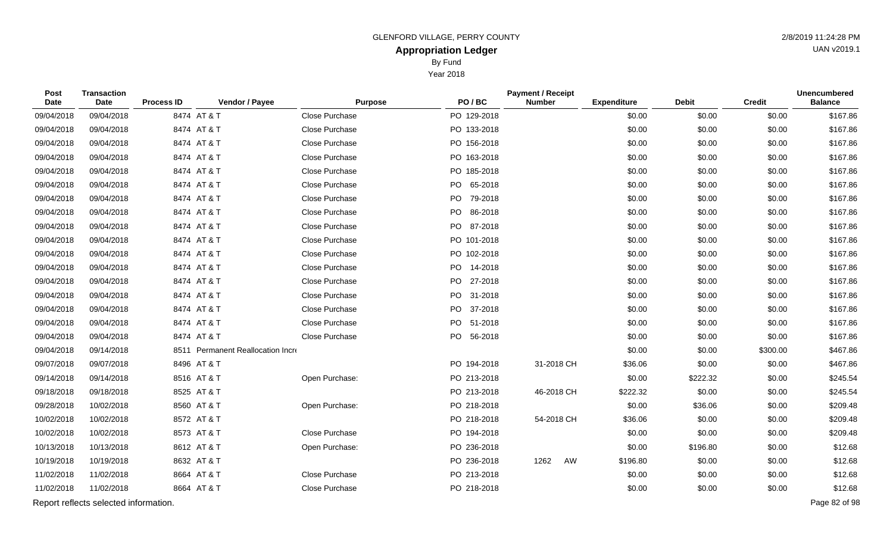By Fund

Year 2018

| Post<br>Date | <b>Transaction</b><br>Date            | <b>Process ID</b> | Vendor / Payee                    | <b>Purpose</b> | PO/BC         | <b>Payment / Receipt</b><br><b>Number</b> | <b>Expenditure</b> | <b>Debit</b> | <b>Credit</b> | <b>Unencumbered</b><br><b>Balance</b> |
|--------------|---------------------------------------|-------------------|-----------------------------------|----------------|---------------|-------------------------------------------|--------------------|--------------|---------------|---------------------------------------|
| 09/04/2018   | 09/04/2018                            |                   | 8474 AT & T                       | Close Purchase | PO 129-2018   |                                           | \$0.00             | \$0.00       | \$0.00        | \$167.86                              |
| 09/04/2018   | 09/04/2018                            |                   | 8474 AT & T                       | Close Purchase | PO 133-2018   |                                           | \$0.00             | \$0.00       | \$0.00        | \$167.86                              |
| 09/04/2018   | 09/04/2018                            |                   | 8474 AT & T                       | Close Purchase | PO 156-2018   |                                           | \$0.00             | \$0.00       | \$0.00        | \$167.86                              |
| 09/04/2018   | 09/04/2018                            |                   | 8474 AT & T                       | Close Purchase | PO 163-2018   |                                           | \$0.00             | \$0.00       | \$0.00        | \$167.86                              |
| 09/04/2018   | 09/04/2018                            |                   | 8474 AT & T                       | Close Purchase | PO 185-2018   |                                           | \$0.00             | \$0.00       | \$0.00        | \$167.86                              |
| 09/04/2018   | 09/04/2018                            |                   | 8474 AT & T                       | Close Purchase | PO 65-2018    |                                           | \$0.00             | \$0.00       | \$0.00        | \$167.86                              |
| 09/04/2018   | 09/04/2018                            |                   | 8474 AT & T                       | Close Purchase | 79-2018<br>PO |                                           | \$0.00             | \$0.00       | \$0.00        | \$167.86                              |
| 09/04/2018   | 09/04/2018                            |                   | 8474 AT & T                       | Close Purchase | PO 86-2018    |                                           | \$0.00             | \$0.00       | \$0.00        | \$167.86                              |
| 09/04/2018   | 09/04/2018                            |                   | 8474 AT & T                       | Close Purchase | PO 87-2018    |                                           | \$0.00             | \$0.00       | \$0.00        | \$167.86                              |
| 09/04/2018   | 09/04/2018                            |                   | 8474 AT & T                       | Close Purchase | PO 101-2018   |                                           | \$0.00             | \$0.00       | \$0.00        | \$167.86                              |
| 09/04/2018   | 09/04/2018                            |                   | 8474 AT & T                       | Close Purchase | PO 102-2018   |                                           | \$0.00             | \$0.00       | \$0.00        | \$167.86                              |
| 09/04/2018   | 09/04/2018                            |                   | 8474 AT & T                       | Close Purchase | PO 14-2018    |                                           | \$0.00             | \$0.00       | \$0.00        | \$167.86                              |
| 09/04/2018   | 09/04/2018                            |                   | 8474 AT & T                       | Close Purchase | PO 27-2018    |                                           | \$0.00             | \$0.00       | \$0.00        | \$167.86                              |
| 09/04/2018   | 09/04/2018                            |                   | 8474 AT & T                       | Close Purchase | PO 31-2018    |                                           | \$0.00             | \$0.00       | \$0.00        | \$167.86                              |
| 09/04/2018   | 09/04/2018                            |                   | 8474 AT & T                       | Close Purchase | PO 37-2018    |                                           | \$0.00             | \$0.00       | \$0.00        | \$167.86                              |
| 09/04/2018   | 09/04/2018                            |                   | 8474 AT & T                       | Close Purchase | PO 51-2018    |                                           | \$0.00             | \$0.00       | \$0.00        | \$167.86                              |
| 09/04/2018   | 09/04/2018                            |                   | 8474 AT & T                       | Close Purchase | PO 56-2018    |                                           | \$0.00             | \$0.00       | \$0.00        | \$167.86                              |
| 09/04/2018   | 09/14/2018                            |                   | 8511 Permanent Reallocation Incre |                |               |                                           | \$0.00             | \$0.00       | \$300.00      | \$467.86                              |
| 09/07/2018   | 09/07/2018                            |                   | 8496 AT & T                       |                | PO 194-2018   | 31-2018 CH                                | \$36.06            | \$0.00       | \$0.00        | \$467.86                              |
| 09/14/2018   | 09/14/2018                            |                   | 8516 AT & T                       | Open Purchase: | PO 213-2018   |                                           | \$0.00             | \$222.32     | \$0.00        | \$245.54                              |
| 09/18/2018   | 09/18/2018                            |                   | 8525 AT & T                       |                | PO 213-2018   | 46-2018 CH                                | \$222.32           | \$0.00       | \$0.00        | \$245.54                              |
| 09/28/2018   | 10/02/2018                            |                   | 8560 AT & T                       | Open Purchase: | PO 218-2018   |                                           | \$0.00             | \$36.06      | \$0.00        | \$209.48                              |
| 10/02/2018   | 10/02/2018                            |                   | 8572 AT & T                       |                | PO 218-2018   | 54-2018 CH                                | \$36.06            | \$0.00       | \$0.00        | \$209.48                              |
| 10/02/2018   | 10/02/2018                            |                   | 8573 AT & T                       | Close Purchase | PO 194-2018   |                                           | \$0.00             | \$0.00       | \$0.00        | \$209.48                              |
| 10/13/2018   | 10/13/2018                            |                   | 8612 AT & T                       | Open Purchase: | PO 236-2018   |                                           | \$0.00             | \$196.80     | \$0.00        | \$12.68                               |
| 10/19/2018   | 10/19/2018                            |                   | 8632 AT & T                       |                | PO 236-2018   | 1262<br>AW                                | \$196.80           | \$0.00       | \$0.00        | \$12.68                               |
| 11/02/2018   | 11/02/2018                            |                   | 8664 AT & T                       | Close Purchase | PO 213-2018   |                                           | \$0.00             | \$0.00       | \$0.00        | \$12.68                               |
| 11/02/2018   | 11/02/2018                            |                   | 8664 AT & T                       | Close Purchase | PO 218-2018   |                                           | \$0.00             | \$0.00       | \$0.00        | \$12.68                               |
|              | Report reflects selected information. |                   |                                   |                |               |                                           |                    |              |               | Page 82 of 98                         |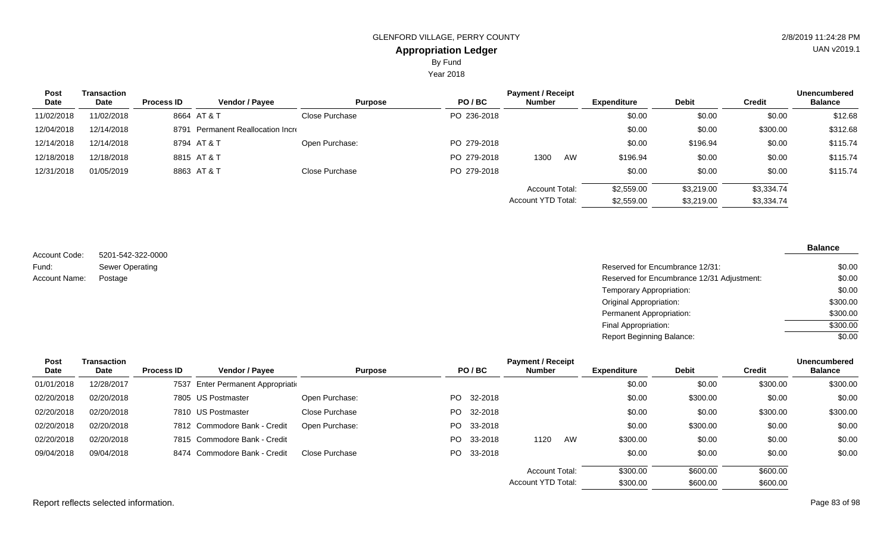By Fund

Year 2018

| <b>Post</b> | <b>Transaction</b> |                   |                                     |                |             | <b>Payment / Receipt</b>                           |    |                    |              |               | <b>Unencumbered</b> |
|-------------|--------------------|-------------------|-------------------------------------|----------------|-------------|----------------------------------------------------|----|--------------------|--------------|---------------|---------------------|
| Date        | Date               | <b>Process ID</b> | <b>Vendor / Payee</b>               | <b>Purpose</b> | PO/BC       | <b>Number</b>                                      |    | <b>Expenditure</b> | <b>Debit</b> | <b>Credit</b> | <b>Balance</b>      |
| 11/02/2018  | 11/02/2018         |                   | 8664 AT & T                         | Close Purchase | PO 236-2018 |                                                    |    | \$0.00             | \$0.00       | \$0.00        | \$12.68             |
| 12/04/2018  | 12/14/2018         | 8791              | <b>Permanent Reallocation Incre</b> |                |             |                                                    |    | \$0.00             | \$0.00       | \$300.00      | \$312.68            |
| 12/14/2018  | 12/14/2018         |                   | 8794 AT&T                           | Open Purchase: | PO 279-2018 |                                                    |    | \$0.00             | \$196.94     | \$0.00        | \$115.74            |
| 12/18/2018  | 12/18/2018         |                   | 8815 AT & T                         |                | PO 279-2018 | 1300                                               | AW | \$196.94           | \$0.00       | \$0.00        | \$115.74            |
| 12/31/2018  | 01/05/2019         |                   | 8863 AT & T                         | Close Purchase | PO 279-2018 |                                                    |    | \$0.00             | \$0.00       | \$0.00        | \$115.74            |
|             |                    |                   |                                     |                |             | <b>Account Total:</b><br><b>Account YTD Total:</b> |    | \$2,559.00         | \$3,219.00   | \$3,334.74    |                     |
|             |                    |                   |                                     |                |             |                                                    |    | \$2,559.00         | \$3,219.00   | \$3,334.74    |                     |

5201-542-322-0000 Sewer Operating Account Code: Fund: Account Name:

**Balance**

| Sewer Operating | Reserved for Encumbrance 12/31:            | \$0.00   |
|-----------------|--------------------------------------------|----------|
| Postage         | Reserved for Encumbrance 12/31 Adjustment: | \$0.00   |
|                 | Temporary Appropriation:                   | \$0.00   |
|                 | Original Appropriation:                    | \$300.00 |
|                 | Permanent Appropriation:                   | \$300.00 |
|                 | Final Appropriation:                       | \$300.00 |
|                 | <b>Report Beginning Balance:</b>           | \$0.00   |
|                 |                                            |          |

| <b>Post</b> | Transaction |                   |                                        |                |     |            | <b>Payment / Receipt</b> |    |                    |              |               | <b>Unencumbered</b> |
|-------------|-------------|-------------------|----------------------------------------|----------------|-----|------------|--------------------------|----|--------------------|--------------|---------------|---------------------|
| Date        | Date        | <b>Process ID</b> | Vendor / Payee                         | <b>Purpose</b> |     | PO/BC      | Number                   |    | <b>Expenditure</b> | <b>Debit</b> | <b>Credit</b> | <b>Balance</b>      |
| 01/01/2018  | 12/28/2017  | 7537              | <b>Enter Permanent Appropriational</b> |                |     |            |                          |    | \$0.00             | \$0.00       | \$300.00      | \$300.00            |
| 02/20/2018  | 02/20/2018  |                   | 7805 US Postmaster                     | Open Purchase: | PO. | 32-2018    |                          |    | \$0.00             | \$300.00     | \$0.00        | \$0.00              |
| 02/20/2018  | 02/20/2018  |                   | 7810 US Postmaster                     | Close Purchase | PO. | 32-2018    |                          |    | \$0.00             | \$0.00       | \$300.00      | \$300.00            |
| 02/20/2018  | 02/20/2018  |                   | 7812 Commodore Bank - Credit           | Open Purchase: | PO. | 33-2018    |                          |    | \$0.00             | \$300.00     | \$0.00        | \$0.00              |
| 02/20/2018  | 02/20/2018  |                   | 7815 Commodore Bank - Credit           |                | PO. | 33-2018    | 1120                     | AW | \$300.00           | \$0.00       | \$0.00        | \$0.00              |
| 09/04/2018  | 09/04/2018  |                   | 8474 Commodore Bank - Credit           | Close Purchase |     | PO 33-2018 |                          |    | \$0.00             | \$0.00       | \$0.00        | \$0.00              |
|             |             |                   |                                        |                |     |            | Account Total:           |    | \$300.00           | \$600.00     | \$600.00      |                     |
|             |             |                   |                                        |                |     |            | Account YTD Total:       |    | \$300.00           | \$600.00     | \$600.00      |                     |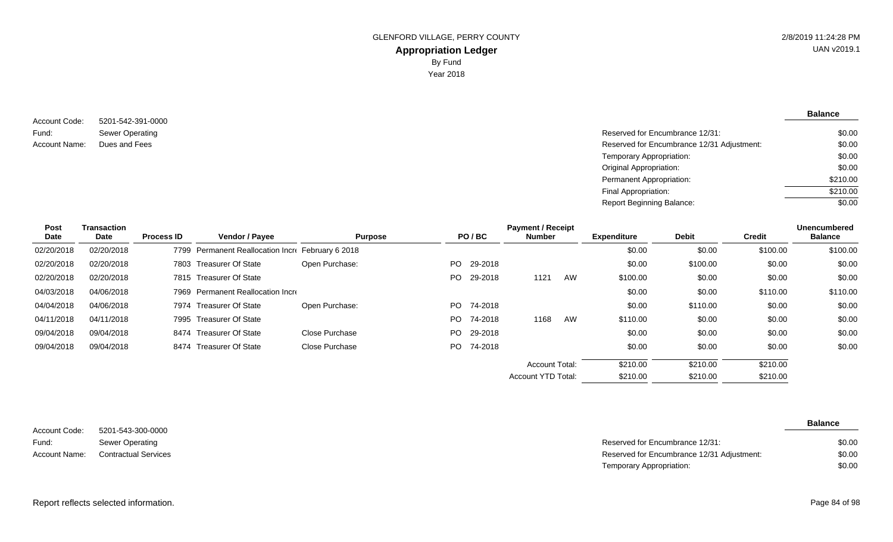5201-542-391-0000 Sewer Operating Account Code: Fund: Account Name:

**Balance**

| Sewer Operating | Reserved for Encumbrance 12/31:            | \$0.00   |
|-----------------|--------------------------------------------|----------|
| Dues and Fees   | Reserved for Encumbrance 12/31 Adjustment: | \$0.00   |
|                 | Temporary Appropriation:                   | \$0.00   |
|                 | Original Appropriation:                    | \$0.00   |
|                 | Permanent Appropriation:                   | \$210.00 |
|                 | Final Appropriation:                       | \$210.00 |
|                 | <b>Report Beginning Balance:</b>           | \$0.00   |

| Post<br>Date | <b>Transaction</b><br>Date | <b>Process ID</b> | <b>Vendor / Payee</b>                        | <b>Purpose</b> |     | PO/BC      | <b>Payment / Receipt</b><br><b>Number</b> |    | <b>Expenditure</b> | <b>Debit</b> | <b>Credit</b> | <b>Unencumbered</b><br><b>Balance</b> |
|--------------|----------------------------|-------------------|----------------------------------------------|----------------|-----|------------|-------------------------------------------|----|--------------------|--------------|---------------|---------------------------------------|
| 02/20/2018   | 02/20/2018                 | 7799              | Permanent Reallocation Incre February 6 2018 |                |     |            |                                           |    | \$0.00             | \$0.00       | \$100.00      | \$100.00                              |
| 02/20/2018   | 02/20/2018                 |                   | 7803 Treasurer Of State                      | Open Purchase: |     | PO 29-2018 |                                           |    | \$0.00             | \$100.00     | \$0.00        | \$0.00                                |
| 02/20/2018   | 02/20/2018                 |                   | 7815 Treasurer Of State                      |                |     | PO 29-2018 | 1121                                      | AW | \$100.00           | \$0.00       | \$0.00        | \$0.00                                |
| 04/03/2018   | 04/06/2018                 |                   | 7969 Permanent Reallocation Incre            |                |     |            |                                           |    | \$0.00             | \$0.00       | \$110.00      | \$110.00                              |
| 04/04/2018   | 04/06/2018                 |                   | 7974 Treasurer Of State                      | Open Purchase: |     | PO 74-2018 |                                           |    | \$0.00             | \$110.00     | \$0.00        | \$0.00                                |
| 04/11/2018   | 04/11/2018                 | 7995              | Treasurer Of State                           |                | PO. | 74-2018    | 1168                                      | AW | \$110.00           | \$0.00       | \$0.00        | \$0.00                                |
| 09/04/2018   | 09/04/2018                 |                   | 8474 Treasurer Of State                      | Close Purchase |     | PO 29-2018 |                                           |    | \$0.00             | \$0.00       | \$0.00        | \$0.00                                |
| 09/04/2018   | 09/04/2018                 |                   | 8474 Treasurer Of State                      | Close Purchase |     | PO 74-2018 |                                           |    | \$0.00             | \$0.00       | \$0.00        | \$0.00                                |
|              |                            |                   |                                              |                |     |            | <b>Account Total:</b>                     |    | \$210.00           | \$210.00     | \$210.00      |                                       |
|              |                            |                   |                                              |                |     |            | <b>Account YTD Total:</b>                 |    | \$210.00           | \$210.00     | \$210.00      |                                       |

| Account Code: | 5201-543-300-0000           |
|---------------|-----------------------------|
| Fund:         | Sewer Operating             |
| Account Name: | <b>Contractual Services</b> |

**Balance**

| Sewer Operating      | Reserved for Encumbrance 12/31:            | \$0.00 |
|----------------------|--------------------------------------------|--------|
| Contractual Services | Reserved for Encumbrance 12/31 Adjustment: | \$0.00 |
|                      | Temporary Appropriation:                   | \$0.00 |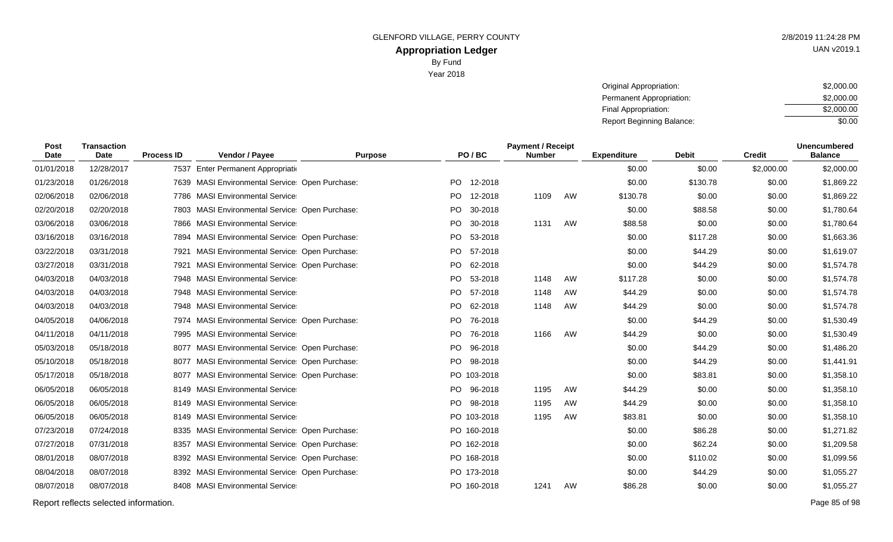Year 2018

| Original Appropriation:   | \$2,000.00 |  |  |  |  |
|---------------------------|------------|--|--|--|--|
| Permanent Appropriation:  | \$2,000.00 |  |  |  |  |
| Final Appropriation:      | \$2,000.00 |  |  |  |  |
| Report Beginning Balance: | \$0.00     |  |  |  |  |

| <b>Post</b><br>Date | <b>Transaction</b><br><b>Date</b> | <b>Process ID</b> | Vendor / Payee                                    | <b>Purpose</b> |           | PO/BC       | <b>Payment / Receipt</b><br><b>Number</b> |    | <b>Expenditure</b> | <b>Debit</b> | <b>Credit</b> | <b>Unencumbered</b><br><b>Balance</b> |
|---------------------|-----------------------------------|-------------------|---------------------------------------------------|----------------|-----------|-------------|-------------------------------------------|----|--------------------|--------------|---------------|---------------------------------------|
| 01/01/2018          | 12/28/2017                        | 7537              | Enter Permanent Appropriatio                      |                |           |             |                                           |    | \$0.00             | \$0.00       | \$2,000.00    | \$2,000.00                            |
| 01/23/2018          | 01/26/2018                        |                   | 7639 MASI Environmental Service: Open Purchase:   |                | PO.       | 12-2018     |                                           |    | \$0.00             | \$130.78     | \$0.00        | \$1,869.22                            |
| 02/06/2018          | 02/06/2018                        |                   | 7786 MASI Environmental Service                   |                | <b>PO</b> | 12-2018     | 1109                                      | AW | \$130.78           | \$0.00       | \$0.00        | \$1,869.22                            |
| 02/20/2018          | 02/20/2018                        |                   | 7803 MASI Environmental Service Open Purchase:    |                | <b>PO</b> | 30-2018     |                                           |    | \$0.00             | \$88.58      | \$0.00        | \$1,780.64                            |
| 03/06/2018          | 03/06/2018                        |                   | 7866 MASI Environmental Service                   |                | <b>PO</b> | 30-2018     | 1131                                      | AW | \$88.58            | \$0.00       | \$0.00        | \$1,780.64                            |
| 03/16/2018          | 03/16/2018                        |                   | 7894 MASI Environmental Service: Open Purchase:   |                | PO.       | 53-2018     |                                           |    | \$0.00             | \$117.28     | \$0.00        | \$1,663.36                            |
| 03/22/2018          | 03/31/2018                        | 7921              | <b>MASI Environmental Service: Open Purchase:</b> |                | PO.       | 57-2018     |                                           |    | \$0.00             | \$44.29      | \$0.00        | \$1,619.07                            |
| 03/27/2018          | 03/31/2018                        | 7921              | <b>MASI Environmental Service Open Purchase:</b>  |                | PO.       | 62-2018     |                                           |    | \$0.00             | \$44.29      | \$0.00        | \$1,574.78                            |
| 04/03/2018          | 04/03/2018                        |                   | 7948 MASI Environmental Service                   |                | PO.       | 53-2018     | 1148                                      | AW | \$117.28           | \$0.00       | \$0.00        | \$1,574.78                            |
| 04/03/2018          | 04/03/2018                        |                   | 7948 MASI Environmental Service                   |                | <b>PO</b> | 57-2018     | 1148                                      | AW | \$44.29            | \$0.00       | \$0.00        | \$1,574.78                            |
| 04/03/2018          | 04/03/2018                        |                   | 7948 MASI Environmental Service                   |                | PO.       | 62-2018     | 1148                                      | AW | \$44.29            | \$0.00       | \$0.00        | \$1,574.78                            |
| 04/05/2018          | 04/06/2018                        |                   | 7974 MASI Environmental Service Open Purchase:    |                | PO.       | 76-2018     |                                           |    | \$0.00             | \$44.29      | \$0.00        | \$1,530.49                            |
| 04/11/2018          | 04/11/2018                        |                   | 7995 MASI Environmental Service                   |                | PO.       | 76-2018     | 1166                                      | AW | \$44.29            | \$0.00       | \$0.00        | \$1,530.49                            |
| 05/03/2018          | 05/18/2018                        |                   | 8077 MASI Environmental Service Open Purchase:    |                | <b>PO</b> | 96-2018     |                                           |    | \$0.00             | \$44.29      | \$0.00        | \$1,486.20                            |
| 05/10/2018          | 05/18/2018                        |                   | 8077 MASI Environmental Service: Open Purchase:   |                | <b>PO</b> | 98-2018     |                                           |    | \$0.00             | \$44.29      | \$0.00        | \$1,441.91                            |
| 05/17/2018          | 05/18/2018                        |                   | 8077 MASI Environmental Service Open Purchase:    |                |           | PO 103-2018 |                                           |    | \$0.00             | \$83.81      | \$0.00        | \$1,358.10                            |
| 06/05/2018          | 06/05/2018                        |                   | 8149 MASI Environmental Service                   |                | PO.       | 96-2018     | 1195                                      | AW | \$44.29            | \$0.00       | \$0.00        | \$1,358.10                            |
| 06/05/2018          | 06/05/2018                        |                   | 8149 MASI Environmental Service                   |                | PO.       | 98-2018     | 1195                                      | AW | \$44.29            | \$0.00       | \$0.00        | \$1,358.10                            |
| 06/05/2018          | 06/05/2018                        |                   | 8149 MASI Environmental Service                   |                |           | PO 103-2018 | 1195                                      | AW | \$83.81            | \$0.00       | \$0.00        | \$1,358.10                            |
| 07/23/2018          | 07/24/2018                        |                   | 8335 MASI Environmental Service: Open Purchase:   |                |           | PO 160-2018 |                                           |    | \$0.00             | \$86.28      | \$0.00        | \$1,271.82                            |
| 07/27/2018          | 07/31/2018                        |                   | 8357 MASI Environmental Service: Open Purchase:   |                |           | PO 162-2018 |                                           |    | \$0.00             | \$62.24      | \$0.00        | \$1,209.58                            |
| 08/01/2018          | 08/07/2018                        |                   | 8392 MASI Environmental Service: Open Purchase:   |                |           | PO 168-2018 |                                           |    | \$0.00             | \$110.02     | \$0.00        | \$1,099.56                            |
| 08/04/2018          | 08/07/2018                        |                   | 8392 MASI Environmental Service Open Purchase:    |                |           | PO 173-2018 |                                           |    | \$0.00             | \$44.29      | \$0.00        | \$1,055.27                            |
| 08/07/2018          | 08/07/2018                        |                   | 8408 MASI Environmental Service                   |                |           | PO 160-2018 | 1241                                      | AW | \$86.28            | \$0.00       | \$0.00        | \$1,055.27                            |
|                     |                                   |                   |                                                   |                |           |             |                                           |    |                    |              |               |                                       |

Report reflects selected information. Page 85 of 98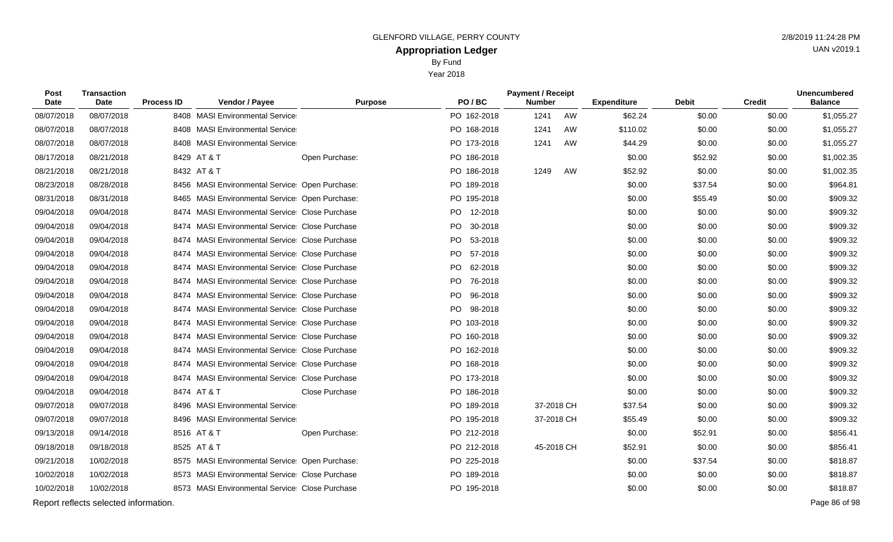Year 2018

| Post<br>Date | <b>Transaction</b><br><b>Date</b>     | <b>Process ID</b> | Vendor / Payee                                  | <b>Purpose</b> | PO/BC       | <b>Payment / Receipt</b><br><b>Number</b> |            | <b>Expenditure</b> | <b>Debit</b> | <b>Credit</b> | <b>Unencumbered</b><br><b>Balance</b> |
|--------------|---------------------------------------|-------------------|-------------------------------------------------|----------------|-------------|-------------------------------------------|------------|--------------------|--------------|---------------|---------------------------------------|
| 08/07/2018   | 08/07/2018                            |                   | 8408 MASI Environmental Service                 |                | PO 162-2018 | 1241                                      | AW         | \$62.24            | \$0.00       | \$0.00        | \$1,055.27                            |
| 08/07/2018   | 08/07/2018                            |                   | 8408 MASI Environmental Service                 |                | PO 168-2018 | 1241                                      | AW         | \$110.02           | \$0.00       | \$0.00        | \$1,055.27                            |
| 08/07/2018   | 08/07/2018                            |                   | 8408 MASI Environmental Service                 |                | PO 173-2018 | 1241                                      | AW         | \$44.29            | \$0.00       | \$0.00        | \$1,055.27                            |
| 08/17/2018   | 08/21/2018                            |                   | 8429 AT & T                                     | Open Purchase: | PO 186-2018 |                                           |            | \$0.00             | \$52.92      | \$0.00        | \$1,002.35                            |
| 08/21/2018   | 08/21/2018                            |                   | 8432 AT & T                                     |                | PO 186-2018 | 1249                                      | AW         | \$52.92            | \$0.00       | \$0.00        | \$1,002.35                            |
| 08/23/2018   | 08/28/2018                            |                   | 8456 MASI Environmental Service: Open Purchase: |                | PO 189-2018 |                                           |            | \$0.00             | \$37.54      | \$0.00        | \$964.81                              |
| 08/31/2018   | 08/31/2018                            |                   | 8465 MASI Environmental Service: Open Purchase: |                | PO 195-2018 |                                           |            | \$0.00             | \$55.49      | \$0.00        | \$909.32                              |
| 09/04/2018   | 09/04/2018                            |                   | 8474 MASI Environmental Service Close Purchase  |                | PO 12-2018  |                                           |            | \$0.00             | \$0.00       | \$0.00        | \$909.32                              |
| 09/04/2018   | 09/04/2018                            |                   | 8474 MASI Environmental Service Close Purchase  |                | PO 30-2018  |                                           |            | \$0.00             | \$0.00       | \$0.00        | \$909.32                              |
| 09/04/2018   | 09/04/2018                            |                   | 8474 MASI Environmental Service Close Purchase  |                | PO 53-2018  |                                           |            | \$0.00             | \$0.00       | \$0.00        | \$909.32                              |
| 09/04/2018   | 09/04/2018                            |                   | 8474 MASI Environmental Service Close Purchase  |                | PO 57-2018  |                                           |            | \$0.00             | \$0.00       | \$0.00        | \$909.32                              |
| 09/04/2018   | 09/04/2018                            |                   | 8474 MASI Environmental Service Close Purchase  |                | PO 62-2018  |                                           |            | \$0.00             | \$0.00       | \$0.00        | \$909.32                              |
| 09/04/2018   | 09/04/2018                            |                   | 8474 MASI Environmental Service Close Purchase  |                | PO 76-2018  |                                           |            | \$0.00             | \$0.00       | \$0.00        | \$909.32                              |
| 09/04/2018   | 09/04/2018                            |                   | 8474 MASI Environmental Service Close Purchase  |                | PO 96-2018  |                                           |            | \$0.00             | \$0.00       | \$0.00        | \$909.32                              |
| 09/04/2018   | 09/04/2018                            |                   | 8474 MASI Environmental Service Close Purchase  |                | PO 98-2018  |                                           |            | \$0.00             | \$0.00       | \$0.00        | \$909.32                              |
| 09/04/2018   | 09/04/2018                            |                   | 8474 MASI Environmental Service Close Purchase  |                | PO 103-2018 |                                           |            | \$0.00             | \$0.00       | \$0.00        | \$909.32                              |
| 09/04/2018   | 09/04/2018                            |                   | 8474 MASI Environmental Service Close Purchase  |                | PO 160-2018 |                                           |            | \$0.00             | \$0.00       | \$0.00        | \$909.32                              |
| 09/04/2018   | 09/04/2018                            |                   | 8474 MASI Environmental Service Close Purchase  |                | PO 162-2018 |                                           |            | \$0.00             | \$0.00       | \$0.00        | \$909.32                              |
| 09/04/2018   | 09/04/2018                            |                   | 8474 MASI Environmental Service Close Purchase  |                | PO 168-2018 |                                           |            | \$0.00             | \$0.00       | \$0.00        | \$909.32                              |
| 09/04/2018   | 09/04/2018                            |                   | 8474 MASI Environmental Service Close Purchase  |                | PO 173-2018 |                                           |            | \$0.00             | \$0.00       | \$0.00        | \$909.32                              |
| 09/04/2018   | 09/04/2018                            |                   | 8474 AT & T                                     | Close Purchase | PO 186-2018 |                                           |            | \$0.00             | \$0.00       | \$0.00        | \$909.32                              |
| 09/07/2018   | 09/07/2018                            |                   | 8496 MASI Environmental Service                 |                | PO 189-2018 |                                           | 37-2018 CH | \$37.54            | \$0.00       | \$0.00        | \$909.32                              |
| 09/07/2018   | 09/07/2018                            |                   | 8496 MASI Environmental Service                 |                | PO 195-2018 |                                           | 37-2018 CH | \$55.49            | \$0.00       | \$0.00        | \$909.32                              |
| 09/13/2018   | 09/14/2018                            |                   | 8516 AT & T                                     | Open Purchase: | PO 212-2018 |                                           |            | \$0.00             | \$52.91      | \$0.00        | \$856.41                              |
| 09/18/2018   | 09/18/2018                            |                   | 8525 AT & T                                     |                | PO 212-2018 |                                           | 45-2018 CH | \$52.91            | \$0.00       | \$0.00        | \$856.41                              |
| 09/21/2018   | 10/02/2018                            |                   | 8575 MASI Environmental Service: Open Purchase: |                | PO 225-2018 |                                           |            | \$0.00             | \$37.54      | \$0.00        | \$818.87                              |
| 10/02/2018   | 10/02/2018                            |                   | 8573 MASI Environmental Service Close Purchase  |                | PO 189-2018 |                                           |            | \$0.00             | \$0.00       | \$0.00        | \$818.87                              |
| 10/02/2018   | 10/02/2018                            |                   | 8573 MASI Environmental Service Close Purchase  |                | PO 195-2018 |                                           |            | \$0.00             | \$0.00       | \$0.00        | \$818.87                              |
|              | Report reflects selected information. |                   |                                                 |                |             |                                           |            |                    |              |               | Page 86 of 98                         |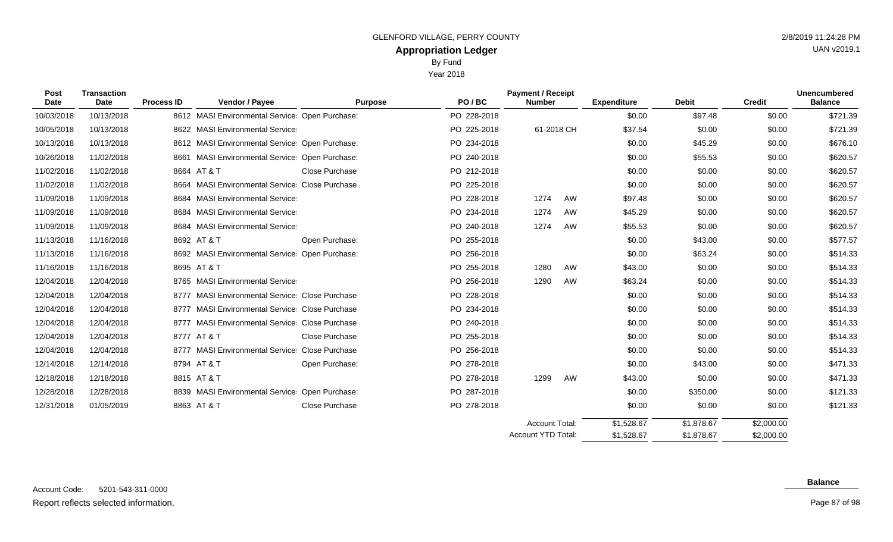Year 2018

| <b>Post</b><br>Date | <b>Transaction</b><br>Date | <b>Process ID</b> | Vendor / Payee                                  | <b>Purpose</b>        | PO/BC       | <b>Payment / Receipt</b><br><b>Number</b> |    | <b>Expenditure</b> | <b>Debit</b> | <b>Credit</b> | Unencumbered<br><b>Balance</b> |
|---------------------|----------------------------|-------------------|-------------------------------------------------|-----------------------|-------------|-------------------------------------------|----|--------------------|--------------|---------------|--------------------------------|
| 10/03/2018          | 10/13/2018                 |                   | 8612 MASI Environmental Service: Open Purchase: |                       | PO 228-2018 |                                           |    | \$0.00             | \$97.48      | \$0.00        | \$721.39                       |
| 10/05/2018          | 10/13/2018                 |                   | 8622 MASI Environmental Service                 |                       | PO 225-2018 | 61-2018 CH                                |    | \$37.54            | \$0.00       | \$0.00        | \$721.39                       |
| 10/13/2018          | 10/13/2018                 |                   | 8612 MASI Environmental Service: Open Purchase: |                       | PO 234-2018 |                                           |    | \$0.00             | \$45.29      | \$0.00        | \$676.10                       |
| 10/26/2018          | 11/02/2018                 |                   | 8661 MASI Environmental Service: Open Purchase: |                       | PO 240-2018 |                                           |    | \$0.00             | \$55.53      | \$0.00        | \$620.57                       |
| 11/02/2018          | 11/02/2018                 |                   | 8664 AT & T                                     | <b>Close Purchase</b> | PO 212-2018 |                                           |    | \$0.00             | \$0.00       | \$0.00        | \$620.57                       |
| 11/02/2018          | 11/02/2018                 |                   | 8664 MASI Environmental Service Close Purchase  |                       | PO 225-2018 |                                           |    | \$0.00             | \$0.00       | \$0.00        | \$620.57                       |
| 11/09/2018          | 11/09/2018                 |                   | 8684 MASI Environmental Service                 |                       | PO 228-2018 | 1274                                      | AW | \$97.48            | \$0.00       | \$0.00        | \$620.57                       |
| 11/09/2018          | 11/09/2018                 |                   | 8684 MASI Environmental Service                 |                       | PO 234-2018 | 1274                                      | AW | \$45.29            | \$0.00       | \$0.00        | \$620.57                       |
| 11/09/2018          | 11/09/2018                 |                   | 8684 MASI Environmental Service                 |                       | PO 240-2018 | 1274                                      | AW | \$55.53            | \$0.00       | \$0.00        | \$620.57                       |
| 11/13/2018          | 11/16/2018                 |                   | 8692 AT & T                                     | Open Purchase:        | PO 255-2018 |                                           |    | \$0.00             | \$43.00      | \$0.00        | \$577.57                       |
| 11/13/2018          | 11/16/2018                 |                   | 8692 MASI Environmental Service Open Purchase:  |                       | PO 256-2018 |                                           |    | \$0.00             | \$63.24      | \$0.00        | \$514.33                       |
| 11/16/2018          | 11/16/2018                 |                   | 8695 AT & T                                     |                       | PO 255-2018 | 1280                                      | AW | \$43.00            | \$0.00       | \$0.00        | \$514.33                       |
| 12/04/2018          | 12/04/2018                 |                   | 8765 MASI Environmental Service                 |                       | PO 256-2018 | 1290                                      | AW | \$63.24            | \$0.00       | \$0.00        | \$514.33                       |
| 12/04/2018          | 12/04/2018                 |                   | 8777 MASI Environmental Service Close Purchase  |                       | PO 228-2018 |                                           |    | \$0.00             | \$0.00       | \$0.00        | \$514.33                       |
| 12/04/2018          | 12/04/2018                 |                   | 8777 MASI Environmental Service Close Purchase  |                       | PO 234-2018 |                                           |    | \$0.00             | \$0.00       | \$0.00        | \$514.33                       |
| 12/04/2018          | 12/04/2018                 |                   | 8777 MASI Environmental Service Close Purchase  |                       | PO 240-2018 |                                           |    | \$0.00             | \$0.00       | \$0.00        | \$514.33                       |
| 12/04/2018          | 12/04/2018                 |                   | 8777 AT & T                                     | <b>Close Purchase</b> | PO 255-2018 |                                           |    | \$0.00             | \$0.00       | \$0.00        | \$514.33                       |
| 12/04/2018          | 12/04/2018                 |                   | 8777 MASI Environmental Service Close Purchase  |                       | PO 256-2018 |                                           |    | \$0.00             | \$0.00       | \$0.00        | \$514.33                       |
| 12/14/2018          | 12/14/2018                 |                   | 8794 AT & T                                     | Open Purchase:        | PO 278-2018 |                                           |    | \$0.00             | \$43.00      | \$0.00        | \$471.33                       |
| 12/18/2018          | 12/18/2018                 |                   | 8815 AT & T                                     |                       | PO 278-2018 | 1299                                      | AW | \$43.00            | \$0.00       | \$0.00        | \$471.33                       |
| 12/28/2018          | 12/28/2018                 |                   | 8839 MASI Environmental Service Open Purchase:  |                       | PO 287-2018 |                                           |    | \$0.00             | \$350.00     | \$0.00        | \$121.33                       |

12/31/2018 01/05/2019 8863 AT & T Close Purchase PO 278-2018 \$0.00 \$0.00 \$0.00 \$121.33

### **Balance**

\$2,000.00 \$2,000.00

\$1,878.67 \$1,878.67

\$1,528.67 \$1,528.67

Account Total: Account YTD Total:

Page 87 of 98

UAN v2019.1

## Report reflects selected information. Page 87 of 98

 $\overline{\phantom{0}}$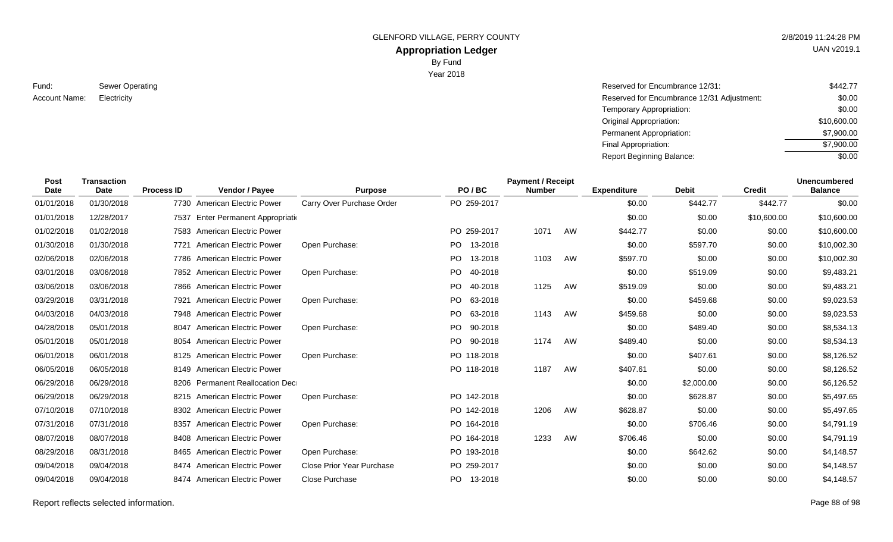GLENFORD VILLAGE, PERRY COUNTY **2/8/2019 11:24:28 PM** 

# **Appropriation Ledger**

By Fund

Year 2018

| Fund:         | Sewer Operating |
|---------------|-----------------|
| Account Name: | Electricity     |

| Sewer Operating | Reserved for Encumbrance 12/31:            | \$442.77    |
|-----------------|--------------------------------------------|-------------|
| Electricity     | Reserved for Encumbrance 12/31 Adjustment: | \$0.00      |
|                 | Temporary Appropriation:                   | \$0.00      |
|                 | Original Appropriation:                    | \$10,600.00 |
|                 | Permanent Appropriation:                   | \$7,900.00  |
|                 | Final Appropriation:                       | \$7,900.00  |
|                 | <b>Report Beginning Balance:</b>           | \$0.00      |

| Post        | <b>Transaction</b> |                   |                                   |                                  |                | <b>Payment / Receipt</b> |    |                    |              |               | <b>Unencumbered</b> |
|-------------|--------------------|-------------------|-----------------------------------|----------------------------------|----------------|--------------------------|----|--------------------|--------------|---------------|---------------------|
| <b>Date</b> | <b>Date</b>        | <b>Process ID</b> | Vendor / Payee                    | <b>Purpose</b>                   | PO/BC          | <b>Number</b>            |    | <b>Expenditure</b> | <b>Debit</b> | <b>Credit</b> | <b>Balance</b>      |
| 01/01/2018  | 01/30/2018         | 7730              | <b>American Electric Power</b>    | Carry Over Purchase Order        | PO 259-2017    |                          |    | \$0.00             | \$442.77     | \$442.77      | \$0.00              |
| 01/01/2018  | 12/28/2017         | 7537              | Enter Permanent Appropriation     |                                  |                |                          |    | \$0.00             | \$0.00       | \$10,600.00   | \$10,600.00         |
| 01/02/2018  | 01/02/2018         | 7583              | American Electric Power           |                                  | PO 259-2017    | 1071                     | AW | \$442.77           | \$0.00       | \$0.00        | \$10,600.00         |
| 01/30/2018  | 01/30/2018         | 7721              | American Electric Power           | Open Purchase:                   | PO.<br>13-2018 |                          |    | \$0.00             | \$597.70     | \$0.00        | \$10,002.30         |
| 02/06/2018  | 02/06/2018         | 7786              | <b>American Electric Power</b>    |                                  | PO.<br>13-2018 | 1103                     | AW | \$597.70           | \$0.00       | \$0.00        | \$10,002.30         |
| 03/01/2018  | 03/06/2018         |                   | 7852 American Electric Power      | Open Purchase:                   | PO.<br>40-2018 |                          |    | \$0.00             | \$519.09     | \$0.00        | \$9,483.21          |
| 03/06/2018  | 03/06/2018         |                   | 7866 American Electric Power      |                                  | PO.<br>40-2018 | 1125                     | AW | \$519.09           | \$0.00       | \$0.00        | \$9,483.21          |
| 03/29/2018  | 03/31/2018         | 7921              | American Electric Power           | Open Purchase:                   | PO.<br>63-2018 |                          |    | \$0.00             | \$459.68     | \$0.00        | \$9,023.53          |
| 04/03/2018  | 04/03/2018         | 7948              | American Electric Power           |                                  | PO.<br>63-2018 | 1143                     | AW | \$459.68           | \$0.00       | \$0.00        | \$9,023.53          |
| 04/28/2018  | 05/01/2018         | 8047              | <b>American Electric Power</b>    | Open Purchase:                   | PO.<br>90-2018 |                          |    | \$0.00             | \$489.40     | \$0.00        | \$8,534.13          |
| 05/01/2018  | 05/01/2018         | 8054              | American Electric Power           |                                  | PO.<br>90-2018 | 1174                     | AW | \$489.40           | \$0.00       | \$0.00        | \$8,534.13          |
| 06/01/2018  | 06/01/2018         | 8125              | American Electric Power           | Open Purchase:                   | PO 118-2018    |                          |    | \$0.00             | \$407.61     | \$0.00        | \$8,126.52          |
| 06/05/2018  | 06/05/2018         | 8149              | American Electric Power           |                                  | PO 118-2018    | 1187                     | AW | \$407.61           | \$0.00       | \$0.00        | \$8,126.52          |
| 06/29/2018  | 06/29/2018         | 8206              | <b>Permanent Reallocation Dec</b> |                                  |                |                          |    | \$0.00             | \$2,000.00   | \$0.00        | \$6,126.52          |
| 06/29/2018  | 06/29/2018         | 8215              | American Electric Power           | Open Purchase:                   | PO 142-2018    |                          |    | \$0.00             | \$628.87     | \$0.00        | \$5,497.65          |
| 07/10/2018  | 07/10/2018         | 8302              | American Electric Power           |                                  | PO 142-2018    | 1206                     | AW | \$628.87           | \$0.00       | \$0.00        | \$5,497.65          |
| 07/31/2018  | 07/31/2018         | 8357              | American Electric Power           | Open Purchase:                   | PO 164-2018    |                          |    | \$0.00             | \$706.46     | \$0.00        | \$4,791.19          |
| 08/07/2018  | 08/07/2018         | 8408              | American Electric Power           |                                  | PO 164-2018    | 1233                     | AW | \$706.46           | \$0.00       | \$0.00        | \$4,791.19          |
| 08/29/2018  | 08/31/2018         | 8465              | American Electric Power           | Open Purchase:                   | PO 193-2018    |                          |    | \$0.00             | \$642.62     | \$0.00        | \$4,148.57          |
| 09/04/2018  | 09/04/2018         |                   | 8474 American Electric Power      | <b>Close Prior Year Purchase</b> | PO 259-2017    |                          |    | \$0.00             | \$0.00       | \$0.00        | \$4,148.57          |

09/04/2018 09/04/2018 8474 American Electric Power Close Purchase PO 13-2018 \$0.00 \$0.00 \$0.00 \$4,148.57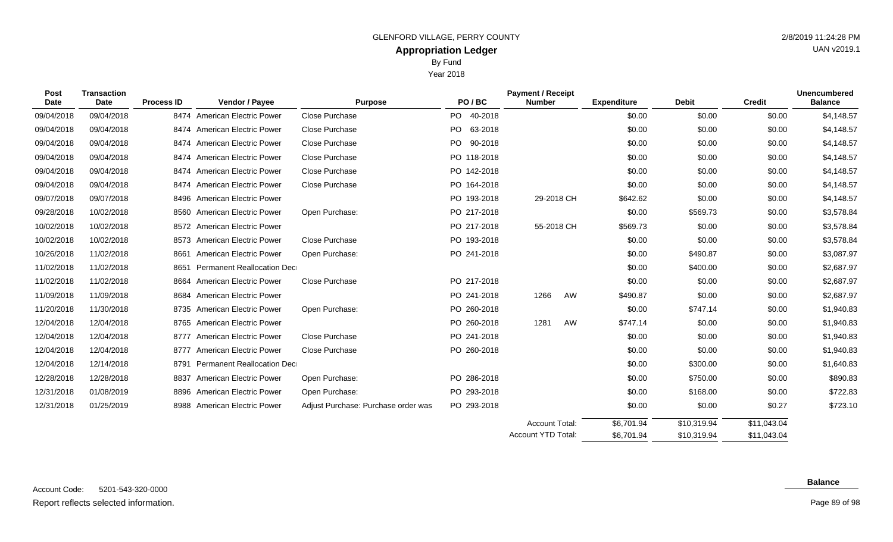Year 2018

| Post       | <b>Transaction</b> |                   |                                   |                                     |                | <b>Payment / Receipt</b> |    |                    |              |               | <b>Unencumbered</b> |
|------------|--------------------|-------------------|-----------------------------------|-------------------------------------|----------------|--------------------------|----|--------------------|--------------|---------------|---------------------|
| Date       | Date               | <b>Process ID</b> | Vendor / Payee                    | <b>Purpose</b>                      | PO/BC          | <b>Number</b>            |    | <b>Expenditure</b> | <b>Debit</b> | <b>Credit</b> | <b>Balance</b>      |
| 09/04/2018 | 09/04/2018         |                   | 8474 American Electric Power      | Close Purchase                      | PO 40-2018     |                          |    | \$0.00             | \$0.00       | \$0.00        | \$4,148.57          |
| 09/04/2018 | 09/04/2018         |                   | 8474 American Electric Power      | Close Purchase                      | PO.<br>63-2018 |                          |    | \$0.00             | \$0.00       | \$0.00        | \$4,148.57          |
| 09/04/2018 | 09/04/2018         | 8474              | <b>American Electric Power</b>    | Close Purchase                      | PO.<br>90-2018 |                          |    | \$0.00             | \$0.00       | \$0.00        | \$4,148.57          |
| 09/04/2018 | 09/04/2018         | 8474              | <b>American Electric Power</b>    | Close Purchase                      | PO 118-2018    |                          |    | \$0.00             | \$0.00       | \$0.00        | \$4,148.57          |
| 09/04/2018 | 09/04/2018         | 8474              | <b>American Electric Power</b>    | Close Purchase                      | PO 142-2018    |                          |    | \$0.00             | \$0.00       | \$0.00        | \$4,148.57          |
| 09/04/2018 | 09/04/2018         |                   | 8474 American Electric Power      | Close Purchase                      | PO 164-2018    |                          |    | \$0.00             | \$0.00       | \$0.00        | \$4,148.57          |
| 09/07/2018 | 09/07/2018         | 8496              | <b>American Electric Power</b>    |                                     | PO 193-2018    | 29-2018 CH               |    | \$642.62           | \$0.00       | \$0.00        | \$4,148.57          |
| 09/28/2018 | 10/02/2018         |                   | 8560 American Electric Power      | Open Purchase:                      | PO 217-2018    |                          |    | \$0.00             | \$569.73     | \$0.00        | \$3,578.84          |
| 10/02/2018 | 10/02/2018         |                   | 8572 American Electric Power      |                                     | PO 217-2018    | 55-2018 CH               |    | \$569.73           | \$0.00       | \$0.00        | \$3,578.84          |
| 10/02/2018 | 10/02/2018         |                   | 8573 American Electric Power      | Close Purchase                      | PO 193-2018    |                          |    | \$0.00             | \$0.00       | \$0.00        | \$3,578.84          |
| 10/26/2018 | 11/02/2018         | 8661              | <b>American Electric Power</b>    | Open Purchase:                      | PO 241-2018    |                          |    | \$0.00             | \$490.87     | \$0.00        | \$3,087.97          |
| 11/02/2018 | 11/02/2018         | 8651              | <b>Permanent Reallocation Dec</b> |                                     |                |                          |    | \$0.00             | \$400.00     | \$0.00        | \$2,687.97          |
| 11/02/2018 | 11/02/2018         | 8664              | <b>American Electric Power</b>    | <b>Close Purchase</b>               | PO 217-2018    |                          |    | \$0.00             | \$0.00       | \$0.00        | \$2,687.97          |
| 11/09/2018 | 11/09/2018         | 8684              | <b>American Electric Power</b>    |                                     | PO 241-2018    | 1266                     | AW | \$490.87           | \$0.00       | \$0.00        | \$2,687.97          |
| 11/20/2018 | 11/30/2018         | 8735              | <b>American Electric Power</b>    | Open Purchase:                      | PO 260-2018    |                          |    | \$0.00             | \$747.14     | \$0.00        | \$1,940.83          |
| 12/04/2018 | 12/04/2018         | 8765              | American Electric Power           |                                     | PO 260-2018    | 1281                     | AW | \$747.14           | \$0.00       | \$0.00        | \$1,940.83          |
| 12/04/2018 | 12/04/2018         | 8777              | American Electric Power           | Close Purchase                      | PO 241-2018    |                          |    | \$0.00             | \$0.00       | \$0.00        | \$1,940.83          |
| 12/04/2018 | 12/04/2018         | 8777              | American Electric Power           | Close Purchase                      | PO 260-2018    |                          |    | \$0.00             | \$0.00       | \$0.00        | \$1,940.83          |
| 12/04/2018 | 12/14/2018         | 8791              | <b>Permanent Reallocation Dec</b> |                                     |                |                          |    | \$0.00             | \$300.00     | \$0.00        | \$1,640.83          |
| 12/28/2018 | 12/28/2018         | 8837              | American Electric Power           | Open Purchase:                      | PO 286-2018    |                          |    | \$0.00             | \$750.00     | \$0.00        | \$890.83            |
| 12/31/2018 | 01/08/2019         | 8896              | <b>American Electric Power</b>    | Open Purchase:                      | PO 293-2018    |                          |    | \$0.00             | \$168.00     | \$0.00        | \$722.83            |
| 12/31/2018 | 01/25/2019         | 8988              | American Electric Power           | Adjust Purchase: Purchase order was | PO 293-2018    |                          |    | \$0.00             | \$0.00       | \$0.27        | \$723.10            |
|            |                    |                   |                                   |                                     |                | Account Total:           |    | \$6,701.94         | \$10,319.94  | \$11,043.04   |                     |

## **Balance**

\$11,043.04

\$10,319.94

\$6,701.94

Account YTD Total:

UAN v2019.1

Page 89 of 98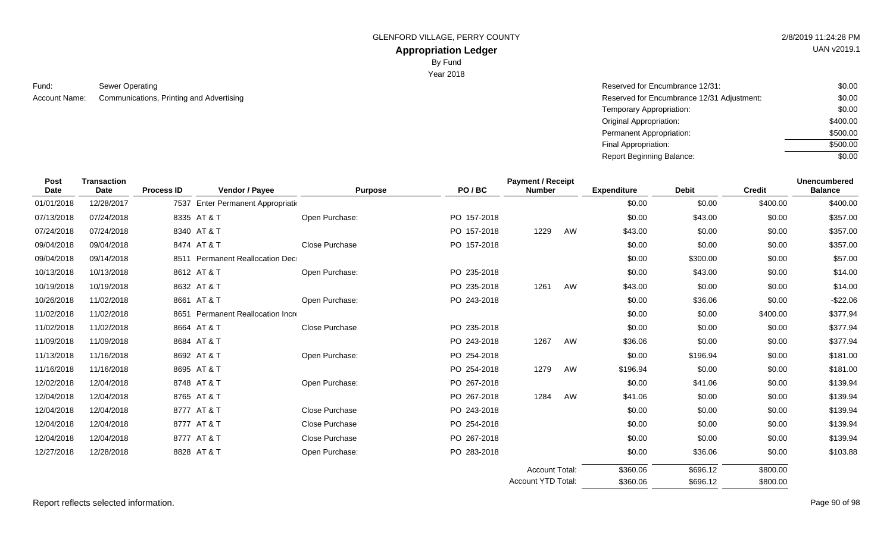GLENFORD VILLAGE, PERRY COUNTY 2/8/2019 11:24:28 PM

# **Appropriation Ledger**

By Fund

Year 2018

Sewer Operating **Reserved for Encumbrance 12/31:** Sewer Operating Reserved for Encumbrance 12/31: Fund: Account Name:

Communications, Printing and Advertising and Advertising and Advertising Reserved for Encumbrance 12/31 Adjustment: Temporary Appropriation: Original Appropriation: Permanent Appropriation: Final Appropriation: Report Beginning Balance: \$0.00 \$0.00 \$0.00 \$400.00 \$500.00 \$500.00  $\sqrt{$0.00}$ 

| Post<br><b>Date</b> | <b>Transaction</b><br>Date | <b>Process ID</b> | Vendor / Payee                     | <b>Purpose</b>        | PO/BC       | <b>Payment / Receipt</b><br><b>Number</b> |    | <b>Expenditure</b> | <b>Debit</b> | <b>Credit</b> | <b>Unencumbered</b><br><b>Balance</b> |
|---------------------|----------------------------|-------------------|------------------------------------|-----------------------|-------------|-------------------------------------------|----|--------------------|--------------|---------------|---------------------------------------|
| 01/01/2018          | 12/28/2017                 |                   | 7537 Enter Permanent Appropriation |                       |             |                                           |    | \$0.00             | \$0.00       | \$400.00      | \$400.00                              |
| 07/13/2018          | 07/24/2018                 |                   | 8335 AT & T                        | Open Purchase:        | PO 157-2018 |                                           |    | \$0.00             | \$43.00      | \$0.00        | \$357.00                              |
| 07/24/2018          | 07/24/2018                 |                   | 8340 AT & T                        |                       | PO 157-2018 | 1229                                      | AW | \$43.00            | \$0.00       | \$0.00        | \$357.00                              |
| 09/04/2018          | 09/04/2018                 |                   | 8474 AT & T                        | Close Purchase        | PO 157-2018 |                                           |    | \$0.00             | \$0.00       | \$0.00        | \$357.00                              |
| 09/04/2018          | 09/14/2018                 |                   | 8511 Permanent Reallocation Dec    |                       |             |                                           |    | \$0.00             | \$300.00     | \$0.00        | \$57.00                               |
| 10/13/2018          | 10/13/2018                 |                   | 8612 AT & T                        | Open Purchase:        | PO 235-2018 |                                           |    | \$0.00             | \$43.00      | \$0.00        | \$14.00                               |
| 10/19/2018          | 10/19/2018                 |                   | 8632 AT & T                        |                       | PO 235-2018 | 1261                                      | AW | \$43.00            | \$0.00       | \$0.00        | \$14.00                               |
| 10/26/2018          | 11/02/2018                 |                   | 8661 AT & T                        | Open Purchase:        | PO 243-2018 |                                           |    | \$0.00             | \$36.06      | \$0.00        | $-$22.06$                             |
| 11/02/2018          | 11/02/2018                 |                   | 8651 Permanent Reallocation Incre  |                       |             |                                           |    | \$0.00             | \$0.00       | \$400.00      | \$377.94                              |
| 11/02/2018          | 11/02/2018                 |                   | 8664 AT & T                        | Close Purchase        | PO 235-2018 |                                           |    | \$0.00             | \$0.00       | \$0.00        | \$377.94                              |
| 11/09/2018          | 11/09/2018                 |                   | 8684 AT & T                        |                       | PO 243-2018 | 1267                                      | AW | \$36.06            | \$0.00       | \$0.00        | \$377.94                              |
| 11/13/2018          | 11/16/2018                 |                   | 8692 AT & T                        | Open Purchase:        | PO 254-2018 |                                           |    | \$0.00             | \$196.94     | \$0.00        | \$181.00                              |
| 11/16/2018          | 11/16/2018                 |                   | 8695 AT & T                        |                       | PO 254-2018 | 1279                                      | AW | \$196.94           | \$0.00       | \$0.00        | \$181.00                              |
| 12/02/2018          | 12/04/2018                 |                   | 8748 AT & T                        | Open Purchase:        | PO 267-2018 |                                           |    | \$0.00             | \$41.06      | \$0.00        | \$139.94                              |
| 12/04/2018          | 12/04/2018                 |                   | 8765 AT & T                        |                       | PO 267-2018 | 1284                                      | AW | \$41.06            | \$0.00       | \$0.00        | \$139.94                              |
| 12/04/2018          | 12/04/2018                 |                   | 8777 AT & T                        | Close Purchase        | PO 243-2018 |                                           |    | \$0.00             | \$0.00       | \$0.00        | \$139.94                              |
| 12/04/2018          | 12/04/2018                 |                   | 8777 AT & T                        | <b>Close Purchase</b> | PO 254-2018 |                                           |    | \$0.00             | \$0.00       | \$0.00        | \$139.94                              |
| 12/04/2018          | 12/04/2018                 |                   | 8777 AT & T                        | Close Purchase        | PO 267-2018 |                                           |    | \$0.00             | \$0.00       | \$0.00        | \$139.94                              |
| 12/27/2018          | 12/28/2018                 |                   | 8828 AT & T                        | Open Purchase:        | PO 283-2018 |                                           |    | \$0.00             | \$36.06      | \$0.00        | \$103.88                              |
|                     |                            |                   |                                    |                       |             | <b>Account Total:</b>                     |    | \$360.06           | \$696.12     | \$800.00      |                                       |
|                     |                            |                   |                                    |                       |             | Account YTD Total:                        |    | \$360.06           | \$696.12     | \$800.00      |                                       |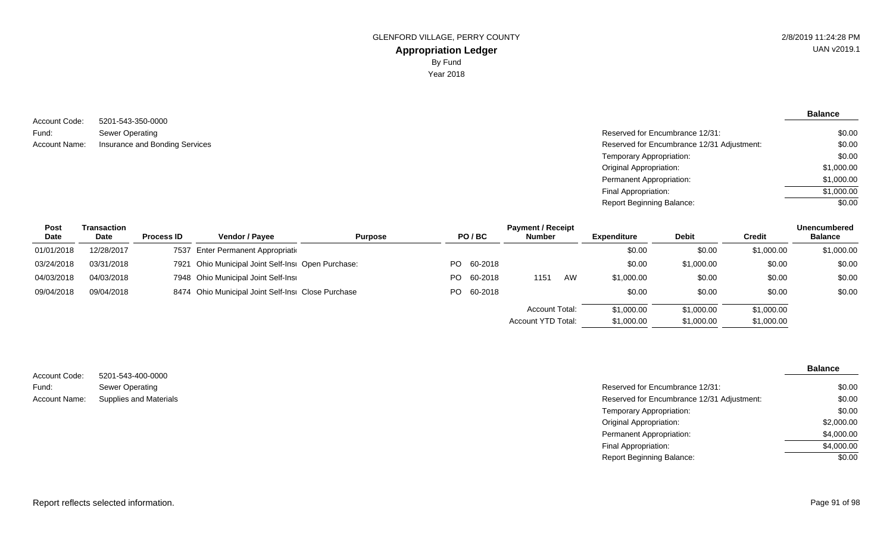**Balance**

### 5201-543-350-0000 Sewer Operating Account Name: Insurance and Bonding Services **Reserved for Encumbrance 12/31 Adjustment**: Account Code: Fund:

| \$0.00     |
|------------|
| \$0.00     |
| \$0.00     |
| \$1,000.00 |
| \$1,000.00 |
| \$1,000.00 |
| \$0.00     |
|            |

| <b>Post</b> | Transaction |                   | <b>Payment / Receipt</b>                           |                |  |            |                    |    |                    |              |            | <b>Unencumbered</b> |
|-------------|-------------|-------------------|----------------------------------------------------|----------------|--|------------|--------------------|----|--------------------|--------------|------------|---------------------|
| Date        | <b>Date</b> | <b>Process ID</b> | <b>Vendor / Payee</b>                              | <b>Purpose</b> |  | PO/BC      | <b>Number</b>      |    | <b>Expenditure</b> | <b>Debit</b> | Credit     | <b>Balance</b>      |
| 01/01/2018  | 12/28/2017  |                   | 7537 Enter Permanent Appropriation                 |                |  |            |                    |    | \$0.00             | \$0.00       | \$1,000.00 | \$1,000.00          |
| 03/24/2018  | 03/31/2018  |                   | 7921 Ohio Municipal Joint Self-Insi Open Purchase: |                |  | PO 60-2018 |                    |    | \$0.00             | \$1,000.00   | \$0.00     | \$0.00              |
| 04/03/2018  | 04/03/2018  |                   | 7948 Ohio Municipal Joint Self-Insi                |                |  | PO 60-2018 | 1151               | AW | \$1,000.00         | \$0.00       | \$0.00     | \$0.00              |
| 09/04/2018  | 09/04/2018  |                   | 8474 Ohio Municipal Joint Self-Insi Close Purchase |                |  | PO 60-2018 |                    |    | \$0.00             | \$0.00       | \$0.00     | \$0.00              |
|             |             |                   |                                                    |                |  |            | Account Total:     |    | \$1,000.00         | \$1,000.00   | \$1,000.00 |                     |
|             |             |                   |                                                    |                |  |            | Account YTD Total: |    | \$1,000.00         | \$1,000.00   | \$1,000.00 |                     |

| Account Code:        | 5201-543-400-0000             |
|----------------------|-------------------------------|
| Fund:                | Sewer Operating               |
| <b>Account Name:</b> | <b>Supplies and Materials</b> |

| 5201-543-400-0000             |                                            |            |
|-------------------------------|--------------------------------------------|------------|
| Sewer Operating               | Reserved for Encumbrance 12/31:            | \$0.00     |
| <b>Supplies and Materials</b> | Reserved for Encumbrance 12/31 Adjustment: | \$0.00     |
|                               | Temporary Appropriation:                   | \$0.00     |
|                               | Original Appropriation:                    | \$2,000.00 |
|                               | Permanent Appropriation:                   | \$4,000.00 |
|                               | Final Appropriation:                       | \$4,000.00 |

Report Beginning Balance:

\$0.00

**Balance**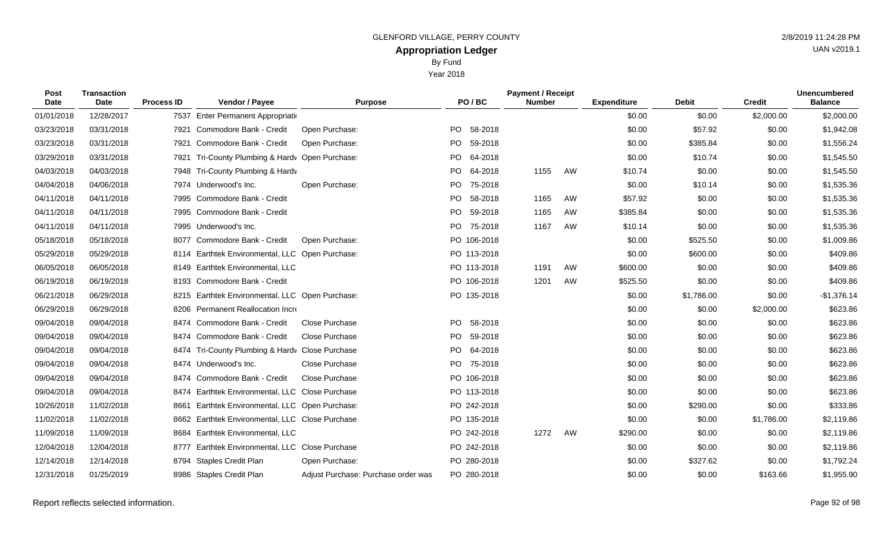By Fund

Year 2018

| Post<br>Date | <b>Transaction</b><br>Date | <b>Process ID</b> | Vendor / Payee                                  | <b>Purpose</b>                      | PO/BC       |         | <b>Payment / Receipt</b><br><b>Number</b> |    | <b>Expenditure</b> | <b>Debit</b> | <b>Credit</b> | <b>Unencumbered</b><br><b>Balance</b> |
|--------------|----------------------------|-------------------|-------------------------------------------------|-------------------------------------|-------------|---------|-------------------------------------------|----|--------------------|--------------|---------------|---------------------------------------|
| 01/01/2018   | 12/28/2017                 |                   | 7537 Enter Permanent Appropriation              |                                     |             |         |                                           |    | \$0.00             | \$0.00       | \$2,000.00    | \$2,000.00                            |
| 03/23/2018   | 03/31/2018                 | 7921              | Commodore Bank - Credit                         | Open Purchase:                      | PO.         | 58-2018 |                                           |    | \$0.00             | \$57.92      | \$0.00        | \$1,942.08                            |
| 03/23/2018   | 03/31/2018                 | 7921              | Commodore Bank - Credit                         | Open Purchase:                      | PO          | 59-2018 |                                           |    | \$0.00             | \$385.84     | \$0.00        | \$1,556.24                            |
| 03/29/2018   | 03/31/2018                 | 7921              | Tri-County Plumbing & Hardy Open Purchase:      |                                     | <b>PO</b>   | 64-2018 |                                           |    | \$0.00             | \$10.74      | \$0.00        | \$1,545.50                            |
| 04/03/2018   | 04/03/2018                 |                   | 7948 Tri-County Plumbing & Hardy                |                                     | PO.         | 64-2018 | 1155                                      | AW | \$10.74            | \$0.00       | \$0.00        | \$1,545.50                            |
| 04/04/2018   | 04/06/2018                 |                   | 7974 Underwood's Inc.                           | Open Purchase:                      | PO          | 75-2018 |                                           |    | \$0.00             | \$10.14      | \$0.00        | \$1,535.36                            |
| 04/11/2018   | 04/11/2018                 |                   | 7995 Commodore Bank - Credit                    |                                     | <b>PO</b>   | 58-2018 | 1165                                      | AW | \$57.92            | \$0.00       | \$0.00        | \$1,535.36                            |
| 04/11/2018   | 04/11/2018                 |                   | 7995 Commodore Bank - Credit                    |                                     | PO.         | 59-2018 | 1165                                      | AW | \$385.84           | \$0.00       | \$0.00        | \$1,535.36                            |
| 04/11/2018   | 04/11/2018                 |                   | 7995 Underwood's Inc.                           |                                     | PO.         | 75-2018 | 1167                                      | AW | \$10.14            | \$0.00       | \$0.00        | \$1,535.36                            |
| 05/18/2018   | 05/18/2018                 | 8077              | Commodore Bank - Credit                         | Open Purchase:                      | PO 106-2018 |         |                                           |    | \$0.00             | \$525.50     | \$0.00        | \$1,009.86                            |
| 05/29/2018   | 05/29/2018                 |                   | 8114 Earthtek Environmental, LLC Open Purchase: |                                     | PO 113-2018 |         |                                           |    | \$0.00             | \$600.00     | \$0.00        | \$409.86                              |
| 06/05/2018   | 06/05/2018                 | 8149              | <b>Earthtek Environmental, LLC</b>              |                                     | PO 113-2018 |         | 1191                                      | AW | \$600.00           | \$0.00       | \$0.00        | \$409.86                              |
| 06/19/2018   | 06/19/2018                 |                   | 8193 Commodore Bank - Credit                    |                                     | PO 106-2018 |         | 1201                                      | AW | \$525.50           | \$0.00       | \$0.00        | \$409.86                              |
| 06/21/2018   | 06/29/2018                 |                   | 8215 Earthtek Environmental, LLC Open Purchase: |                                     | PO 135-2018 |         |                                           |    | \$0.00             | \$1,786.00   | \$0.00        | $-$1,376.14$                          |
| 06/29/2018   | 06/29/2018                 | 8206              | Permanent Reallocation Incre                    |                                     |             |         |                                           |    | \$0.00             | \$0.00       | \$2,000.00    | \$623.86                              |
| 09/04/2018   | 09/04/2018                 |                   | 8474 Commodore Bank - Credit                    | Close Purchase                      | <b>PO</b>   | 58-2018 |                                           |    | \$0.00             | \$0.00       | \$0.00        | \$623.86                              |
| 09/04/2018   | 09/04/2018                 |                   | 8474 Commodore Bank - Credit                    | Close Purchase                      | PO.         | 59-2018 |                                           |    | \$0.00             | \$0.00       | \$0.00        | \$623.86                              |
| 09/04/2018   | 09/04/2018                 |                   | 8474 Tri-County Plumbing & Hardy Close Purchase |                                     | PO.         | 64-2018 |                                           |    | \$0.00             | \$0.00       | \$0.00        | \$623.86                              |
| 09/04/2018   | 09/04/2018                 |                   | 8474 Underwood's Inc.                           | Close Purchase                      | PO.         | 75-2018 |                                           |    | \$0.00             | \$0.00       | \$0.00        | \$623.86                              |
| 09/04/2018   | 09/04/2018                 |                   | 8474 Commodore Bank - Credit                    | Close Purchase                      | PO 106-2018 |         |                                           |    | \$0.00             | \$0.00       | \$0.00        | \$623.86                              |
| 09/04/2018   | 09/04/2018                 | 8474              | Earthtek Environmental, LLC Close Purchase      |                                     | PO 113-2018 |         |                                           |    | \$0.00             | \$0.00       | \$0.00        | \$623.86                              |
| 10/26/2018   | 11/02/2018                 | 8661              | Earthtek Environmental, LLC Open Purchase:      |                                     | PO 242-2018 |         |                                           |    | \$0.00             | \$290.00     | \$0.00        | \$333.86                              |
| 11/02/2018   | 11/02/2018                 |                   | 8662 Earthtek Environmental, LLC Close Purchase |                                     | PO 135-2018 |         |                                           |    | \$0.00             | \$0.00       | \$1,786.00    | \$2,119.86                            |
| 11/09/2018   | 11/09/2018                 | 8684              | <b>Earthtek Environmental, LLC</b>              |                                     | PO 242-2018 |         | 1272                                      | AW | \$290.00           | \$0.00       | \$0.00        | \$2,119.86                            |
| 12/04/2018   | 12/04/2018                 | 8777              | Earthtek Environmental, LLC Close Purchase      |                                     | PO 242-2018 |         |                                           |    | \$0.00             | \$0.00       | \$0.00        | \$2,119.86                            |
| 12/14/2018   | 12/14/2018                 | 8794              | Staples Credit Plan                             | Open Purchase:                      | PO 280-2018 |         |                                           |    | \$0.00             | \$327.62     | \$0.00        | \$1,792.24                            |
| 12/31/2018   | 01/25/2019                 |                   | 8986 Staples Credit Plan                        | Adjust Purchase: Purchase order was | PO 280-2018 |         |                                           |    | \$0.00             | \$0.00       | \$163.66      | \$1,955.90                            |

Report reflects selected information. Page 92 of 98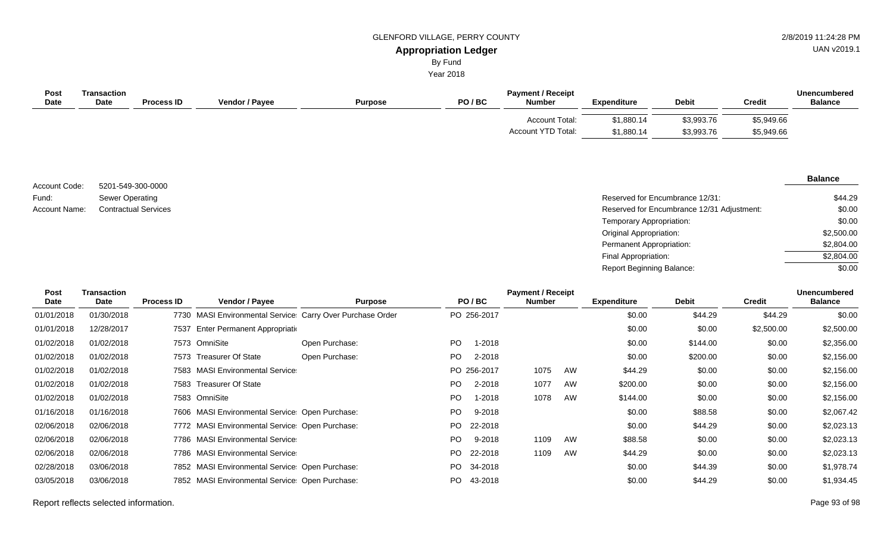UAN v2019.1

# By Fund

Year 2018

| Post<br><b>Date</b> | Transaction<br><b>Date</b> | <b>Process ID</b> | <b>Vendor / Payee</b> | <b>Purpose</b> | PO/BC | <b>Payment / Receipt</b><br><b>Number</b> | <b>Expenditure</b>       | <b>Debit</b>             | <b>Credit</b>            | <b>Unencumbered</b><br><b>Balance</b> |
|---------------------|----------------------------|-------------------|-----------------------|----------------|-------|-------------------------------------------|--------------------------|--------------------------|--------------------------|---------------------------------------|
|                     |                            |                   |                       |                |       | Account Total:<br>Account YTD Total:      | \$1,880.14<br>\$1,880.14 | \$3,993.76<br>\$3,993.76 | \$5,949.66<br>\$5,949.66 |                                       |

5201-549-300-0000 Sewer Operating Account Code: Fund:

### **Balance**

| Fund:         | Sewer Operating             | Reserved for Encumbrance 12/31:            | \$44.29    |
|---------------|-----------------------------|--------------------------------------------|------------|
| Account Name: | <b>Contractual Services</b> | Reserved for Encumbrance 12/31 Adjustment: | \$0.00     |
|               |                             | Temporary Appropriation:                   | \$0.00     |
|               |                             | <b>Original Appropriation:</b>             | \$2,500.00 |
|               |                             | Permanent Appropriation:                   | \$2,804.00 |
|               |                             | Final Appropriation:                       | \$2,804.00 |
|               |                             | <b>Report Beginning Balance:</b>           | \$0.00     |

| Post<br><b>Date</b> | <b>Transaction</b><br>Date | <b>Process ID</b> | <b>Vendor / Payee</b>                                     | <b>Purpose</b> |     | PO/BC       |               | <b>Payment / Receipt</b> | <b>Expenditure</b> | <b>Debit</b> | <b>Credit</b> | <b>Unencumbered</b><br><b>Balance</b> |
|---------------------|----------------------------|-------------------|-----------------------------------------------------------|----------------|-----|-------------|---------------|--------------------------|--------------------|--------------|---------------|---------------------------------------|
|                     |                            |                   |                                                           |                |     |             | <b>Number</b> |                          |                    |              |               |                                       |
| 01/01/2018          | 01/30/2018                 |                   | 7730 MASI Environmental Service Carry Over Purchase Order |                |     | PO 256-2017 |               |                          | \$0.00             | \$44.29      | \$44.29       | \$0.00                                |
| 01/01/2018          | 12/28/2017                 | 7537              | Enter Permanent Appropriation                             |                |     |             |               |                          | \$0.00             | \$0.00       | \$2,500.00    | \$2,500.00                            |
| 01/02/2018          | 01/02/2018                 |                   | 7573 OmniSite                                             | Open Purchase: | PO. | $1 - 2018$  |               |                          | \$0.00             | \$144.00     | \$0.00        | \$2,356.00                            |
| 01/02/2018          | 01/02/2018                 | 7573              | Treasurer Of State                                        | Open Purchase: | PO. | 2-2018      |               |                          | \$0.00             | \$200.00     | \$0.00        | \$2,156.00                            |
| 01/02/2018          | 01/02/2018                 |                   | 7583 MASI Environmental Service                           |                |     | PO 256-2017 | 1075          | AW                       | \$44.29            | \$0.00       | \$0.00        | \$2,156.00                            |
| 01/02/2018          | 01/02/2018                 |                   | 7583 Treasurer Of State                                   |                | PO. | 2-2018      | 1077          | AW                       | \$200.00           | \$0.00       | \$0.00        | \$2,156.00                            |
| 01/02/2018          | 01/02/2018                 |                   | 7583 OmniSite                                             |                | PO. | 1-2018      | 1078          | AW                       | \$144.00           | \$0.00       | \$0.00        | \$2,156.00                            |
| 01/16/2018          | 01/16/2018                 |                   | 7606 MASI Environmental Service: Open Purchase:           |                | PO. | 9-2018      |               |                          | \$0.00             | \$88.58      | \$0.00        | \$2,067.42                            |
| 02/06/2018          | 02/06/2018                 |                   | 7772 MASI Environmental Service: Open Purchase:           |                | PO. | 22-2018     |               |                          | \$0.00             | \$44.29      | \$0.00        | \$2,023.13                            |
| 02/06/2018          | 02/06/2018                 |                   | 7786 MASI Environmental Service                           |                | PO. | 9-2018      | 1109          | AW                       | \$88.58            | \$0.00       | \$0.00        | \$2,023.13                            |
| 02/06/2018          | 02/06/2018                 |                   | 7786 MASI Environmental Service                           |                | PO. | 22-2018     | 1109          | AW                       | \$44.29            | \$0.00       | \$0.00        | \$2,023.13                            |
| 02/28/2018          | 03/06/2018                 |                   | 7852 MASI Environmental Service: Open Purchase:           |                | PO. | 34-2018     |               |                          | \$0.00             | \$44.39      | \$0.00        | \$1,978.74                            |
| 03/05/2018          | 03/06/2018                 |                   | 7852 MASI Environmental Service: Open Purchase:           |                | PO. | 43-2018     |               |                          | \$0.00             | \$44.29      | \$0.00        | \$1,934.45                            |

Report reflects selected information. Page 93 of 98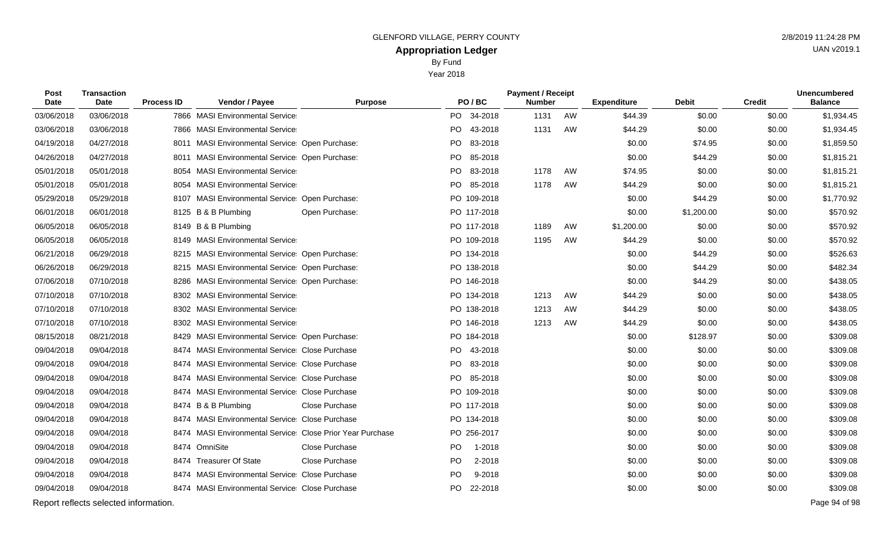Year 2018

| Post<br>Date | Transaction<br>Date                   | <b>Process ID</b> | Vendor / Payee                                            | <b>Purpose</b> |      | PO/BC       | <b>Payment / Receipt</b><br><b>Number</b> |    | <b>Expenditure</b> | <b>Debit</b> | <b>Credit</b> | Unencumbered<br><b>Balance</b> |
|--------------|---------------------------------------|-------------------|-----------------------------------------------------------|----------------|------|-------------|-------------------------------------------|----|--------------------|--------------|---------------|--------------------------------|
| 03/06/2018   | 03/06/2018                            |                   | 7866 MASI Environmental Service                           |                |      | PO 34-2018  | 1131                                      | AW | \$44.39            | \$0.00       | \$0.00        | \$1,934.45                     |
| 03/06/2018   | 03/06/2018                            |                   | 7866 MASI Environmental Service                           |                | PO   | 43-2018     | 1131                                      | AW | \$44.29            | \$0.00       | \$0.00        | \$1,934.45                     |
| 04/19/2018   | 04/27/2018                            |                   | 8011 MASI Environmental Service: Open Purchase:           |                | PO.  | 83-2018     |                                           |    | \$0.00             | \$74.95      | \$0.00        | \$1,859.50                     |
| 04/26/2018   | 04/27/2018                            |                   | 8011 MASI Environmental Service: Open Purchase:           |                | PO l | 85-2018     |                                           |    | \$0.00             | \$44.29      | \$0.00        | \$1,815.21                     |
| 05/01/2018   | 05/01/2018                            |                   | 8054 MASI Environmental Service                           |                |      | PO 83-2018  | 1178                                      | AW | \$74.95            | \$0.00       | \$0.00        | \$1,815.21                     |
| 05/01/2018   | 05/01/2018                            |                   | 8054 MASI Environmental Service                           |                | PO   | 85-2018     | 1178                                      | AW | \$44.29            | \$0.00       | \$0.00        | \$1,815.21                     |
| 05/29/2018   | 05/29/2018                            |                   | 8107 MASI Environmental Service Open Purchase:            |                |      | PO 109-2018 |                                           |    | \$0.00             | \$44.29      | \$0.00        | \$1,770.92                     |
| 06/01/2018   | 06/01/2018                            |                   | 8125 B & B Plumbing                                       | Open Purchase: |      | PO 117-2018 |                                           |    | \$0.00             | \$1,200.00   | \$0.00        | \$570.92                       |
| 06/05/2018   | 06/05/2018                            |                   | 8149 B & B Plumbing                                       |                |      | PO 117-2018 | 1189                                      | AW | \$1,200.00         | \$0.00       | \$0.00        | \$570.92                       |
| 06/05/2018   | 06/05/2018                            |                   | 8149 MASI Environmental Service                           |                |      | PO 109-2018 | 1195                                      | AW | \$44.29            | \$0.00       | \$0.00        | \$570.92                       |
| 06/21/2018   | 06/29/2018                            |                   | 8215 MASI Environmental Service: Open Purchase:           |                |      | PO 134-2018 |                                           |    | \$0.00             | \$44.29      | \$0.00        | \$526.63                       |
| 06/26/2018   | 06/29/2018                            |                   | 8215 MASI Environmental Service: Open Purchase:           |                |      | PO 138-2018 |                                           |    | \$0.00             | \$44.29      | \$0.00        | \$482.34                       |
| 07/06/2018   | 07/10/2018                            |                   | 8286 MASI Environmental Service: Open Purchase:           |                |      | PO 146-2018 |                                           |    | \$0.00             | \$44.29      | \$0.00        | \$438.05                       |
| 07/10/2018   | 07/10/2018                            |                   | 8302 MASI Environmental Service                           |                |      | PO 134-2018 | 1213                                      | AW | \$44.29            | \$0.00       | \$0.00        | \$438.05                       |
| 07/10/2018   | 07/10/2018                            |                   | 8302 MASI Environmental Service                           |                |      | PO 138-2018 | 1213                                      | AW | \$44.29            | \$0.00       | \$0.00        | \$438.05                       |
| 07/10/2018   | 07/10/2018                            |                   | 8302 MASI Environmental Service                           |                |      | PO 146-2018 | 1213                                      | AW | \$44.29            | \$0.00       | \$0.00        | \$438.05                       |
| 08/15/2018   | 08/21/2018                            |                   | 8429 MASI Environmental Service: Open Purchase:           |                |      | PO 184-2018 |                                           |    | \$0.00             | \$128.97     | \$0.00        | \$309.08                       |
| 09/04/2018   | 09/04/2018                            |                   | 8474 MASI Environmental Service Close Purchase            |                |      | PO 43-2018  |                                           |    | \$0.00             | \$0.00       | \$0.00        | \$309.08                       |
| 09/04/2018   | 09/04/2018                            |                   | 8474 MASI Environmental Service Close Purchase            |                |      | PO 83-2018  |                                           |    | \$0.00             | \$0.00       | \$0.00        | \$309.08                       |
| 09/04/2018   | 09/04/2018                            |                   | 8474 MASI Environmental Service Close Purchase            |                |      | PO 85-2018  |                                           |    | \$0.00             | \$0.00       | \$0.00        | \$309.08                       |
| 09/04/2018   | 09/04/2018                            |                   | 8474 MASI Environmental Service Close Purchase            |                |      | PO 109-2018 |                                           |    | \$0.00             | \$0.00       | \$0.00        | \$309.08                       |
| 09/04/2018   | 09/04/2018                            |                   | 8474 B & B Plumbing                                       | Close Purchase |      | PO 117-2018 |                                           |    | \$0.00             | \$0.00       | \$0.00        | \$309.08                       |
| 09/04/2018   | 09/04/2018                            |                   | 8474 MASI Environmental Service Close Purchase            |                |      | PO 134-2018 |                                           |    | \$0.00             | \$0.00       | \$0.00        | \$309.08                       |
| 09/04/2018   | 09/04/2018                            |                   | 8474 MASI Environmental Service Close Prior Year Purchase |                |      | PO 256-2017 |                                           |    | \$0.00             | \$0.00       | \$0.00        | \$309.08                       |
| 09/04/2018   | 09/04/2018                            |                   | 8474 OmniSite                                             | Close Purchase | PO   | 1-2018      |                                           |    | \$0.00             | \$0.00       | \$0.00        | \$309.08                       |
| 09/04/2018   | 09/04/2018                            |                   | 8474 Treasurer Of State                                   | Close Purchase | PO.  | 2-2018      |                                           |    | \$0.00             | \$0.00       | \$0.00        | \$309.08                       |
| 09/04/2018   | 09/04/2018                            |                   | 8474 MASI Environmental Service Close Purchase            |                | PO.  | 9-2018      |                                           |    | \$0.00             | \$0.00       | \$0.00        | \$309.08                       |
| 09/04/2018   | 09/04/2018                            |                   | 8474 MASI Environmental Service Close Purchase            |                |      | PO 22-2018  |                                           |    | \$0.00             | \$0.00       | \$0.00        | \$309.08                       |
|              | Report reflects selected information. |                   |                                                           |                |      |             |                                           |    |                    |              |               | Page 94 of 98                  |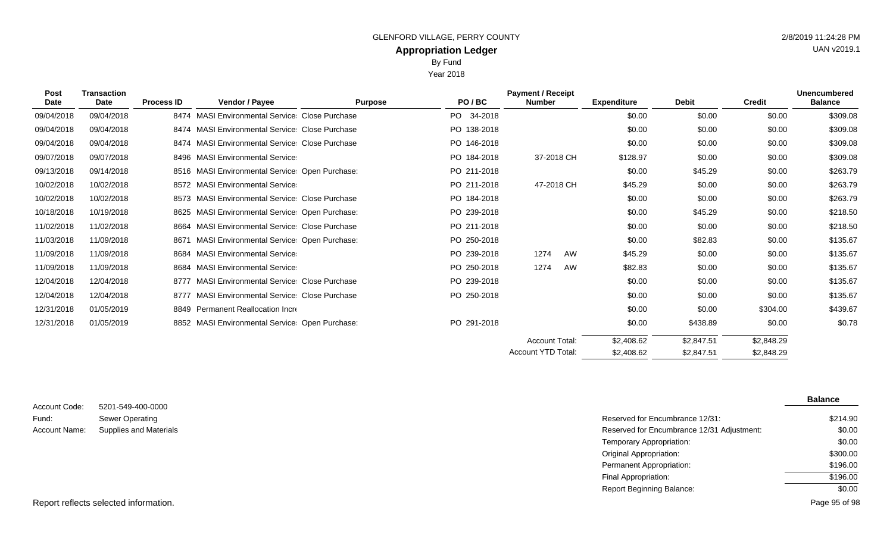Year 2018

| Post<br><b>Date</b> | <b>Transaction</b><br>Date | <b>Process ID</b> | Vendor / Payee                                   | <b>Purpose</b> | PO/BC           | <b>Payment / Receipt</b><br><b>Number</b> |    | <b>Expenditure</b> | <b>Debit</b> | <b>Credit</b> | <b>Unencumbered</b><br><b>Balance</b> |
|---------------------|----------------------------|-------------------|--------------------------------------------------|----------------|-----------------|-------------------------------------------|----|--------------------|--------------|---------------|---------------------------------------|
| 09/04/2018          | 09/04/2018                 |                   | 8474 MASI Environmental Service Close Purchase   |                | PO -<br>34-2018 |                                           |    | \$0.00             | \$0.00       | \$0.00        | \$309.08                              |
| 09/04/2018          | 09/04/2018                 |                   | 8474 MASI Environmental Service Close Purchase   |                | PO 138-2018     |                                           |    | \$0.00             | \$0.00       | \$0.00        | \$309.08                              |
| 09/04/2018          | 09/04/2018                 |                   | 8474 MASI Environmental Service Close Purchase   |                | PO 146-2018     |                                           |    | \$0.00             | \$0.00       | \$0.00        | \$309.08                              |
| 09/07/2018          | 09/07/2018                 |                   | 8496 MASI Environmental Service                  |                | PO 184-2018     | 37-2018 CH                                |    | \$128.97           | \$0.00       | \$0.00        | \$309.08                              |
| 09/13/2018          | 09/14/2018                 |                   | 8516 MASI Environmental Service: Open Purchase:  |                | PO 211-2018     |                                           |    | \$0.00             | \$45.29      | \$0.00        | \$263.79                              |
| 10/02/2018          | 10/02/2018                 |                   | 8572 MASI Environmental Service                  |                | PO 211-2018     | 47-2018 CH                                |    | \$45.29            | \$0.00       | \$0.00        | \$263.79                              |
| 10/02/2018          | 10/02/2018                 |                   | 8573 MASI Environmental Service Close Purchase   |                | PO 184-2018     |                                           |    | \$0.00             | \$0.00       | \$0.00        | \$263.79                              |
| 10/18/2018          | 10/19/2018                 |                   | 8625 MASI Environmental Service Open Purchase:   |                | PO 239-2018     |                                           |    | \$0.00             | \$45.29      | \$0.00        | \$218.50                              |
| 11/02/2018          | 11/02/2018                 | 8664              | <b>MASI Environmental Service Close Purchase</b> |                | PO 211-2018     |                                           |    | \$0.00             | \$0.00       | \$0.00        | \$218.50                              |
| 11/03/2018          | 11/09/2018                 | 8671              | MASI Environmental Service: Open Purchase:       |                | PO 250-2018     |                                           |    | \$0.00             | \$82.83      | \$0.00        | \$135.67                              |
| 11/09/2018          | 11/09/2018                 | 8684              | <b>MASI Environmental Service</b>                |                | PO 239-2018     | 1274                                      | AW | \$45.29            | \$0.00       | \$0.00        | \$135.67                              |
| 11/09/2018          | 11/09/2018                 | 8684              | <b>MASI Environmental Service</b>                |                | PO 250-2018     | 1274                                      | AW | \$82.83            | \$0.00       | \$0.00        | \$135.67                              |
| 12/04/2018          | 12/04/2018                 | 8777              | <b>MASI Environmental Service Close Purchase</b> |                | PO 239-2018     |                                           |    | \$0.00             | \$0.00       | \$0.00        | \$135.67                              |
| 12/04/2018          | 12/04/2018                 | 8777              | <b>MASI Environmental Service Close Purchase</b> |                | PO 250-2018     |                                           |    | \$0.00             | \$0.00       | \$0.00        | \$135.67                              |
| 12/31/2018          | 01/05/2019                 |                   | 8849 Permanent Reallocation Incre                |                |                 |                                           |    | \$0.00             | \$0.00       | \$304.00      | \$439.67                              |
| 12/31/2018          | 01/05/2019                 |                   | 8852 MASI Environmental Service: Open Purchase:  |                | PO 291-2018     |                                           |    | \$0.00             | \$438.89     | \$0.00        | \$0.78                                |
|                     |                            |                   |                                                  |                |                 | <b>Account Total:</b>                     |    | \$2,408.62         | \$2,847.51   | \$2,848.29    |                                       |
|                     |                            |                   |                                                  |                |                 | Account YTD Total:                        |    | \$2,408.62         | \$2,847.51   | \$2,848.29    |                                       |

| Account Code: | 5201-549-400-0000      |
|---------------|------------------------|
| Fund:         | Sewer Operating        |
| Account Name: | Supplies and Materials |

|                               |                                            | <b>Balance</b> |
|-------------------------------|--------------------------------------------|----------------|
| 5201-549-400-0000             |                                            |                |
| Sewer Operating               | Reserved for Encumbrance 12/31:            | \$214.90       |
| <b>Supplies and Materials</b> | Reserved for Encumbrance 12/31 Adjustment: | \$0.00         |
|                               | Temporary Appropriation:                   | \$0.00         |
|                               | Original Appropriation:                    | \$300.00       |
|                               | Permanent Appropriation:                   | \$196.00       |
|                               | Final Appropriation:                       | \$196.00       |
|                               | <b>Report Beginning Balance:</b>           | \$0.00         |
|                               |                                            |                |

UAN v2019.1

Report reflects selected information. Page 95 of 98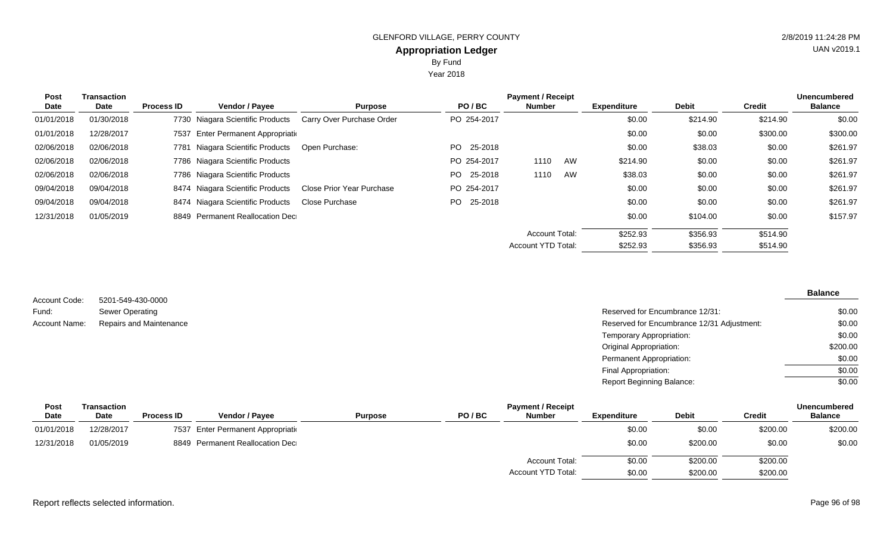Year 2018

| <b>Post</b> | <b>Transaction</b> | <b>Payment / Receipt</b> |                                    |                                  |                 |                           |    |                    |              |               | <b>Unencumbered</b> |
|-------------|--------------------|--------------------------|------------------------------------|----------------------------------|-----------------|---------------------------|----|--------------------|--------------|---------------|---------------------|
| Date        | Date               | <b>Process ID</b>        | Vendor / Payee                     | <b>Purpose</b>                   | PO/BC           | <b>Number</b>             |    | <b>Expenditure</b> | <b>Debit</b> | <b>Credit</b> | <b>Balance</b>      |
| 01/01/2018  | 01/30/2018         |                          | 7730 Niagara Scientific Products   | Carry Over Purchase Order        | PO 254-2017     |                           |    | \$0.00             | \$214.90     | \$214.90      | \$0.00              |
| 01/01/2018  | 12/28/2017         |                          | 7537 Enter Permanent Appropriation |                                  |                 |                           |    | \$0.00             | \$0.00       | \$300.00      | \$300.00            |
| 02/06/2018  | 02/06/2018         |                          | 7781 Niagara Scientific Products   | Open Purchase:                   | PO -<br>25-2018 |                           |    | \$0.00             | \$38.03      | \$0.00        | \$261.97            |
| 02/06/2018  | 02/06/2018         |                          | 7786 Niagara Scientific Products   |                                  | PO 254-2017     | 1110                      | AW | \$214.90           | \$0.00       | \$0.00        | \$261.97            |
| 02/06/2018  | 02/06/2018         |                          | 7786 Niagara Scientific Products   |                                  | PO 25-2018      | 1110                      | AW | \$38.03            | \$0.00       | \$0.00        | \$261.97            |
| 09/04/2018  | 09/04/2018         |                          | 8474 Niagara Scientific Products   | <b>Close Prior Year Purchase</b> | PO 254-2017     |                           |    | \$0.00             | \$0.00       | \$0.00        | \$261.97            |
| 09/04/2018  | 09/04/2018         |                          | 8474 Niagara Scientific Products   | Close Purchase                   | PO 25-2018      |                           |    | \$0.00             | \$0.00       | \$0.00        | \$261.97            |
| 12/31/2018  | 01/05/2019         |                          | 8849 Permanent Reallocation Dec    |                                  |                 |                           |    | \$0.00             | \$104.00     | \$0.00        | \$157.97            |
|             |                    |                          |                                    |                                  |                 | <b>Account Total:</b>     |    | \$252.93           | \$356.93     | \$514.90      |                     |
|             |                    |                          |                                    |                                  |                 | <b>Account YTD Total:</b> |    | \$252.93           | \$356.93     | \$514.90      |                     |

| Account Code: | 5201-549-430-0000       |
|---------------|-------------------------|
| Fund:         | <b>Sewer Operating</b>  |
| Account Name: | Repairs and Maintenance |

## **Balance**

| Sewer Operating         | Reserved for Encumbrance 12/31:            | \$0.00   |
|-------------------------|--------------------------------------------|----------|
| Repairs and Maintenance | Reserved for Encumbrance 12/31 Adjustment: | \$0.00   |
|                         | Temporary Appropriation:                   | \$0.00   |
|                         | Original Appropriation:                    | \$200.00 |
|                         | Permanent Appropriation:                   | \$0.00   |
|                         | Final Appropriation:                       | \$0.00   |
|                         | <b>Report Beginning Balance:</b>           | \$0.00   |
|                         |                                            |          |

| Post       | Transaction |                   |                                    |                | <b>Unencumbered</b> |                       |                    |              |               |                |
|------------|-------------|-------------------|------------------------------------|----------------|---------------------|-----------------------|--------------------|--------------|---------------|----------------|
| Date       | Date        | <b>Process ID</b> | <b>Vendor / Payee</b>              | <b>Purpose</b> | PO/BC               | <b>Number</b>         | <b>Expenditure</b> | <b>Debit</b> | <b>Credit</b> | <b>Balance</b> |
| 01/01/2018 | 12/28/2017  |                   | 7537 Enter Permanent Appropriation |                |                     |                       | \$0.00             | \$0.00       | \$200.00      | \$200.00       |
| 12/31/2018 | 01/05/2019  |                   | 8849 Permanent Reallocation Dec    |                |                     |                       | \$0.00             | \$200.00     | \$0.00        | \$0.00         |
|            |             |                   |                                    |                |                     | <b>Account Total:</b> | \$0.00             | \$200.00     | \$200.00      |                |
|            |             |                   |                                    |                |                     | Account YTD Total:    | \$0.00             | \$200.00     | \$200.00      |                |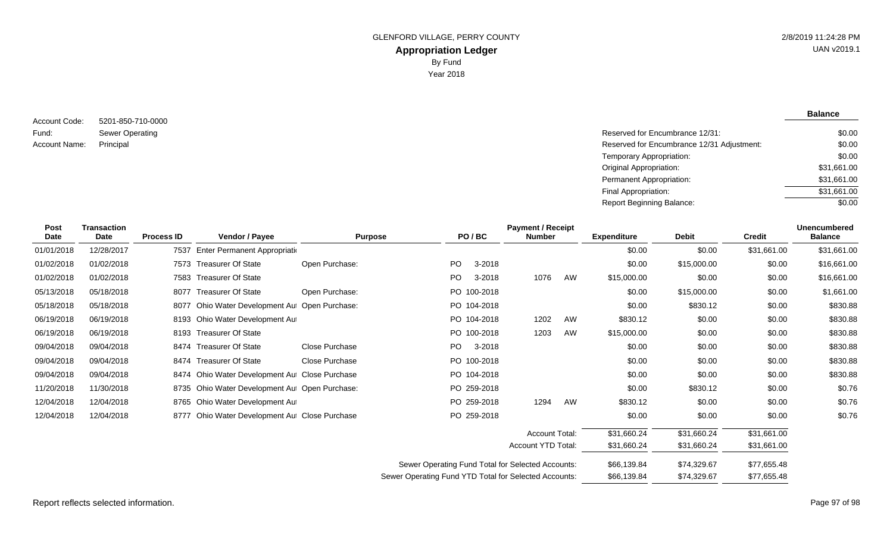5201-850-710-0000 Sewer Operating Account Code: Fund: Account Name:

**Balance**

| Sewer Operating | Reserved for Encumbrance 12/31:            | \$0.00      |
|-----------------|--------------------------------------------|-------------|
| Principal       | Reserved for Encumbrance 12/31 Adjustment: | \$0.00      |
|                 | Temporary Appropriation:                   | \$0.00      |
|                 | Original Appropriation:                    | \$31,661.00 |
|                 | Permanent Appropriation:                   | \$31,661.00 |
|                 | Final Appropriation:                       | \$31,661.00 |
|                 | <b>Report Beginning Balance:</b>           | \$0.00      |

| Post<br>Date | <b>Transaction</b><br><b>Date</b> | <b>Process ID</b> | Vendor / Payee                                 | <b>Purpose</b> |                                                       | PO/BC       | <b>Payment / Receipt</b><br><b>Number</b> |    | <b>Expenditure</b> | <b>Debit</b> | <b>Credit</b> | <b>Unencumbered</b><br><b>Balance</b> |
|--------------|-----------------------------------|-------------------|------------------------------------------------|----------------|-------------------------------------------------------|-------------|-------------------------------------------|----|--------------------|--------------|---------------|---------------------------------------|
| 01/01/2018   | 12/28/2017                        |                   | 7537 Enter Permanent Appropriation             |                |                                                       |             |                                           |    | \$0.00             | \$0.00       | \$31,661.00   | \$31,661.00                           |
| 01/02/2018   | 01/02/2018                        |                   | 7573 Treasurer Of State                        | Open Purchase: | PO                                                    | 3-2018      |                                           |    | \$0.00             | \$15,000.00  | \$0.00        | \$16,661.00                           |
| 01/02/2018   | 01/02/2018                        |                   | 7583 Treasurer Of State                        |                | PO                                                    | 3-2018      | 1076                                      | AW | \$15,000.00        | \$0.00       | \$0.00        | \$16,661.00                           |
| 05/13/2018   | 05/18/2018                        |                   | 8077 Treasurer Of State                        | Open Purchase: |                                                       | PO 100-2018 |                                           |    | \$0.00             | \$15,000.00  | \$0.00        | \$1,661.00                            |
| 05/18/2018   | 05/18/2018                        |                   | 8077 Ohio Water Development Au: Open Purchase: |                |                                                       | PO 104-2018 |                                           |    | \$0.00             | \$830.12     | \$0.00        | \$830.88                              |
| 06/19/2018   | 06/19/2018                        |                   | 8193 Ohio Water Development Au                 |                |                                                       | PO 104-2018 | 1202                                      | AW | \$830.12           | \$0.00       | \$0.00        | \$830.88                              |
| 06/19/2018   | 06/19/2018                        |                   | 8193 Treasurer Of State                        |                |                                                       | PO 100-2018 | 1203                                      | AW | \$15,000.00        | \$0.00       | \$0.00        | \$830.88                              |
| 09/04/2018   | 09/04/2018                        |                   | 8474 Treasurer Of State                        | Close Purchase | PO                                                    | 3-2018      |                                           |    | \$0.00             | \$0.00       | \$0.00        | \$830.88                              |
| 09/04/2018   | 09/04/2018                        |                   | 8474 Treasurer Of State                        | Close Purchase |                                                       | PO 100-2018 |                                           |    | \$0.00             | \$0.00       | \$0.00        | \$830.88                              |
| 09/04/2018   | 09/04/2018                        |                   | 8474 Ohio Water Development Au Close Purchase  |                |                                                       | PO 104-2018 |                                           |    | \$0.00             | \$0.00       | \$0.00        | \$830.88                              |
| 11/20/2018   | 11/30/2018                        |                   | 8735 Ohio Water Development Au: Open Purchase: |                |                                                       | PO 259-2018 |                                           |    | \$0.00             | \$830.12     | \$0.00        | \$0.76                                |
| 12/04/2018   | 12/04/2018                        |                   | 8765 Ohio Water Development Au                 |                |                                                       | PO 259-2018 | 1294                                      | AW | \$830.12           | \$0.00       | \$0.00        | \$0.76                                |
| 12/04/2018   | 12/04/2018                        |                   | 8777 Ohio Water Development Au Close Purchase  |                |                                                       | PO 259-2018 |                                           |    | \$0.00             | \$0.00       | \$0.00        | \$0.76                                |
|              |                                   |                   |                                                |                |                                                       |             | <b>Account Total:</b>                     |    | \$31,660.24        | \$31,660.24  | \$31,661.00   |                                       |
|              |                                   |                   |                                                |                |                                                       |             | Account YTD Total:                        |    | \$31,660.24        | \$31,660.24  | \$31,661.00   |                                       |
|              |                                   |                   |                                                |                | Sewer Operating Fund Total for Selected Accounts:     |             |                                           |    | \$66,139.84        | \$74,329.67  | \$77,655.48   |                                       |
|              |                                   |                   |                                                |                | Sewer Operating Fund YTD Total for Selected Accounts: |             |                                           |    | \$66,139.84        | \$74,329.67  | \$77,655.48   |                                       |